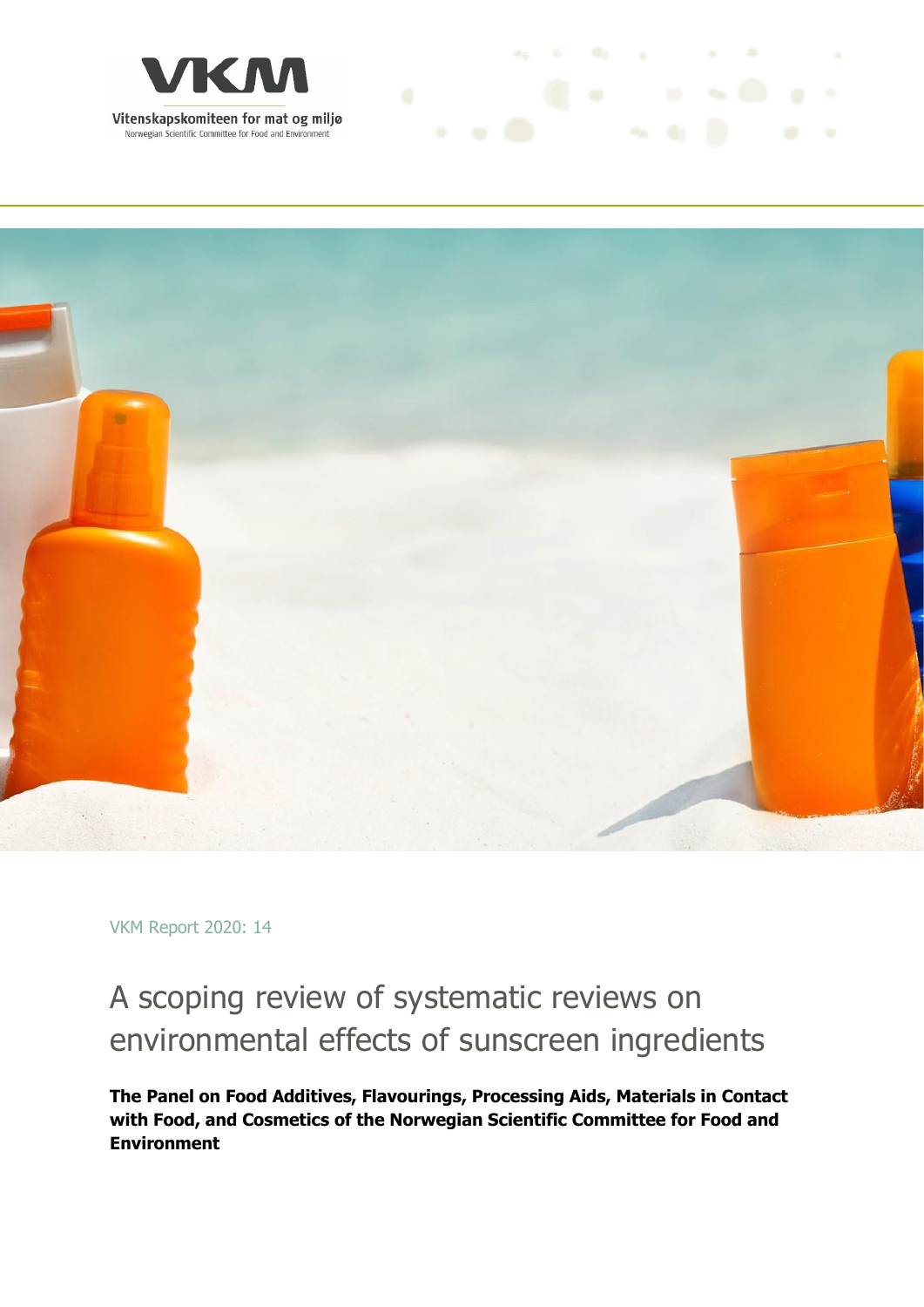



and the first process of

VKM Report 2020: 14

## A scoping review of systematic reviews on environmental effects of sunscreen ingredients

**The Panel on Food Additives, Flavourings, Processing Aids, Materials in Contact with Food, and Cosmetics of the Norwegian Scientific Committee for Food and Environment**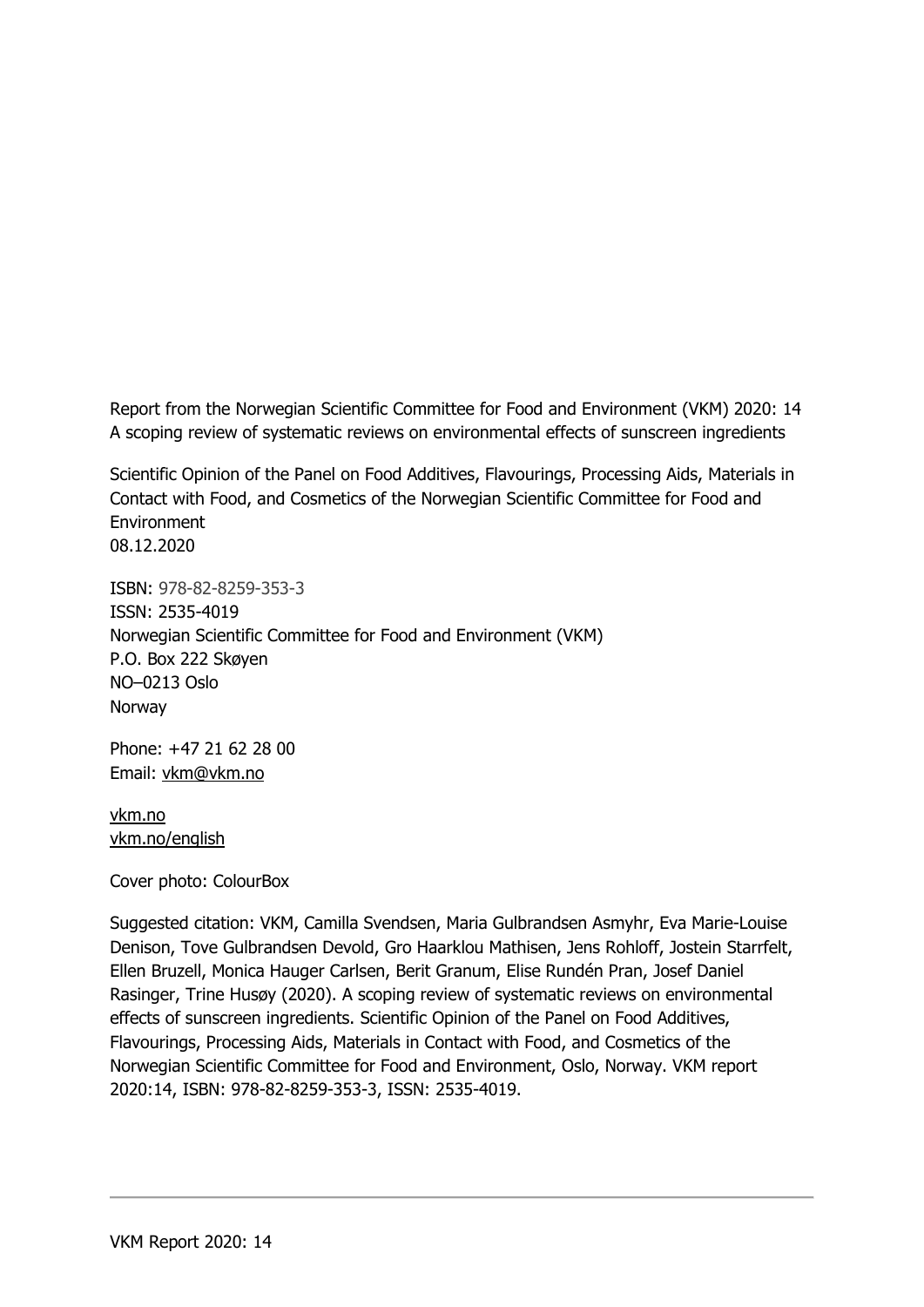Report from the Norwegian Scientific Committee for Food and Environment (VKM) 2020: 14 A scoping review of systematic reviews on environmental effects of sunscreen ingredients

Scientific Opinion of the Panel on Food Additives, Flavourings, Processing Aids, Materials in Contact with Food, and Cosmetics of the Norwegian Scientific Committee for Food and **Environment** 08.12.2020

ISBN: 978-82-8259-353-3 ISSN: 2535-4019 Norwegian Scientific Committee for Food and Environment (VKM) P.O. Box 222 Skøyen NO–0213 Oslo Norway

Phone: +47 21 62 28 00 Email: vkm@vkm.no

vkm.no vkm.no/english

Cover photo: ColourBox

Suggested citation: VKM, Camilla Svendsen, Maria Gulbrandsen Asmyhr, Eva Marie-Louise Denison, Tove Gulbrandsen Devold, Gro Haarklou Mathisen, Jens Rohloff, Jostein Starrfelt, Ellen Bruzell, Monica Hauger Carlsen, Berit Granum, Elise Rundén Pran, Josef Daniel Rasinger, Trine Husøy (2020). A scoping review of systematic reviews on environmental effects of sunscreen ingredients. Scientific Opinion of the Panel on Food Additives, Flavourings, Processing Aids, Materials in Contact with Food, and Cosmetics of the Norwegian Scientific Committee for Food and Environment, Oslo, Norway. VKM report 2020:14, ISBN: 978-82-8259-353-3, ISSN: 2535-4019.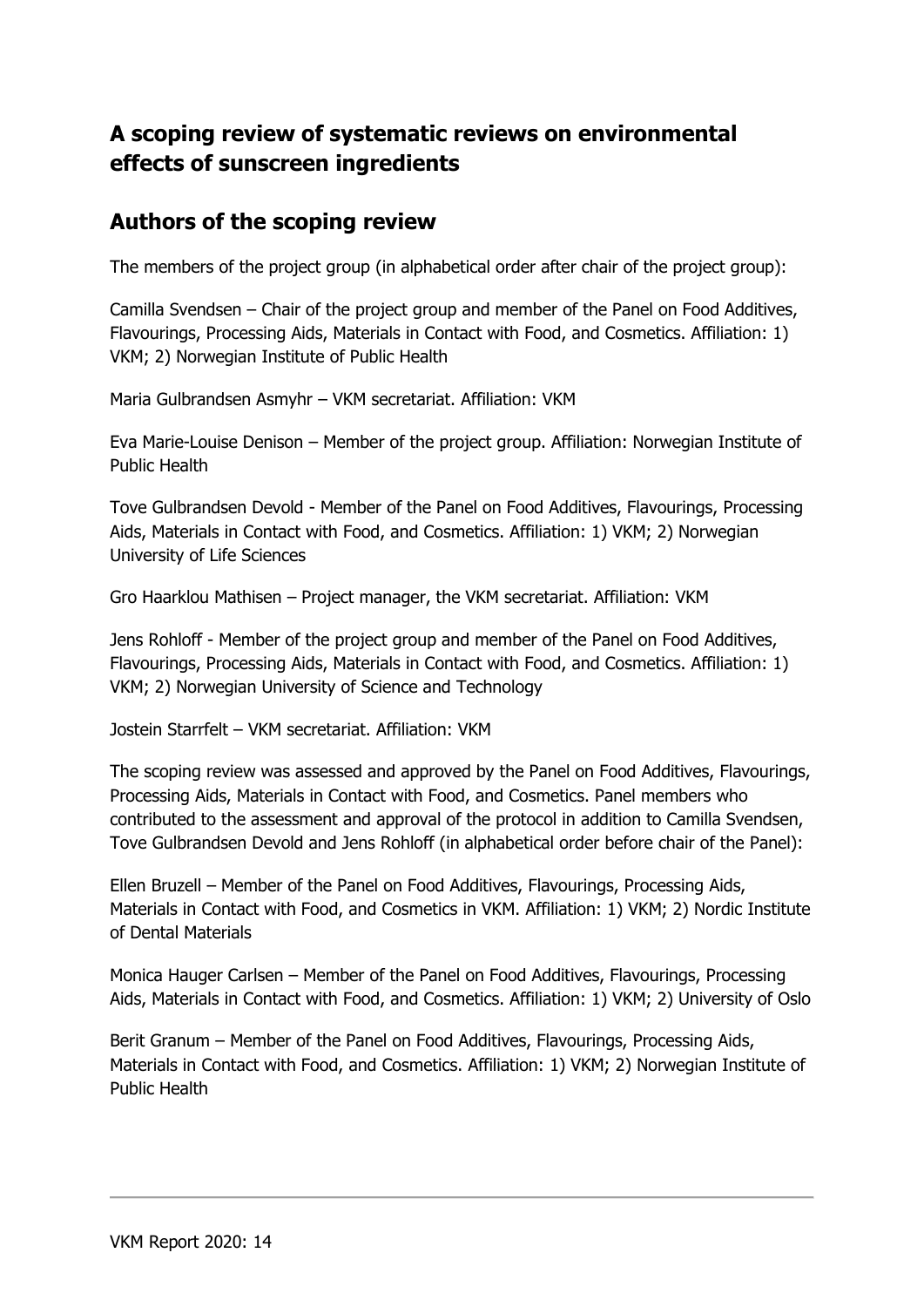## **A scoping review of systematic reviews on environmental effects of sunscreen ingredients**

### **Authors of the scoping review**

The members of the project group (in alphabetical order after chair of the project group):

Camilla Svendsen – Chair of the project group and member of the Panel on Food Additives, Flavourings, Processing Aids, Materials in Contact with Food, and Cosmetics. Affiliation: 1) VKM; 2) Norwegian Institute of Public Health

Maria Gulbrandsen Asmyhr – VKM secretariat. Affiliation: VKM

Eva Marie-Louise Denison – Member of the project group. Affiliation: Norwegian Institute of Public Health

Tove Gulbrandsen Devold - Member of the Panel on Food Additives, Flavourings, Processing Aids, Materials in Contact with Food, and Cosmetics. Affiliation: 1) VKM; 2) Norwegian University of Life Sciences

Gro Haarklou Mathisen – Project manager, the VKM secretariat. Affiliation: VKM

Jens Rohloff - Member of the project group and member of the Panel on Food Additives, Flavourings, Processing Aids, Materials in Contact with Food, and Cosmetics. Affiliation: 1) VKM; 2) Norwegian University of Science and Technology

Jostein Starrfelt – VKM secretariat. Affiliation: VKM

The scoping review was assessed and approved by the Panel on Food Additives, Flavourings, Processing Aids, Materials in Contact with Food, and Cosmetics. Panel members who contributed to the assessment and approval of the protocol in addition to Camilla Svendsen, Tove Gulbrandsen Devold and Jens Rohloff (in alphabetical order before chair of the Panel):

Ellen Bruzell – Member of the Panel on Food Additives, Flavourings, Processing Aids, Materials in Contact with Food, and Cosmetics in VKM. Affiliation: 1) VKM; 2) Nordic Institute of Dental Materials

Monica Hauger Carlsen – Member of the Panel on Food Additives, Flavourings, Processing Aids, Materials in Contact with Food, and Cosmetics. Affiliation: 1) VKM; 2) University of Oslo

Berit Granum – Member of the Panel on Food Additives, Flavourings, Processing Aids, Materials in Contact with Food, and Cosmetics. Affiliation: 1) VKM; 2) Norwegian Institute of Public Health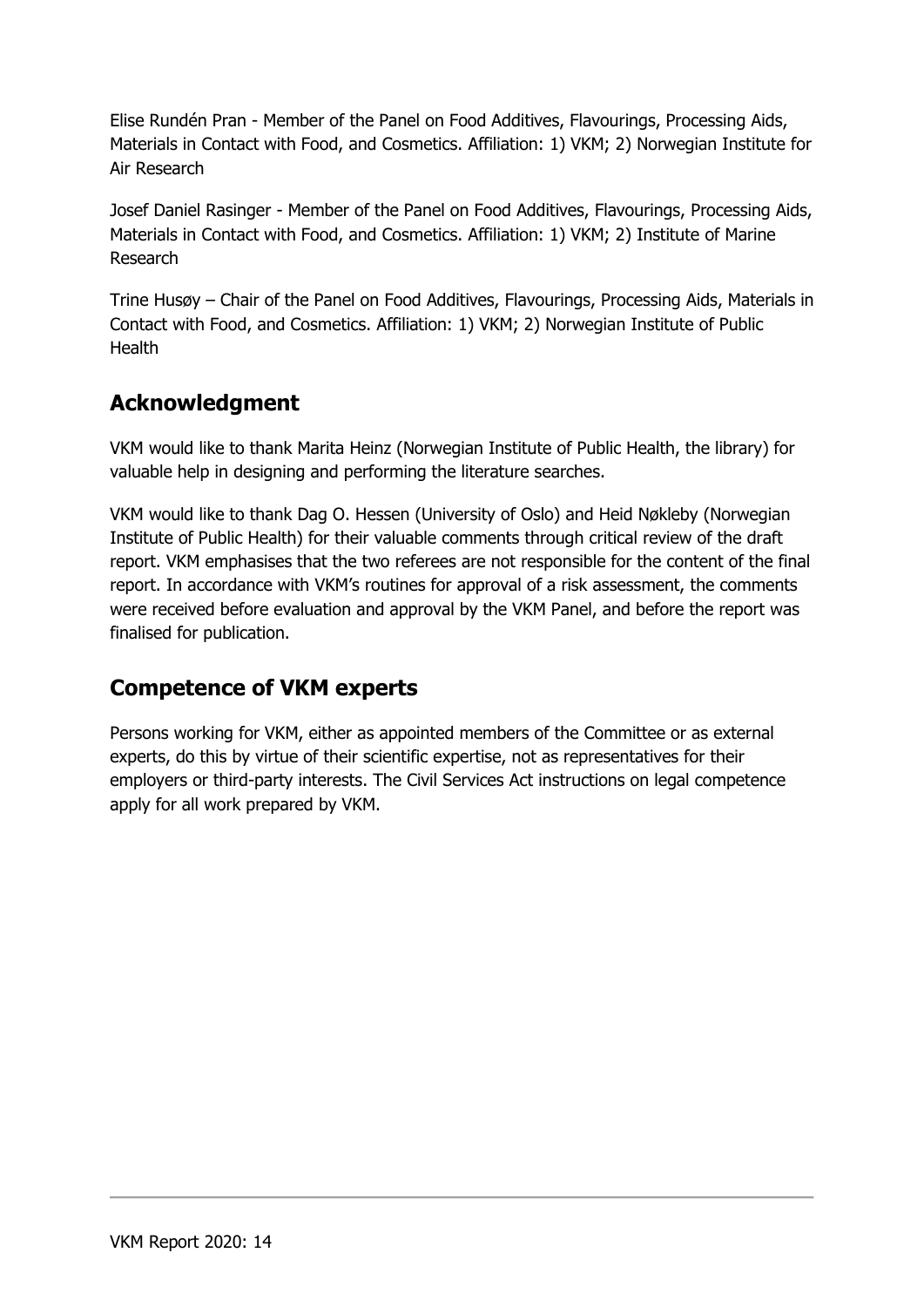Elise Rundén Pran - Member of the Panel on Food Additives, Flavourings, Processing Aids, Materials in Contact with Food, and Cosmetics. Affiliation: 1) VKM; 2) Norwegian Institute for Air Research

Josef Daniel Rasinger - Member of the Panel on Food Additives, Flavourings, Processing Aids, Materials in Contact with Food, and Cosmetics. Affiliation: 1) VKM; 2) Institute of Marine Research

Trine Husøy – Chair of the Panel on Food Additives, Flavourings, Processing Aids, Materials in Contact with Food, and Cosmetics. Affiliation: 1) VKM; 2) Norwegian Institute of Public **Health** 

## **Acknowledgment**

VKM would like to thank Marita Heinz (Norwegian Institute of Public Health, the library) for valuable help in designing and performing the literature searches.

VKM would like to thank Dag O. Hessen (University of Oslo) and Heid Nøkleby (Norwegian Institute of Public Health) for their valuable comments through critical review of the draft report. VKM emphasises that the two referees are not responsible for the content of the final report. In accordance with VKM's routines for approval of a risk assessment, the comments were received before evaluation and approval by the VKM Panel, and before the report was finalised for publication.

## **Competence of VKM experts**

Persons working for VKM, either as appointed members of the Committee or as external experts, do this by virtue of their scientific expertise, not as representatives for their employers or third-party interests. The Civil Services Act instructions on legal competence apply for all work prepared by VKM.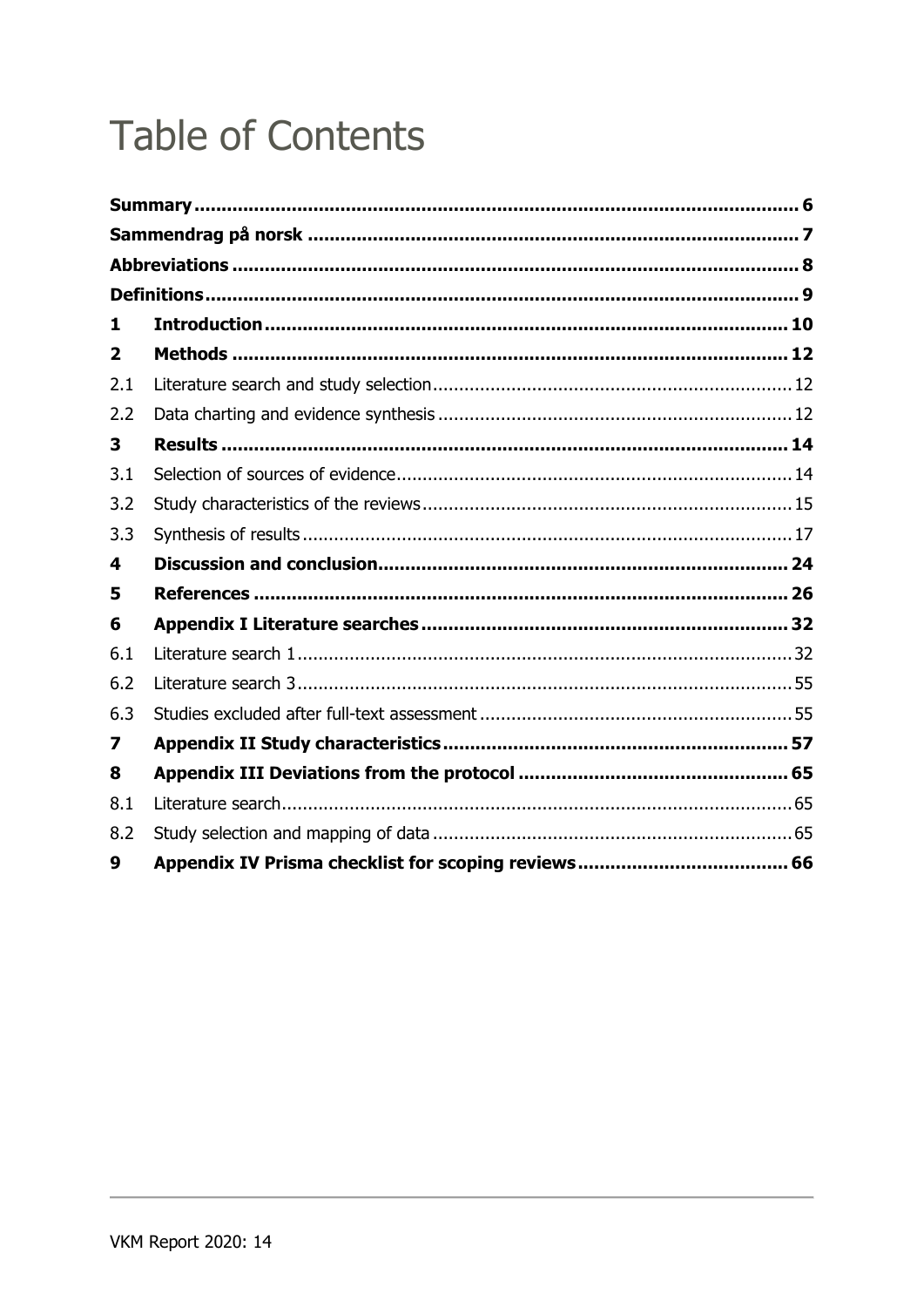# **Table of Contents**

| 1   |                                                |  |
|-----|------------------------------------------------|--|
| 2   | Methods …………………………………………………………………………………………… 12 |  |
| 2.1 |                                                |  |
| 2.2 |                                                |  |
| 3   |                                                |  |
| 3.1 |                                                |  |
| 3.2 |                                                |  |
| 3.3 |                                                |  |
| 4   |                                                |  |
| 5   |                                                |  |
| 6   |                                                |  |
| 6.1 |                                                |  |
| 6.2 |                                                |  |
| 6.3 |                                                |  |
| 7   |                                                |  |
| 8   |                                                |  |
| 8.1 |                                                |  |
| 8.2 |                                                |  |
| 9   |                                                |  |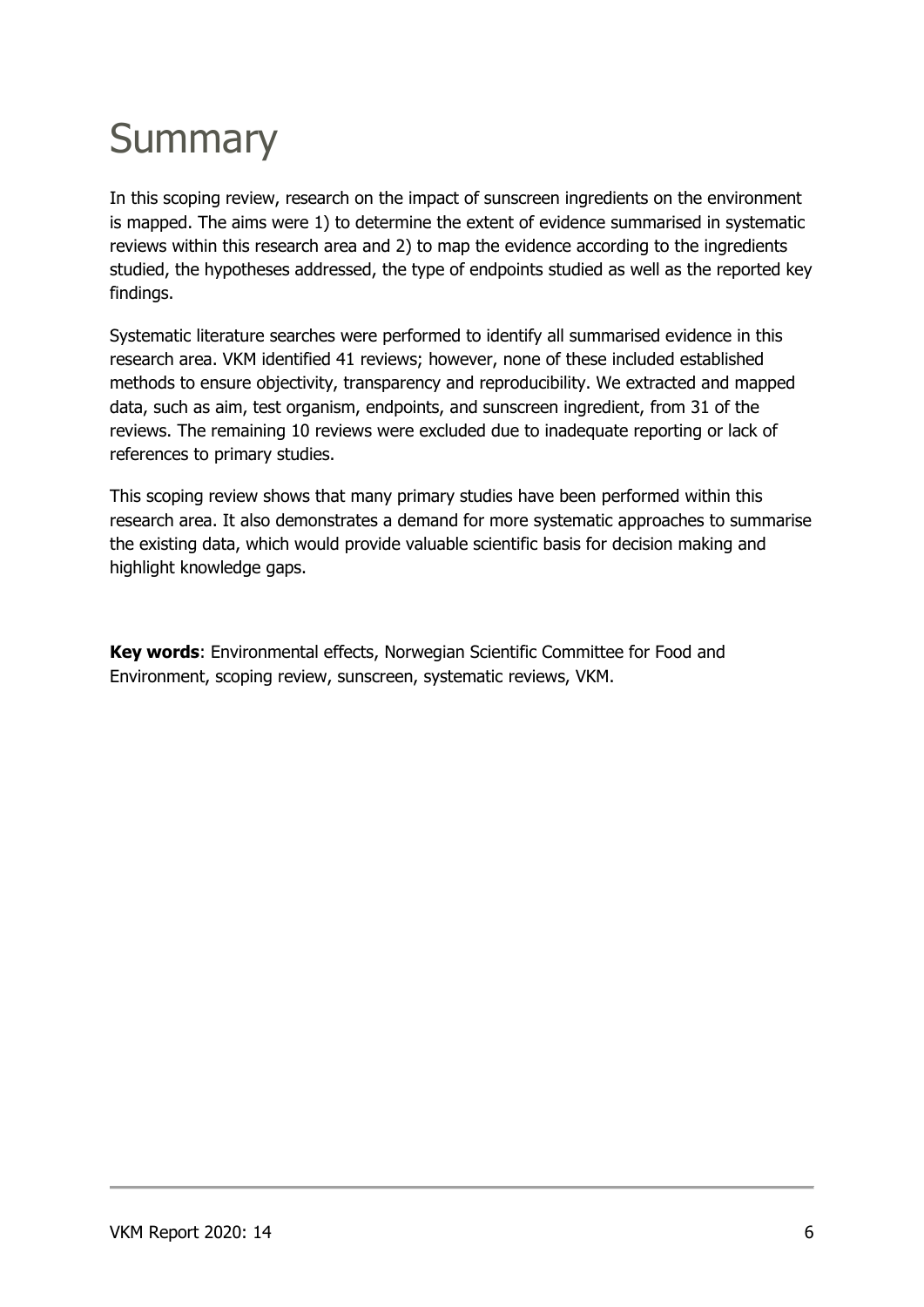# **Summary**

In this scoping review, research on the impact of sunscreen ingredients on the environment is mapped. The aims were 1) to determine the extent of evidence summarised in systematic reviews within this research area and 2) to map the evidence according to the ingredients studied, the hypotheses addressed, the type of endpoints studied as well as the reported key findings.

Systematic literature searches were performed to identify all summarised evidence in this research area. VKM identified 41 reviews; however, none of these included established methods to ensure objectivity, transparency and reproducibility. We extracted and mapped data, such as aim, test organism, endpoints, and sunscreen ingredient, from 31 of the reviews. The remaining 10 reviews were excluded due to inadequate reporting or lack of references to primary studies.

This scoping review shows that many primary studies have been performed within this research area. It also demonstrates a demand for more systematic approaches to summarise the existing data, which would provide valuable scientific basis for decision making and highlight knowledge gaps.

**Key words**: Environmental effects, Norwegian Scientific Committee for Food and Environment, scoping review, sunscreen, systematic reviews, VKM.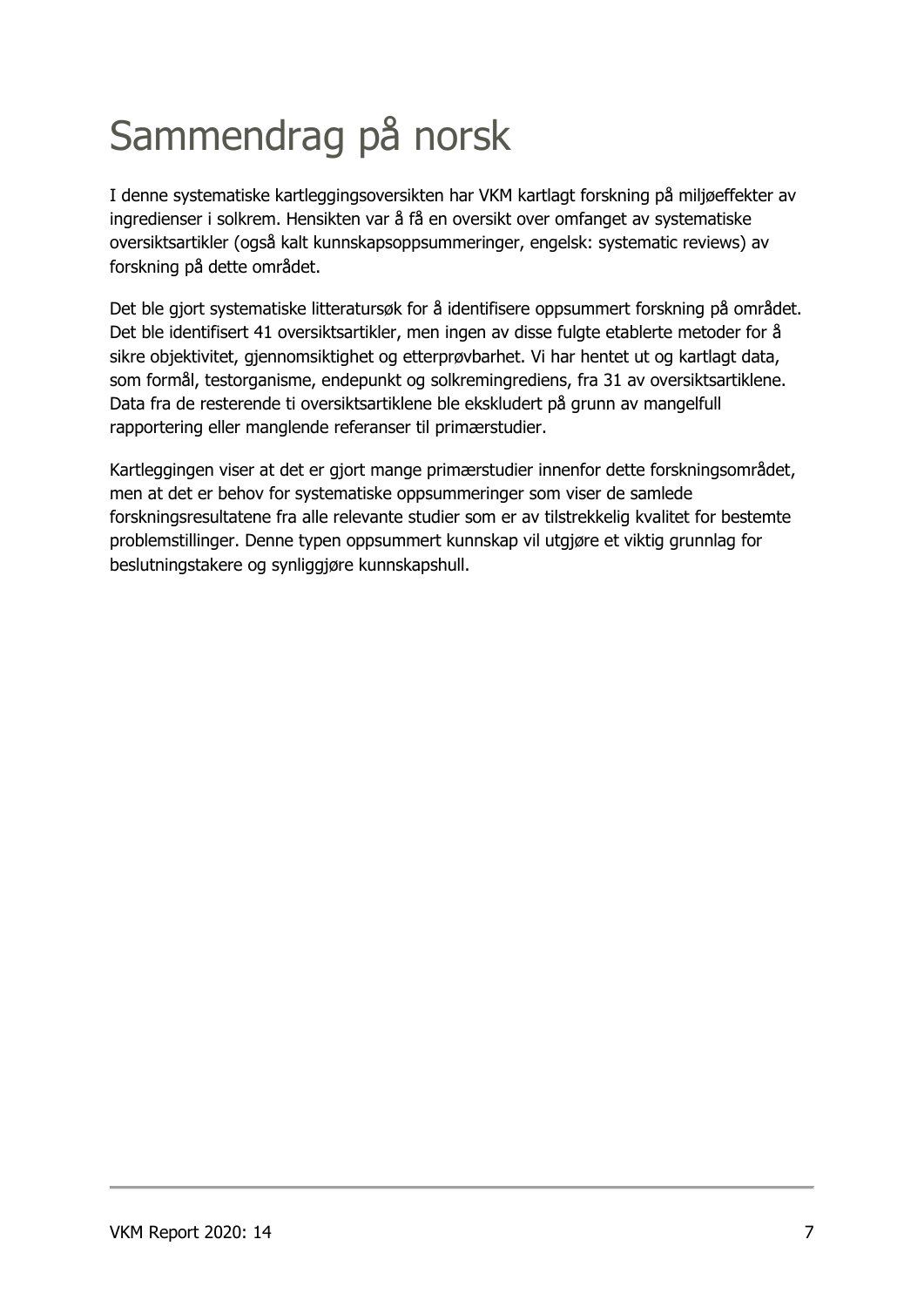# Sammendrag på norsk

I denne systematiske kartleggingsoversikten har VKM kartlagt forskning på miljøeffekter av ingredienser i solkrem. Hensikten var å få en oversikt over omfanget av systematiske oversiktsartikler (også kalt kunnskapsoppsummeringer, engelsk: systematic reviews) av forskning på dette området.

Det ble gjort systematiske litteratursøk for å identifisere oppsummert forskning på området. Det ble identifisert 41 oversiktsartikler, men ingen av disse fulgte etablerte metoder for å sikre objektivitet, gjennomsiktighet og etterprøvbarhet. Vi har hentet ut og kartlagt data, som formål, testorganisme, endepunkt og solkremingrediens, fra 31 av oversiktsartiklene. Data fra de resterende ti oversiktsartiklene ble ekskludert på grunn av mangelfull rapportering eller manglende referanser til primærstudier.

Kartleggingen viser at det er gjort mange primærstudier innenfor dette forskningsområdet, men at det er behov for systematiske oppsummeringer som viser de samlede forskningsresultatene fra alle relevante studier som er av tilstrekkelig kvalitet for bestemte problemstillinger. Denne typen oppsummert kunnskap vil utgjøre et viktig grunnlag for beslutningstakere og synliggjøre kunnskapshull.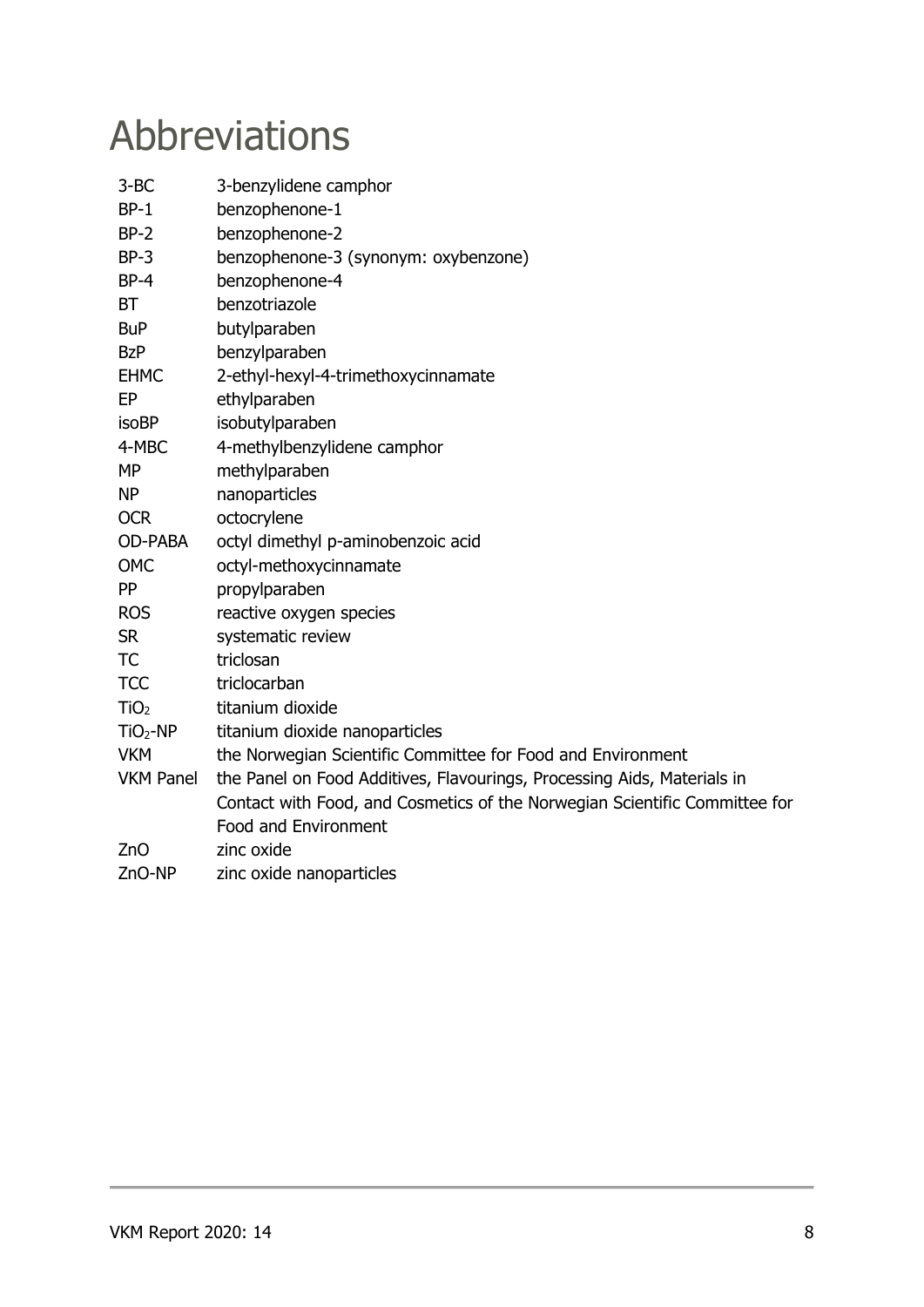## Abbreviations

| $3-BC$           | 3-benzylidene camphor                                                      |
|------------------|----------------------------------------------------------------------------|
| $BP-1$           | benzophenone-1                                                             |
| $BP-2$           | benzophenone-2                                                             |
| $BP-3$           | benzophenone-3 (synonym: oxybenzone)                                       |
| $BP-4$           | benzophenone-4                                                             |
| <b>BT</b>        | benzotriazole                                                              |
| <b>BuP</b>       | butylparaben                                                               |
| <b>BzP</b>       | benzylparaben                                                              |
| <b>EHMC</b>      | 2-ethyl-hexyl-4-trimethoxycinnamate                                        |
| EP               | ethylparaben                                                               |
| <b>isoBP</b>     | isobutylparaben                                                            |
| 4-MBC            | 4-methylbenzylidene camphor                                                |
| <b>MP</b>        | methylparaben                                                              |
| <b>NP</b>        | nanoparticles                                                              |
| <b>OCR</b>       | octocrylene                                                                |
| <b>OD-PABA</b>   | octyl dimethyl p-aminobenzoic acid                                         |
| <b>OMC</b>       | octyl-methoxycinnamate                                                     |
| <b>PP</b>        | propylparaben                                                              |
| <b>ROS</b>       | reactive oxygen species                                                    |
| <b>SR</b>        | systematic review                                                          |
| <b>TC</b>        | triclosan                                                                  |
| <b>TCC</b>       | triclocarban                                                               |
| TiO <sub>2</sub> | titanium dioxide                                                           |
| $TiO2-NP$        | titanium dioxide nanoparticles                                             |
| <b>VKM</b>       | the Norwegian Scientific Committee for Food and Environment                |
| <b>VKM Panel</b> | the Panel on Food Additives, Flavourings, Processing Aids, Materials in    |
|                  | Contact with Food, and Cosmetics of the Norwegian Scientific Committee for |
|                  | <b>Food and Environment</b>                                                |
| ZnO              | zinc oxide                                                                 |
| ZnO-NP           | zinc oxide nanoparticles                                                   |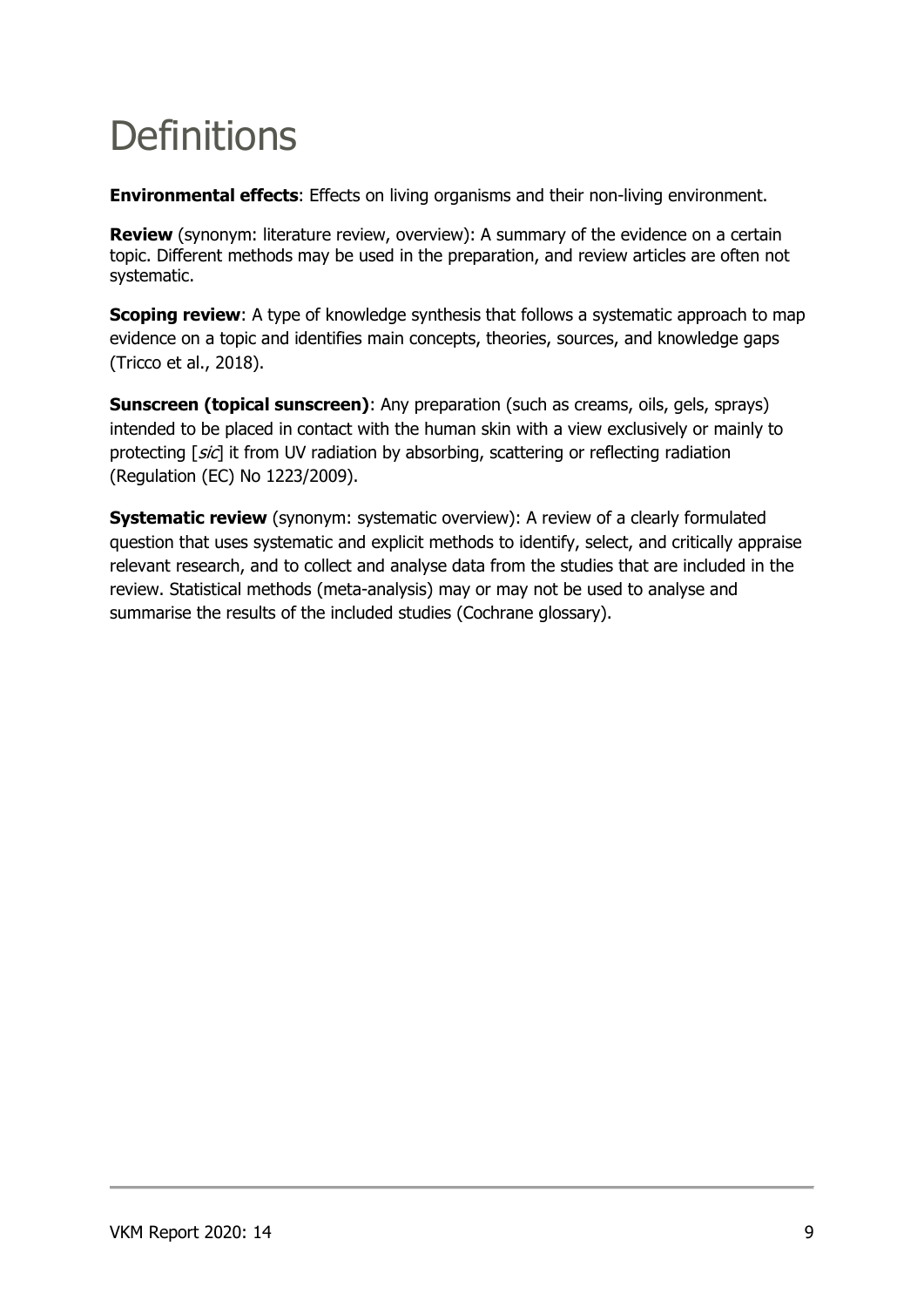# **Definitions**

**Environmental effects**: Effects on living organisms and their non-living environment.

**Review** (synonym: literature review, overview): A summary of the evidence on a certain topic. Different methods may be used in the preparation, and review articles are often not systematic.

**Scoping review**: A type of knowledge synthesis that follows a systematic approach to map evidence on a topic and identifies main concepts, theories, sources, and knowledge gaps (Tricco et al., 2018).

**Sunscreen (topical sunscreen)**: Any preparation (such as creams, oils, gels, sprays) intended to be placed in contact with the human skin with a view exclusively or mainly to protecting [sic] it from UV radiation by absorbing, scattering or reflecting radiation (Regulation (EC) No 1223/2009).

**Systematic review** (synonym: systematic overview): A review of a clearly formulated question that uses systematic and explicit methods to identify, select, and critically appraise relevant research, and to collect and analyse data from the studies that are included in the review. Statistical methods (meta-analysis) may or may not be used to analyse and summarise the results of the included studies (Cochrane glossary).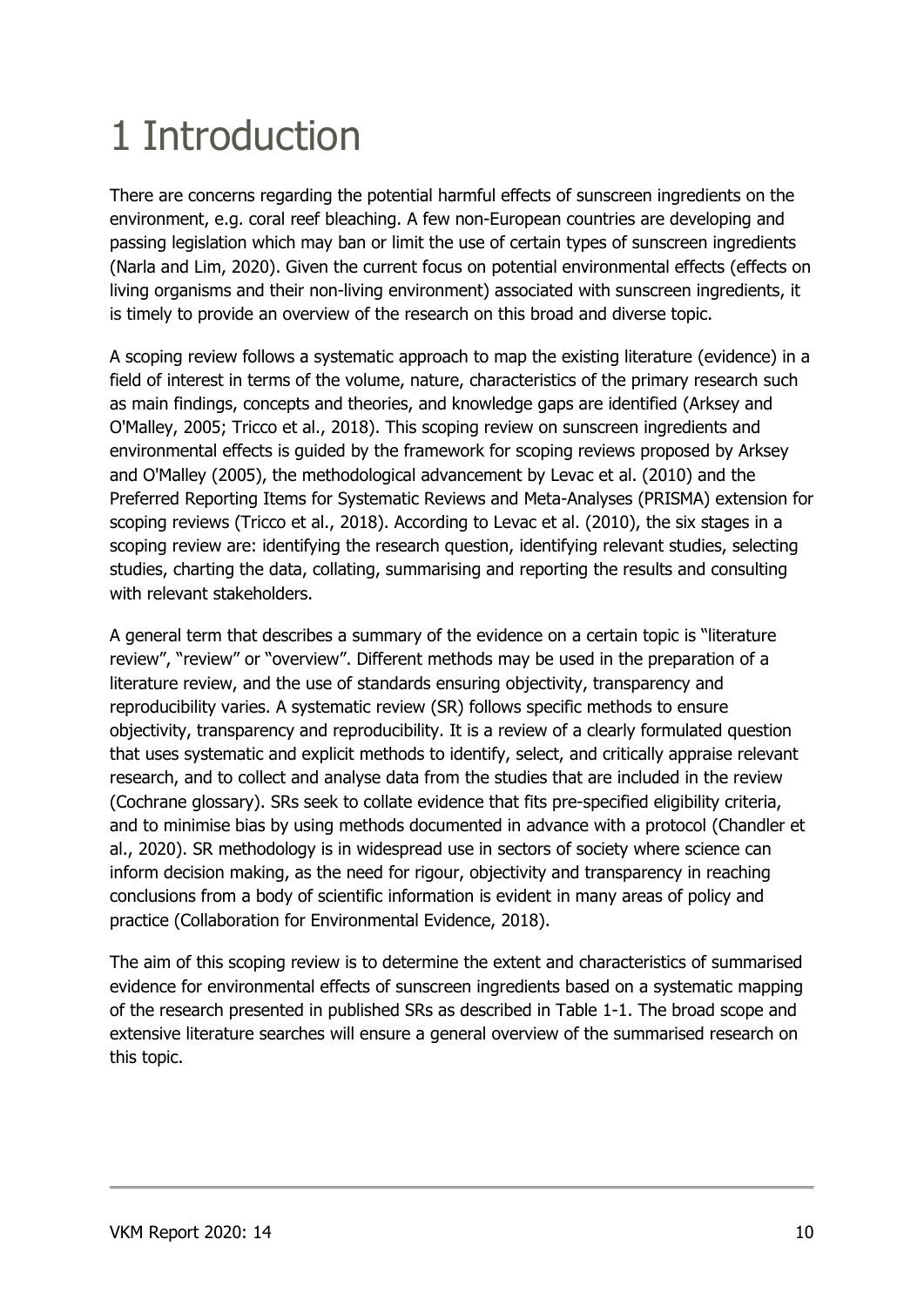# 1 Introduction

There are concerns regarding the potential harmful effects of sunscreen ingredients on the environment, e.g. coral reef bleaching. A few non-European countries are developing and passing legislation which may ban or limit the use of certain types of sunscreen ingredients (Narla and Lim, 2020). Given the current focus on potential environmental effects (effects on living organisms and their non-living environment) associated with sunscreen ingredients, it is timely to provide an overview of the research on this broad and diverse topic.

A scoping review follows a systematic approach to map the existing literature (evidence) in a field of interest in terms of the volume, nature, characteristics of the primary research such as main findings, concepts and theories, and knowledge gaps are identified (Arksey and O'Malley, 2005; Tricco et al., 2018). This scoping review on sunscreen ingredients and environmental effects is guided by the framework for scoping reviews proposed by Arksey and O'Malley (2005), the methodological advancement by Levac et al. (2010) and the Preferred Reporting Items for Systematic Reviews and Meta-Analyses (PRISMA) extension for scoping reviews (Tricco et al., 2018). According to Levac et al. (2010), the six stages in a scoping review are: identifying the research question, identifying relevant studies, selecting studies, charting the data, collating, summarising and reporting the results and consulting with relevant stakeholders.

A general term that describes a summary of the evidence on a certain topic is "literature review", "review" or "overview". Different methods may be used in the preparation of a literature review, and the use of standards ensuring objectivity, transparency and reproducibility varies. A systematic review (SR) follows specific methods to ensure objectivity, transparency and reproducibility. It is a review of a clearly formulated question that uses systematic and explicit methods to identify, select, and critically appraise relevant research, and to collect and analyse data from the studies that are included in the review (Cochrane glossary). SRs seek to collate evidence that fits pre-specified eligibility criteria, and to minimise bias by using methods documented in advance with a protocol (Chandler et al., 2020). SR methodology is in widespread use in sectors of society where science can inform decision making, as the need for rigour, objectivity and transparency in reaching conclusions from a body of scientific information is evident in many areas of policy and practice (Collaboration for Environmental Evidence, 2018).

The aim of this scoping review is to determine the extent and characteristics of summarised evidence for environmental effects of sunscreen ingredients based on a systematic mapping of the research presented in published SRs as described in Table 1-1. The broad scope and extensive literature searches will ensure a general overview of the summarised research on this topic.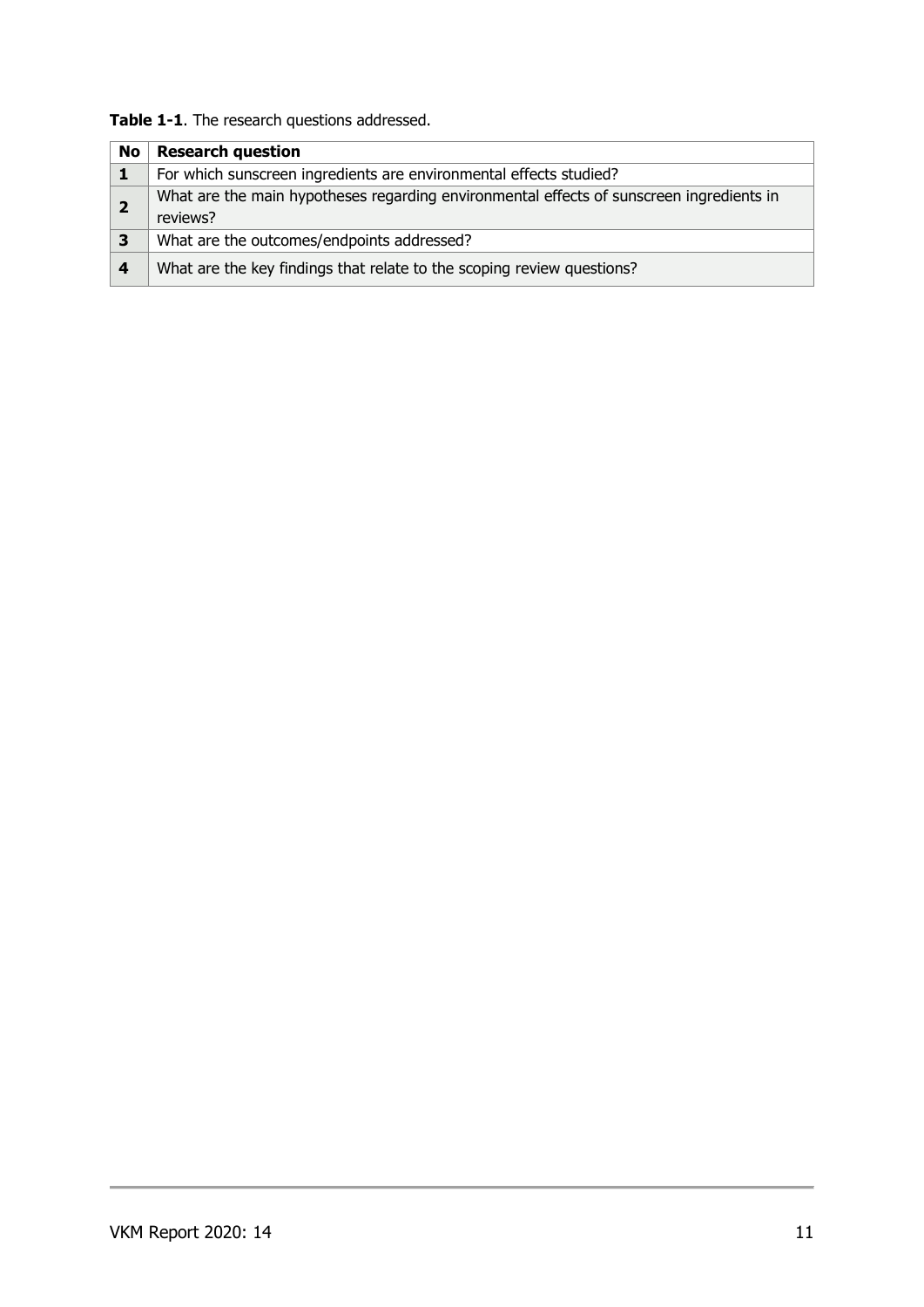**Table 1-1**. The research questions addressed.

| No                      | <b>Research question</b>                                                                             |
|-------------------------|------------------------------------------------------------------------------------------------------|
|                         | For which sunscreen ingredients are environmental effects studied?                                   |
|                         | What are the main hypotheses regarding environmental effects of sunscreen ingredients in<br>reviews? |
| $\overline{\mathbf{3}}$ | What are the outcomes/endpoints addressed?                                                           |
| 4                       | What are the key findings that relate to the scoping review questions?                               |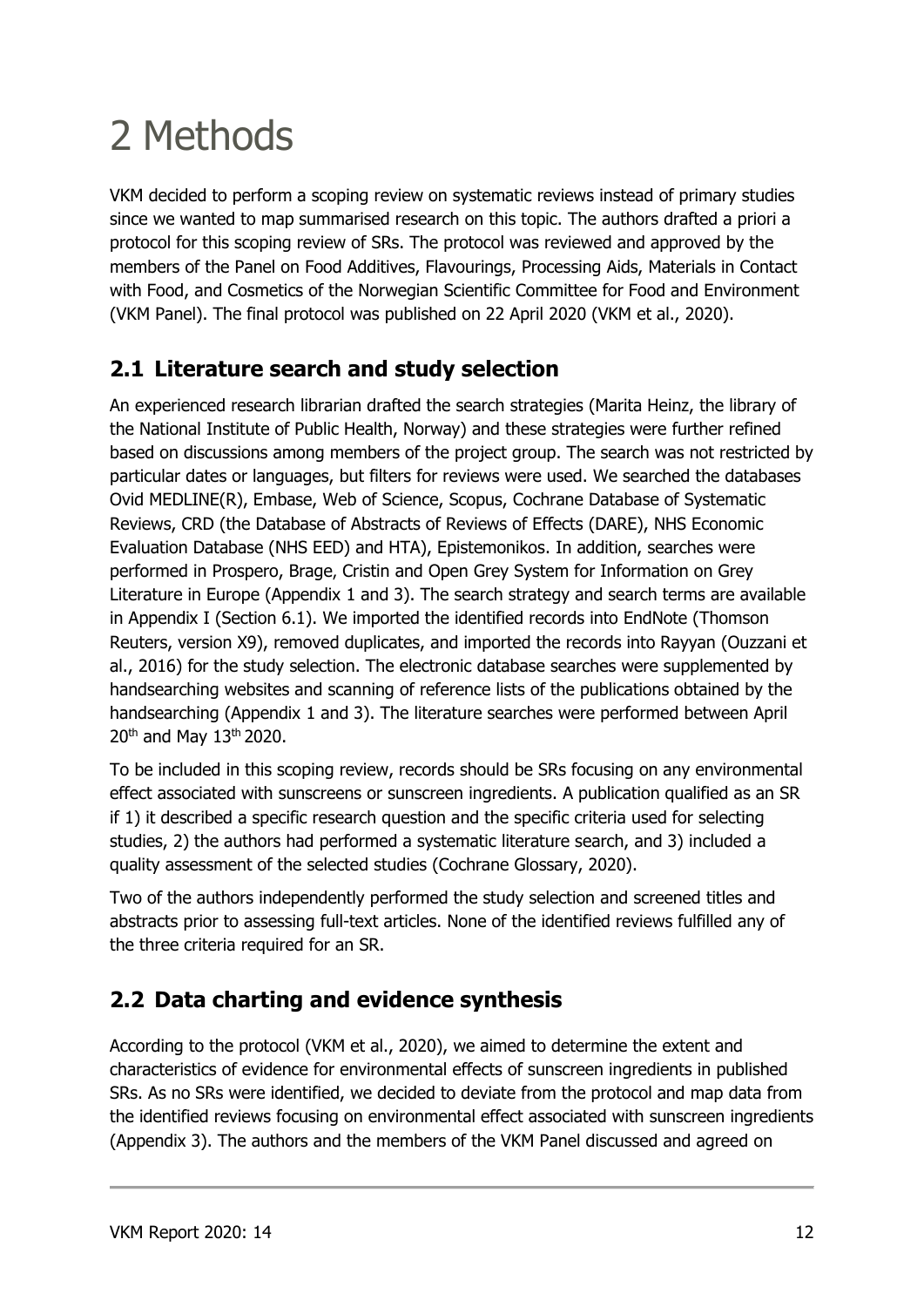# 2 Methods

VKM decided to perform a scoping review on systematic reviews instead of primary studies since we wanted to map summarised research on this topic. The authors drafted a priori a protocol for this scoping review of SRs. The protocol was reviewed and approved by the members of the Panel on Food Additives, Flavourings, Processing Aids, Materials in Contact with Food, and Cosmetics of the Norwegian Scientific Committee for Food and Environment (VKM Panel). The final protocol was published on 22 April 2020 (VKM et al., 2020).

## **2.1 Literature search and study selection**

An experienced research librarian drafted the search strategies (Marita Heinz, the library of the National Institute of Public Health, Norway) and these strategies were further refined based on discussions among members of the project group. The search was not restricted by particular dates or languages, but filters for reviews were used. We searched the databases Ovid MEDLINE(R), Embase, Web of Science, Scopus, Cochrane Database of Systematic Reviews, CRD (the Database of Abstracts of Reviews of Effects (DARE), NHS Economic Evaluation Database (NHS EED) and HTA), Epistemonikos. In addition, searches were performed in Prospero, Brage, Cristin and Open Grey System for Information on Grey Literature in Europe (Appendix 1 and 3). The search strategy and search terms are available in Appendix I (Section 6.1). We imported the identified records into EndNote (Thomson Reuters, version X9), removed duplicates, and imported the records into Rayyan (Ouzzani et al., 2016) for the study selection. The electronic database searches were supplemented by handsearching websites and scanning of reference lists of the publications obtained by the handsearching (Appendix 1 and 3). The literature searches were performed between April 20<sup>th</sup> and May 13<sup>th</sup> 2020.

To be included in this scoping review, records should be SRs focusing on any environmental effect associated with sunscreens or sunscreen ingredients. A publication qualified as an SR if 1) it described a specific research question and the specific criteria used for selecting studies, 2) the authors had performed a systematic literature search, and 3) included a quality assessment of the selected studies (Cochrane Glossary, 2020).

Two of the authors independently performed the study selection and screened titles and abstracts prior to assessing full-text articles. None of the identified reviews fulfilled any of the three criteria required for an SR.

## **2.2 Data charting and evidence synthesis**

According to the protocol (VKM et al., 2020), we aimed to determine the extent and characteristics of evidence for environmental effects of sunscreen ingredients in published SRs. As no SRs were identified, we decided to deviate from the protocol and map data from the identified reviews focusing on environmental effect associated with sunscreen ingredients (Appendix 3). The authors and the members of the VKM Panel discussed and agreed on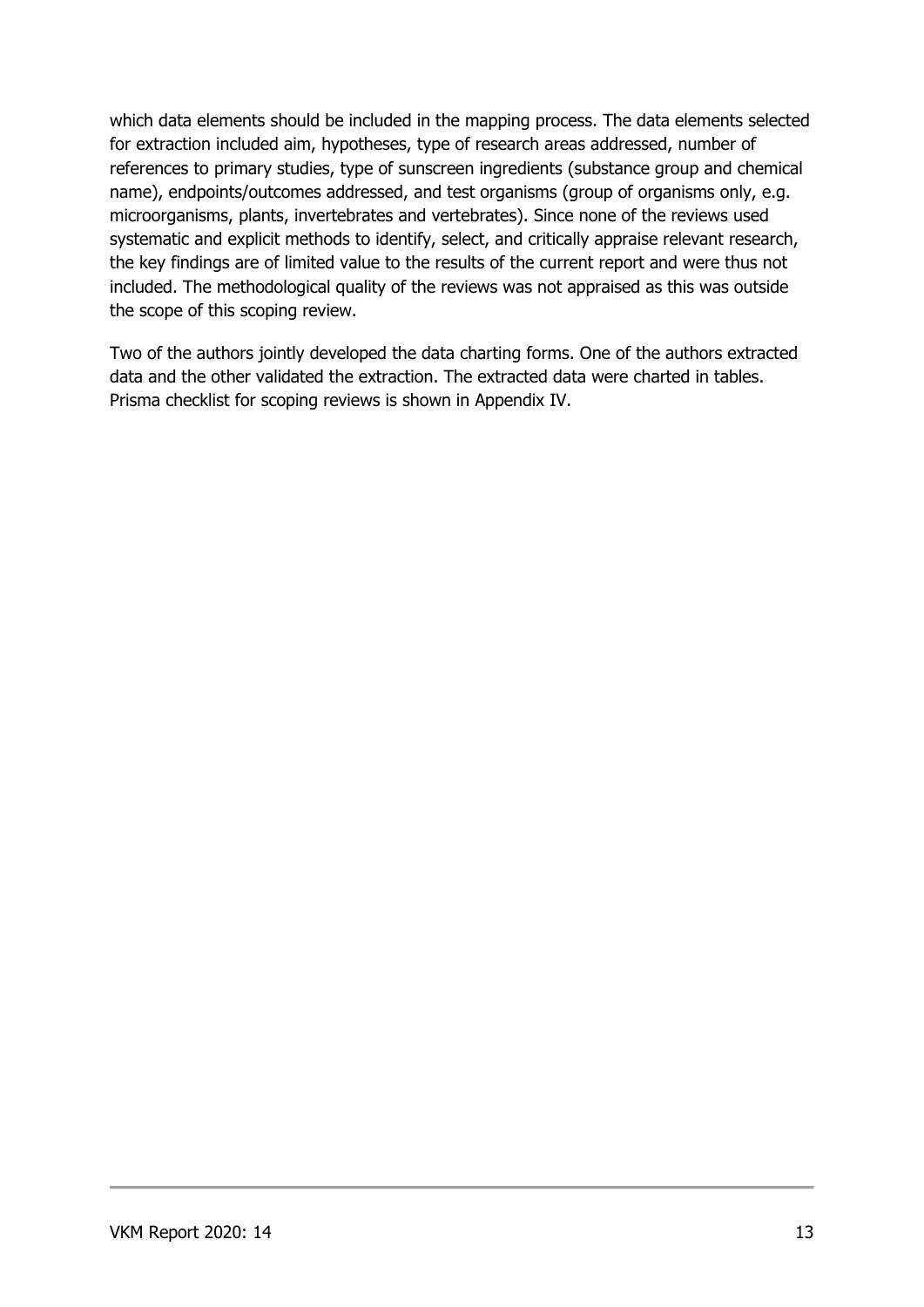which data elements should be included in the mapping process. The data elements selected for extraction included aim, hypotheses, type of research areas addressed, number of references to primary studies, type of sunscreen ingredients (substance group and chemical name), endpoints/outcomes addressed, and test organisms (group of organisms only, e.g. microorganisms, plants, invertebrates and vertebrates). Since none of the reviews used systematic and explicit methods to identify, select, and critically appraise relevant research, the key findings are of limited value to the results of the current report and were thus not included. The methodological quality of the reviews was not appraised as this was outside the scope of this scoping review.

Two of the authors jointly developed the data charting forms. One of the authors extracted data and the other validated the extraction. The extracted data were charted in tables. Prisma checklist for scoping reviews is shown in Appendix IV.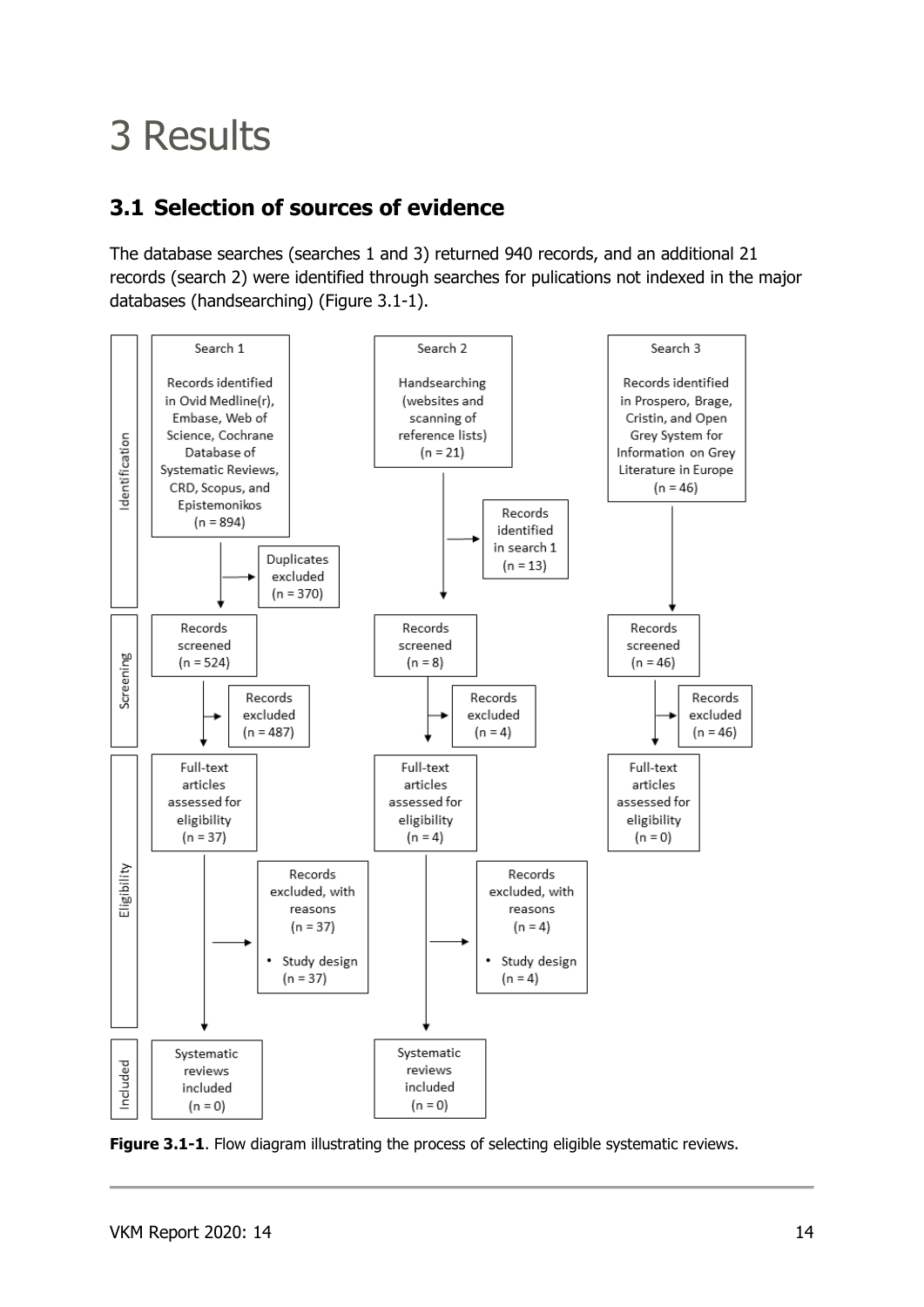# 3 Results

## **3.1 Selection of sources of evidence**

The database searches (searches 1 and 3) returned 940 records, and an additional 21 records (search 2) were identified through searches for pulications not indexed in the major databases (handsearching) (Figure 3.1-1).



**Figure 3.1-1.** Flow diagram illustrating the process of selecting eligible systematic reviews.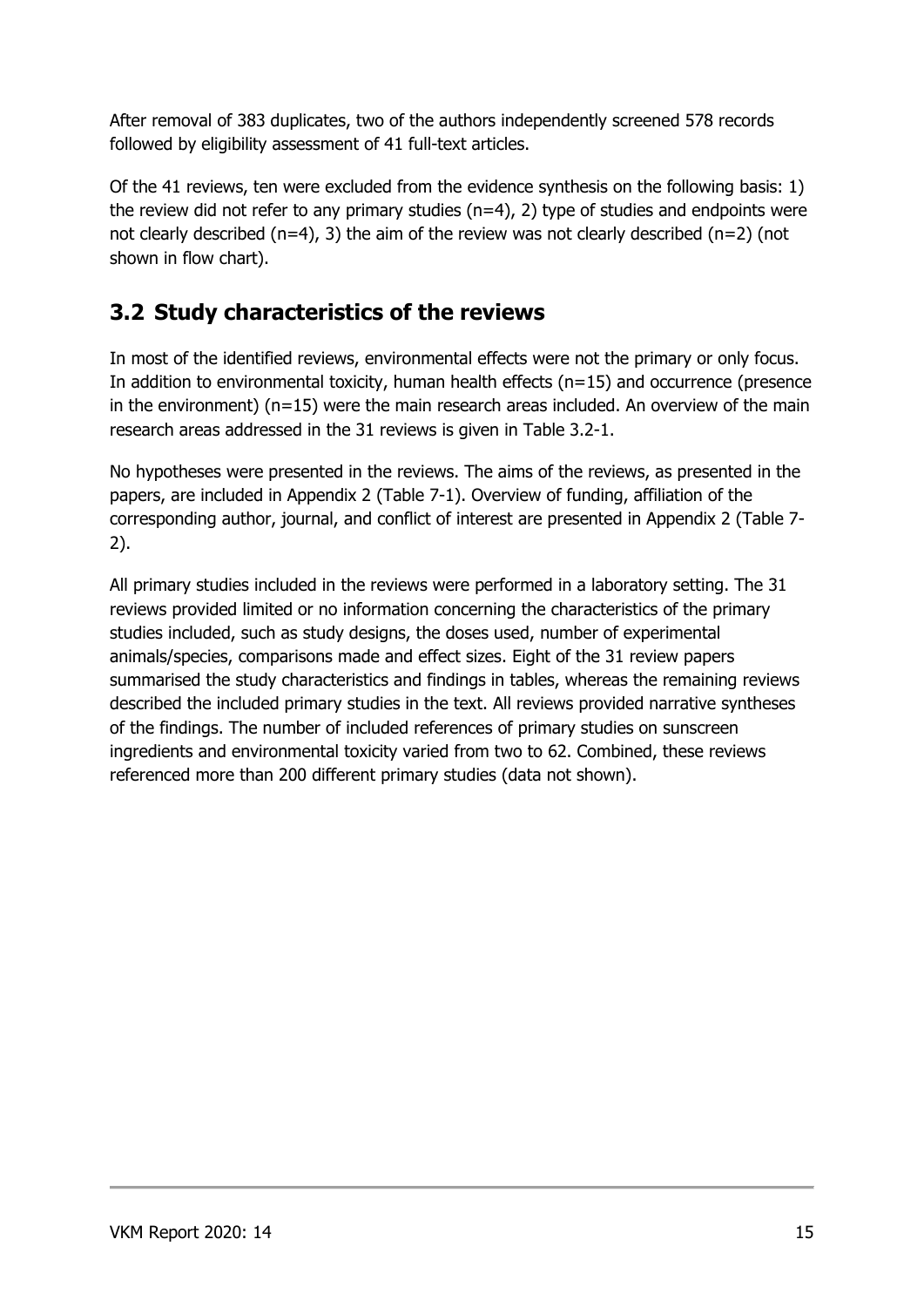After removal of 383 duplicates, two of the authors independently screened 578 records followed by eligibility assessment of 41 full-text articles.

Of the 41 reviews, ten were excluded from the evidence synthesis on the following basis: 1) the review did not refer to any primary studies  $(n=4)$ , 2) type of studies and endpoints were not clearly described ( $n=4$ ), 3) the aim of the review was not clearly described ( $n=2$ ) (not shown in flow chart).

## **3.2 Study characteristics of the reviews**

In most of the identified reviews, environmental effects were not the primary or only focus. In addition to environmental toxicity, human health effects (n=15) and occurrence (presence in the environment) (n=15) were the main research areas included. An overview of the main research areas addressed in the 31 reviews is given in Table 3.2-1.

No hypotheses were presented in the reviews. The aims of the reviews, as presented in the papers, are included in Appendix 2 (Table 7-1). Overview of funding, affiliation of the corresponding author, journal, and conflict of interest are presented in Appendix 2 (Table 7- 2).

All primary studies included in the reviews were performed in a laboratory setting. The 31 reviews provided limited or no information concerning the characteristics of the primary studies included, such as study designs, the doses used, number of experimental animals/species, comparisons made and effect sizes. Eight of the 31 review papers summarised the study characteristics and findings in tables, whereas the remaining reviews described the included primary studies in the text. All reviews provided narrative syntheses of the findings. The number of included references of primary studies on sunscreen ingredients and environmental toxicity varied from two to 62. Combined, these reviews referenced more than 200 different primary studies (data not shown).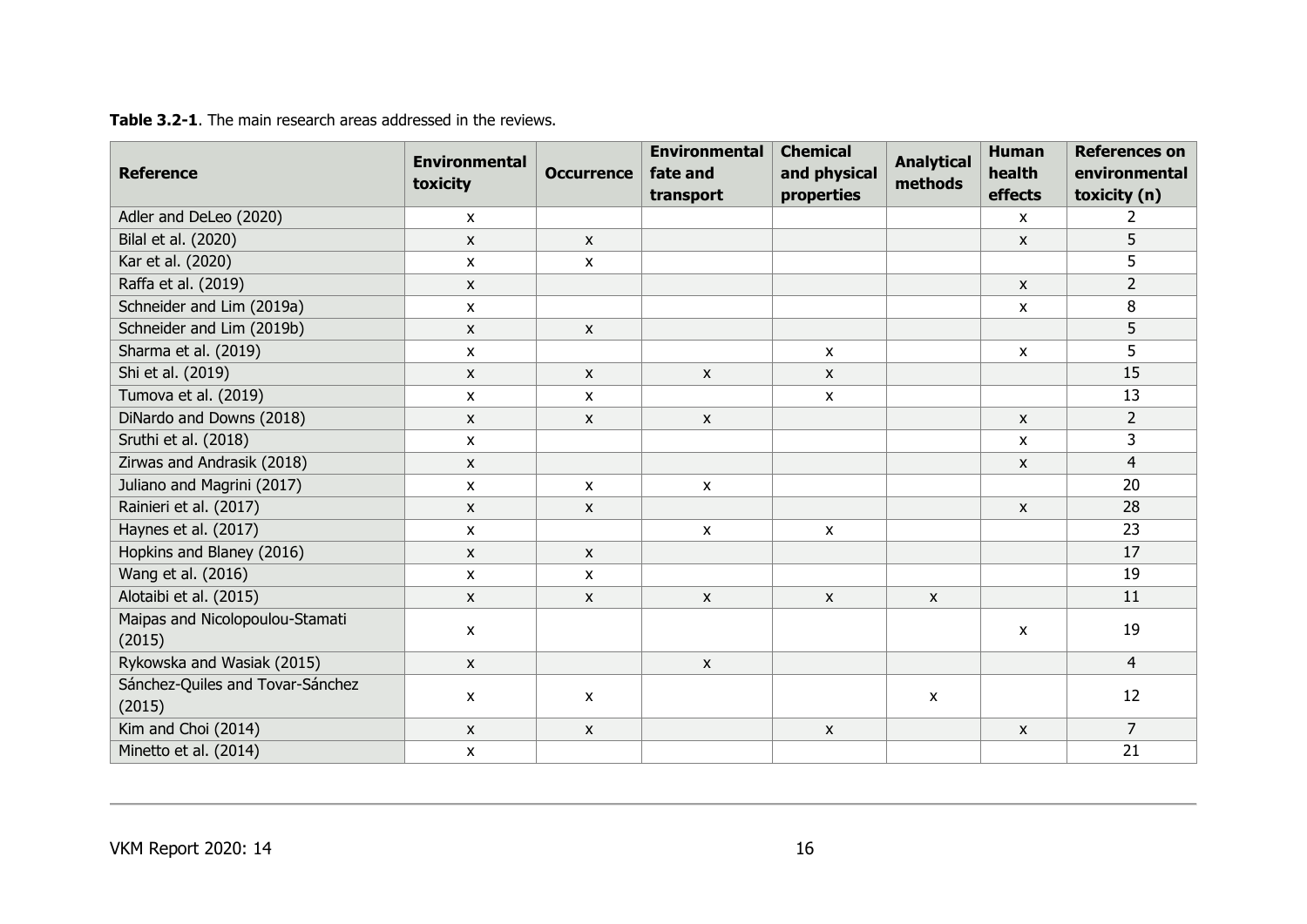| <b>Reference</b>                           | <b>Environmental</b><br>toxicity | <b>Occurrence</b>  | <b>Environmental</b><br>fate and<br>transport | <b>Chemical</b><br>and physical<br>properties | <b>Analytical</b><br>methods | <b>Human</b><br>health<br>effects | <b>References on</b><br>environmental<br>toxicity (n) |
|--------------------------------------------|----------------------------------|--------------------|-----------------------------------------------|-----------------------------------------------|------------------------------|-----------------------------------|-------------------------------------------------------|
| Adler and DeLeo (2020)                     | $\mathsf{x}$                     |                    |                                               |                                               |                              | $\mathsf{x}$                      | $\overline{2}$                                        |
| Bilal et al. (2020)                        | X                                | $\pmb{\mathsf{X}}$ |                                               |                                               |                              | $\pmb{\mathsf{X}}$                | 5                                                     |
| Kar et al. (2020)                          | X                                | $\mathsf{x}$       |                                               |                                               |                              |                                   | $\overline{5}$                                        |
| Raffa et al. (2019)                        | $\mathsf{x}$                     |                    |                                               |                                               |                              | $\mathsf{x}$                      | $\overline{2}$                                        |
| Schneider and Lim (2019a)                  | $\boldsymbol{\mathsf{x}}$        |                    |                                               |                                               |                              | $\mathsf{x}$                      | 8                                                     |
| Schneider and Lim (2019b)                  | $\boldsymbol{\mathsf{x}}$        | $\mathsf{X}$       |                                               |                                               |                              |                                   | 5                                                     |
| Sharma et al. (2019)                       | $\mathsf{X}$                     |                    |                                               | $\mathsf{x}$                                  |                              | $\pmb{\mathsf{X}}$                | 5                                                     |
| Shi et al. (2019)                          | $\boldsymbol{\mathsf{x}}$        | $\mathsf{X}$       | $\pmb{\mathsf{X}}$                            | $\mathsf{x}$                                  |                              |                                   | 15                                                    |
| Tumova et al. (2019)                       | X                                | $\mathsf{X}$       |                                               | X                                             |                              |                                   | 13                                                    |
| DiNardo and Downs (2018)                   | $\mathsf{X}$                     | $\mathsf{X}$       | $\mathsf{x}$                                  |                                               |                              | $\mathsf{x}$                      | $\overline{2}$                                        |
| Sruthi et al. (2018)                       | $\boldsymbol{\mathsf{x}}$        |                    |                                               |                                               |                              | $\mathsf{x}$                      | 3                                                     |
| Zirwas and Andrasik (2018)                 | $\mathsf{x}$                     |                    |                                               |                                               |                              | $\boldsymbol{\mathsf{x}}$         | $\overline{4}$                                        |
| Juliano and Magrini (2017)                 | X                                | X                  | $\mathsf{x}$                                  |                                               |                              |                                   | 20                                                    |
| Rainieri et al. (2017)                     | $\mathsf{x}$                     | $\mathsf{x}$       |                                               |                                               |                              | $\mathsf{x}$                      | 28                                                    |
| Haynes et al. (2017)                       | X                                |                    | $\pmb{\mathsf{X}}$                            | $\mathsf{x}$                                  |                              |                                   | 23                                                    |
| Hopkins and Blaney (2016)                  | X                                | $\mathsf{x}$       |                                               |                                               |                              |                                   | 17                                                    |
| Wang et al. (2016)                         | X                                | $\mathsf{x}$       |                                               |                                               |                              |                                   | 19                                                    |
| Alotaibi et al. (2015)                     | $\mathsf{x}$                     | $\mathsf{x}$       | $\mathsf{x}$                                  | $\mathsf{x}$                                  | $\mathsf{x}$                 |                                   | 11                                                    |
| Maipas and Nicolopoulou-Stamati<br>(2015)  | $\mathsf{x}$                     |                    |                                               |                                               |                              | $\mathsf{x}$                      | 19                                                    |
| Rykowska and Wasiak (2015)                 | $\pmb{\mathsf{X}}$               |                    | $\pmb{\mathsf{X}}$                            |                                               |                              |                                   | $\overline{4}$                                        |
| Sánchez-Quiles and Tovar-Sánchez<br>(2015) | $\mathsf{x}$                     | $\mathsf{x}$       |                                               |                                               | $\boldsymbol{\mathsf{x}}$    |                                   | 12                                                    |
| Kim and Choi (2014)                        | $\mathsf{x}$                     | $\mathsf{X}$       |                                               | X                                             |                              | $\mathsf{x}$                      | $\overline{7}$                                        |
| Minetto et al. (2014)                      | $\boldsymbol{\mathsf{x}}$        |                    |                                               |                                               |                              |                                   | 21                                                    |

**Table 3.2-1**. The main research areas addressed in the reviews.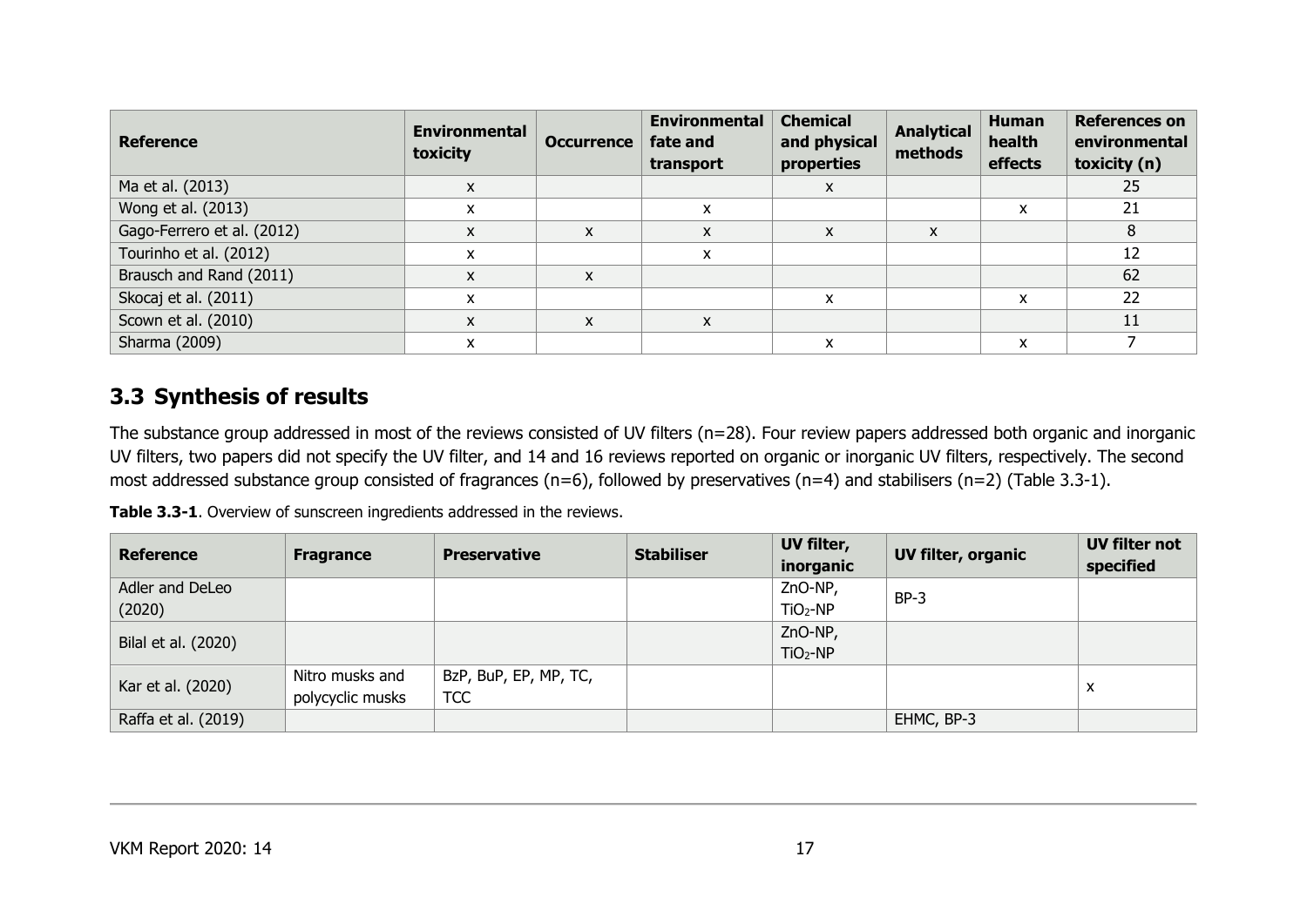| <b>Reference</b>           | <b>Environmental</b><br>toxicity | <b>Occurrence</b> | <b>Environmental</b><br>fate and<br>transport | <b>Chemical</b><br>and physical<br>properties | <b>Analytical</b><br>methods | <b>Human</b><br>health<br>effects | <b>References on</b><br>environmental<br>toxicity (n) |
|----------------------------|----------------------------------|-------------------|-----------------------------------------------|-----------------------------------------------|------------------------------|-----------------------------------|-------------------------------------------------------|
| Ma et al. (2013)           | $\mathsf{x}$                     |                   |                                               | X                                             |                              |                                   | 25                                                    |
| Wong et al. (2013)         | X                                |                   | x                                             |                                               |                              | x                                 | 21                                                    |
| Gago-Ferrero et al. (2012) | X                                | X                 | x                                             | X                                             | X                            |                                   | 8                                                     |
| Tourinho et al. (2012)     | X                                |                   | x                                             |                                               |                              |                                   | 12                                                    |
| Brausch and Rand (2011)    | X                                | X                 |                                               |                                               |                              |                                   | 62                                                    |
| Skocaj et al. (2011)       | x                                |                   |                                               | x                                             |                              | x                                 | 22                                                    |
| Scown et al. (2010)        | X                                | X                 | X                                             |                                               |                              |                                   | 11                                                    |
| Sharma (2009)              | x                                |                   |                                               | x                                             |                              | x                                 |                                                       |

### **3.3 Synthesis of results**

The substance group addressed in most of the reviews consisted of UV filters (n=28). Four review papers addressed both organic and inorganic UV filters, two papers did not specify the UV filter, and 14 and 16 reviews reported on organic or inorganic UV filters, respectively. The second most addressed substance group consisted of fragrances (n=6), followed by preservatives (n=4) and stabilisers (n=2) (Table 3.3-1).

**Table 3.3-1**. Overview of sunscreen ingredients addressed in the reviews.

| <b>Reference</b>    | <b>Fragrance</b> | <b>Preservative</b>   | <b>Stabiliser</b> | UV filter,<br>inorganic | UV filter, organic | UV filter not<br>specified |
|---------------------|------------------|-----------------------|-------------------|-------------------------|--------------------|----------------------------|
| Adler and DeLeo     |                  |                       |                   | ZnO-NP,                 | $BP-3$             |                            |
| (2020)              |                  |                       |                   | $TiO2-NP$               |                    |                            |
| Bilal et al. (2020) |                  |                       |                   | ZnO-NP,                 |                    |                            |
|                     |                  |                       |                   | $TiO2-NP$               |                    |                            |
| Kar et al. (2020)   | Nitro musks and  | BzP, BuP, EP, MP, TC, |                   |                         |                    |                            |
|                     | polycyclic musks | <b>TCC</b>            |                   |                         |                    | X                          |
| Raffa et al. (2019) |                  |                       |                   |                         | EHMC, BP-3         |                            |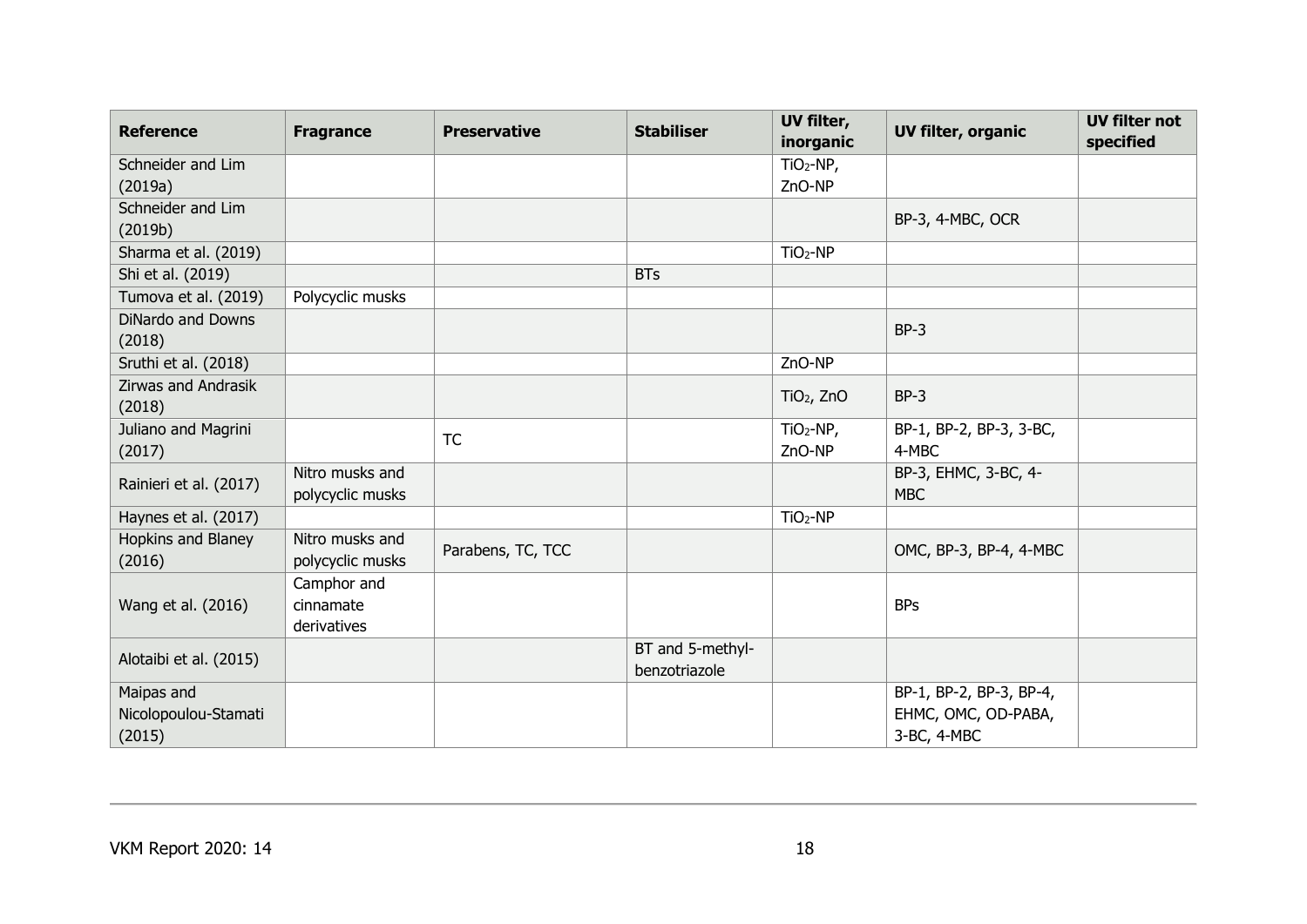| <b>Reference</b>                   | <b>Fragrance</b>                    | <b>Preservative</b> | <b>Stabiliser</b>                 | UV filter,<br>inorganic | <b>UV filter, organic</b>          | <b>UV filter not</b><br>specified |
|------------------------------------|-------------------------------------|---------------------|-----------------------------------|-------------------------|------------------------------------|-----------------------------------|
| Schneider and Lim                  |                                     |                     |                                   | $TiO2-NP,$              |                                    |                                   |
| (2019a)                            |                                     |                     |                                   | ZnO-NP                  |                                    |                                   |
| Schneider and Lim                  |                                     |                     |                                   |                         | BP-3, 4-MBC, OCR                   |                                   |
| (2019b)                            |                                     |                     |                                   |                         |                                    |                                   |
| Sharma et al. (2019)               |                                     |                     |                                   | $TiO2-NP$               |                                    |                                   |
| Shi et al. (2019)                  |                                     |                     | <b>BTs</b>                        |                         |                                    |                                   |
| Tumova et al. (2019)               | Polycyclic musks                    |                     |                                   |                         |                                    |                                   |
| <b>DiNardo and Downs</b><br>(2018) |                                     |                     |                                   |                         | $BP-3$                             |                                   |
| Sruthi et al. (2018)               |                                     |                     |                                   | ZnO-NP                  |                                    |                                   |
| Zirwas and Andrasik<br>(2018)      |                                     |                     |                                   | $TiO2$ , ZnO            | $BP-3$                             |                                   |
| Juliano and Magrini<br>(2017)      |                                     | <b>TC</b>           |                                   | $TiO2-NP,$<br>ZnO-NP    | BP-1, BP-2, BP-3, 3-BC,<br>4-MBC   |                                   |
| Rainieri et al. (2017)             | Nitro musks and<br>polycyclic musks |                     |                                   |                         | BP-3, EHMC, 3-BC, 4-<br><b>MBC</b> |                                   |
| Haynes et al. (2017)               |                                     |                     |                                   | $TiO2-NP$               |                                    |                                   |
| Hopkins and Blaney<br>(2016)       | Nitro musks and<br>polycyclic musks | Parabens, TC, TCC   |                                   |                         | OMC, BP-3, BP-4, 4-MBC             |                                   |
|                                    | Camphor and                         |                     |                                   |                         |                                    |                                   |
| Wang et al. (2016)                 | cinnamate<br>derivatives            |                     |                                   |                         | <b>BPs</b>                         |                                   |
| Alotaibi et al. (2015)             |                                     |                     | BT and 5-methyl-<br>benzotriazole |                         |                                    |                                   |
| Maipas and                         |                                     |                     |                                   |                         | BP-1, BP-2, BP-3, BP-4,            |                                   |
| Nicolopoulou-Stamati               |                                     |                     |                                   |                         | EHMC, OMC, OD-PABA,                |                                   |
| (2015)                             |                                     |                     |                                   |                         | 3-BC, 4-MBC                        |                                   |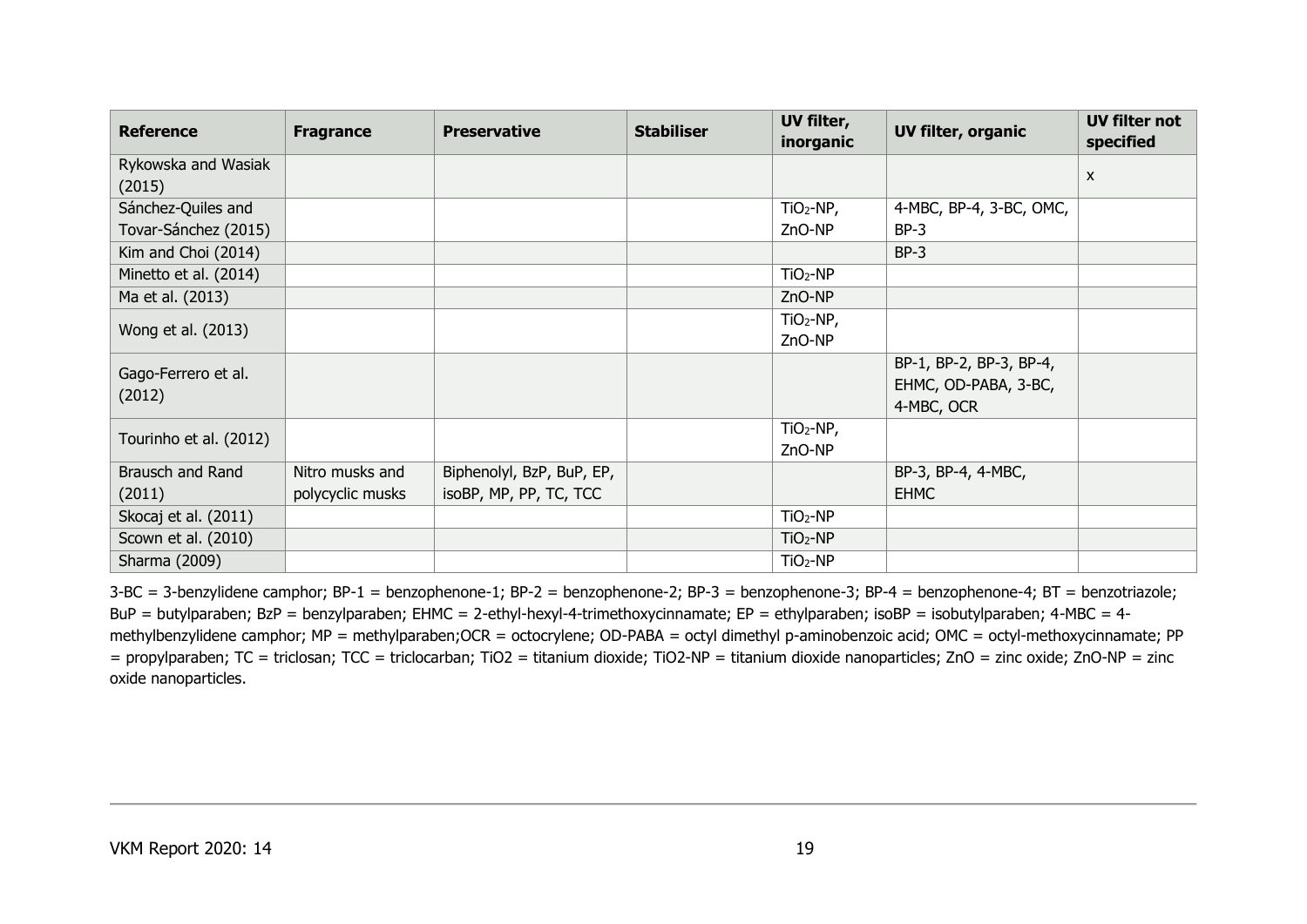| <b>Reference</b>       | <b>Fragrance</b> | <b>Preservative</b>       | <b>Stabiliser</b> | UV filter, | <b>UV filter, organic</b> | <b>UV filter not</b>      |
|------------------------|------------------|---------------------------|-------------------|------------|---------------------------|---------------------------|
|                        |                  |                           |                   | inorganic  |                           | specified                 |
| Rykowska and Wasiak    |                  |                           |                   |            |                           | $\boldsymbol{\mathsf{x}}$ |
| (2015)                 |                  |                           |                   |            |                           |                           |
| Sánchez-Quiles and     |                  |                           |                   | $TiO2-NP,$ | 4-MBC, BP-4, 3-BC, OMC,   |                           |
| Tovar-Sánchez (2015)   |                  |                           |                   | ZnO-NP     | $BP-3$                    |                           |
| Kim and Choi (2014)    |                  |                           |                   |            | $BP-3$                    |                           |
| Minetto et al. (2014)  |                  |                           |                   | $TiO2-NP$  |                           |                           |
| Ma et al. (2013)       |                  |                           |                   | ZnO-NP     |                           |                           |
| Wong et al. (2013)     |                  |                           |                   | $TiO2-NP,$ |                           |                           |
|                        |                  |                           |                   | ZnO-NP     |                           |                           |
| Gago-Ferrero et al.    |                  |                           |                   |            | BP-1, BP-2, BP-3, BP-4,   |                           |
|                        |                  |                           |                   |            | EHMC, OD-PABA, 3-BC,      |                           |
| (2012)                 |                  |                           |                   |            | 4-MBC, OCR                |                           |
| Tourinho et al. (2012) |                  |                           |                   | $TiO2-NP,$ |                           |                           |
|                        |                  |                           |                   | ZnO-NP     |                           |                           |
| Brausch and Rand       | Nitro musks and  | Biphenolyl, BzP, BuP, EP, |                   |            | BP-3, BP-4, 4-MBC,        |                           |
| (2011)                 | polycyclic musks | isoBP, MP, PP, TC, TCC    |                   |            | <b>EHMC</b>               |                           |
| Skocaj et al. (2011)   |                  |                           |                   | $TiO2-NP$  |                           |                           |
| Scown et al. (2010)    |                  |                           |                   | $TiO2-NP$  |                           |                           |
| Sharma (2009)          |                  |                           |                   | $TiO2-NP$  |                           |                           |

3-BC = 3-benzylidene camphor; BP-1 = benzophenone-1; BP-2 = benzophenone-2; BP-3 = benzophenone-3; BP-4 = benzophenone-4; BT = benzotriazole; BuP = butylparaben; BzP = benzylparaben; EHMC = 2-ethyl-hexyl-4-trimethoxycinnamate; EP = ethylparaben; isoBP = isobutylparaben; 4-MBC = 4 methylbenzylidene camphor; MP = methylparaben;OCR = octocrylene; OD-PABA = octyl dimethyl p-aminobenzoic acid; OMC = octyl-methoxycinnamate; PP = propylparaben; TC = triclosan; TCC = triclocarban; TiO2 = titanium dioxide; TiO2-NP = titanium dioxide nanoparticles; ZnO = zinc oxide; ZnO-NP = zinc oxide nanoparticles.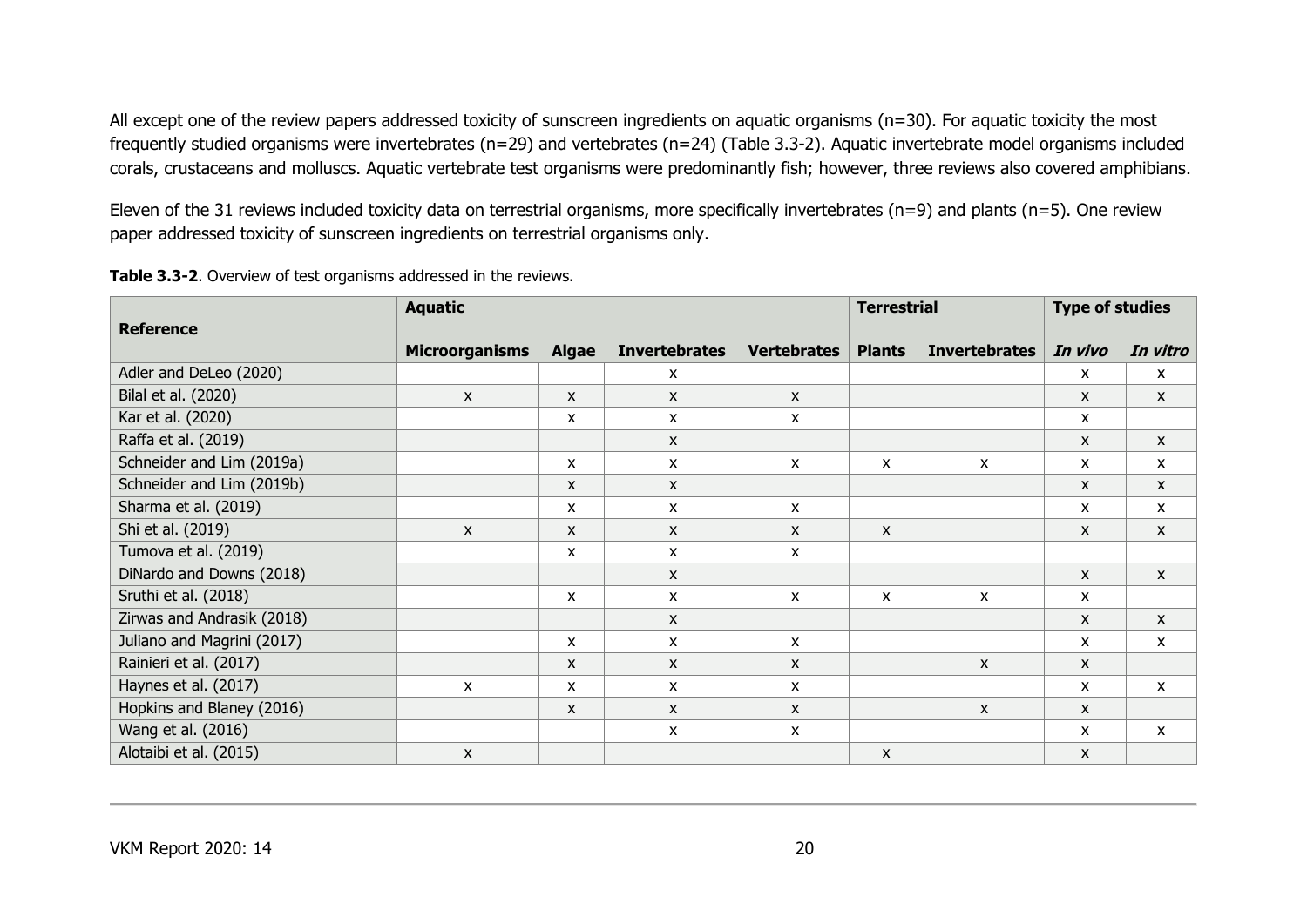All except one of the review papers addressed toxicity of sunscreen ingredients on aquatic organisms (n=30). For aquatic toxicity the most frequently studied organisms were invertebrates (n=29) and vertebrates (n=24) (Table 3.3-2). Aquatic invertebrate model organisms included corals, crustaceans and molluscs. Aquatic vertebrate test organisms were predominantly fish; however, three reviews also covered amphibians.

Eleven of the 31 reviews included toxicity data on terrestrial organisms, more specifically invertebrates (n=9) and plants (n=5). One review paper addressed toxicity of sunscreen ingredients on terrestrial organisms only.

|                            | <b>Aquatic</b>            |              |                           | <b>Terrestrial</b> |               | <b>Type of studies</b> |              |                           |
|----------------------------|---------------------------|--------------|---------------------------|--------------------|---------------|------------------------|--------------|---------------------------|
| <b>Reference</b>           | <b>Microorganisms</b>     | <b>Algae</b> | <b>Invertebrates</b>      | <b>Vertebrates</b> | <b>Plants</b> | <b>Invertebrates</b>   | In vivo      | In vitro                  |
| Adler and DeLeo (2020)     |                           |              | $\boldsymbol{\mathsf{x}}$ |                    |               |                        | x            | $\mathsf{x}$              |
| Bilal et al. (2020)        | $\mathsf{x}$              | $\mathsf{x}$ | $\mathsf{x}$              | $\mathsf{x}$       |               |                        | $\mathsf{x}$ | $\mathsf{x}$              |
| Kar et al. (2020)          |                           | X            | $\boldsymbol{\mathsf{x}}$ | x                  |               |                        | X            |                           |
| Raffa et al. (2019)        |                           |              | $\boldsymbol{\mathsf{x}}$ |                    |               |                        | X            | $\boldsymbol{\mathsf{x}}$ |
| Schneider and Lim (2019a)  |                           | $\mathsf{x}$ | $\mathsf{x}$              | X                  | X             | X                      | X            | $\mathsf{x}$              |
| Schneider and Lim (2019b)  |                           | $\mathsf{x}$ | $\mathsf{x}$              |                    |               |                        | $\mathsf{x}$ | $\mathsf{x}$              |
| Sharma et al. (2019)       |                           | $\mathsf{x}$ | $\mathsf{x}$              | X                  |               |                        | X            | $\mathsf{x}$              |
| Shi et al. (2019)          | $\boldsymbol{\mathsf{x}}$ | $\mathsf{x}$ | $\mathsf{x}$              | $\mathsf{x}$       | X             |                        | X            | $\boldsymbol{\mathsf{x}}$ |
| Tumova et al. (2019)       |                           | X            | $\mathsf{x}$              | X                  |               |                        |              |                           |
| DiNardo and Downs (2018)   |                           |              | $\mathsf{x}$              |                    |               |                        | X            | $\boldsymbol{\mathsf{x}}$ |
| Sruthi et al. (2018)       |                           | $\mathsf{x}$ | $\mathsf{x}$              | X                  | X             | $\mathsf{x}$           | $\mathsf{x}$ |                           |
| Zirwas and Andrasik (2018) |                           |              | $\mathsf{x}$              |                    |               |                        | X            | $\mathsf{x}$              |
| Juliano and Magrini (2017) |                           | $\mathsf{x}$ | $\mathsf{x}$              | X                  |               |                        | X            | $\mathsf{x}$              |
| Rainieri et al. (2017)     |                           | $\mathsf{x}$ | $\mathsf{x}$              | X                  |               | X                      | X            |                           |
| Haynes et al. (2017)       | $\mathsf{x}$              | $\mathsf{x}$ | $\mathsf{x}$              | X                  |               |                        | X            | $\mathsf{x}$              |
| Hopkins and Blaney (2016)  |                           | $\mathsf{x}$ | $\mathsf{x}$              | X                  |               | $\mathsf{x}$           | X            |                           |
| Wang et al. (2016)         |                           |              | $\boldsymbol{\mathsf{x}}$ | X                  |               |                        | X            | $\mathsf{x}$              |
| Alotaibi et al. (2015)     | $\mathsf{x}$              |              |                           |                    | X             |                        | X            |                           |

**Table 3.3-2**. Overview of test organisms addressed in the reviews.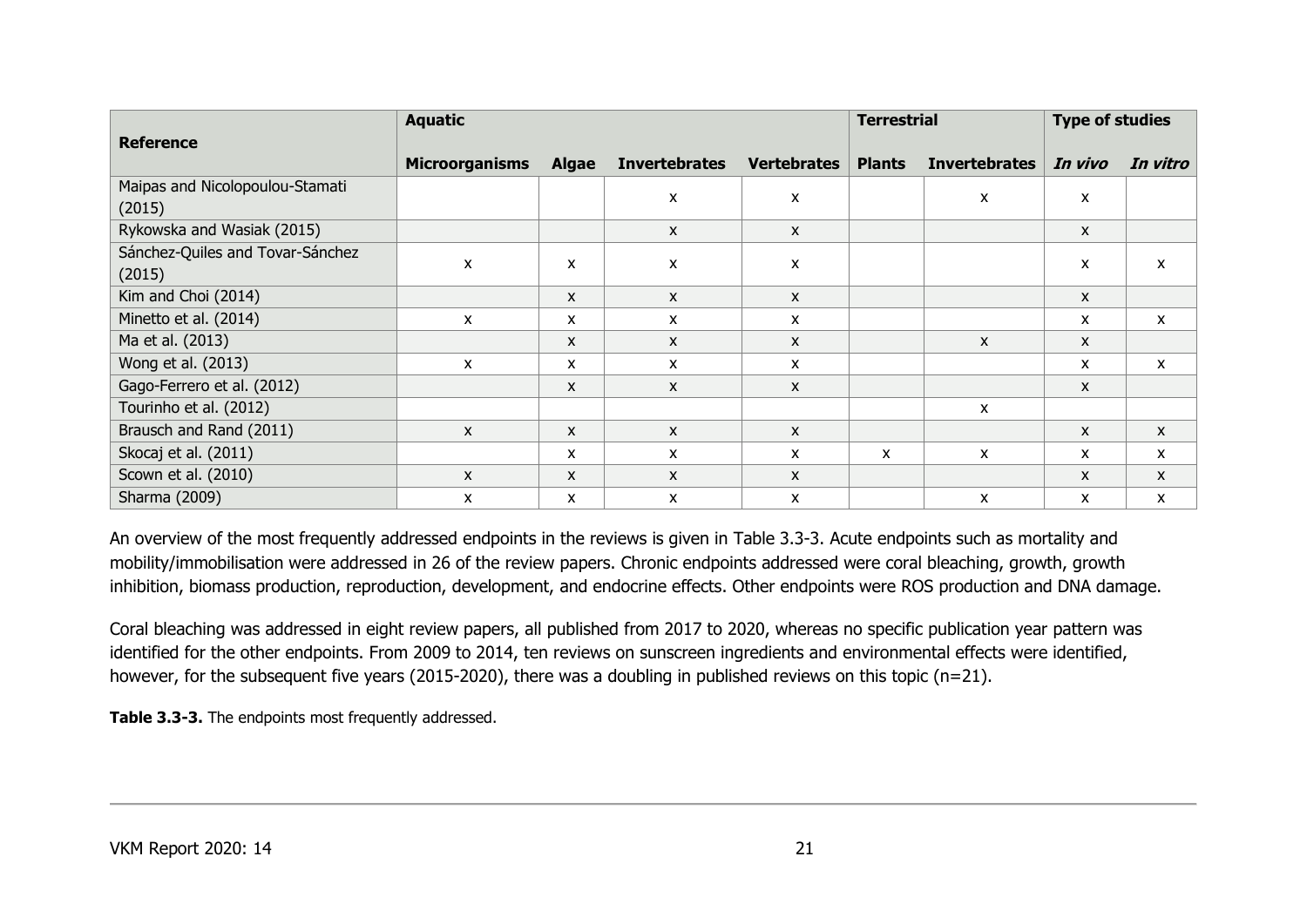|                                  | <b>Aquatic</b>        |              |                           |                    | <b>Terrestrial</b> |                      | <b>Type of studies</b> |              |
|----------------------------------|-----------------------|--------------|---------------------------|--------------------|--------------------|----------------------|------------------------|--------------|
| <b>Reference</b>                 |                       |              |                           |                    |                    |                      |                        |              |
|                                  | <b>Microorganisms</b> | <b>Algae</b> | <b>Invertebrates</b>      | <b>Vertebrates</b> | <b>Plants</b>      | <b>Invertebrates</b> | In vivo                | In vitro     |
| Maipas and Nicolopoulou-Stamati  |                       |              | $\boldsymbol{\mathsf{x}}$ | X                  |                    | X                    | X                      |              |
| (2015)                           |                       |              |                           |                    |                    |                      |                        |              |
| Rykowska and Wasiak (2015)       |                       |              | $\mathsf{x}$              | X                  |                    |                      | $\mathsf{x}$           |              |
| Sánchez-Quiles and Tovar-Sánchez | X                     | X            | X                         | X                  |                    |                      | X                      | $\mathsf{x}$ |
| (2015)                           |                       |              |                           |                    |                    |                      |                        |              |
| Kim and Choi (2014)              |                       | $\mathsf{x}$ | $\mathsf{x}$              | X                  |                    |                      | X                      |              |
| Minetto et al. (2014)            | $\mathsf{x}$          | X            | $\mathsf{x}$              | X                  |                    |                      | X                      | X            |
| Ma et al. (2013)                 |                       | X            | $\mathsf{x}$              | X                  |                    | X                    | X                      |              |
| Wong et al. (2013)               | X                     | X            | $\boldsymbol{\mathsf{x}}$ | x                  |                    |                      | X                      | $\mathsf{x}$ |
| Gago-Ferrero et al. (2012)       |                       | $\mathsf{x}$ | $\mathsf{x}$              | $\mathsf{x}$       |                    |                      | $\mathsf{x}$           |              |
| Tourinho et al. (2012)           |                       |              |                           |                    |                    | X                    |                        |              |
| Brausch and Rand (2011)          | $\mathsf{x}$          | $\mathsf{x}$ | $\mathsf{x}$              | X                  |                    |                      | $\mathsf{x}$           | $\mathsf{x}$ |
| Skocaj et al. (2011)             |                       | X            | $\mathsf{x}$              | X                  | X                  | X                    | X                      | X            |
| Scown et al. (2010)              | $\mathsf{x}$          | $\mathsf{x}$ | $\mathsf{x}$              | X                  |                    |                      | X                      | X            |
| Sharma (2009)                    | X                     | X            | X                         | X                  |                    | X                    | X                      | X            |

An overview of the most frequently addressed endpoints in the reviews is given in Table 3.3-3. Acute endpoints such as mortality and mobility/immobilisation were addressed in 26 of the review papers. Chronic endpoints addressed were coral bleaching, growth, growth inhibition, biomass production, reproduction, development, and endocrine effects. Other endpoints were ROS production and DNA damage.

Coral bleaching was addressed in eight review papers, all published from 2017 to 2020, whereas no specific publication year pattern was identified for the other endpoints. From 2009 to 2014, ten reviews on sunscreen ingredients and environmental effects were identified, however, for the subsequent five years (2015-2020), there was a doubling in published reviews on this topic (n=21).

**Table 3.3-3.** The endpoints most frequently addressed.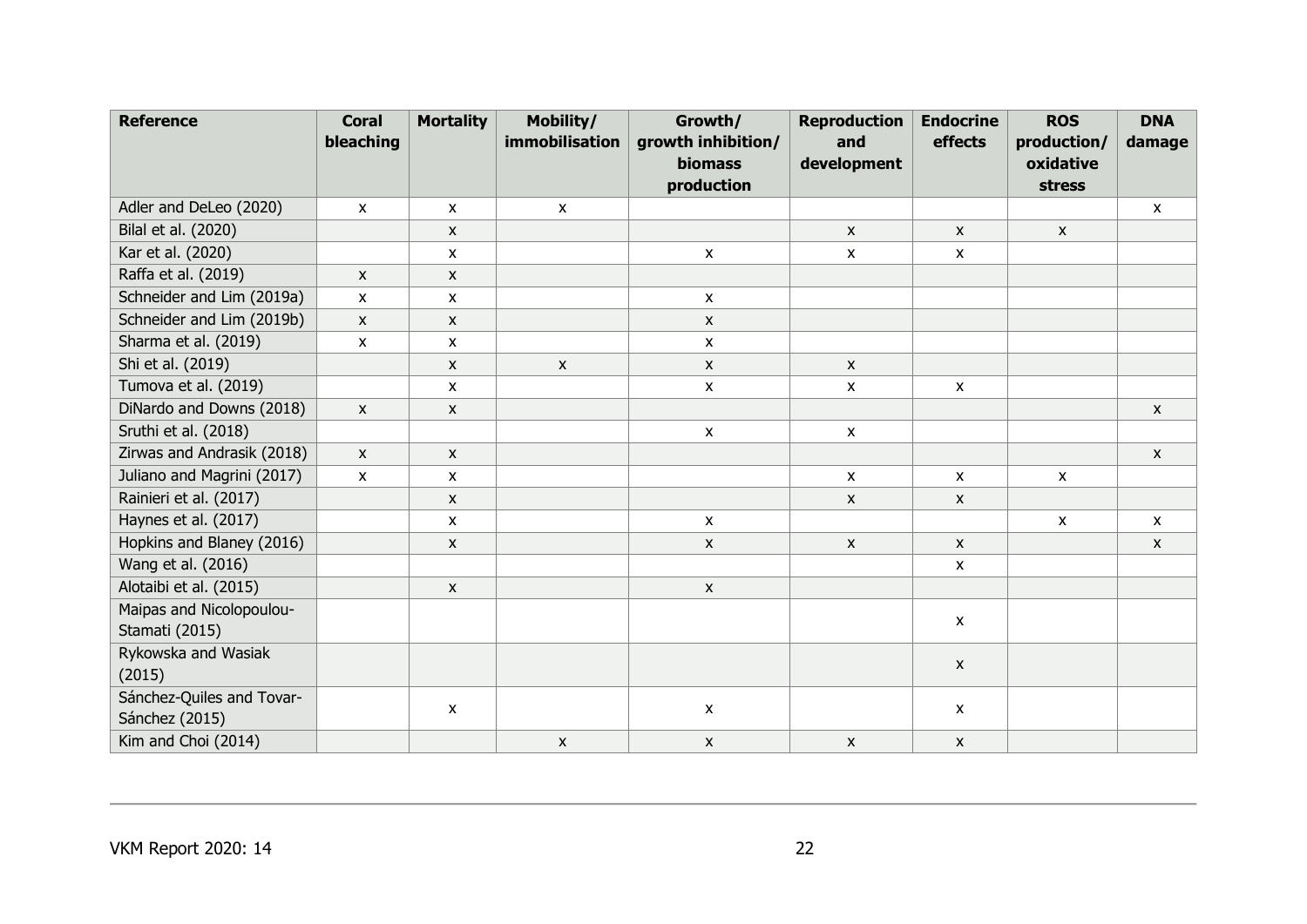| <b>Reference</b>           | <b>Coral</b><br>bleaching | <b>Mortality</b>          | Mobility/<br>immobilisation | Growth/<br>growth inhibition/ | <b>Reproduction</b><br>and | <b>Endocrine</b><br>effects | <b>ROS</b><br>production/ | <b>DNA</b><br>damage |
|----------------------------|---------------------------|---------------------------|-----------------------------|-------------------------------|----------------------------|-----------------------------|---------------------------|----------------------|
|                            |                           |                           |                             | <b>biomass</b>                | development                |                             | oxidative                 |                      |
|                            |                           |                           |                             | production                    |                            |                             | stress                    |                      |
| Adler and DeLeo (2020)     | $\pmb{\mathsf{X}}$        | $\pmb{\mathsf{X}}$        | $\mathsf X$                 |                               |                            |                             |                           | X                    |
| Bilal et al. (2020)        |                           | $\pmb{\times}$            |                             |                               | $\pmb{\mathsf{X}}$         | $\pmb{\mathsf{X}}$          | $\pmb{\mathsf{X}}$        |                      |
| Kar et al. (2020)          |                           | $\pmb{\times}$            |                             | $\pmb{\chi}$                  | $\pmb{\mathsf{X}}$         | $\boldsymbol{\mathsf{x}}$   |                           |                      |
| Raffa et al. (2019)        | X                         | X                         |                             |                               |                            |                             |                           |                      |
| Schneider and Lim (2019a)  | X                         | X                         |                             | $\boldsymbol{\mathsf{x}}$     |                            |                             |                           |                      |
| Schneider and Lim (2019b)  | $\boldsymbol{\mathsf{x}}$ | X                         |                             | $\pmb{\chi}$                  |                            |                             |                           |                      |
| Sharma et al. (2019)       | x                         | X                         |                             | $\pmb{\mathsf{X}}$            |                            |                             |                           |                      |
| Shi et al. (2019)          |                           | $\mathsf{x}$              | $\pmb{\mathsf{X}}$          | $\mathsf{x}$                  | $\mathsf{x}$               |                             |                           |                      |
| Tumova et al. (2019)       |                           | X                         |                             | $\pmb{\mathsf{X}}$            | $\pmb{\mathsf{X}}$         | $\boldsymbol{\mathsf{x}}$   |                           |                      |
| DiNardo and Downs (2018)   | $\pmb{\mathsf{X}}$        | X                         |                             |                               |                            |                             |                           | $\pmb{\mathsf{X}}$   |
| Sruthi et al. (2018)       |                           |                           |                             | $\pmb{\mathsf{X}}$            | $\pmb{\mathsf{X}}$         |                             |                           |                      |
| Zirwas and Andrasik (2018) | X                         | $\mathsf{X}$              |                             |                               |                            |                             |                           | X                    |
| Juliano and Magrini (2017) | X                         | $\boldsymbol{\mathsf{X}}$ |                             |                               | $\pmb{\chi}$               | $\mathsf{x}$                | $\mathsf{x}$              |                      |
| Rainieri et al. (2017)     |                           | $\mathsf{x}$              |                             |                               | $\pmb{\chi}$               | $\boldsymbol{\mathsf{x}}$   |                           |                      |
| Haynes et al. (2017)       |                           | X                         |                             | $\pmb{\mathsf{X}}$            |                            |                             | $\pmb{\chi}$              | X                    |
| Hopkins and Blaney (2016)  |                           | $\mathsf{X}$              |                             | $\boldsymbol{\mathsf{X}}$     | $\pmb{\mathsf{X}}$         | $\boldsymbol{\mathsf{x}}$   |                           | X                    |
| Wang et al. (2016)         |                           |                           |                             |                               |                            | $\boldsymbol{\mathsf{x}}$   |                           |                      |
| Alotaibi et al. (2015)     |                           | $\pmb{\mathsf{X}}$        |                             | $\pmb{\mathsf{X}}$            |                            |                             |                           |                      |
| Maipas and Nicolopoulou-   |                           |                           |                             |                               |                            | $\boldsymbol{\mathsf{x}}$   |                           |                      |
| Stamati (2015)             |                           |                           |                             |                               |                            |                             |                           |                      |
| Rykowska and Wasiak        |                           |                           |                             |                               |                            | $\boldsymbol{\mathsf{x}}$   |                           |                      |
| (2015)                     |                           |                           |                             |                               |                            |                             |                           |                      |
| Sánchez-Quiles and Tovar-  |                           | X                         |                             | $\pmb{\mathsf{X}}$            |                            | X                           |                           |                      |
| Sánchez (2015)             |                           |                           |                             |                               |                            |                             |                           |                      |
| Kim and Choi (2014)        |                           |                           | X                           | $\pmb{\mathsf{X}}$            | $\pmb{\chi}$               | $\pmb{\mathsf{X}}$          |                           |                      |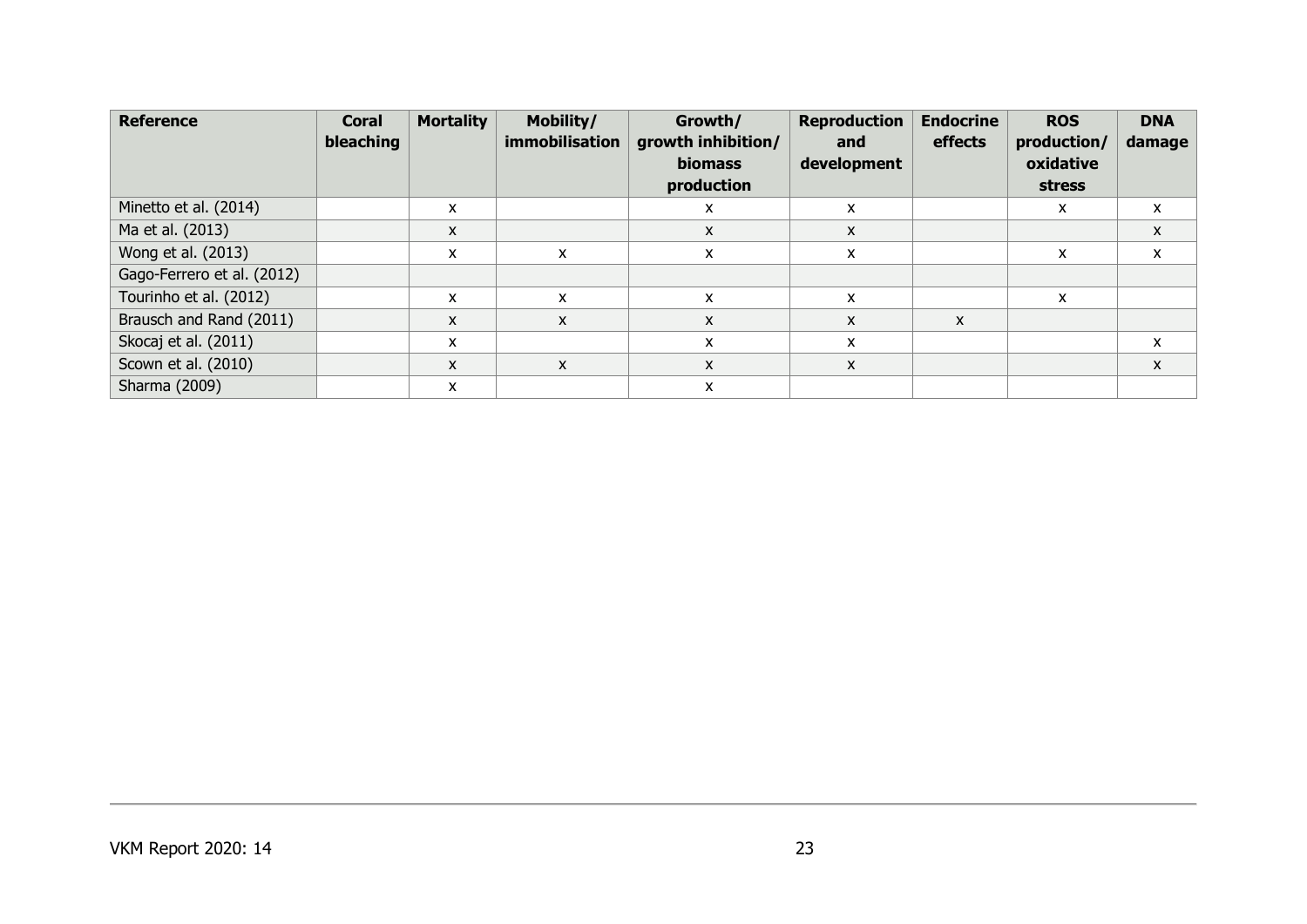| <b>Reference</b>           | <b>Coral</b><br>bleaching | <b>Mortality</b> | Mobility/<br>immobilisation | Growth/<br>growth inhibition/<br><b>biomass</b><br>production | <b>Reproduction</b><br>and<br>development | <b>Endocrine</b><br>effects | <b>ROS</b><br>production/<br>oxidative<br>stress | <b>DNA</b><br>damage |
|----------------------------|---------------------------|------------------|-----------------------------|---------------------------------------------------------------|-------------------------------------------|-----------------------------|--------------------------------------------------|----------------------|
| Minetto et al. (2014)      |                           | X                |                             | X                                                             | X                                         |                             | X                                                | X                    |
| Ma et al. (2013)           |                           | X                |                             | $\mathsf{x}$                                                  | X                                         |                             |                                                  | X                    |
| Wong et al. (2013)         |                           | X                | X                           | x                                                             | x                                         |                             | x                                                | X                    |
| Gago-Ferrero et al. (2012) |                           |                  |                             |                                                               |                                           |                             |                                                  |                      |
| Tourinho et al. (2012)     |                           | X                | X                           | X                                                             | X                                         |                             | X                                                |                      |
| Brausch and Rand (2011)    |                           | X                | X                           | X                                                             | X                                         | X                           |                                                  |                      |
| Skocaj et al. (2011)       |                           | X                |                             | X                                                             | x                                         |                             |                                                  | X                    |
| Scown et al. (2010)        |                           | X                | X                           | $\mathsf{x}$                                                  | $\mathsf{x}$                              |                             |                                                  | X                    |
| Sharma (2009)              |                           | X                |                             | X                                                             |                                           |                             |                                                  |                      |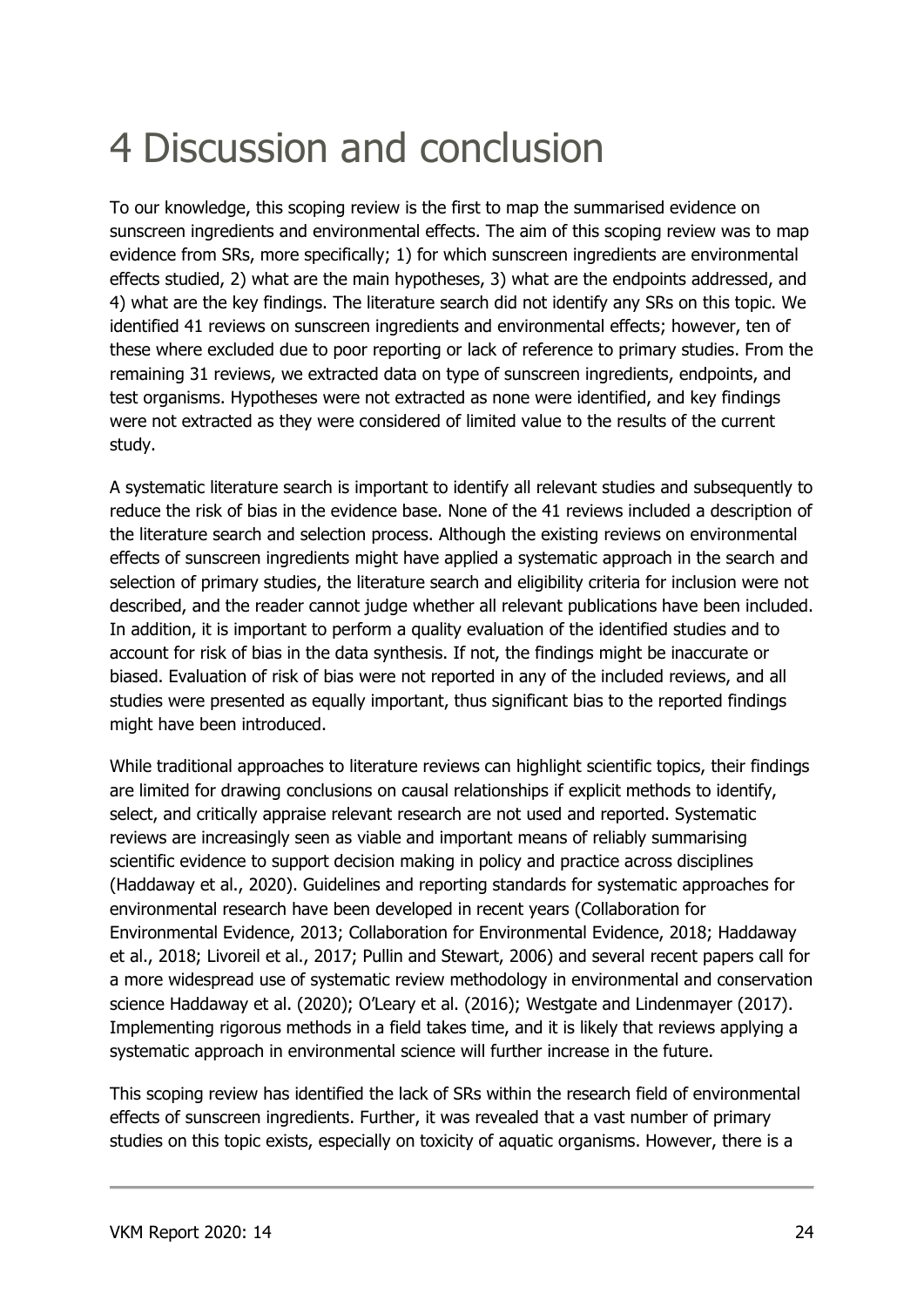## 4 Discussion and conclusion

To our knowledge, this scoping review is the first to map the summarised evidence on sunscreen ingredients and environmental effects. The aim of this scoping review was to map evidence from SRs, more specifically; 1) for which sunscreen ingredients are environmental effects studied, 2) what are the main hypotheses, 3) what are the endpoints addressed, and 4) what are the key findings. The literature search did not identify any SRs on this topic. We identified 41 reviews on sunscreen ingredients and environmental effects; however, ten of these where excluded due to poor reporting or lack of reference to primary studies. From the remaining 31 reviews, we extracted data on type of sunscreen ingredients, endpoints, and test organisms. Hypotheses were not extracted as none were identified, and key findings were not extracted as they were considered of limited value to the results of the current study.

A systematic literature search is important to identify all relevant studies and subsequently to reduce the risk of bias in the evidence base. None of the 41 reviews included a description of the literature search and selection process. Although the existing reviews on environmental effects of sunscreen ingredients might have applied a systematic approach in the search and selection of primary studies, the literature search and eligibility criteria for inclusion were not described, and the reader cannot judge whether all relevant publications have been included. In addition, it is important to perform a quality evaluation of the identified studies and to account for risk of bias in the data synthesis. If not, the findings might be inaccurate or biased. Evaluation of risk of bias were not reported in any of the included reviews, and all studies were presented as equally important, thus significant bias to the reported findings might have been introduced.

While traditional approaches to literature reviews can highlight scientific topics, their findings are limited for drawing conclusions on causal relationships if explicit methods to identify, select, and critically appraise relevant research are not used and reported. Systematic reviews are increasingly seen as viable and important means of reliably summarising scientific evidence to support decision making in policy and practice across disciplines (Haddaway et al., 2020). Guidelines and reporting standards for systematic approaches for environmental research have been developed in recent years (Collaboration for Environmental Evidence, 2013; Collaboration for Environmental Evidence, 2018; Haddaway et al., 2018; Livoreil et al., 2017; Pullin and Stewart, 2006) and several recent papers call for a more widespread use of systematic review methodology in environmental and conservation science Haddaway et al. (2020); O'Leary et al. (2016); Westgate and Lindenmayer (2017). Implementing rigorous methods in a field takes time, and it is likely that reviews applying a systematic approach in environmental science will further increase in the future.

This scoping review has identified the lack of SRs within the research field of environmental effects of sunscreen ingredients. Further, it was revealed that a vast number of primary studies on this topic exists, especially on toxicity of aquatic organisms. However, there is a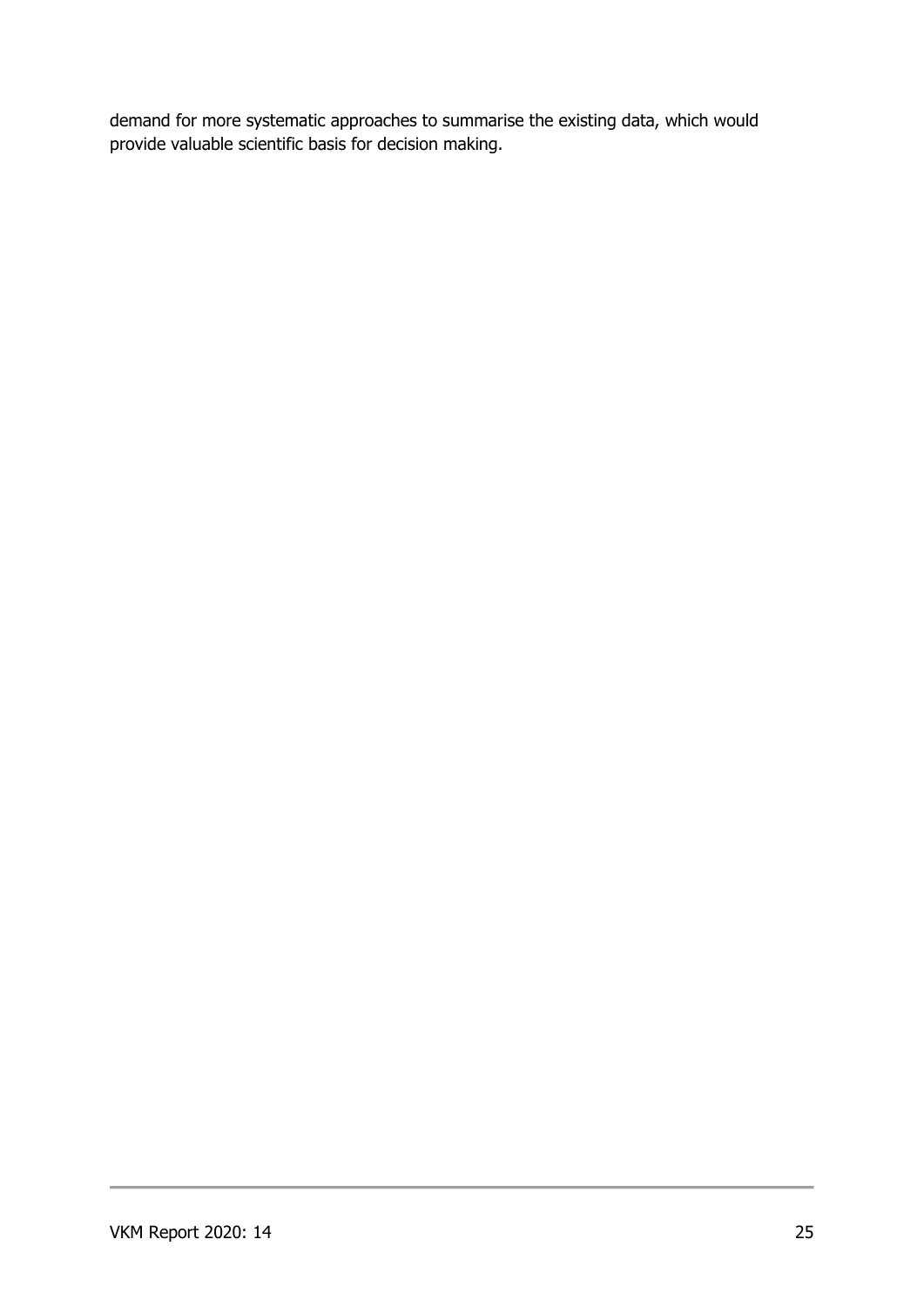demand for more systematic approaches to summarise the existing data, which would provide valuable scientific basis for decision making.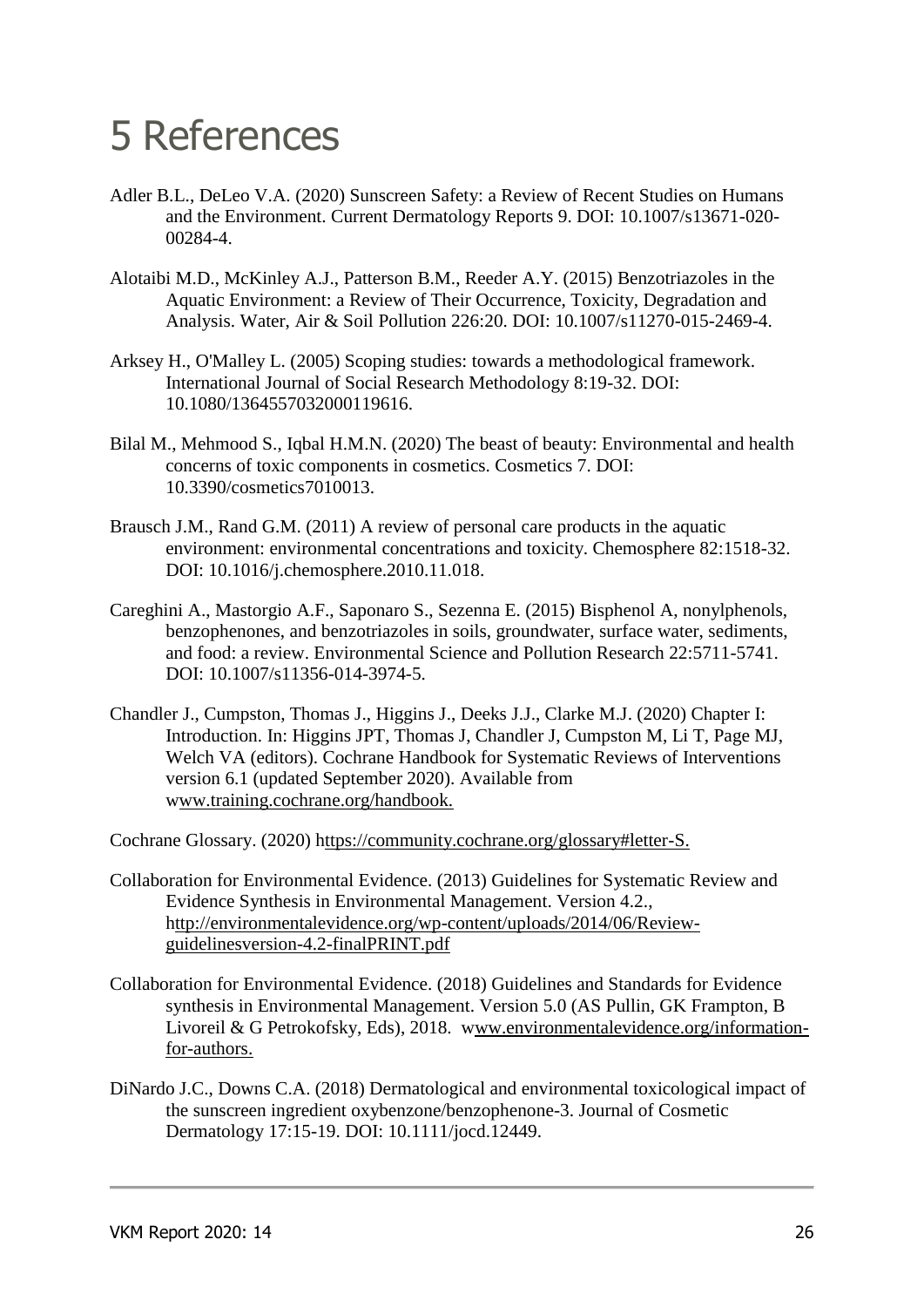## 5 References

- Adler B.L., DeLeo V.A. (2020) Sunscreen Safety: a Review of Recent Studies on Humans and the Environment. Current Dermatology Reports 9. DOI: 10.1007/s13671-020- 00284-4.
- Alotaibi M.D., McKinley A.J., Patterson B.M., Reeder A.Y. (2015) Benzotriazoles in the Aquatic Environment: a Review of Their Occurrence, Toxicity, Degradation and Analysis. Water, Air & Soil Pollution 226:20. DOI: 10.1007/s11270-015-2469-4.
- Arksey H., O'Malley L. (2005) Scoping studies: towards a methodological framework. International Journal of Social Research Methodology 8:19-32. DOI: 10.1080/1364557032000119616.
- Bilal M., Mehmood S., Iqbal H.M.N. (2020) The beast of beauty: Environmental and health concerns of toxic components in cosmetics. Cosmetics 7. DOI: 10.3390/cosmetics7010013.
- Brausch J.M., Rand G.M. (2011) A review of personal care products in the aquatic environment: environmental concentrations and toxicity. Chemosphere 82:1518-32. DOI: 10.1016/j.chemosphere.2010.11.018.
- Careghini A., Mastorgio A.F., Saponaro S., Sezenna E. (2015) Bisphenol A, nonylphenols, benzophenones, and benzotriazoles in soils, groundwater, surface water, sediments, and food: a review. Environmental Science and Pollution Research 22:5711-5741. DOI: 10.1007/s11356-014-3974-5.
- Chandler J., Cumpston, Thomas J., Higgins J., Deeks J.J., Clarke M.J. (2020) Chapter I: Introduction. In: Higgins JPT, Thomas J, Chandler J, Cumpston M, Li T, Page MJ, Welch VA (editors). Cochrane Handbook for Systematic Reviews of Interventions version 6.1 (updated September 2020). Available from www.training.cochrane.org/handbook.

Cochrane Glossary. (2020) https://community.cochrane.org/glossary#letter-S.

- Collaboration for Environmental Evidence. (2013) Guidelines for Systematic Review and Evidence Synthesis in Environmental Management. Version 4.2., http://environmentalevidence.org/wp-content/uploads/2014/06/Reviewguidelinesversion-4.2-finalPRINT.pdf
- Collaboration for Environmental Evidence. (2018) Guidelines and Standards for Evidence synthesis in Environmental Management. Version 5.0 (AS Pullin, GK Frampton, B Livoreil & G Petrokofsky, Eds), 2018. www.environmentalevidence.org/informationfor-authors.
- DiNardo J.C., Downs C.A. (2018) Dermatological and environmental toxicological impact of the sunscreen ingredient oxybenzone/benzophenone-3. Journal of Cosmetic Dermatology 17:15-19. DOI: 10.1111/jocd.12449.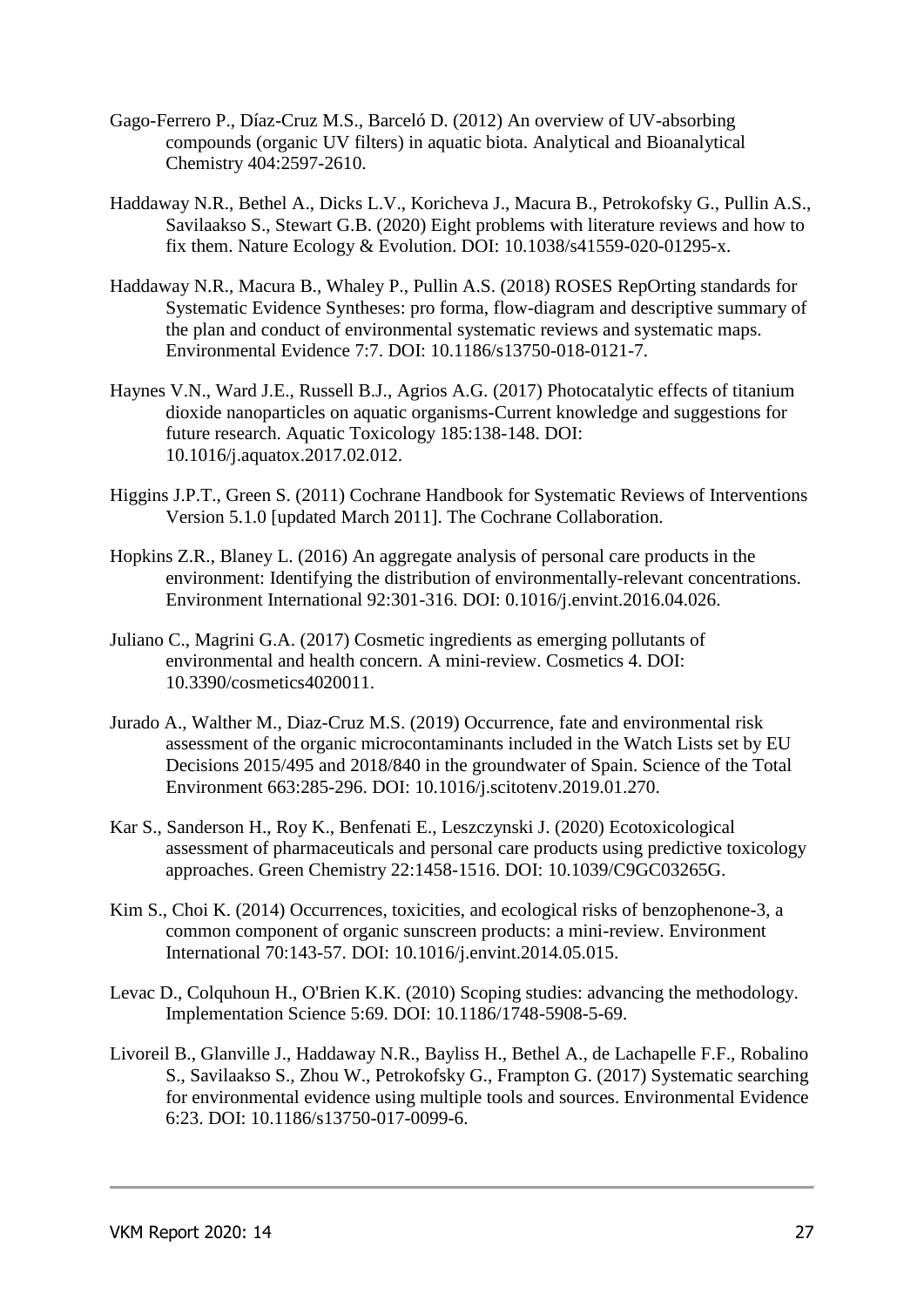- Gago-Ferrero P., Díaz-Cruz M.S., Barceló D. (2012) An overview of UV-absorbing compounds (organic UV filters) in aquatic biota. Analytical and Bioanalytical Chemistry 404:2597-2610.
- Haddaway N.R., Bethel A., Dicks L.V., Koricheva J., Macura B., Petrokofsky G., Pullin A.S., Savilaakso S., Stewart G.B. (2020) Eight problems with literature reviews and how to fix them. Nature Ecology & Evolution. DOI: 10.1038/s41559-020-01295-x.
- Haddaway N.R., Macura B., Whaley P., Pullin A.S. (2018) ROSES RepOrting standards for Systematic Evidence Syntheses: pro forma, flow-diagram and descriptive summary of the plan and conduct of environmental systematic reviews and systematic maps. Environmental Evidence 7:7. DOI: 10.1186/s13750-018-0121-7.
- Haynes V.N., Ward J.E., Russell B.J., Agrios A.G. (2017) Photocatalytic effects of titanium dioxide nanoparticles on aquatic organisms-Current knowledge and suggestions for future research. Aquatic Toxicology 185:138-148. DOI: 10.1016/j.aquatox.2017.02.012.
- Higgins J.P.T., Green S. (2011) Cochrane Handbook for Systematic Reviews of Interventions Version 5.1.0 [updated March 2011]. The Cochrane Collaboration.
- Hopkins Z.R., Blaney L. (2016) An aggregate analysis of personal care products in the environment: Identifying the distribution of environmentally-relevant concentrations. Environment International 92:301-316. DOI: 0.1016/j.envint.2016.04.026.
- Juliano C., Magrini G.A. (2017) Cosmetic ingredients as emerging pollutants of environmental and health concern. A mini-review. Cosmetics 4. DOI: 10.3390/cosmetics4020011.
- Jurado A., Walther M., Diaz-Cruz M.S. (2019) Occurrence, fate and environmental risk assessment of the organic microcontaminants included in the Watch Lists set by EU Decisions 2015/495 and 2018/840 in the groundwater of Spain. Science of the Total Environment 663:285-296. DOI: 10.1016/j.scitotenv.2019.01.270.
- Kar S., Sanderson H., Roy K., Benfenati E., Leszczynski J. (2020) Ecotoxicological assessment of pharmaceuticals and personal care products using predictive toxicology approaches. Green Chemistry 22:1458-1516. DOI: 10.1039/C9GC03265G.
- Kim S., Choi K. (2014) Occurrences, toxicities, and ecological risks of benzophenone-3, a common component of organic sunscreen products: a mini-review. Environment International 70:143-57. DOI: 10.1016/j.envint.2014.05.015.
- Levac D., Colquhoun H., O'Brien K.K. (2010) Scoping studies: advancing the methodology. Implementation Science 5:69. DOI: 10.1186/1748-5908-5-69.
- Livoreil B., Glanville J., Haddaway N.R., Bayliss H., Bethel A., de Lachapelle F.F., Robalino S., Savilaakso S., Zhou W., Petrokofsky G., Frampton G. (2017) Systematic searching for environmental evidence using multiple tools and sources. Environmental Evidence 6:23. DOI: 10.1186/s13750-017-0099-6.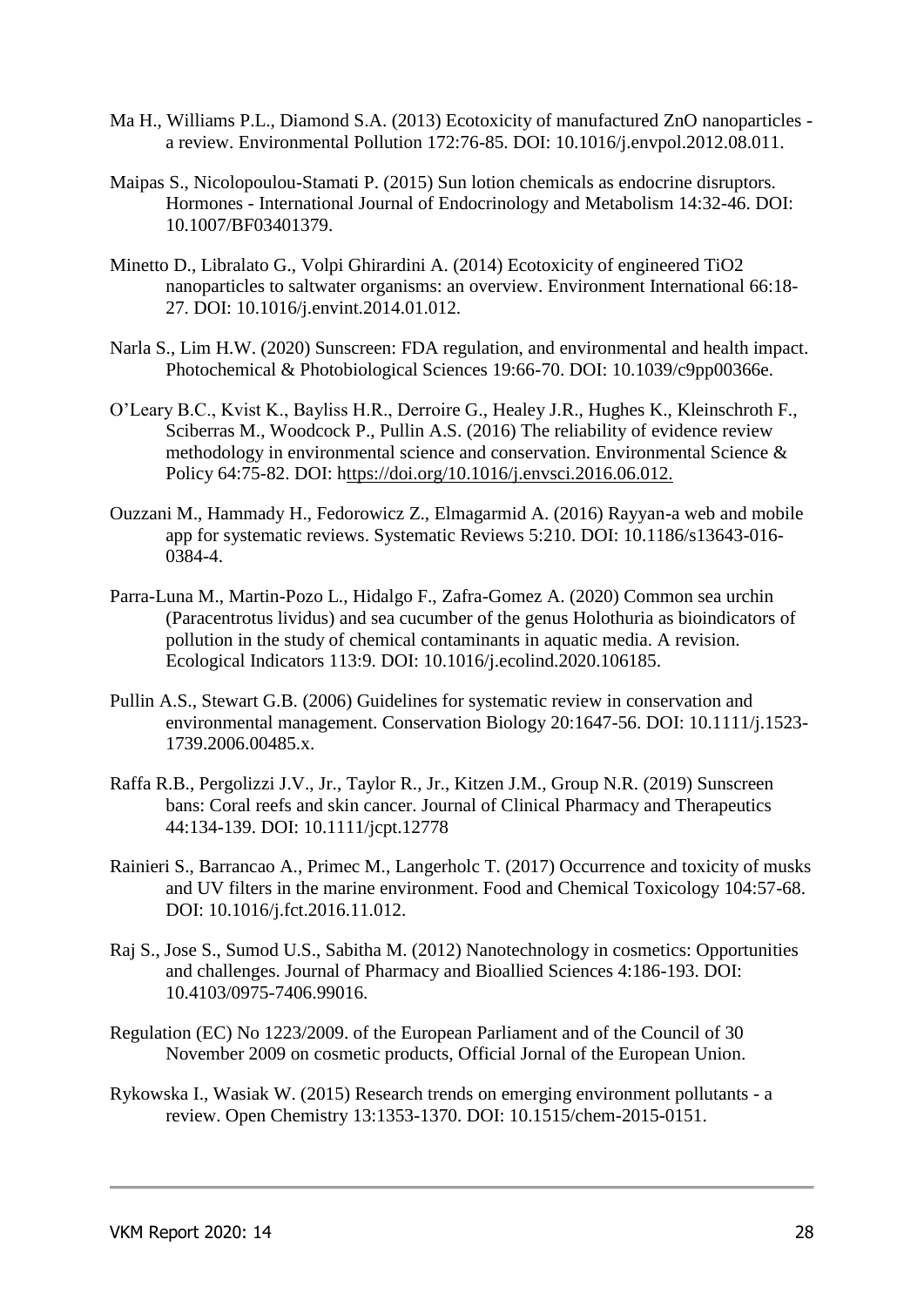- Ma H., Williams P.L., Diamond S.A. (2013) Ecotoxicity of manufactured ZnO nanoparticles a review. Environmental Pollution 172:76-85. DOI: 10.1016/j.envpol.2012.08.011.
- Maipas S., Nicolopoulou-Stamati P. (2015) Sun lotion chemicals as endocrine disruptors. Hormones - International Journal of Endocrinology and Metabolism 14:32-46. DOI: 10.1007/BF03401379.
- Minetto D., Libralato G., Volpi Ghirardini A. (2014) Ecotoxicity of engineered TiO2 nanoparticles to saltwater organisms: an overview. Environment International 66:18- 27. DOI: 10.1016/j.envint.2014.01.012.
- Narla S., Lim H.W. (2020) Sunscreen: FDA regulation, and environmental and health impact. Photochemical & Photobiological Sciences 19:66-70. DOI: 10.1039/c9pp00366e.
- O'Leary B.C., Kvist K., Bayliss H.R., Derroire G., Healey J.R., Hughes K., Kleinschroth F., Sciberras M., Woodcock P., Pullin A.S. (2016) The reliability of evidence review methodology in environmental science and conservation. Environmental Science & Policy 64:75-82. DOI: https://doi.org/10.1016/j.envsci.2016.06.012.
- Ouzzani M., Hammady H., Fedorowicz Z., Elmagarmid A. (2016) Rayyan-a web and mobile app for systematic reviews. Systematic Reviews 5:210. DOI: 10.1186/s13643-016- 0384-4.
- Parra-Luna M., Martin-Pozo L., Hidalgo F., Zafra-Gomez A. (2020) Common sea urchin (Paracentrotus lividus) and sea cucumber of the genus Holothuria as bioindicators of pollution in the study of chemical contaminants in aquatic media. A revision. Ecological Indicators 113:9. DOI: 10.1016/j.ecolind.2020.106185.
- Pullin A.S., Stewart G.B. (2006) Guidelines for systematic review in conservation and environmental management. Conservation Biology 20:1647-56. DOI: 10.1111/j.1523- 1739.2006.00485.x.
- Raffa R.B., Pergolizzi J.V., Jr., Taylor R., Jr., Kitzen J.M., Group N.R. (2019) Sunscreen bans: Coral reefs and skin cancer. Journal of Clinical Pharmacy and Therapeutics 44:134-139. DOI: 10.1111/jcpt.12778
- Rainieri S., Barrancao A., Primec M., Langerholc T. (2017) Occurrence and toxicity of musks and UV filters in the marine environment. Food and Chemical Toxicology 104:57-68. DOI: 10.1016/j.fct.2016.11.012.
- Raj S., Jose S., Sumod U.S., Sabitha M. (2012) Nanotechnology in cosmetics: Opportunities and challenges. Journal of Pharmacy and Bioallied Sciences 4:186-193. DOI: 10.4103/0975-7406.99016.
- Regulation (EC) No 1223/2009. of the European Parliament and of the Council of 30 November 2009 on cosmetic products, Official Jornal of the European Union.
- Rykowska I., Wasiak W. (2015) Research trends on emerging environment pollutants a review. Open Chemistry 13:1353-1370. DOI: 10.1515/chem-2015-0151.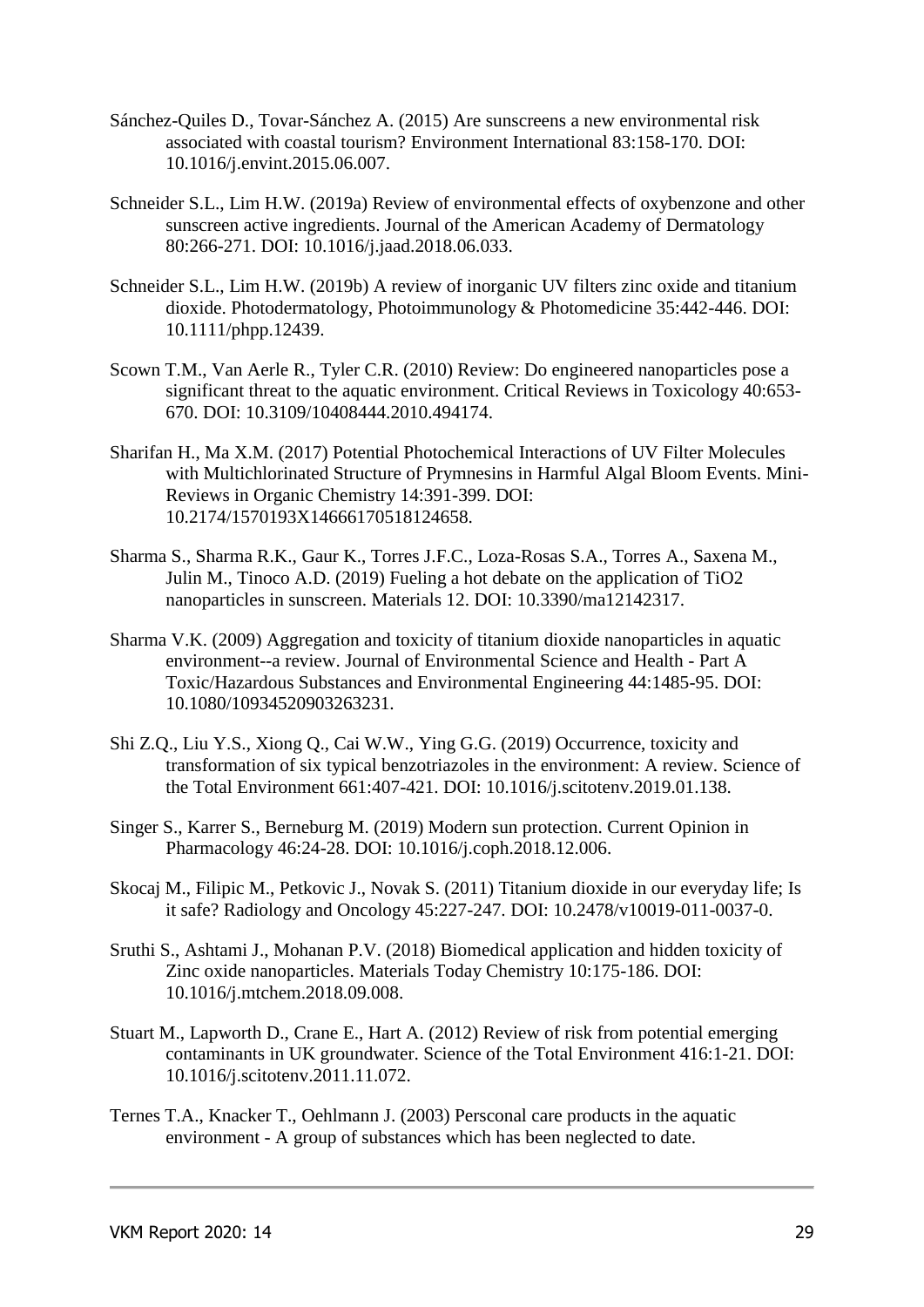- Sánchez-Quiles D., Tovar-Sánchez A. (2015) Are sunscreens a new environmental risk associated with coastal tourism? Environment International 83:158-170. DOI: 10.1016/j.envint.2015.06.007.
- Schneider S.L., Lim H.W. (2019a) Review of environmental effects of oxybenzone and other sunscreen active ingredients. Journal of the American Academy of Dermatology 80:266-271. DOI: 10.1016/j.jaad.2018.06.033.
- Schneider S.L., Lim H.W. (2019b) A review of inorganic UV filters zinc oxide and titanium dioxide. Photodermatology, Photoimmunology & Photomedicine 35:442-446. DOI: 10.1111/phpp.12439.
- Scown T.M., Van Aerle R., Tyler C.R. (2010) Review: Do engineered nanoparticles pose a significant threat to the aquatic environment. Critical Reviews in Toxicology 40:653- 670. DOI: 10.3109/10408444.2010.494174.
- Sharifan H., Ma X.M. (2017) Potential Photochemical Interactions of UV Filter Molecules with Multichlorinated Structure of Prymnesins in Harmful Algal Bloom Events. Mini-Reviews in Organic Chemistry 14:391-399. DOI: 10.2174/1570193X14666170518124658.
- Sharma S., Sharma R.K., Gaur K., Torres J.F.C., Loza-Rosas S.A., Torres A., Saxena M., Julin M., Tinoco A.D. (2019) Fueling a hot debate on the application of TiO2 nanoparticles in sunscreen. Materials 12. DOI: 10.3390/ma12142317.
- Sharma V.K. (2009) Aggregation and toxicity of titanium dioxide nanoparticles in aquatic environment--a review. Journal of Environmental Science and Health - Part A Toxic/Hazardous Substances and Environmental Engineering 44:1485-95. DOI: 10.1080/10934520903263231.
- Shi Z.Q., Liu Y.S., Xiong Q., Cai W.W., Ying G.G. (2019) Occurrence, toxicity and transformation of six typical benzotriazoles in the environment: A review. Science of the Total Environment 661:407-421. DOI: 10.1016/j.scitotenv.2019.01.138.
- Singer S., Karrer S., Berneburg M. (2019) Modern sun protection. Current Opinion in Pharmacology 46:24-28. DOI: 10.1016/j.coph.2018.12.006.
- Skocaj M., Filipic M., Petkovic J., Novak S. (2011) Titanium dioxide in our everyday life; Is it safe? Radiology and Oncology 45:227-247. DOI: 10.2478/v10019-011-0037-0.
- Sruthi S., Ashtami J., Mohanan P.V. (2018) Biomedical application and hidden toxicity of Zinc oxide nanoparticles. Materials Today Chemistry 10:175-186. DOI: 10.1016/j.mtchem.2018.09.008.
- Stuart M., Lapworth D., Crane E., Hart A. (2012) Review of risk from potential emerging contaminants in UK groundwater. Science of the Total Environment 416:1-21. DOI: 10.1016/j.scitotenv.2011.11.072.
- Ternes T.A., Knacker T., Oehlmann J. (2003) Persconal care products in the aquatic environment - A group of substances which has been neglected to date.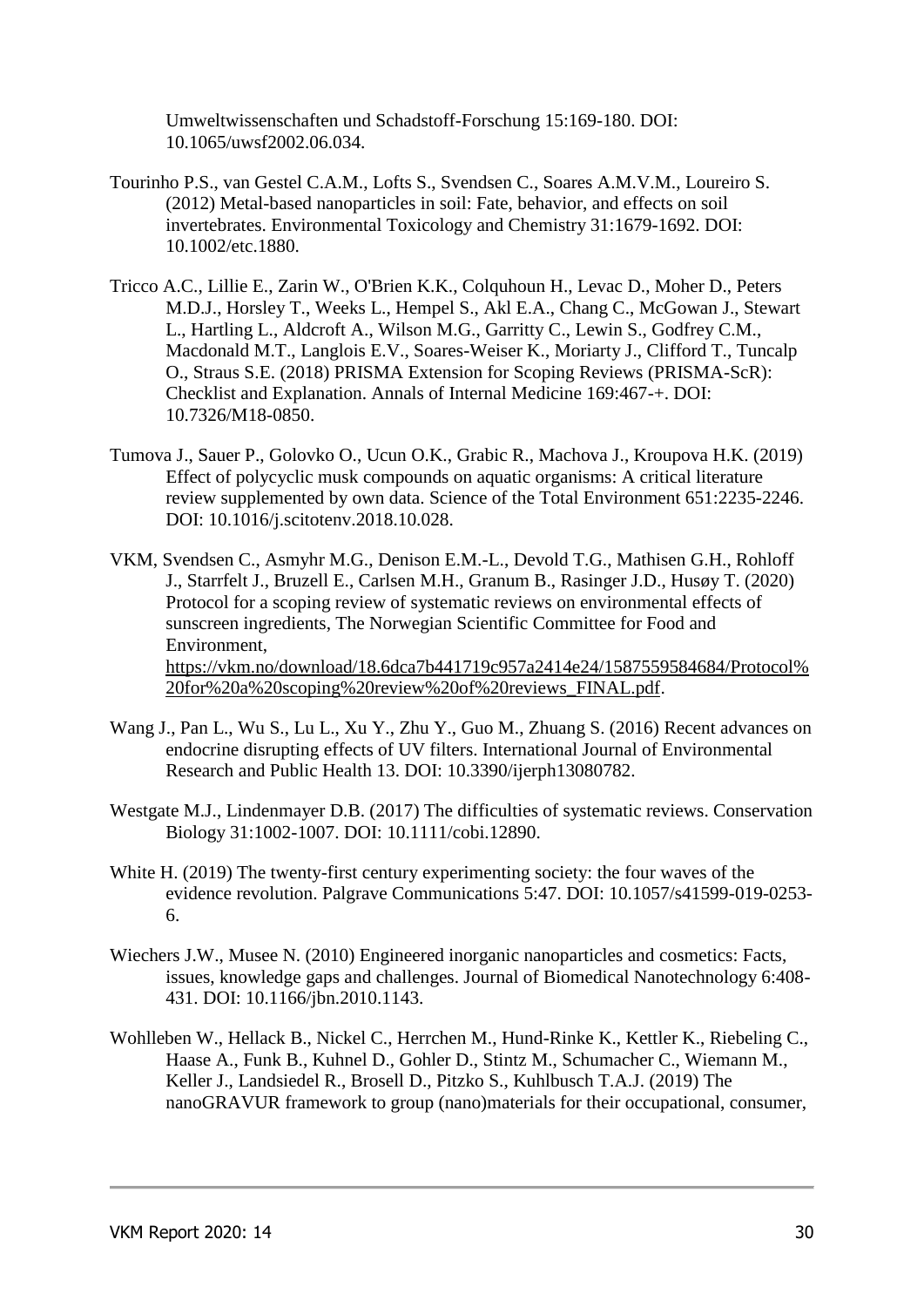Umweltwissenschaften und Schadstoff-Forschung 15:169-180. DOI: 10.1065/uwsf2002.06.034.

- Tourinho P.S., van Gestel C.A.M., Lofts S., Svendsen C., Soares A.M.V.M., Loureiro S. (2012) Metal-based nanoparticles in soil: Fate, behavior, and effects on soil invertebrates. Environmental Toxicology and Chemistry 31:1679-1692. DOI: 10.1002/etc.1880.
- Tricco A.C., Lillie E., Zarin W., O'Brien K.K., Colquhoun H., Levac D., Moher D., Peters M.D.J., Horsley T., Weeks L., Hempel S., Akl E.A., Chang C., McGowan J., Stewart L., Hartling L., Aldcroft A., Wilson M.G., Garritty C., Lewin S., Godfrey C.M., Macdonald M.T., Langlois E.V., Soares-Weiser K., Moriarty J., Clifford T., Tuncalp O., Straus S.E. (2018) PRISMA Extension for Scoping Reviews (PRISMA-ScR): Checklist and Explanation. Annals of Internal Medicine 169:467-+. DOI: 10.7326/M18-0850.
- Tumova J., Sauer P., Golovko O., Ucun O.K., Grabic R., Machova J., Kroupova H.K. (2019) Effect of polycyclic musk compounds on aquatic organisms: A critical literature review supplemented by own data. Science of the Total Environment 651:2235-2246. DOI: 10.1016/j.scitotenv.2018.10.028.
- VKM, Svendsen C., Asmyhr M.G., Denison E.M.-L., Devold T.G., Mathisen G.H., Rohloff J., Starrfelt J., Bruzell E., Carlsen M.H., Granum B., Rasinger J.D., Husøy T. (2020) Protocol for a scoping review of systematic reviews on environmental effects of sunscreen ingredients, The Norwegian Scientific Committee for Food and Environment, https://vkm.no/download/18.6dca7b441719c957a2414e24/1587559584684/Protocol% 20for%20a%20scoping%20review%20of%20reviews\_FINAL.pdf.
- Wang J., Pan L., Wu S., Lu L., Xu Y., Zhu Y., Guo M., Zhuang S. (2016) Recent advances on endocrine disrupting effects of UV filters. International Journal of Environmental Research and Public Health 13. DOI: 10.3390/ijerph13080782.
- Westgate M.J., Lindenmayer D.B. (2017) The difficulties of systematic reviews. Conservation Biology 31:1002-1007. DOI: 10.1111/cobi.12890.
- White H. (2019) The twenty-first century experimenting society: the four waves of the evidence revolution. Palgrave Communications 5:47. DOI: 10.1057/s41599-019-0253- 6.
- Wiechers J.W., Musee N. (2010) Engineered inorganic nanoparticles and cosmetics: Facts, issues, knowledge gaps and challenges. Journal of Biomedical Nanotechnology 6:408- 431. DOI: 10.1166/jbn.2010.1143.
- Wohlleben W., Hellack B., Nickel C., Herrchen M., Hund-Rinke K., Kettler K., Riebeling C., Haase A., Funk B., Kuhnel D., Gohler D., Stintz M., Schumacher C., Wiemann M., Keller J., Landsiedel R., Brosell D., Pitzko S., Kuhlbusch T.A.J. (2019) The nanoGRAVUR framework to group (nano)materials for their occupational, consumer,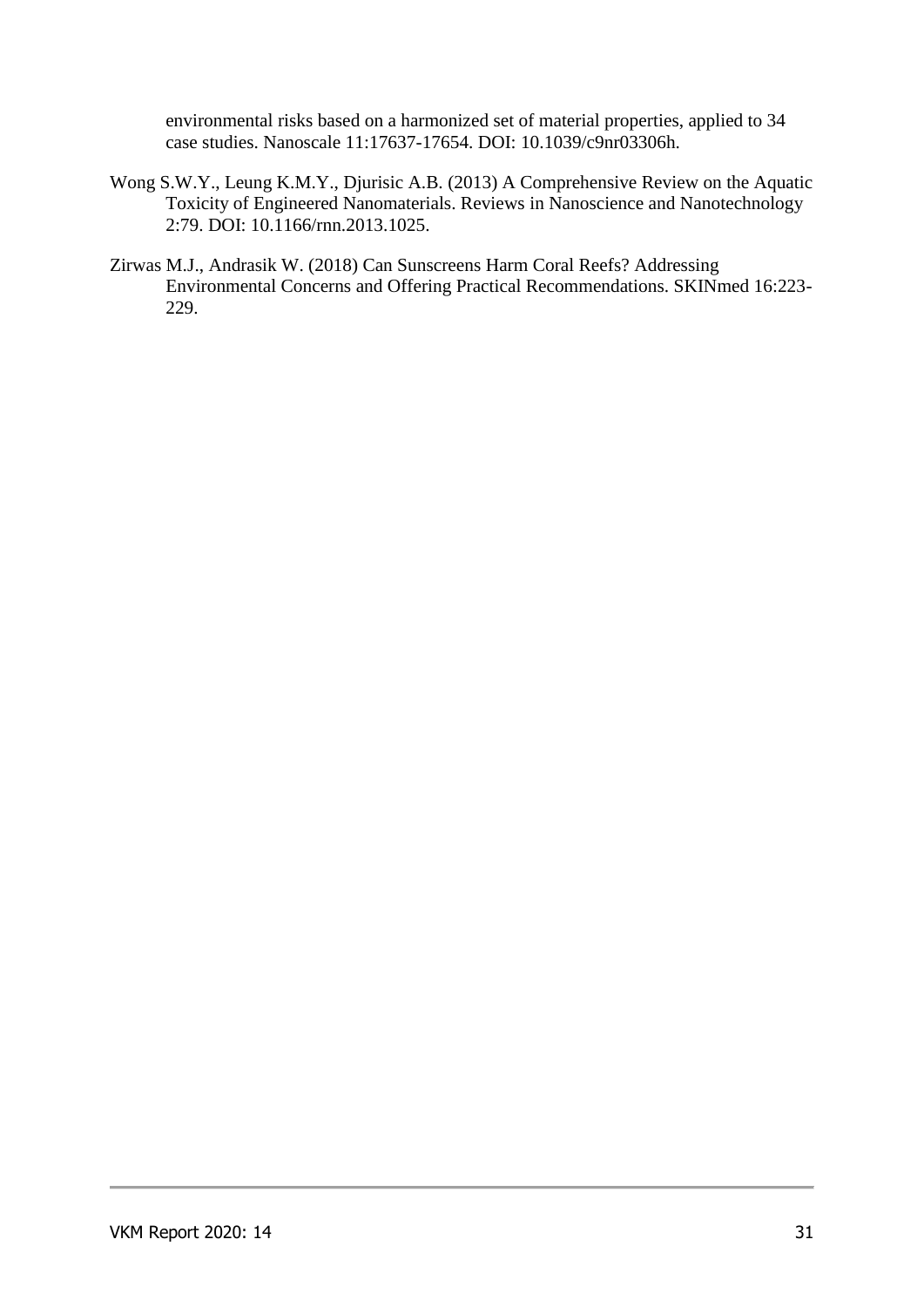environmental risks based on a harmonized set of material properties, applied to 34 case studies. Nanoscale 11:17637-17654. DOI: 10.1039/c9nr03306h.

- Wong S.W.Y., Leung K.M.Y., Djurisic A.B. (2013) A Comprehensive Review on the Aquatic Toxicity of Engineered Nanomaterials. Reviews in Nanoscience and Nanotechnology 2:79. DOI: 10.1166/rnn.2013.1025.
- Zirwas M.J., Andrasik W. (2018) Can Sunscreens Harm Coral Reefs? Addressing Environmental Concerns and Offering Practical Recommendations. SKINmed 16:223- 229.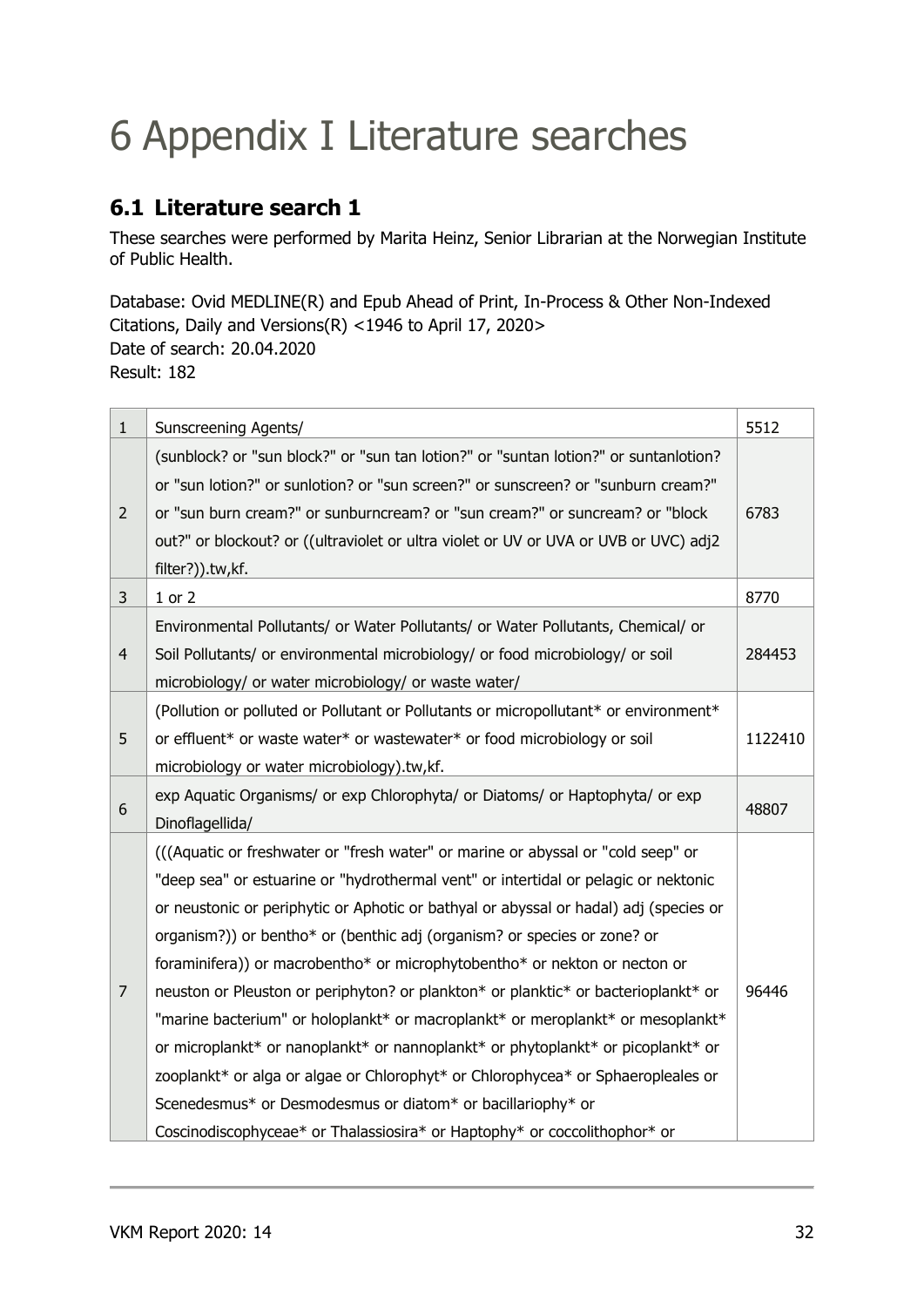# 6 Appendix I Literature searches

### **6.1 Literature search 1**

These searches were performed by Marita Heinz, Senior Librarian at the Norwegian Institute of Public Health.

Database: Ovid MEDLINE(R) and Epub Ahead of Print, In-Process & Other Non-Indexed Citations, Daily and Versions(R) <1946 to April 17, 2020> Date of search: 20.04.2020 Result: 182

| $\mathbf{1}$   | Sunscreening Agents/                                                                                                                                                                                                                                                                                                                                                                                                                                                                                                                                                                                                                                                                                                                                                                                                                                                                                                    | 5512    |
|----------------|-------------------------------------------------------------------------------------------------------------------------------------------------------------------------------------------------------------------------------------------------------------------------------------------------------------------------------------------------------------------------------------------------------------------------------------------------------------------------------------------------------------------------------------------------------------------------------------------------------------------------------------------------------------------------------------------------------------------------------------------------------------------------------------------------------------------------------------------------------------------------------------------------------------------------|---------|
| $\overline{2}$ | (sunblock? or "sun block?" or "sun tan lotion?" or "suntan lotion?" or suntanlotion?<br>or "sun lotion?" or sunlotion? or "sun screen?" or sunscreen? or "sunburn cream?"<br>or "sun burn cream?" or sunburncream? or "sun cream?" or suncream? or "block<br>out?" or blockout? or ((ultraviolet or ultra violet or UV or UVA or UVB or UVC) adj2<br>filter?)).tw,kf.                                                                                                                                                                                                                                                                                                                                                                                                                                                                                                                                                   | 6783    |
| 3              | $1$ or $2$                                                                                                                                                                                                                                                                                                                                                                                                                                                                                                                                                                                                                                                                                                                                                                                                                                                                                                              | 8770    |
| $\overline{4}$ | Environmental Pollutants/ or Water Pollutants/ or Water Pollutants, Chemical/ or<br>Soil Pollutants/ or environmental microbiology/ or food microbiology/ or soil<br>microbiology/ or water microbiology/ or waste water/                                                                                                                                                                                                                                                                                                                                                                                                                                                                                                                                                                                                                                                                                               | 284453  |
| 5              | (Pollution or polluted or Pollutant or Pollutants or micropollutant* or environment*<br>or effluent* or waste water* or wastewater* or food microbiology or soil<br>microbiology or water microbiology).tw,kf.                                                                                                                                                                                                                                                                                                                                                                                                                                                                                                                                                                                                                                                                                                          | 1122410 |
| 6              | exp Aquatic Organisms/ or exp Chlorophyta/ or Diatoms/ or Haptophyta/ or exp<br>Dinoflagellida/                                                                                                                                                                                                                                                                                                                                                                                                                                                                                                                                                                                                                                                                                                                                                                                                                         | 48807   |
| $\overline{7}$ | (((Aquatic or freshwater or "fresh water" or marine or abyssal or "cold seep" or<br>"deep sea" or estuarine or "hydrothermal vent" or intertidal or pelagic or nektonic<br>or neustonic or periphytic or Aphotic or bathyal or abyssal or hadal) adj (species or<br>organism?)) or bentho* or (benthic adj (organism? or species or zone? or<br>foraminifera)) or macrobentho* or microphytobentho* or nekton or necton or<br>neuston or Pleuston or periphyton? or plankton* or planktic* or bacterioplankt* or<br>"marine bacterium" or holoplankt* or macroplankt* or meroplankt* or mesoplankt*<br>or microplankt* or nanoplankt* or nannoplankt* or phytoplankt* or picoplankt* or<br>zooplankt* or alga or algae or Chlorophyt* or Chlorophycea* or Sphaeropleales or<br>Scenedesmus* or Desmodesmus or diatom* or bacillariophy* or<br>Coscinodiscophyceae* or Thalassiosira* or Haptophy* or coccolithophor* or | 96446   |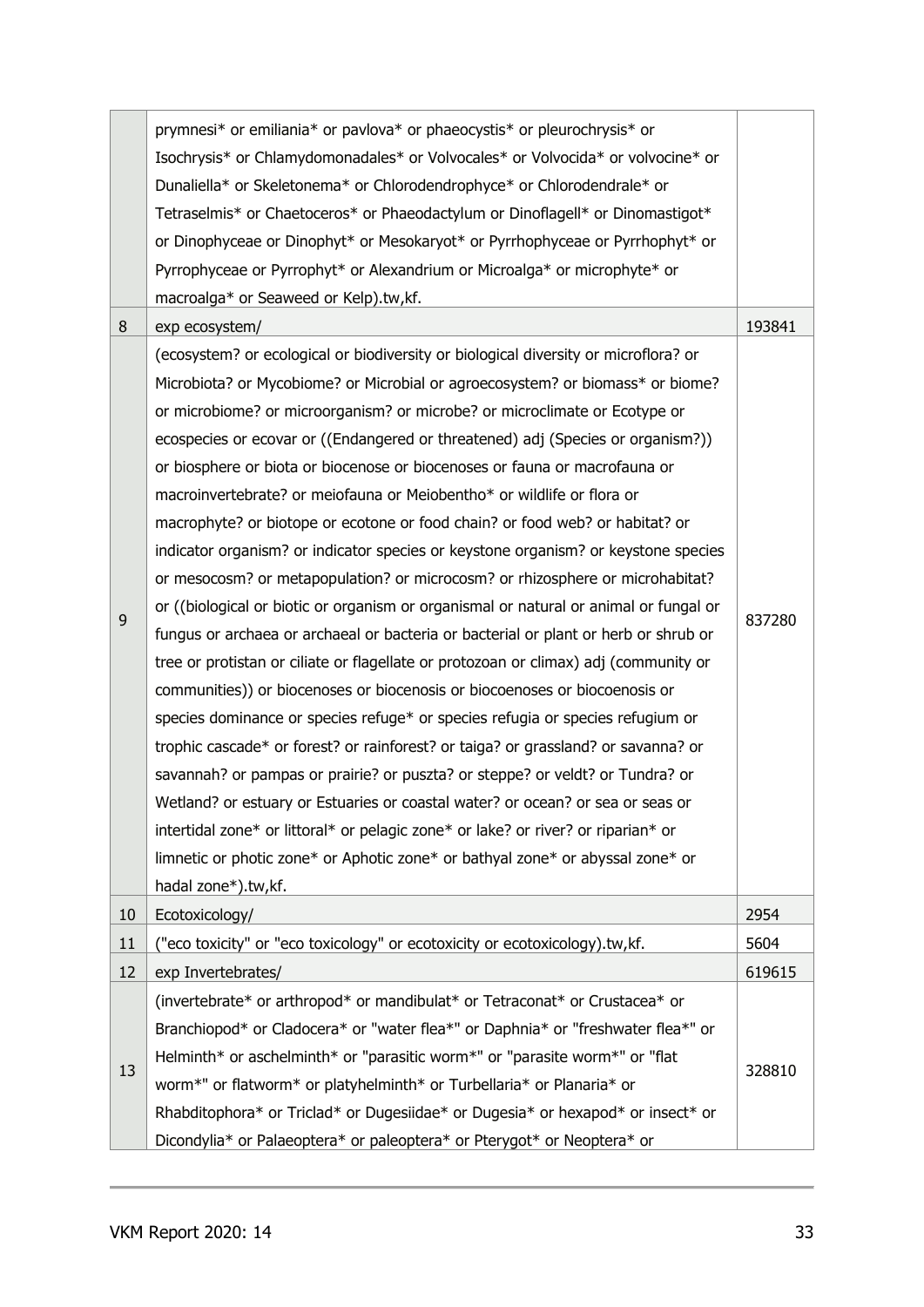|    | prymnesi* or emiliania* or pavlova* or phaeocystis* or pleurochrysis* or<br>Isochrysis* or Chlamydomonadales* or Volvocales* or Volvocida* or volvocine* or<br>Dunaliella* or Skeletonema* or Chlorodendrophyce* or Chlorodendrale* or<br>Tetraselmis* or Chaetoceros* or Phaeodactylum or Dinoflagell* or Dinomastigot*<br>or Dinophyceae or Dinophyt* or Mesokaryot* or Pyrrhophyceae or Pyrrhophyt* or<br>Pyrrophyceae or Pyrrophyt* or Alexandrium or Microalga* or microphyte* or                                                                                                                                                                                                                                                                                                                                                                                                                                                                                                                                                                                                                                                                                                                                                                                                                                                                                                                                                                                                                                                                                                                                                              |        |
|----|-----------------------------------------------------------------------------------------------------------------------------------------------------------------------------------------------------------------------------------------------------------------------------------------------------------------------------------------------------------------------------------------------------------------------------------------------------------------------------------------------------------------------------------------------------------------------------------------------------------------------------------------------------------------------------------------------------------------------------------------------------------------------------------------------------------------------------------------------------------------------------------------------------------------------------------------------------------------------------------------------------------------------------------------------------------------------------------------------------------------------------------------------------------------------------------------------------------------------------------------------------------------------------------------------------------------------------------------------------------------------------------------------------------------------------------------------------------------------------------------------------------------------------------------------------------------------------------------------------------------------------------------------------|--------|
|    | macroalga* or Seaweed or Kelp).tw,kf.                                                                                                                                                                                                                                                                                                                                                                                                                                                                                                                                                                                                                                                                                                                                                                                                                                                                                                                                                                                                                                                                                                                                                                                                                                                                                                                                                                                                                                                                                                                                                                                                               |        |
| 8  | exp ecosystem/                                                                                                                                                                                                                                                                                                                                                                                                                                                                                                                                                                                                                                                                                                                                                                                                                                                                                                                                                                                                                                                                                                                                                                                                                                                                                                                                                                                                                                                                                                                                                                                                                                      | 193841 |
| 9  | (ecosystem? or ecological or biodiversity or biological diversity or microflora? or<br>Microbiota? or Mycobiome? or Microbial or agroecosystem? or biomass* or biome?<br>or microbiome? or microorganism? or microbe? or microclimate or Ecotype or<br>ecospecies or ecovar or ((Endangered or threatened) adj (Species or organism?))<br>or biosphere or biota or biocenose or biocenoses or fauna or macrofauna or<br>macroinvertebrate? or meiofauna or Meiobentho* or wildlife or flora or<br>macrophyte? or biotope or ecotone or food chain? or food web? or habitat? or<br>indicator organism? or indicator species or keystone organism? or keystone species<br>or mesocosm? or metapopulation? or microcosm? or rhizosphere or microhabitat?<br>or ((biological or biotic or organism or organismal or natural or animal or fungal or<br>fungus or archaea or archaeal or bacteria or bacterial or plant or herb or shrub or<br>tree or protistan or ciliate or flagellate or protozoan or climax) adj (community or<br>communities)) or biocenoses or biocenosis or biocoenoses or biocoenosis or<br>species dominance or species refuge* or species refugia or species refugium or<br>trophic cascade* or forest? or rainforest? or taiga? or grassland? or savanna? or<br>savannah? or pampas or prairie? or puszta? or steppe? or veldt? or Tundra? or<br>Wetland? or estuary or Estuaries or coastal water? or ocean? or sea or seas or<br>intertidal zone* or littoral* or pelagic zone* or lake? or river? or riparian* or<br>limnetic or photic zone* or Aphotic zone* or bathyal zone* or abyssal zone* or<br>hadal zone*).tw,kf. | 837280 |
| 10 | Ecotoxicology/                                                                                                                                                                                                                                                                                                                                                                                                                                                                                                                                                                                                                                                                                                                                                                                                                                                                                                                                                                                                                                                                                                                                                                                                                                                                                                                                                                                                                                                                                                                                                                                                                                      | 2954   |
| 11 | "eco toxicity" or "eco toxicology" or ecotoxicity or ecotoxicology).tw,kf.                                                                                                                                                                                                                                                                                                                                                                                                                                                                                                                                                                                                                                                                                                                                                                                                                                                                                                                                                                                                                                                                                                                                                                                                                                                                                                                                                                                                                                                                                                                                                                          | 5604   |
| 12 | exp Invertebrates/                                                                                                                                                                                                                                                                                                                                                                                                                                                                                                                                                                                                                                                                                                                                                                                                                                                                                                                                                                                                                                                                                                                                                                                                                                                                                                                                                                                                                                                                                                                                                                                                                                  | 619615 |
| 13 | (invertebrate* or arthropod* or mandibulat* or Tetraconat* or Crustacea* or<br>Branchiopod* or Cladocera* or "water flea*" or Daphnia* or "freshwater flea*" or<br>Helminth* or aschelminth* or "parasitic worm*" or "parasite worm*" or "flat<br>worm*" or flatworm* or platyhelminth* or Turbellaria* or Planaria* or<br>Rhabditophora* or Triclad* or Dugesiidae* or Dugesia* or hexapod* or insect* or<br>Dicondylia* or Palaeoptera* or paleoptera* or Pterygot* or Neoptera* or                                                                                                                                                                                                                                                                                                                                                                                                                                                                                                                                                                                                                                                                                                                                                                                                                                                                                                                                                                                                                                                                                                                                                               | 328810 |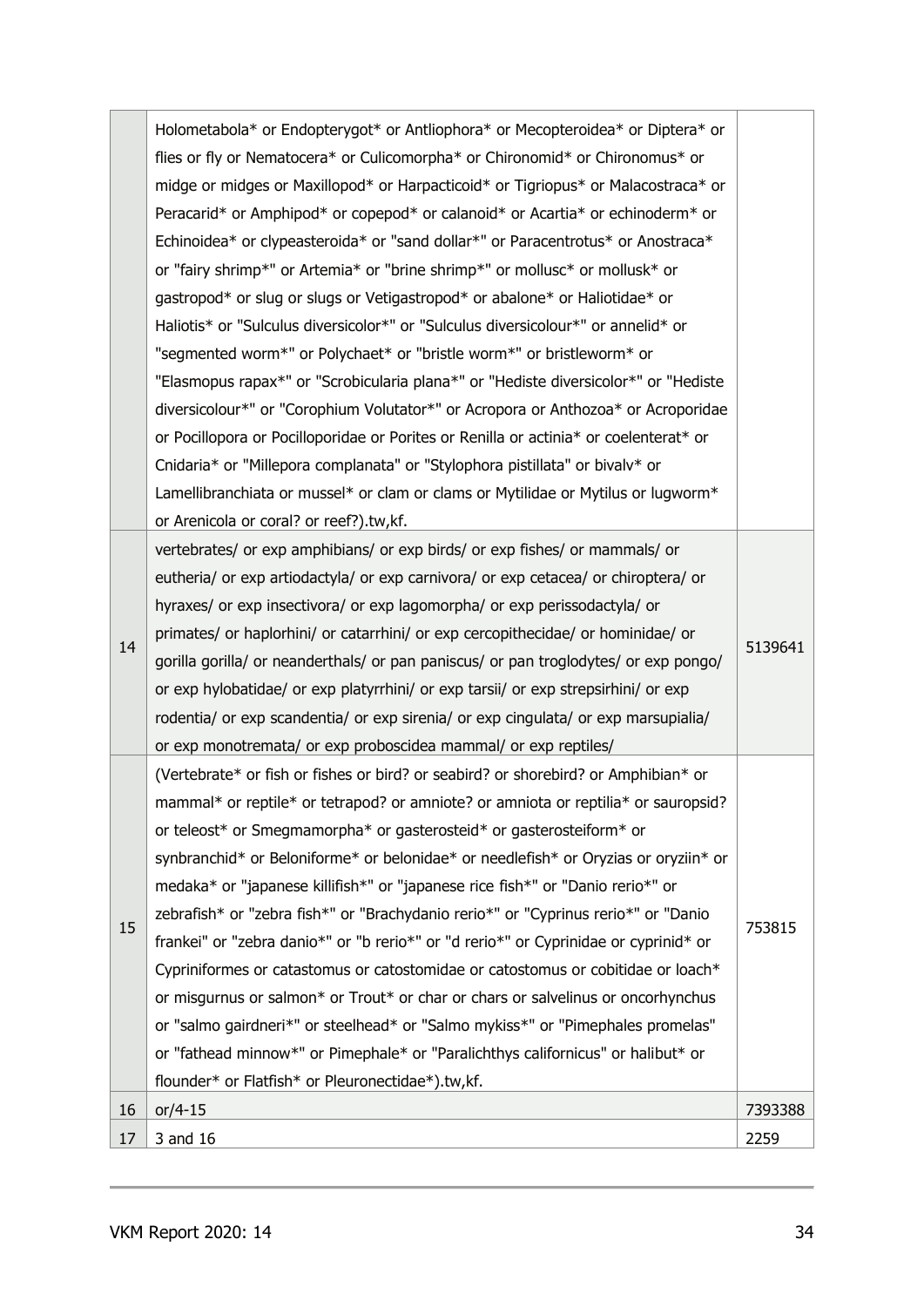|    | Holometabola* or Endopterygot* or Antliophora* or Mecopteroidea* or Diptera* or       |         |  |
|----|---------------------------------------------------------------------------------------|---------|--|
|    |                                                                                       |         |  |
|    | midge or midges or Maxillopod* or Harpacticoid* or Tigriopus* or Malacostraca* or     |         |  |
|    |                                                                                       |         |  |
|    | Echinoidea* or clypeasteroida* or "sand dollar*" or Paracentrotus* or Anostraca*      |         |  |
|    | or "fairy shrimp*" or Artemia* or "brine shrimp*" or mollusc* or mollusk* or          |         |  |
|    | gastropod* or slug or slugs or Vetigastropod* or abalone* or Haliotidae* or           |         |  |
|    | Haliotis* or "Sulculus diversicolor*" or "Sulculus diversicolour*" or annelid* or     |         |  |
|    | "segmented worm*" or Polychaet* or "bristle worm*" or bristleworm* or                 |         |  |
|    | "Elasmopus rapax*" or "Scrobicularia plana*" or "Hediste diversicolor*" or "Hediste   |         |  |
|    | diversicolour*" or "Corophium Volutator*" or Acropora or Anthozoa* or Acroporidae     |         |  |
|    | or Pocillopora or Pocilloporidae or Porites or Renilla or actinia* or coelenterat* or |         |  |
|    | Cnidaria* or "Millepora complanata" or "Stylophora pistillata" or bivalv* or          |         |  |
|    | Lamellibranchiata or mussel* or clam or clams or Mytilidae or Mytilus or lugworm*     |         |  |
|    | or Arenicola or coral? or reef?).tw,kf.                                               |         |  |
|    | vertebrates/ or exp amphibians/ or exp birds/ or exp fishes/ or mammals/ or           |         |  |
|    | eutheria/ or exp artiodactyla/ or exp carnivora/ or exp cetacea/ or chiroptera/ or    |         |  |
|    | hyraxes/ or exp insectivora/ or exp lagomorpha/ or exp perissodactyla/ or             |         |  |
| 14 | primates/ or haplorhini/ or catarrhini/ or exp cercopithecidae/ or hominidae/ or      |         |  |
|    | gorilla gorilla/ or neanderthals/ or pan paniscus/ or pan troglodytes/ or exp pongo/  | 5139641 |  |
|    | or exp hylobatidae/ or exp platyrrhini/ or exp tarsii/ or exp strepsirhini/ or exp    |         |  |
|    | rodentia/ or exp scandentia/ or exp sirenia/ or exp cingulata/ or exp marsupialia/    |         |  |
|    | or exp monotremata/ or exp proboscidea mammal/ or exp reptiles/                       |         |  |
|    | (Vertebrate* or fish or fishes or bird? or seabird? or shorebird? or Amphibian* or    |         |  |
|    | mammal* or reptile* or tetrapod? or amniote? or amniota or reptilia* or sauropsid?    |         |  |
|    | or teleost* or Smegmamorpha* or gasterosteid* or gasterosteiform* or                  |         |  |
|    | synbranchid* or Beloniforme* or belonidae* or needlefish* or Oryzias or oryziin* or   |         |  |
|    | medaka* or "japanese killifish*" or "japanese rice fish*" or "Danio rerio*" or        |         |  |
| 15 | zebrafish* or "zebra fish*" or "Brachydanio rerio*" or "Cyprinus rerio*" or "Danio    | 753815  |  |
|    | frankei" or "zebra danio*" or "b rerio*" or "d rerio*" or Cyprinidae or cyprinid* or  |         |  |
|    | Cypriniformes or catastomus or catostomidae or catostomus or cobitidae or loach*      |         |  |
|    | or misqurnus or salmon* or Trout* or char or chars or salvelinus or oncorhynchus      |         |  |
|    | or "salmo gairdneri*" or steelhead* or "Salmo mykiss*" or "Pimephales promelas"       |         |  |
|    | or "fathead minnow*" or Pimephale* or "Paralichthys californicus" or halibut* or      |         |  |
|    | flounder* or Flatfish* or Pleuronectidae*).tw,kf.                                     |         |  |
| 16 | $or/4-15$                                                                             | 7393388 |  |
| 17 | 3 and 16                                                                              | 2259    |  |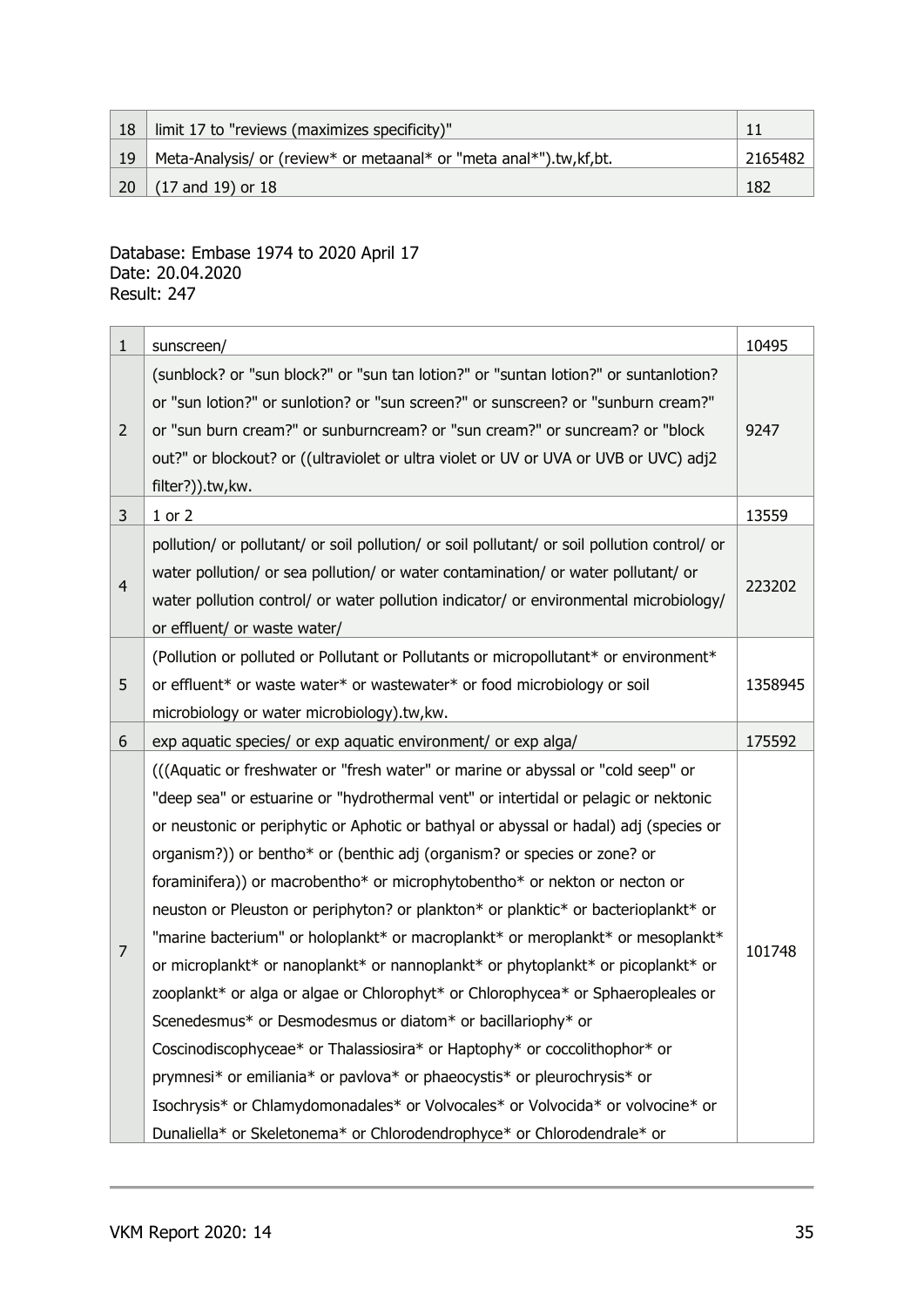| 18         | limit 17 to "reviews (maximizes specificity)"                      |         |
|------------|--------------------------------------------------------------------|---------|
| 19         | Meta-Analysis/ or (review* or metaanal* or "meta anal*").tw,kf,bt. | 2165482 |
| $\vert$ 20 | $(17$ and 19) or 18                                                | 182     |

#### Database: Embase 1974 to 2020 April 17 Date: 20.04.2020 Result: 247

| $\mathbf{1}$   | sunscreen/                                                                                                                                                                                                                                                                                                                                                                                                                                                                                                                                                                                                                                                                                                                                                                                                                                                                                                                                                                                                                                                                                                                                                        | 10495  |  |  |
|----------------|-------------------------------------------------------------------------------------------------------------------------------------------------------------------------------------------------------------------------------------------------------------------------------------------------------------------------------------------------------------------------------------------------------------------------------------------------------------------------------------------------------------------------------------------------------------------------------------------------------------------------------------------------------------------------------------------------------------------------------------------------------------------------------------------------------------------------------------------------------------------------------------------------------------------------------------------------------------------------------------------------------------------------------------------------------------------------------------------------------------------------------------------------------------------|--------|--|--|
| $\overline{2}$ | (sunblock? or "sun block?" or "sun tan lotion?" or "suntan lotion?" or suntanlotion?<br>or "sun lotion?" or sunlotion? or "sun screen?" or sunscreen? or "sunburn cream?"<br>or "sun burn cream?" or sunburncream? or "sun cream?" or suncream? or "block<br>out?" or blockout? or ((ultraviolet or ultra violet or UV or UVA or UVB or UVC) adj2<br>filter?)).tw,kw.                                                                                                                                                                                                                                                                                                                                                                                                                                                                                                                                                                                                                                                                                                                                                                                             | 9247   |  |  |
| 3              | $1$ or $2$                                                                                                                                                                                                                                                                                                                                                                                                                                                                                                                                                                                                                                                                                                                                                                                                                                                                                                                                                                                                                                                                                                                                                        | 13559  |  |  |
| 4              | pollution/ or pollutant/ or soil pollution/ or soil pollutant/ or soil pollution control/ or<br>water pollution/ or sea pollution/ or water contamination/ or water pollutant/ or<br>water pollution control/ or water pollution indicator/ or environmental microbiology/<br>or effluent/ or waste water/                                                                                                                                                                                                                                                                                                                                                                                                                                                                                                                                                                                                                                                                                                                                                                                                                                                        | 223202 |  |  |
| 5              | (Pollution or polluted or Pollutant or Pollutants or micropollutant* or environment*<br>or effluent* or waste water* or wastewater* or food microbiology or soil<br>microbiology or water microbiology).tw, kw.                                                                                                                                                                                                                                                                                                                                                                                                                                                                                                                                                                                                                                                                                                                                                                                                                                                                                                                                                   |        |  |  |
| 6              | exp aquatic species/ or exp aquatic environment/ or exp alga/                                                                                                                                                                                                                                                                                                                                                                                                                                                                                                                                                                                                                                                                                                                                                                                                                                                                                                                                                                                                                                                                                                     |        |  |  |
| $\overline{7}$ | (((Aquatic or freshwater or "fresh water" or marine or abyssal or "cold seep" or<br>"deep sea" or estuarine or "hydrothermal vent" or intertidal or pelagic or nektonic<br>or neustonic or periphytic or Aphotic or bathyal or abyssal or hadal) adj (species or<br>organism?)) or bentho* or (benthic adj (organism? or species or zone? or<br>foraminifera)) or macrobentho* or microphytobentho* or nekton or necton or<br>neuston or Pleuston or periphyton? or plankton* or planktic* or bacterioplankt* or<br>"marine bacterium" or holoplankt* or macroplankt* or meroplankt* or mesoplankt*<br>or microplankt* or nanoplankt* or nannoplankt* or phytoplankt* or picoplankt* or<br>zooplankt* or alga or algae or Chlorophyt* or Chlorophycea* or Sphaeropleales or<br>Scenedesmus* or Desmodesmus or diatom* or bacillariophy* or<br>Coscinodiscophyceae* or Thalassiosira* or Haptophy* or coccolithophor* or<br>prymnesi* or emiliania* or pavlova* or phaeocystis* or pleurochrysis* or<br>Isochrysis* or Chlamydomonadales* or Volvocales* or Volvocida* or volvocine* or<br>Dunaliella* or Skeletonema* or Chlorodendrophyce* or Chlorodendrale* or | 101748 |  |  |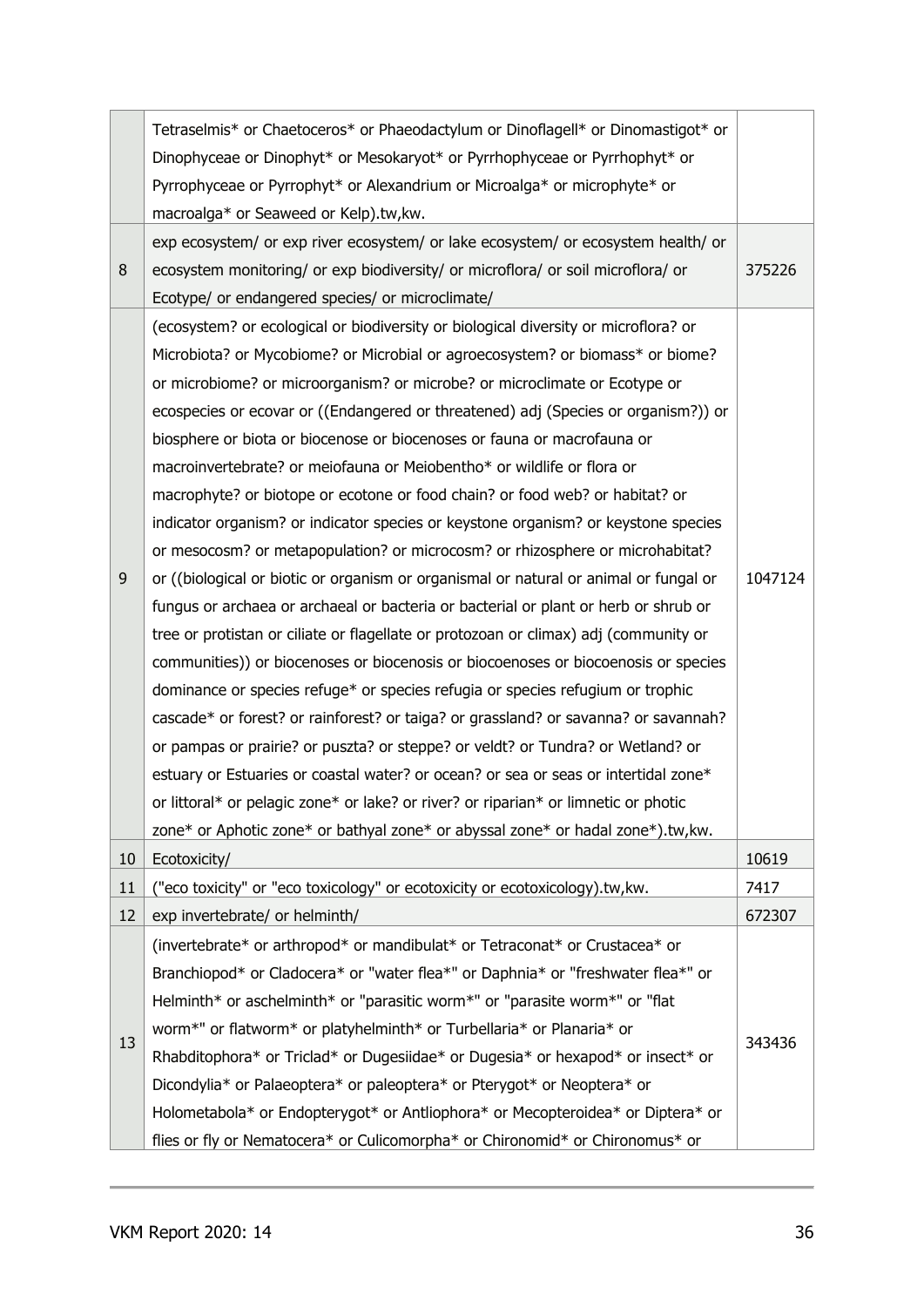| Tetraselmis* or Chaetoceros* or Phaeodactylum or Dinoflagell* or Dinomastigot* or<br>Dinophyceae or Dinophyt* or Mesokaryot* or Pyrrhophyceae or Pyrrhophyt* or                                                                                                                                                                                                                                                                                                                                                                                                                                                                                                                                                                                                                                                                                                                                                                                                                                                                                                                                                                                                                                                                                                                                                                                                                                                                                                                                                                                                                                                                                   |                                                                                                                                                            |
|---------------------------------------------------------------------------------------------------------------------------------------------------------------------------------------------------------------------------------------------------------------------------------------------------------------------------------------------------------------------------------------------------------------------------------------------------------------------------------------------------------------------------------------------------------------------------------------------------------------------------------------------------------------------------------------------------------------------------------------------------------------------------------------------------------------------------------------------------------------------------------------------------------------------------------------------------------------------------------------------------------------------------------------------------------------------------------------------------------------------------------------------------------------------------------------------------------------------------------------------------------------------------------------------------------------------------------------------------------------------------------------------------------------------------------------------------------------------------------------------------------------------------------------------------------------------------------------------------------------------------------------------------|------------------------------------------------------------------------------------------------------------------------------------------------------------|
| macroalga* or Seaweed or Kelp).tw, kw.                                                                                                                                                                                                                                                                                                                                                                                                                                                                                                                                                                                                                                                                                                                                                                                                                                                                                                                                                                                                                                                                                                                                                                                                                                                                                                                                                                                                                                                                                                                                                                                                            |                                                                                                                                                            |
| exp ecosystem/ or exp river ecosystem/ or lake ecosystem/ or ecosystem health/ or<br>ecosystem monitoring/ or exp biodiversity/ or microflora/ or soil microflora/ or<br>Ecotype/ or endangered species/ or microclimate/                                                                                                                                                                                                                                                                                                                                                                                                                                                                                                                                                                                                                                                                                                                                                                                                                                                                                                                                                                                                                                                                                                                                                                                                                                                                                                                                                                                                                         | 375226                                                                                                                                                     |
| (ecosystem? or ecological or biodiversity or biological diversity or microflora? or<br>Microbiota? or Mycobiome? or Microbial or agroecosystem? or biomass* or biome?<br>or microbiome? or microorganism? or microbe? or microclimate or Ecotype or<br>ecospecies or ecovar or ((Endangered or threatened) adj (Species or organism?)) or<br>biosphere or biota or biocenose or biocenoses or fauna or macrofauna or<br>macroinvertebrate? or meiofauna or Meiobentho* or wildlife or flora or<br>macrophyte? or biotope or ecotone or food chain? or food web? or habitat? or<br>indicator organism? or indicator species or keystone organism? or keystone species<br>or mesocosm? or metapopulation? or microcosm? or rhizosphere or microhabitat?<br>or ((biological or biotic or organism or organismal or natural or animal or fungal or<br>fungus or archaea or archaeal or bacteria or bacterial or plant or herb or shrub or<br>tree or protistan or ciliate or flagellate or protozoan or climax) adj (community or<br>communities)) or biocenoses or biocenosis or biocoenoses or biocoenosis or species<br>dominance or species refuge* or species refugia or species refugium or trophic<br>cascade* or forest? or rainforest? or taiga? or grassland? or savanna? or savannah?<br>or pampas or prairie? or puszta? or steppe? or veldt? or Tundra? or Wetland? or<br>estuary or Estuaries or coastal water? or ocean? or sea or seas or intertidal zone*<br>or littoral* or pelagic zone* or lake? or river? or riparian* or limnetic or photic<br>zone* or Aphotic zone* or bathyal zone* or abyssal zone* or hadal zone*).tw, kw. | 1047124                                                                                                                                                    |
| Ecotoxicity/                                                                                                                                                                                                                                                                                                                                                                                                                                                                                                                                                                                                                                                                                                                                                                                                                                                                                                                                                                                                                                                                                                                                                                                                                                                                                                                                                                                                                                                                                                                                                                                                                                      | 10619                                                                                                                                                      |
| "eco toxicity" or "eco toxicology" or ecotoxicity or ecotoxicology).tw, kw.                                                                                                                                                                                                                                                                                                                                                                                                                                                                                                                                                                                                                                                                                                                                                                                                                                                                                                                                                                                                                                                                                                                                                                                                                                                                                                                                                                                                                                                                                                                                                                       | 7417                                                                                                                                                       |
| exp invertebrate/ or helminth/                                                                                                                                                                                                                                                                                                                                                                                                                                                                                                                                                                                                                                                                                                                                                                                                                                                                                                                                                                                                                                                                                                                                                                                                                                                                                                                                                                                                                                                                                                                                                                                                                    | 672307                                                                                                                                                     |
| (invertebrate* or arthropod* or mandibulat* or Tetraconat* or Crustacea* or<br>Branchiopod* or Cladocera* or "water flea*" or Daphnia* or "freshwater flea*" or<br>Helminth* or aschelminth* or "parasitic worm*" or "parasite worm*" or "flat<br>worm*" or flatworm* or platyhelminth* or Turbellaria* or Planaria* or<br>Rhabditophora* or Triclad* or Dugesiidae* or Dugesia* or hexapod* or insect* or<br>Dicondylia* or Palaeoptera* or paleoptera* or Pterygot* or Neoptera* or<br>Holometabola* or Endopterygot* or Antliophora* or Mecopteroidea* or Diptera* or                                                                                                                                                                                                                                                                                                                                                                                                                                                                                                                                                                                                                                                                                                                                                                                                                                                                                                                                                                                                                                                                          | 343436                                                                                                                                                     |
|                                                                                                                                                                                                                                                                                                                                                                                                                                                                                                                                                                                                                                                                                                                                                                                                                                                                                                                                                                                                                                                                                                                                                                                                                                                                                                                                                                                                                                                                                                                                                                                                                                                   | Pyrrophyceae or Pyrrophyt* or Alexandrium or Microalga* or microphyte* or<br>flies or fly or Nematocera* or Culicomorpha* or Chironomid* or Chironomus* or |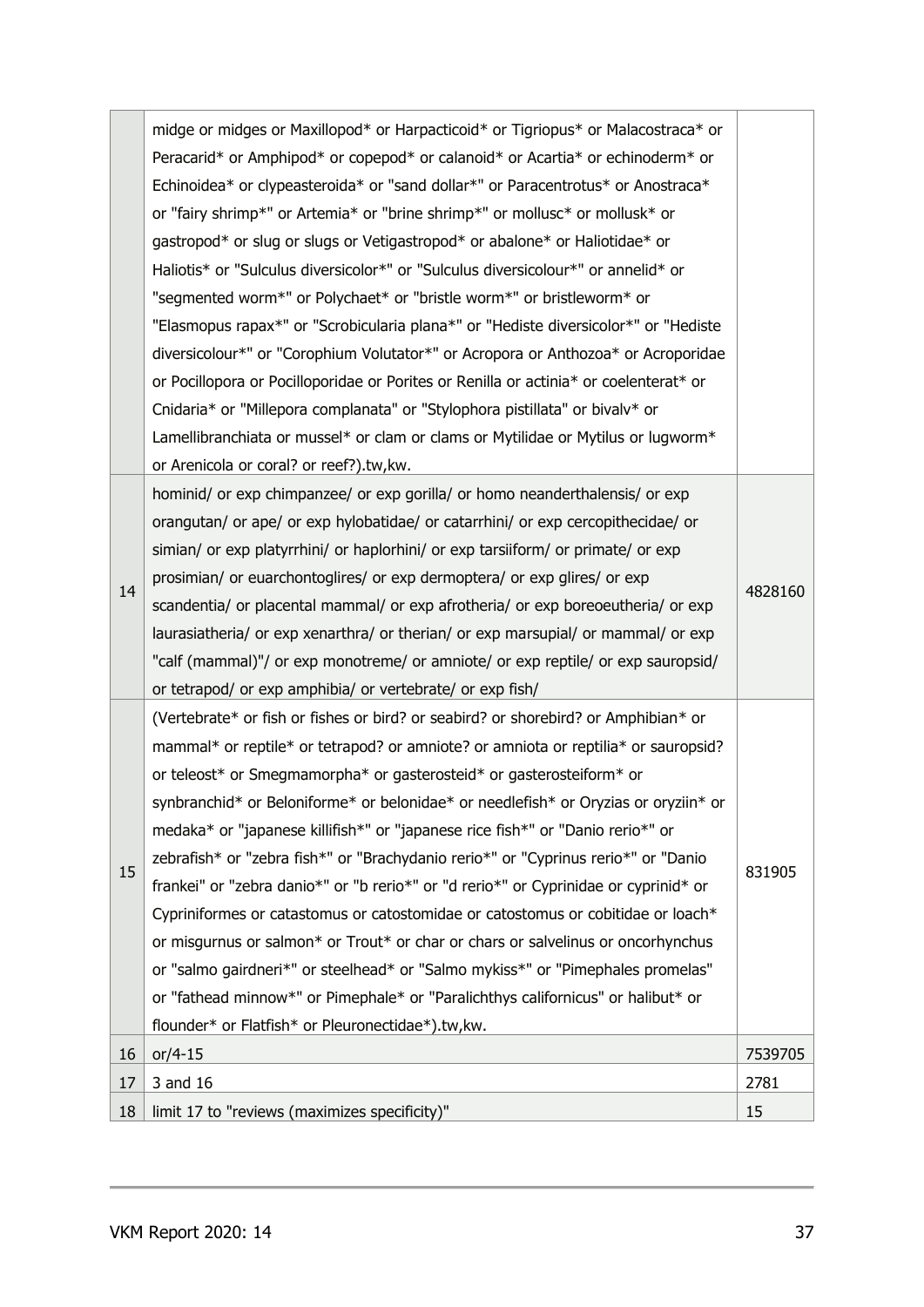|    | midge or midges or Maxillopod* or Harpacticoid* or Tigriopus* or Malacostraca* or     |         |  |  |
|----|---------------------------------------------------------------------------------------|---------|--|--|
|    | Peracarid* or Amphipod* or copepod* or calanoid* or Acartia* or echinoderm* or        |         |  |  |
|    | Echinoidea* or clypeasteroida* or "sand dollar*" or Paracentrotus* or Anostraca*      |         |  |  |
|    | or "fairy shrimp*" or Artemia* or "brine shrimp*" or mollusc* or mollusk* or          |         |  |  |
|    | gastropod* or slug or slugs or Vetigastropod* or abalone* or Haliotidae* or           |         |  |  |
|    | Haliotis* or "Sulculus diversicolor*" or "Sulculus diversicolour*" or annelid* or     |         |  |  |
|    | "segmented worm*" or Polychaet* or "bristle worm*" or bristleworm* or                 |         |  |  |
|    | "Elasmopus rapax*" or "Scrobicularia plana*" or "Hediste diversicolor*" or "Hediste   |         |  |  |
|    | diversicolour*" or "Corophium Volutator*" or Acropora or Anthozoa* or Acroporidae     |         |  |  |
|    | or Pocillopora or Pocilloporidae or Porites or Renilla or actinia* or coelenterat* or |         |  |  |
|    | Cnidaria* or "Millepora complanata" or "Stylophora pistillata" or bivalv* or          |         |  |  |
|    | Lamellibranchiata or mussel* or clam or clams or Mytilidae or Mytilus or lugworm*     |         |  |  |
|    | or Arenicola or coral? or reef?).tw, kw.                                              |         |  |  |
|    | hominid/ or exp chimpanzee/ or exp gorilla/ or homo neanderthalensis/ or exp          |         |  |  |
|    | orangutan/ or ape/ or exp hylobatidae/ or catarrhini/ or exp cercopithecidae/ or      |         |  |  |
|    | simian/ or exp platyrrhini/ or haplorhini/ or exp tarsiiform/ or primate/ or exp      |         |  |  |
|    | prosimian/ or euarchontoglires/ or exp dermoptera/ or exp glires/ or exp              |         |  |  |
| 14 | scandentia/ or placental mammal/ or exp afrotheria/ or exp boreoeutheria/ or exp      | 4828160 |  |  |
|    | laurasiatheria/ or exp xenarthra/ or therian/ or exp marsupial/ or mammal/ or exp     |         |  |  |
|    | "calf (mammal)"/ or exp monotreme/ or amniote/ or exp reptile/ or exp sauropsid/      |         |  |  |
|    | or tetrapod/ or exp amphibia/ or vertebrate/ or exp fish/                             |         |  |  |
|    | (Vertebrate* or fish or fishes or bird? or seabird? or shorebird? or Amphibian* or    |         |  |  |
|    | mammal* or reptile* or tetrapod? or amniote? or amniota or reptilia* or sauropsid?    |         |  |  |
|    | or teleost* or Smegmamorpha* or gasterosteid* or gasterosteiform* or                  |         |  |  |
|    | synbranchid* or Beloniforme* or belonidae* or needlefish* or Oryzias or oryziin* or   |         |  |  |
|    | medaka* or "japanese killifish*" or "japanese rice fish*" or "Danio rerio*" or        |         |  |  |
|    | zebrafish* or "zebra fish*" or "Brachydanio rerio*" or "Cyprinus rerio*" or "Danio    |         |  |  |
| 15 | frankei" or "zebra danio*" or "b rerio*" or "d rerio*" or Cyprinidae or cyprinid* or  | 831905  |  |  |
|    | Cypriniformes or catastomus or catostomidae or catostomus or cobitidae or loach*      |         |  |  |
|    | or misgurnus or salmon* or Trout* or char or chars or salvelinus or oncorhynchus      |         |  |  |
|    | or "salmo gairdneri*" or steelhead* or "Salmo mykiss*" or "Pimephales promelas"       |         |  |  |
|    | or "fathead minnow*" or Pimephale* or "Paralichthys californicus" or halibut* or      |         |  |  |
|    | flounder* or Flatfish* or Pleuronectidae*).tw, kw.                                    |         |  |  |
| 16 | $or/4-15$                                                                             | 7539705 |  |  |
| 17 | 3 and 16                                                                              | 2781    |  |  |
| 18 | limit 17 to "reviews (maximizes specificity)"                                         | 15      |  |  |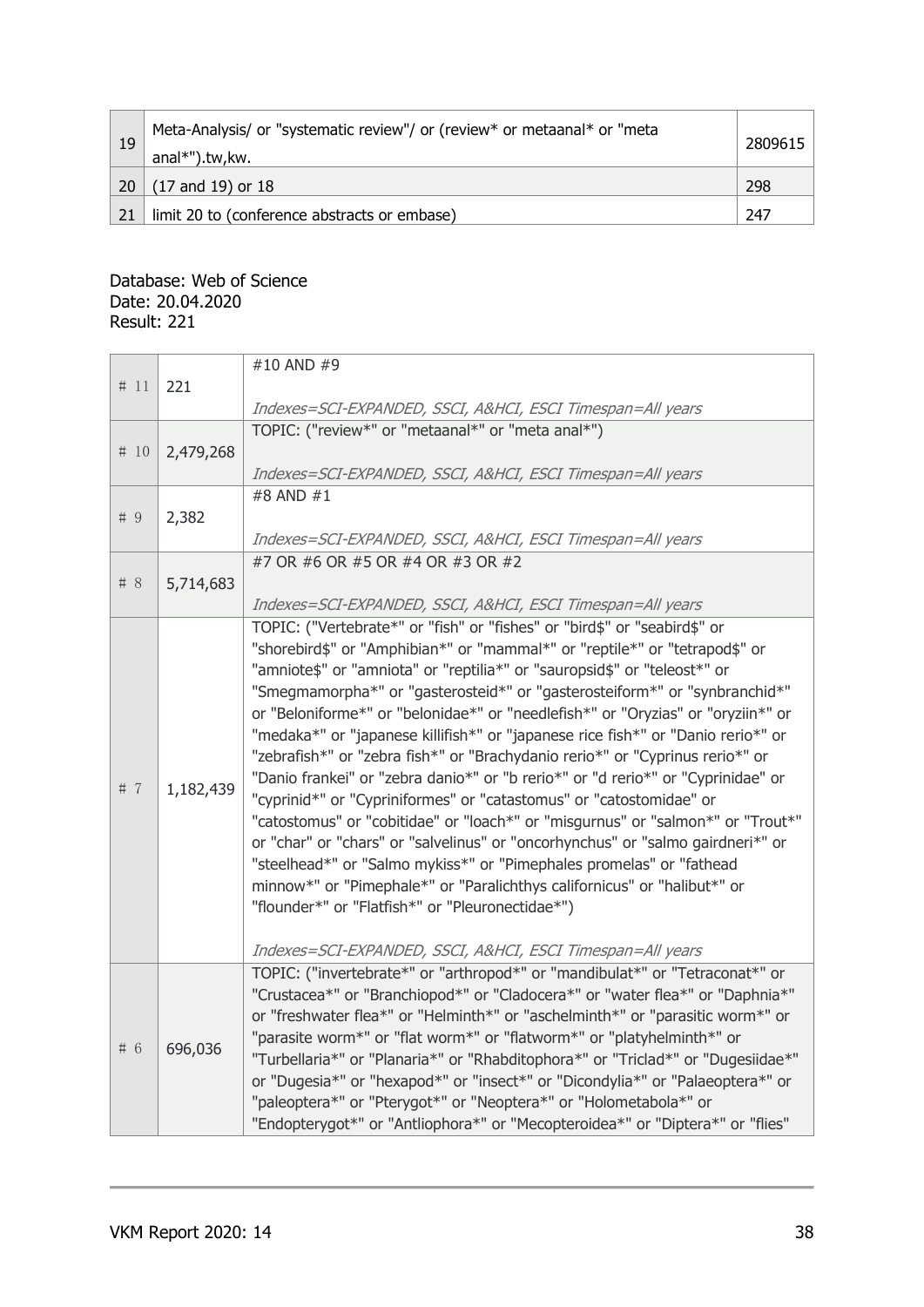| 19 | Meta-Analysis/ or "systematic review"/ or (review* or metaanal* or "meta | 2809615 |  |
|----|--------------------------------------------------------------------------|---------|--|
|    | anal*").tw, kw.                                                          |         |  |
| 20 | (17 and 19) or 18                                                        | 298     |  |
| 21 | limit 20 to (conference abstracts or embase)                             | 247     |  |

#### Database: Web of Science Date: 20.04.2020 Result: 221

|        |           | #10 AND #9                                                                       |
|--------|-----------|----------------------------------------------------------------------------------|
| # 11   | 221       |                                                                                  |
|        |           | Indexes=SCI-EXPANDED, SSCI, A&HCI, ESCI Timespan=All years                       |
|        |           | TOPIC: ("review*" or "metaanal*" or "meta anal*")                                |
| # 10   | 2,479,268 |                                                                                  |
|        |           | Indexes=SCI-EXPANDED, SSCI, A&HCI, ESCI Timespan=All years                       |
|        |           | #8 AND #1                                                                        |
| # $9$  | 2,382     |                                                                                  |
|        |           | Indexes=SCI-EXPANDED, SSCI, A&HCI, ESCI Timespan=All years                       |
|        |           | #7 OR #6 OR #5 OR #4 OR #3 OR #2                                                 |
| $\#$ 8 | 5,714,683 |                                                                                  |
|        |           | Indexes=SCI-EXPANDED, SSCI, A&HCI, ESCI Timespan=All years                       |
|        |           | TOPIC: ("Vertebrate*" or "fish" or "fishes" or "bird\$" or "seabird\$" or        |
|        |           | "shorebird\$" or "Amphibian*" or "mammal*" or "reptile*" or "tetrapod\$" or      |
|        |           | "amniote\$" or "amniota" or "reptilia*" or "sauropsid\$" or "teleost*" or        |
|        |           | "Smegmamorpha*" or "gasterosteid*" or "gasterosteiform*" or "synbranchid*"       |
|        |           | or "Beloniforme*" or "belonidae*" or "needlefish*" or "Oryzias" or "oryziin*" or |
|        |           | "medaka*" or "japanese killifish*" or "japanese rice fish*" or "Danio rerio*" or |
|        |           | "zebrafish*" or "zebra fish*" or "Brachydanio rerio*" or "Cyprinus rerio*" or    |
|        |           | "Danio frankei" or "zebra danio*" or "b rerio*" or "d rerio*" or "Cyprinidae" or |
| # $7$  | 1,182,439 | "cyprinid*" or "Cypriniformes" or "catastomus" or "catostomidae" or              |
|        |           |                                                                                  |
|        |           | "catostomus" or "cobitidae" or "loach*" or "misgurnus" or "salmon*" or "Trout*"  |
|        |           | or "char" or "chars" or "salvelinus" or "oncorhynchus" or "salmo gairdneri*" or  |
|        |           | "steelhead*" or "Salmo mykiss*" or "Pimephales promelas" or "fathead             |
|        |           | minnow*" or "Pimephale*" or "Paralichthys californicus" or "halibut*" or         |
|        |           | "flounder*" or "Flatfish*" or "Pleuronectidae*")                                 |
|        |           |                                                                                  |
|        |           | Indexes=SCI-EXPANDED, SSCI, A&HCI, ESCI Timespan=All years                       |
|        |           | TOPIC: ("invertebrate*" or "arthropod*" or "mandibulat*" or "Tetraconat*" or     |
|        |           | "Crustacea*" or "Branchiopod*" or "Cladocera*" or "water flea*" or "Daphnia*"    |
|        |           | or "freshwater flea*" or "Helminth*" or "aschelminth*" or "parasitic worm*" or   |
| # 6    |           | "parasite worm*" or "flat worm*" or "flatworm*" or "platyhelminth*" or           |
|        | 696,036   | "Turbellaria*" or "Planaria*" or "Rhabditophora*" or "Triclad*" or "Dugesiidae*" |
|        |           | or "Dugesia*" or "hexapod*" or "insect*" or "Dicondylia*" or "Palaeoptera*" or   |
|        |           | "paleoptera*" or "Pterygot*" or "Neoptera*" or "Holometabola*" or                |
|        |           | "Endopterygot*" or "Antliophora*" or "Mecopteroidea*" or "Diptera*" or "flies"   |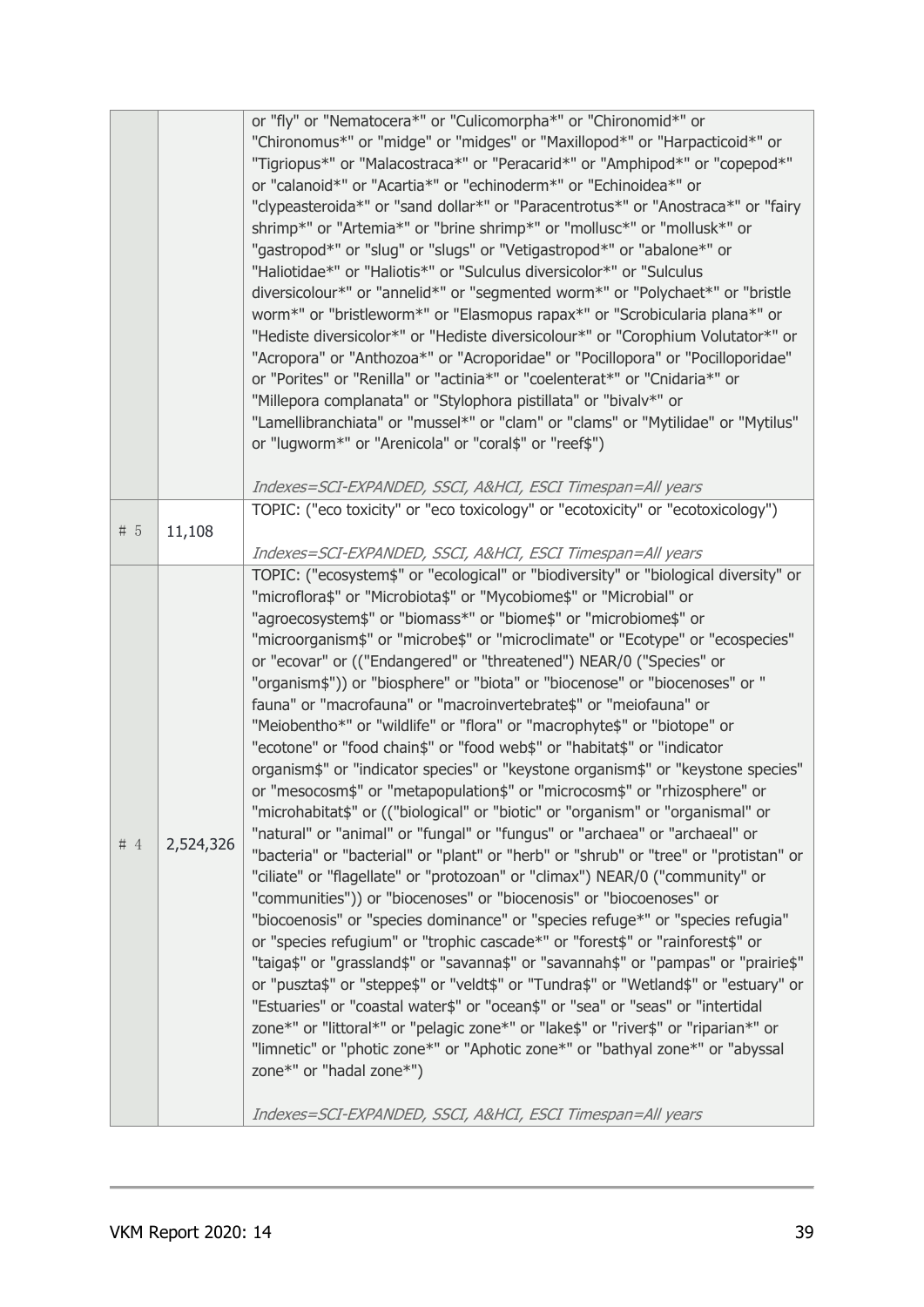| or "fly" or "Nematocera*" or "Culicomorpha*" or "Chironomid*" or<br>"Chironomus*" or "midge" or "midges" or "Maxillopod*" or "Harpacticoid*" or<br>"Tigriopus*" or "Malacostraca*" or "Peracarid*" or "Amphipod*" or "copepod*"<br>or "calanoid*" or "Acartia*" or "echinoderm*" or "Echinoidea*" or<br>"clypeasteroida*" or "sand dollar*" or "Paracentrotus*" or "Anostraca*" or "fairy |  |
|-------------------------------------------------------------------------------------------------------------------------------------------------------------------------------------------------------------------------------------------------------------------------------------------------------------------------------------------------------------------------------------------|--|
|                                                                                                                                                                                                                                                                                                                                                                                           |  |
|                                                                                                                                                                                                                                                                                                                                                                                           |  |
|                                                                                                                                                                                                                                                                                                                                                                                           |  |
|                                                                                                                                                                                                                                                                                                                                                                                           |  |
|                                                                                                                                                                                                                                                                                                                                                                                           |  |
| shrimp*" or "Artemia*" or "brine shrimp*" or "mollusc*" or "mollusk*" or                                                                                                                                                                                                                                                                                                                  |  |
| "gastropod*" or "slug" or "slugs" or "Vetigastropod*" or "abalone*" or                                                                                                                                                                                                                                                                                                                    |  |
| "Haliotidae*" or "Haliotis*" or "Sulculus diversicolor*" or "Sulculus                                                                                                                                                                                                                                                                                                                     |  |
| diversicolour*" or "annelid*" or "segmented worm*" or "Polychaet*" or "bristle                                                                                                                                                                                                                                                                                                            |  |
| worm*" or "bristleworm*" or "Elasmopus rapax*" or "Scrobicularia plana*" or                                                                                                                                                                                                                                                                                                               |  |
| "Hediste diversicolor*" or "Hediste diversicolour*" or "Corophium Volutator*" or                                                                                                                                                                                                                                                                                                          |  |
| "Acropora" or "Anthozoa*" or "Acroporidae" or "Pocillopora" or "Pocilloporidae"                                                                                                                                                                                                                                                                                                           |  |
| or "Porites" or "Renilla" or "actinia*" or "coelenterat*" or "Cnidaria*" or                                                                                                                                                                                                                                                                                                               |  |
| "Millepora complanata" or "Stylophora pistillata" or "bivalv*" or                                                                                                                                                                                                                                                                                                                         |  |
| "Lamellibranchiata" or "mussel*" or "clam" or "clams" or "Mytilidae" or "Mytilus"                                                                                                                                                                                                                                                                                                         |  |
| or "lugworm*" or "Arenicola" or "coral\$" or "reef\$")                                                                                                                                                                                                                                                                                                                                    |  |
|                                                                                                                                                                                                                                                                                                                                                                                           |  |
| Indexes=SCI-EXPANDED, SSCI, A&HCI, ESCI Timespan=All years                                                                                                                                                                                                                                                                                                                                |  |
| TOPIC: ("eco toxicity" or "eco toxicology" or "ecotoxicity" or "ecotoxicology")                                                                                                                                                                                                                                                                                                           |  |
| # $5$<br>11,108                                                                                                                                                                                                                                                                                                                                                                           |  |
| Indexes=SCI-EXPANDED, SSCI, A&HCI, ESCI Timespan=All years                                                                                                                                                                                                                                                                                                                                |  |
| TOPIC: ("ecosystem\$" or "ecological" or "biodiversity" or "biological diversity" or                                                                                                                                                                                                                                                                                                      |  |
| "microflora\$" or "Microbiota\$" or "Mycobiome\$" or "Microbial" or                                                                                                                                                                                                                                                                                                                       |  |
| "agroecosystem\$" or "biomass*" or "biome\$" or "microbiome\$" or                                                                                                                                                                                                                                                                                                                         |  |
| "microorganism\$" or "microbe\$" or "microclimate" or "Ecotype" or "ecospecies"                                                                                                                                                                                                                                                                                                           |  |
| or "ecovar" or (("Endangered" or "threatened") NEAR/0 ("Species" or                                                                                                                                                                                                                                                                                                                       |  |
|                                                                                                                                                                                                                                                                                                                                                                                           |  |
| "organism\$")) or "biosphere" or "biota" or "biocenose" or "biocenoses" or "                                                                                                                                                                                                                                                                                                              |  |
| fauna" or "macrofauna" or "macroinvertebrate\$" or "meiofauna" or                                                                                                                                                                                                                                                                                                                         |  |
| "Meiobentho*" or "wildlife" or "flora" or "macrophyte\$" or "biotope" or                                                                                                                                                                                                                                                                                                                  |  |
| "ecotone" or "food chain\$" or "food web\$" or "habitat\$" or "indicator                                                                                                                                                                                                                                                                                                                  |  |
| organism\$" or "indicator species" or "keystone organism\$" or "keystone species"                                                                                                                                                                                                                                                                                                         |  |
| or "mesocosm\$" or "metapopulation\$" or "microcosm\$" or "rhizosphere" or                                                                                                                                                                                                                                                                                                                |  |
| "microhabitat\$" or (("biological" or "biotic" or "organism" or "organismal" or                                                                                                                                                                                                                                                                                                           |  |
| "natural" or "animal" or "fungal" or "fungus" or "archaea" or "archaeal" or<br>#4<br>2,524,326                                                                                                                                                                                                                                                                                            |  |
| "bacteria" or "bacterial" or "plant" or "herb" or "shrub" or "tree" or "protistan" or                                                                                                                                                                                                                                                                                                     |  |
| "ciliate" or "flagellate" or "protozoan" or "climax") NEAR/0 ("community" or                                                                                                                                                                                                                                                                                                              |  |
| "communities")) or "biocenoses" or "biocenosis" or "biocoenoses" or                                                                                                                                                                                                                                                                                                                       |  |
| "biocoenosis" or "species dominance" or "species refuge*" or "species refugia"                                                                                                                                                                                                                                                                                                            |  |
| or "species refugium" or "trophic cascade*" or "forest\$" or "rainforest\$" or                                                                                                                                                                                                                                                                                                            |  |
| "taiga\$" or "grassland\$" or "savanna\$" or "savannah\$" or "pampas" or "prairie\$"                                                                                                                                                                                                                                                                                                      |  |
| or "puszta\$" or "steppe\$" or "veldt\$" or "Tundra\$" or "Wetland\$" or "estuary" or                                                                                                                                                                                                                                                                                                     |  |
| "Estuaries" or "coastal water\$" or "ocean\$" or "sea" or "seas" or "intertidal                                                                                                                                                                                                                                                                                                           |  |
| zone*" or "littoral*" or "pelagic zone*" or "lake\$" or "river\$" or "riparian*" or                                                                                                                                                                                                                                                                                                       |  |
| "limnetic" or "photic zone*" or "Aphotic zone*" or "bathyal zone*" or "abyssal                                                                                                                                                                                                                                                                                                            |  |
| zone*" or "hadal zone*")                                                                                                                                                                                                                                                                                                                                                                  |  |
|                                                                                                                                                                                                                                                                                                                                                                                           |  |
|                                                                                                                                                                                                                                                                                                                                                                                           |  |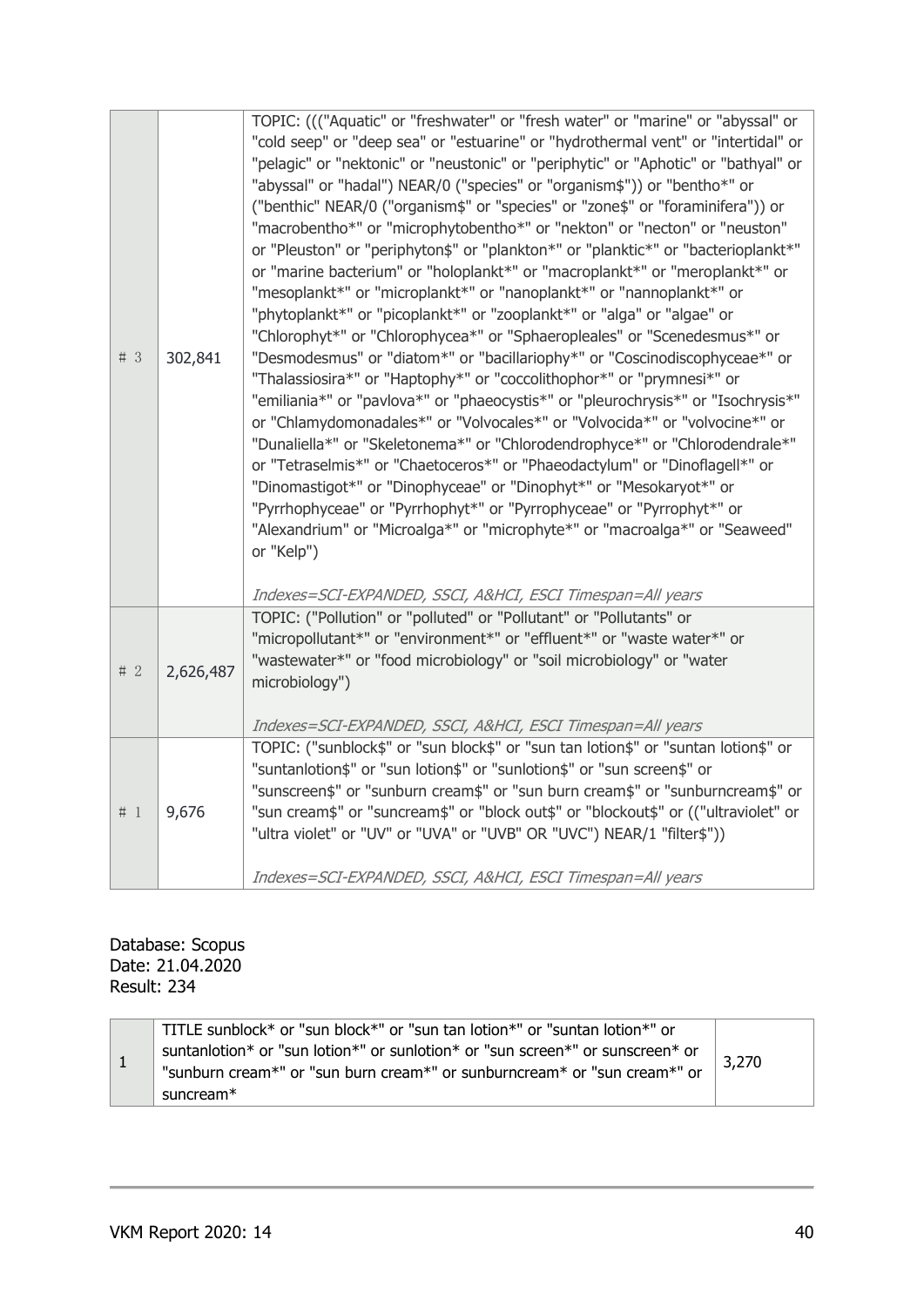| # $3$ | 302,841   | TOPIC: ((("Aquatic" or "freshwater" or "fresh water" or "marine" or "abyssal" or<br>"cold seep" or "deep sea" or "estuarine" or "hydrothermal vent" or "intertidal" or<br>"pelagic" or "nektonic" or "neustonic" or "periphytic" or "Aphotic" or "bathyal" or<br>"abyssal" or "hadal") NEAR/0 ("species" or "organism\$")) or "bentho*" or<br>("benthic" NEAR/0 ("organism\$" or "species" or "zone\$" or "foraminifera")) or<br>"macrobentho*" or "microphytobentho*" or "nekton" or "necton" or "neuston"<br>or "Pleuston" or "periphyton\$" or "plankton*" or "planktic*" or "bacterioplankt*"<br>or "marine bacterium" or "holoplankt*" or "macroplankt*" or "meroplankt*" or<br>"mesoplankt*" or "microplankt*" or "nanoplankt*" or "nannoplankt*" or<br>"phytoplankt*" or "picoplankt*" or "zooplankt*" or "alga" or "algae" or<br>"Chlorophyt*" or "Chlorophycea*" or "Sphaeropleales" or "Scenedesmus*" or<br>"Desmodesmus" or "diatom*" or "bacillariophy*" or "Coscinodiscophyceae*" or<br>"Thalassiosira*" or "Haptophy*" or "coccolithophor*" or "prymnesi*" or<br>"emiliania*" or "pavlova*" or "phaeocystis*" or "pleurochrysis*" or "Isochrysis*"<br>or "Chlamydomonadales*" or "Volvocales*" or "Volvocida*" or "volvocine*" or<br>"Dunaliella*" or "Skeletonema*" or "Chlorodendrophyce*" or "Chlorodendrale*"<br>or "Tetraselmis*" or "Chaetoceros*" or "Phaeodactylum" or "Dinoflagell*" or<br>"Dinomastigot*" or "Dinophyceae" or "Dinophyt*" or "Mesokaryot*" or<br>"Pyrrhophyceae" or "Pyrrhophyt*" or "Pyrrophyceae" or "Pyrrophyt*" or<br>"Alexandrium" or "Microalga*" or "microphyte*" or "macroalga*" or "Seaweed"<br>or "Kelp") |
|-------|-----------|-------------------------------------------------------------------------------------------------------------------------------------------------------------------------------------------------------------------------------------------------------------------------------------------------------------------------------------------------------------------------------------------------------------------------------------------------------------------------------------------------------------------------------------------------------------------------------------------------------------------------------------------------------------------------------------------------------------------------------------------------------------------------------------------------------------------------------------------------------------------------------------------------------------------------------------------------------------------------------------------------------------------------------------------------------------------------------------------------------------------------------------------------------------------------------------------------------------------------------------------------------------------------------------------------------------------------------------------------------------------------------------------------------------------------------------------------------------------------------------------------------------------------------------------------------------------------------------------------------------------------------------------------------------|
|       |           | Indexes=SCI-EXPANDED, SSCI, A&HCI, ESCI Timespan=All years                                                                                                                                                                                                                                                                                                                                                                                                                                                                                                                                                                                                                                                                                                                                                                                                                                                                                                                                                                                                                                                                                                                                                                                                                                                                                                                                                                                                                                                                                                                                                                                                  |
| # $2$ | 2,626,487 | TOPIC: ("Pollution" or "polluted" or "Pollutant" or "Pollutants" or<br>"micropollutant*" or "environment*" or "effluent*" or "waste water*" or<br>"wastewater*" or "food microbiology" or "soil microbiology" or "water<br>microbiology")                                                                                                                                                                                                                                                                                                                                                                                                                                                                                                                                                                                                                                                                                                                                                                                                                                                                                                                                                                                                                                                                                                                                                                                                                                                                                                                                                                                                                   |
|       |           | Indexes=SCI-EXPANDED, SSCI, A&HCI, ESCI Timespan=All years                                                                                                                                                                                                                                                                                                                                                                                                                                                                                                                                                                                                                                                                                                                                                                                                                                                                                                                                                                                                                                                                                                                                                                                                                                                                                                                                                                                                                                                                                                                                                                                                  |
| #1    | 9,676     | TOPIC: ("sunblock\$" or "sun block\$" or "sun tan lotion\$" or "suntan lotion\$" or<br>"suntanlotion\$" or "sun lotion\$" or "sunlotion\$" or "sun screen\$" or<br>"sunscreen\$" or "sunburn cream\$" or "sun burn cream\$" or "sunburncream\$" or<br>"sun cream\$" or "suncream\$" or "block out\$" or "blockout\$" or (("ultraviolet" or<br>"ultra violet" or "UV" or "UVA" or "UVB" OR "UVC") NEAR/1 "filter\$"))<br>Indexes=SCI-EXPANDED, SSCI, A&HCI, ESCI Timespan=All years                                                                                                                                                                                                                                                                                                                                                                                                                                                                                                                                                                                                                                                                                                                                                                                                                                                                                                                                                                                                                                                                                                                                                                          |

Database: Scopus Date: 21.04.2020 Result: 234

|  | <sup>1</sup> TITLE sunblock* or "sun block*" or "sun tan lotion*" or "suntan lotion*" or<br>suntanlotion* or "sun lotion*" or sunlotion* or "sun screen*" or sunscreen* or<br>"sunburn cream*" or "sun burn cream*" or sunburncream* or "sun cream*" or<br>suncream <sup>*</sup> | 3,270 |
|--|----------------------------------------------------------------------------------------------------------------------------------------------------------------------------------------------------------------------------------------------------------------------------------|-------|
|--|----------------------------------------------------------------------------------------------------------------------------------------------------------------------------------------------------------------------------------------------------------------------------------|-------|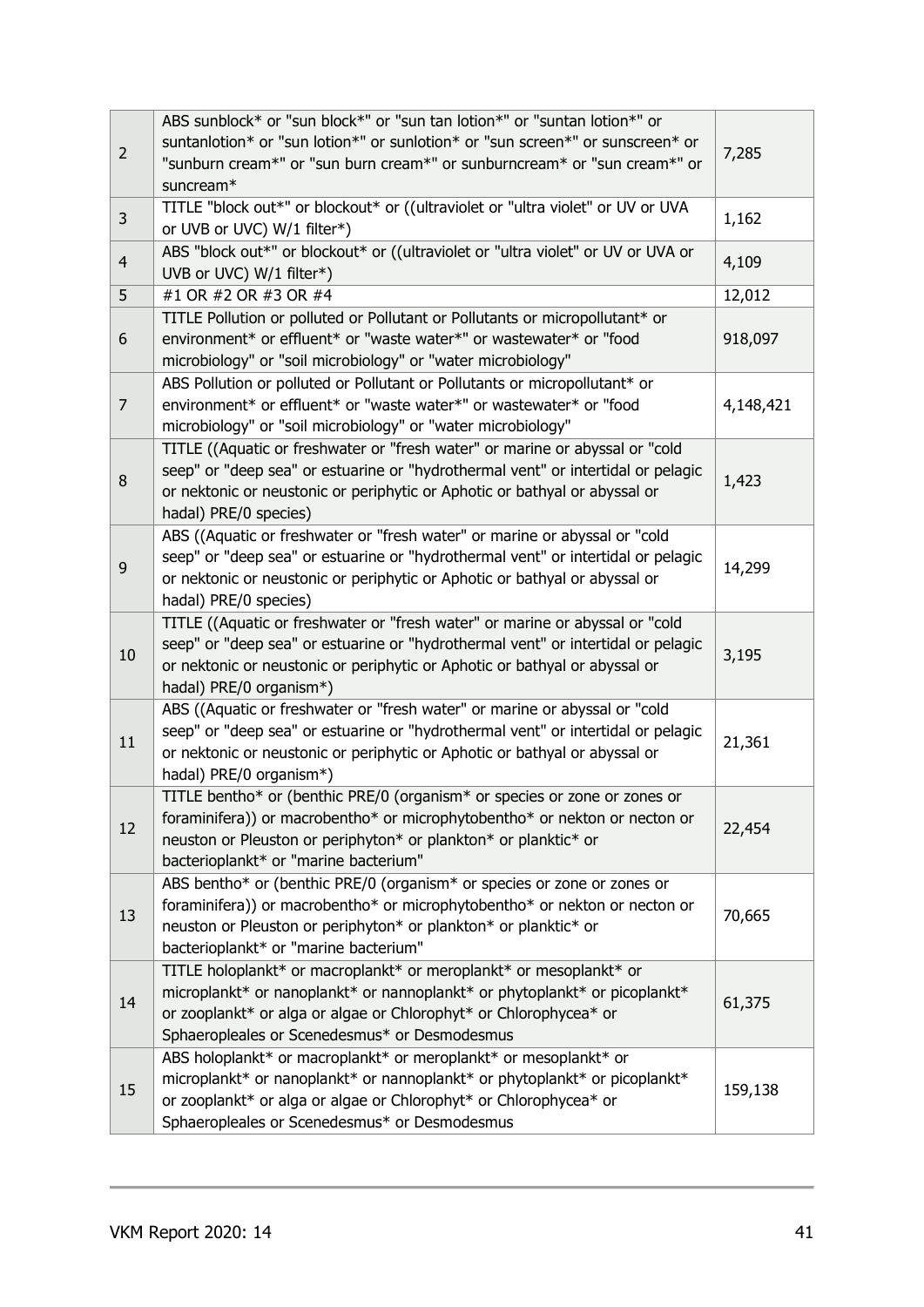|                | ABS sunblock* or "sun block*" or "sun tan lotion*" or "suntan lotion*" or        |           |
|----------------|----------------------------------------------------------------------------------|-----------|
|                | suntanlotion* or "sun lotion*" or sunlotion* or "sun screen*" or sunscreen* or   |           |
| $\overline{2}$ | "sunburn cream*" or "sun burn cream*" or sunburncream* or "sun cream*" or        | 7,285     |
|                | suncream*                                                                        |           |
|                | TITLE "block out*" or blockout* or ((ultraviolet or "ultra violet" or UV or UVA  |           |
| 3              | or UVB or UVC) W/1 filter*)                                                      | 1,162     |
|                | ABS "block out*" or blockout* or ((ultraviolet or "ultra violet" or UV or UVA or |           |
| $\overline{4}$ | UVB or UVC) W/1 filter*)                                                         | 4,109     |
|                |                                                                                  |           |
| 5              | #1 OR #2 OR #3 OR #4                                                             | 12,012    |
|                | TITLE Pollution or polluted or Pollutant or Pollutants or micropollutant* or     |           |
| 6              | environment* or effluent* or "waste water*" or wastewater* or "food              | 918,097   |
|                | microbiology" or "soil microbiology" or "water microbiology"                     |           |
|                | ABS Pollution or polluted or Pollutant or Pollutants or micropollutant* or       |           |
| $\overline{7}$ | environment* or effluent* or "waste water*" or wastewater* or "food              | 4,148,421 |
|                | microbiology" or "soil microbiology" or "water microbiology"                     |           |
|                | TITLE ((Aquatic or freshwater or "fresh water" or marine or abyssal or "cold     |           |
| 8              | seep" or "deep sea" or estuarine or "hydrothermal vent" or intertidal or pelagic | 1,423     |
|                | or nektonic or neustonic or periphytic or Aphotic or bathyal or abyssal or       |           |
|                | hadal) PRE/0 species)                                                            |           |
|                | ABS ((Aquatic or freshwater or "fresh water" or marine or abyssal or "cold       |           |
|                | seep" or "deep sea" or estuarine or "hydrothermal vent" or intertidal or pelagic |           |
| 9              | or nektonic or neustonic or periphytic or Aphotic or bathyal or abyssal or       | 14,299    |
|                | hadal) PRE/0 species)                                                            |           |
|                | TITLE ((Aquatic or freshwater or "fresh water" or marine or abyssal or "cold     |           |
|                | seep" or "deep sea" or estuarine or "hydrothermal vent" or intertidal or pelagic |           |
| 10             | or nektonic or neustonic or periphytic or Aphotic or bathyal or abyssal or       | 3,195     |
|                | hadal) PRE/0 organism*)                                                          |           |
|                | ABS ((Aquatic or freshwater or "fresh water" or marine or abyssal or "cold       |           |
|                | seep" or "deep sea" or estuarine or "hydrothermal vent" or intertidal or pelagic |           |
| 11             | or nektonic or neustonic or periphytic or Aphotic or bathyal or abyssal or       | 21,361    |
|                | hadal) PRE/0 organism*)                                                          |           |
|                | TITLE bentho* or (benthic PRE/0 (organism* or species or zone or zones or        |           |
|                | foraminifera)) or macrobentho* or microphytobentho* or nekton or necton or       |           |
| 12             | neuston or Pleuston or periphyton* or plankton* or planktic* or                  | 22,454    |
|                | bacterioplankt* or "marine bacterium"                                            |           |
|                | ABS bentho* or (benthic PRE/0 (organism* or species or zone or zones or          |           |
|                | foraminifera)) or macrobentho* or microphytobentho* or nekton or necton or       |           |
| 13             | neuston or Pleuston or periphyton* or plankton* or planktic* or                  | 70,665    |
|                | bacterioplankt* or "marine bacterium"                                            |           |
|                | TITLE holoplankt* or macroplankt* or meroplankt* or mesoplankt* or               |           |
|                | microplankt* or nanoplankt* or nannoplankt* or phytoplankt* or picoplankt*       |           |
| 14             | or zooplankt* or alga or algae or Chlorophyt* or Chlorophycea* or                | 61,375    |
|                |                                                                                  |           |
|                | Sphaeropleales or Scenedesmus* or Desmodesmus                                    |           |
|                | ABS holoplankt* or macroplankt* or meroplankt* or mesoplankt* or                 |           |
| 15             | microplankt* or nanoplankt* or nannoplankt* or phytoplankt* or picoplankt*       | 159,138   |
|                | or zooplankt* or alga or algae or Chlorophyt* or Chlorophycea* or                |           |
|                | Sphaeropleales or Scenedesmus* or Desmodesmus                                    |           |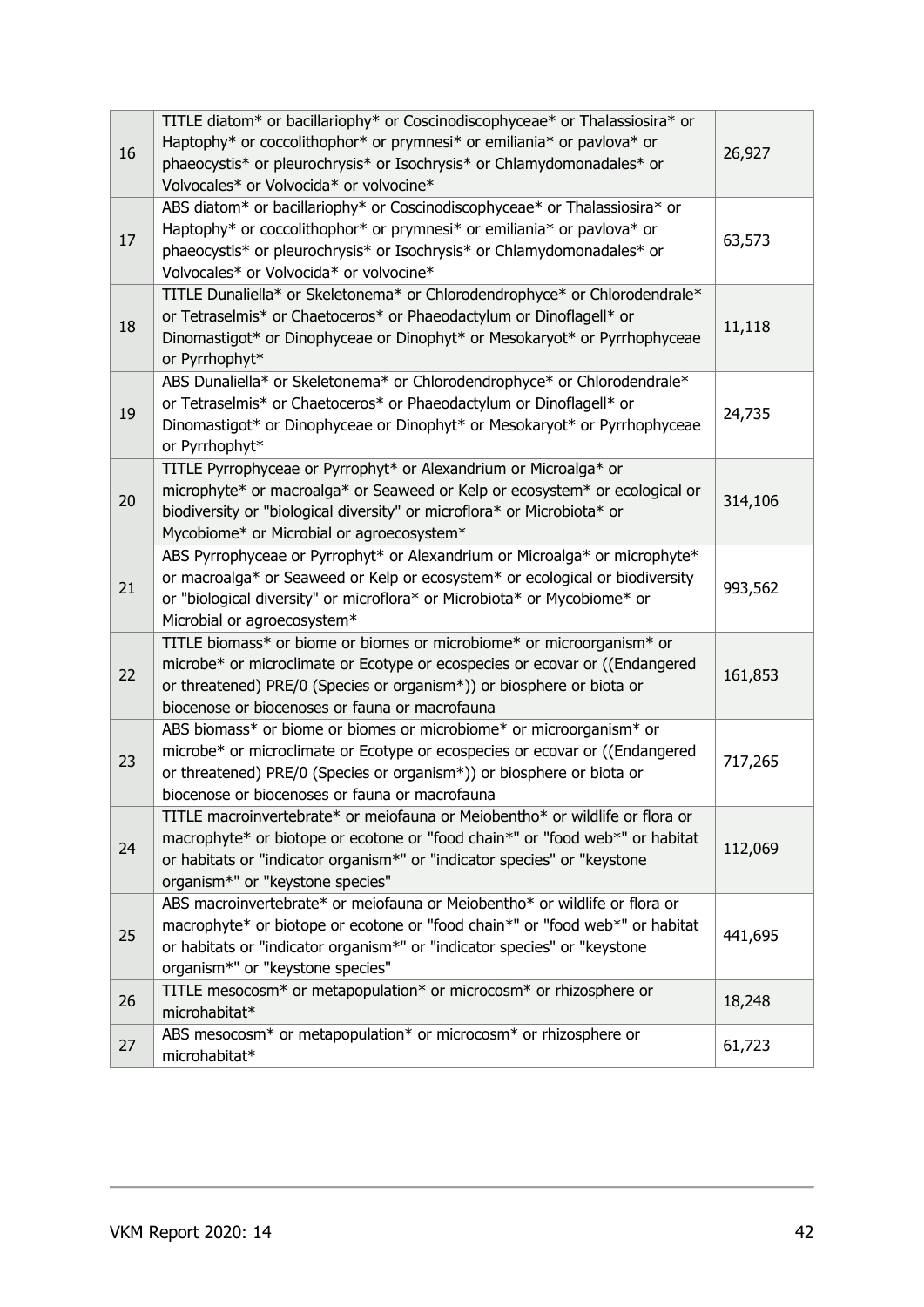| 16 | TITLE diatom* or bacillariophy* or Coscinodiscophyceae* or Thalassiosira* or<br>Haptophy* or coccolithophor* or prymnesi* or emiliania* or pavlova* or<br>phaeocystis* or pleurochrysis* or Isochrysis* or Chlamydomonadales* or<br>Volvocales* or Volvocida* or volvocine*     | 26,927  |
|----|---------------------------------------------------------------------------------------------------------------------------------------------------------------------------------------------------------------------------------------------------------------------------------|---------|
| 17 | ABS diatom* or bacillariophy* or Coscinodiscophyceae* or Thalassiosira* or<br>Haptophy* or coccolithophor* or prymnesi* or emiliania* or pavlova* or<br>phaeocystis* or pleurochrysis* or Isochrysis* or Chlamydomonadales* or<br>Volvocales* or Volvocida* or volvocine*       | 63,573  |
| 18 | TITLE Dunaliella* or Skeletonema* or Chlorodendrophyce* or Chlorodendrale*<br>or Tetraselmis* or Chaetoceros* or Phaeodactylum or Dinoflagell* or<br>Dinomastigot* or Dinophyceae or Dinophyt* or Mesokaryot* or Pyrrhophyceae<br>or Pyrrhophyt*                                | 11,118  |
| 19 | ABS Dunaliella* or Skeletonema* or Chlorodendrophyce* or Chlorodendrale*<br>or Tetraselmis* or Chaetoceros* or Phaeodactylum or Dinoflagell* or<br>Dinomastigot* or Dinophyceae or Dinophyt* or Mesokaryot* or Pyrrhophyceae<br>or Pyrrhophyt*                                  | 24,735  |
| 20 | TITLE Pyrrophyceae or Pyrrophyt* or Alexandrium or Microalga* or<br>microphyte* or macroalga* or Seaweed or Kelp or ecosystem* or ecological or<br>biodiversity or "biological diversity" or microflora* or Microbiota* or<br>Mycobiome* or Microbial or agroecosystem*         | 314,106 |
| 21 | ABS Pyrrophyceae or Pyrrophyt* or Alexandrium or Microalga* or microphyte*<br>or macroalga* or Seaweed or Kelp or ecosystem* or ecological or biodiversity<br>or "biological diversity" or microflora* or Microbiota* or Mycobiome* or<br>Microbial or agroecosystem*           | 993,562 |
| 22 | TITLE biomass* or biome or biomes or microbiome* or microorganism* or<br>microbe* or microclimate or Ecotype or ecospecies or ecovar or ((Endangered<br>or threatened) PRE/0 (Species or organism*)) or biosphere or biota or<br>biocenose or biocenoses or fauna or macrofauna | 161,853 |
| 23 | ABS biomass* or biome or biomes or microbiome* or microorganism* or<br>microbe* or microclimate or Ecotype or ecospecies or ecovar or ((Endangered<br>or threatened) PRE/0 (Species or organism*)) or biosphere or biota or<br>biocenose or biocenoses or fauna or macrofauna   | 717,265 |
| 24 | TITLE macroinvertebrate* or meiofauna or Meiobentho* or wildlife or flora or<br>macrophyte* or biotope or ecotone or "food chain*" or "food web*" or habitat<br>or habitats or "indicator organism*" or "indicator species" or "keystone<br>organism*" or "keystone species"    | 112,069 |
| 25 | ABS macroinvertebrate* or meiofauna or Meiobentho* or wildlife or flora or<br>macrophyte* or biotope or ecotone or "food chain*" or "food web*" or habitat<br>or habitats or "indicator organism*" or "indicator species" or "keystone<br>organism*" or "keystone species"      | 441,695 |
| 26 | TITLE mesocosm* or metapopulation* or microcosm* or rhizosphere or<br>microhabitat*                                                                                                                                                                                             | 18,248  |
| 27 | ABS mesocosm* or metapopulation* or microcosm* or rhizosphere or<br>microhabitat*                                                                                                                                                                                               | 61,723  |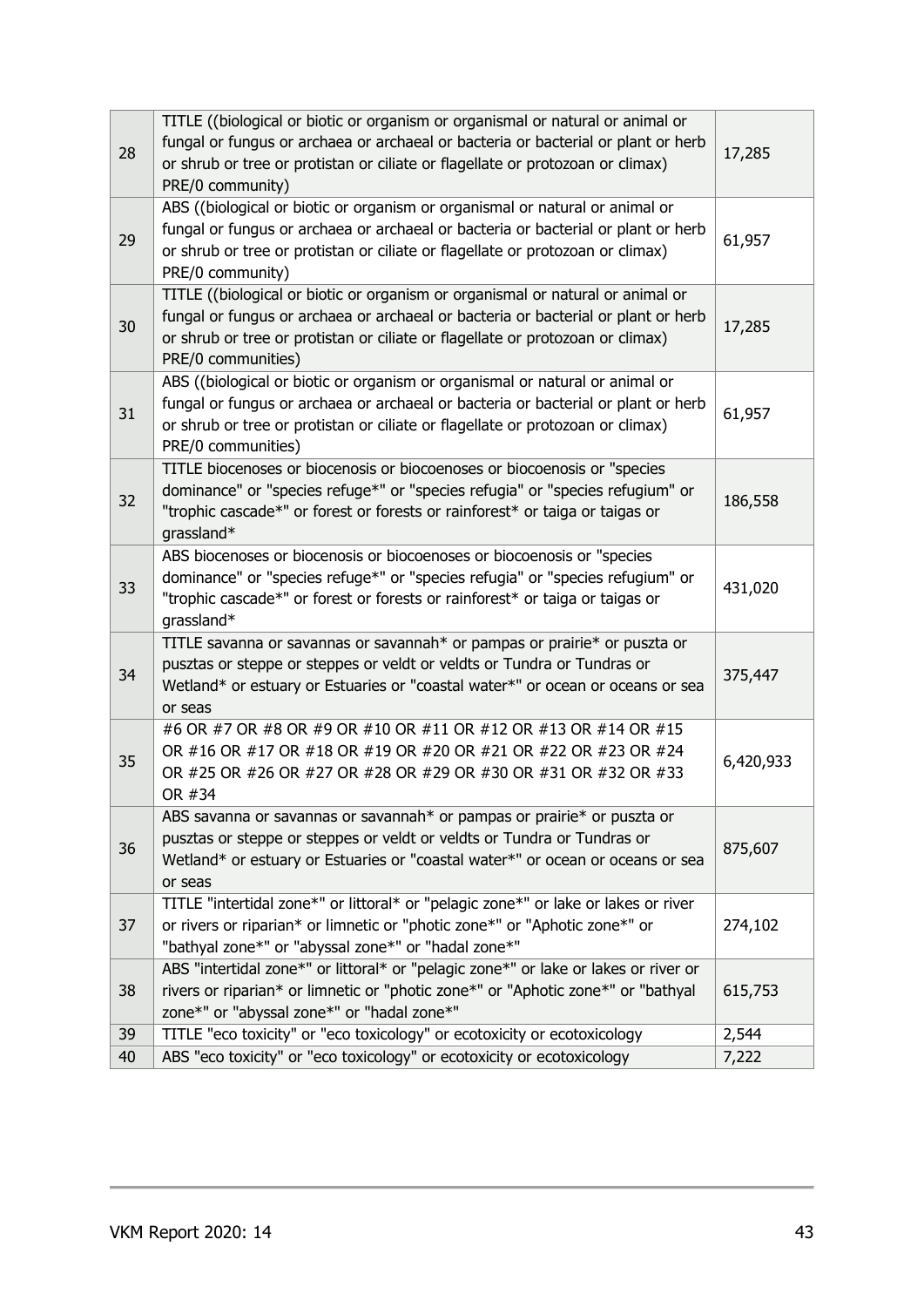| 28 | TITLE ((biological or biotic or organism or organismal or natural or animal or<br>fungal or fungus or archaea or archaeal or bacteria or bacterial or plant or herb<br>or shrub or tree or protistan or ciliate or flagellate or protozoan or climax)<br>PRE/0 community)   | 17,285    |
|----|-----------------------------------------------------------------------------------------------------------------------------------------------------------------------------------------------------------------------------------------------------------------------------|-----------|
| 29 | ABS ((biological or biotic or organism or organismal or natural or animal or<br>fungal or fungus or archaea or archaeal or bacteria or bacterial or plant or herb<br>or shrub or tree or protistan or ciliate or flagellate or protozoan or climax)<br>PRE/0 community)     | 61,957    |
| 30 | TITLE ((biological or biotic or organism or organismal or natural or animal or<br>fungal or fungus or archaea or archaeal or bacteria or bacterial or plant or herb<br>or shrub or tree or protistan or ciliate or flagellate or protozoan or climax)<br>PRE/0 communities) | 17,285    |
| 31 | ABS ((biological or biotic or organism or organismal or natural or animal or<br>fungal or fungus or archaea or archaeal or bacteria or bacterial or plant or herb<br>or shrub or tree or protistan or ciliate or flagellate or protozoan or climax)<br>PRE/0 communities)   | 61,957    |
| 32 | TITLE biocenoses or biocenosis or biocoenoses or biocoenosis or "species<br>dominance" or "species refuge*" or "species refugia" or "species refugium" or<br>"trophic cascade*" or forest or forests or rainforest* or taiga or taigas or<br>grassland*                     | 186,558   |
| 33 | ABS biocenoses or biocenosis or biocoenoses or biocoenosis or "species<br>dominance" or "species refuge*" or "species refugia" or "species refugium" or<br>"trophic cascade*" or forest or forests or rainforest* or taiga or taigas or<br>grassland*                       | 431,020   |
| 34 | TITLE savanna or savannas or savannah* or pampas or prairie* or puszta or<br>pusztas or steppe or steppes or veldt or veldts or Tundra or Tundras or<br>Wetland* or estuary or Estuaries or "coastal water*" or ocean or oceans or sea<br>or seas                           | 375,447   |
| 35 | #6 OR #7 OR #8 OR #9 OR #10 OR #11 OR #12 OR #13 OR #14 OR #15<br>OR #16 OR #17 OR #18 OR #19 OR #20 OR #21 OR #22 OR #23 OR #24<br>OR #25 OR #26 OR #27 OR #28 OR #29 OR #30 OR #31 OR #32 OR #33<br>OR #34                                                                | 6,420,933 |
| 36 | ABS savanna or savannas or savannah* or pampas or prairie* or puszta or<br>pusztas or steppe or steppes or veldt or veldts or Tundra or Tundras or<br>Wetland* or estuary or Estuaries or "coastal water*" or ocean or oceans or sea<br>or seas                             | 875,607   |
| 37 | TITLE "intertidal zone*" or littoral* or "pelagic zone*" or lake or lakes or river<br>or rivers or riparian* or limnetic or "photic zone*" or "Aphotic zone*" or<br>"bathyal zone*" or "abyssal zone*" or "hadal zone*"                                                     | 274,102   |
| 38 | ABS "intertidal zone*" or littoral* or "pelagic zone*" or lake or lakes or river or<br>rivers or riparian* or limnetic or "photic zone*" or "Aphotic zone*" or "bathyal<br>zone*" or "abyssal zone*" or "hadal zone*"                                                       | 615,753   |
| 39 | TITLE "eco toxicity" or "eco toxicology" or ecotoxicity or ecotoxicology                                                                                                                                                                                                    | 2,544     |
| 40 | ABS "eco toxicity" or "eco toxicology" or ecotoxicity or ecotoxicology                                                                                                                                                                                                      | 7,222     |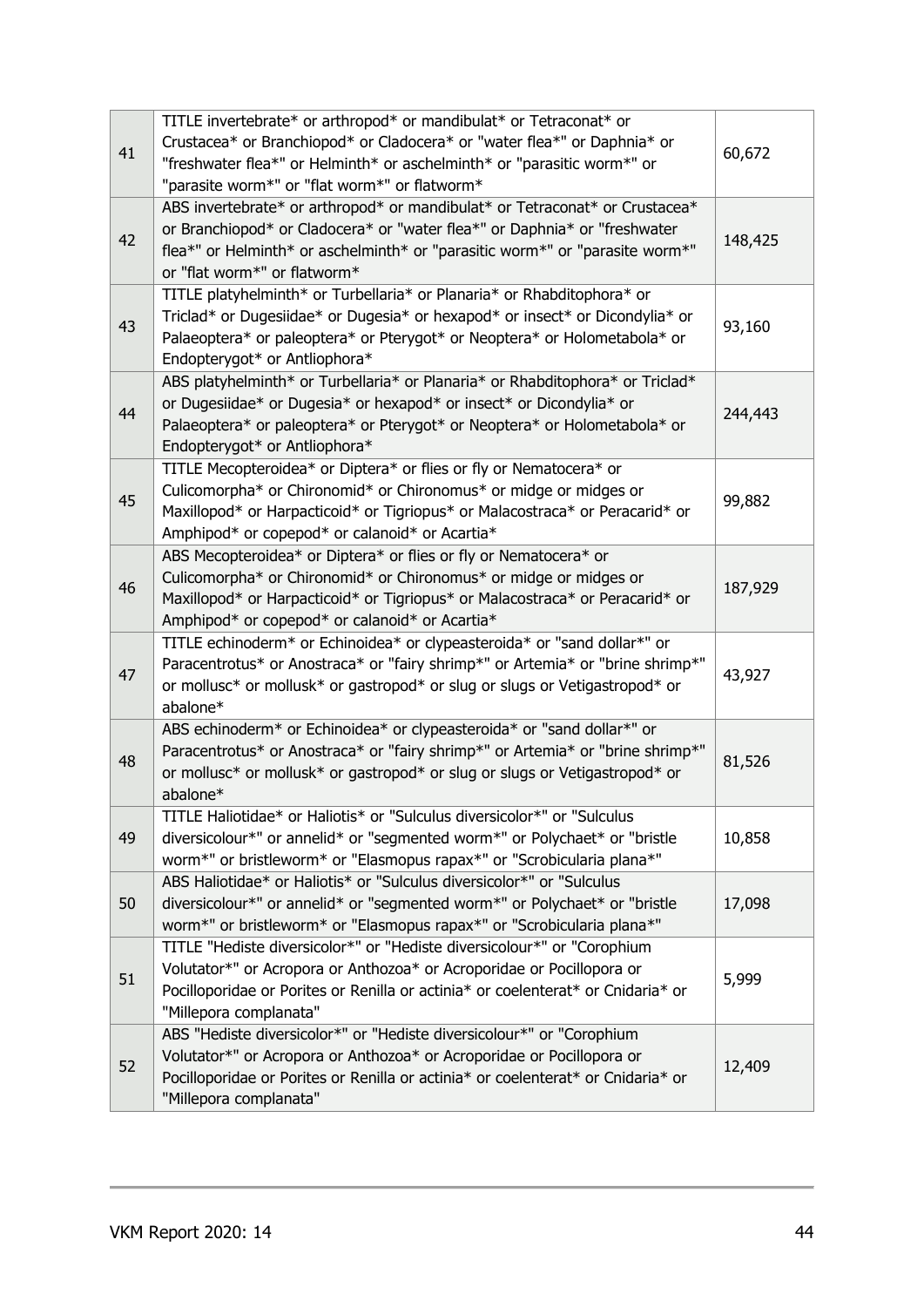| 41 | TITLE invertebrate* or arthropod* or mandibulat* or Tetraconat* or<br>Crustacea* or Branchiopod* or Cladocera* or "water flea*" or Daphnia* or<br>"freshwater flea*" or Helminth* or aschelminth* or "parasitic worm*" or<br>"parasite worm*" or "flat worm*" or flatworm* | 60,672  |
|----|----------------------------------------------------------------------------------------------------------------------------------------------------------------------------------------------------------------------------------------------------------------------------|---------|
| 42 | ABS invertebrate* or arthropod* or mandibulat* or Tetraconat* or Crustacea*<br>or Branchiopod* or Cladocera* or "water flea*" or Daphnia* or "freshwater<br>flea*" or Helminth* or aschelminth* or "parasitic worm*" or "parasite worm*"<br>or "flat worm*" or flatworm*   | 148,425 |
| 43 | TITLE platyhelminth* or Turbellaria* or Planaria* or Rhabditophora* or<br>Triclad* or Dugesiidae* or Dugesia* or hexapod* or insect* or Dicondylia* or<br>Palaeoptera* or paleoptera* or Pterygot* or Neoptera* or Holometabola* or<br>Endopterygot* or Antliophora*       | 93,160  |
| 44 | ABS platyhelminth* or Turbellaria* or Planaria* or Rhabditophora* or Triclad*<br>or Dugesiidae* or Dugesia* or hexapod* or insect* or Dicondylia* or<br>Palaeoptera* or paleoptera* or Pterygot* or Neoptera* or Holometabola* or<br>Endopterygot* or Antliophora*         | 244,443 |
| 45 | TITLE Mecopteroidea* or Diptera* or flies or fly or Nematocera* or<br>Culicomorpha* or Chironomid* or Chironomus* or midge or midges or<br>Maxillopod* or Harpacticoid* or Tigriopus* or Malacostraca* or Peracarid* or<br>Amphipod* or copepod* or calanoid* or Acartia*  | 99,882  |
| 46 | ABS Mecopteroidea* or Diptera* or flies or fly or Nematocera* or<br>Culicomorpha* or Chironomid* or Chironomus* or midge or midges or<br>Maxillopod* or Harpacticoid* or Tigriopus* or Malacostraca* or Peracarid* or<br>Amphipod* or copepod* or calanoid* or Acartia*    | 187,929 |
| 47 | TITLE echinoderm* or Echinoidea* or clypeasteroida* or "sand dollar*" or<br>Paracentrotus* or Anostraca* or "fairy shrimp*" or Artemia* or "brine shrimp*"<br>or mollusc* or mollusk* or gastropod* or slug or slugs or Vetigastropod* or<br>abalone*                      | 43,927  |
| 48 | ABS echinoderm* or Echinoidea* or clypeasteroida* or "sand dollar*" or<br>Paracentrotus* or Anostraca* or "fairy shrimp*" or Artemia* or "brine shrimp*"<br>or mollusc* or mollusk* or gastropod* or slug or slugs or Vetigastropod* or<br>abalone*                        | 81,526  |
| 49 | TITLE Haliotidae* or Haliotis* or "Sulculus diversicolor*" or "Sulculus<br>diversicolour*" or annelid* or "segmented worm*" or Polychaet* or "bristle<br>worm*" or bristleworm* or "Elasmopus rapax*" or "Scrobicularia plana*"                                            | 10,858  |
| 50 | ABS Haliotidae* or Haliotis* or "Sulculus diversicolor*" or "Sulculus<br>diversicolour*" or annelid* or "segmented worm*" or Polychaet* or "bristle<br>worm*" or bristleworm* or "Elasmopus rapax*" or "Scrobicularia plana*"                                              | 17,098  |
| 51 | TITLE "Hediste diversicolor*" or "Hediste diversicolour*" or "Corophium<br>Volutator*" or Acropora or Anthozoa* or Acroporidae or Pocillopora or<br>Pocilloporidae or Porites or Renilla or actinia* or coelenterat* or Cnidaria* or<br>"Millepora complanata"             | 5,999   |
| 52 | ABS "Hediste diversicolor*" or "Hediste diversicolour*" or "Corophium<br>Volutator*" or Acropora or Anthozoa* or Acroporidae or Pocillopora or<br>Pocilloporidae or Porites or Renilla or actinia* or coelenterat* or Cnidaria* or<br>"Millepora complanata"               | 12,409  |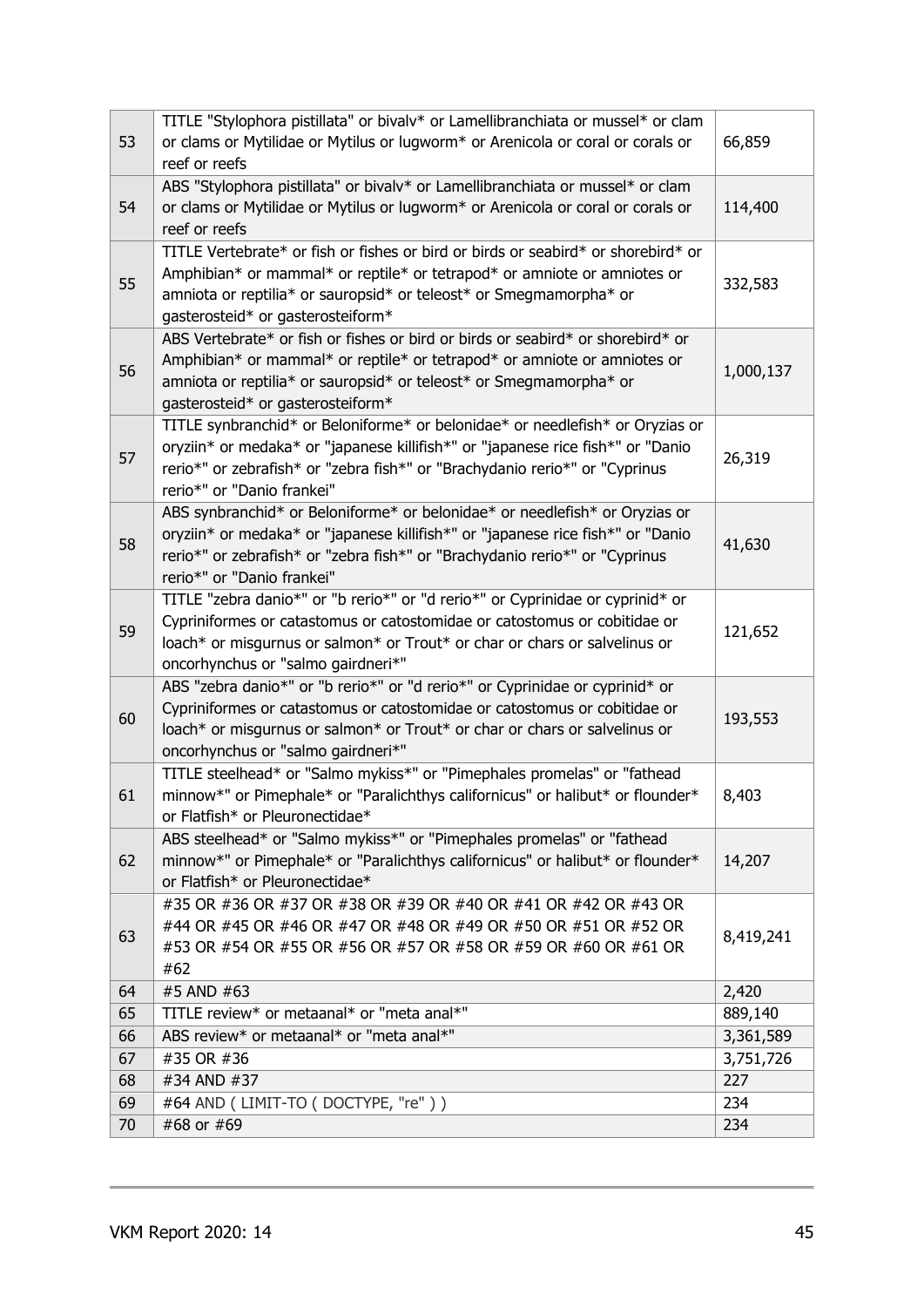|    | TITLE "Stylophora pistillata" or bivalv* or Lamellibranchiata or mussel* or clam                                 |           |
|----|------------------------------------------------------------------------------------------------------------------|-----------|
| 53 | or clams or Mytilidae or Mytilus or lugworm* or Arenicola or coral or corals or                                  | 66,859    |
|    | reef or reefs                                                                                                    |           |
|    | ABS "Stylophora pistillata" or bivalv* or Lamellibranchiata or mussel* or clam                                   |           |
| 54 | or clams or Mytilidae or Mytilus or lugworm* or Arenicola or coral or corals or                                  | 114,400   |
|    | reef or reefs                                                                                                    |           |
|    | TITLE Vertebrate* or fish or fishes or bird or birds or seabird* or shorebird* or                                |           |
| 55 | Amphibian* or mammal* or reptile* or tetrapod* or amniote or amniotes or                                         | 332,583   |
|    | amniota or reptilia* or sauropsid* or teleost* or Smegmamorpha* or                                               |           |
|    | gasterosteid* or gasterosteiform*                                                                                |           |
|    | ABS Vertebrate* or fish or fishes or bird or birds or seabird* or shorebird* or                                  |           |
| 56 | Amphibian* or mammal* or reptile* or tetrapod* or amniote or amniotes or                                         | 1,000,137 |
|    | amniota or reptilia* or sauropsid* or teleost* or Smegmamorpha* or                                               |           |
|    | gasterosteid* or gasterosteiform*                                                                                |           |
|    | TITLE synbranchid* or Beloniforme* or belonidae* or needlefish* or Oryzias or                                    |           |
| 57 | oryziin* or medaka* or "japanese killifish*" or "japanese rice fish*" or "Danio                                  | 26,319    |
|    | rerio*" or zebrafish* or "zebra fish*" or "Brachydanio rerio*" or "Cyprinus                                      |           |
|    | rerio*" or "Danio frankei"                                                                                       |           |
|    | ABS synbranchid* or Beloniforme* or belonidae* or needlefish* or Oryzias or                                      |           |
| 58 | oryziin* or medaka* or "japanese killifish*" or "japanese rice fish*" or "Danio                                  | 41,630    |
|    | rerio*" or zebrafish* or "zebra fish*" or "Brachydanio rerio*" or "Cyprinus                                      |           |
|    | rerio*" or "Danio frankei"                                                                                       |           |
|    | TITLE "zebra danio*" or "b rerio*" or "d rerio*" or Cyprinidae or cyprinid* or                                   |           |
| 59 | Cypriniformes or catastomus or catostomidae or catostomus or cobitidae or                                        | 121,652   |
|    | loach* or misgurnus or salmon* or Trout* or char or chars or salvelinus or                                       |           |
|    | oncorhynchus or "salmo gairdneri*"                                                                               |           |
|    | ABS "zebra danio*" or "b rerio*" or "d rerio*" or Cyprinidae or cyprinid* or                                     |           |
| 60 | Cypriniformes or catastomus or catostomidae or catostomus or cobitidae or                                        | 193,553   |
|    | loach* or misgurnus or salmon* or Trout* or char or chars or salvelinus or<br>oncorhynchus or "salmo gairdneri*" |           |
|    | TITLE steelhead* or "Salmo mykiss*" or "Pimephales promelas" or "fathead                                         |           |
| 61 | minnow*" or Pimephale* or "Paralichthys californicus" or halibut* or flounder*                                   | 8,403     |
|    | or Flatfish* or Pleuronectidae*                                                                                  |           |
|    | ABS steelhead* or "Salmo mykiss*" or "Pimephales promelas" or "fathead                                           |           |
| 62 | minnow*" or Pimephale* or "Paralichthys californicus" or halibut* or flounder*                                   | 14,207    |
|    | or Flatfish* or Pleuronectidae*                                                                                  |           |
|    | #35 OR #36 OR #37 OR #38 OR #39 OR #40 OR #41 OR #42 OR #43 OR                                                   |           |
|    | #44 OR #45 OR #46 OR #47 OR #48 OR #49 OR #50 OR #51 OR #52 OR                                                   |           |
| 63 | #53 OR #54 OR #55 OR #56 OR #57 OR #58 OR #59 OR #60 OR #61 OR                                                   | 8,419,241 |
|    | #62                                                                                                              |           |
| 64 | #5 AND #63                                                                                                       | 2,420     |
| 65 | TITLE review* or metaanal* or "meta anal*"                                                                       | 889,140   |
| 66 | ABS review* or metaanal* or "meta anal*"                                                                         | 3,361,589 |
| 67 | #35 OR #36                                                                                                       | 3,751,726 |
| 68 | #34 AND #37                                                                                                      | 227       |
| 69 | #64 AND (LIMIT-TO (DOCTYPE, "re"))                                                                               | 234       |
| 70 | #68 or #69                                                                                                       | 234       |
|    |                                                                                                                  |           |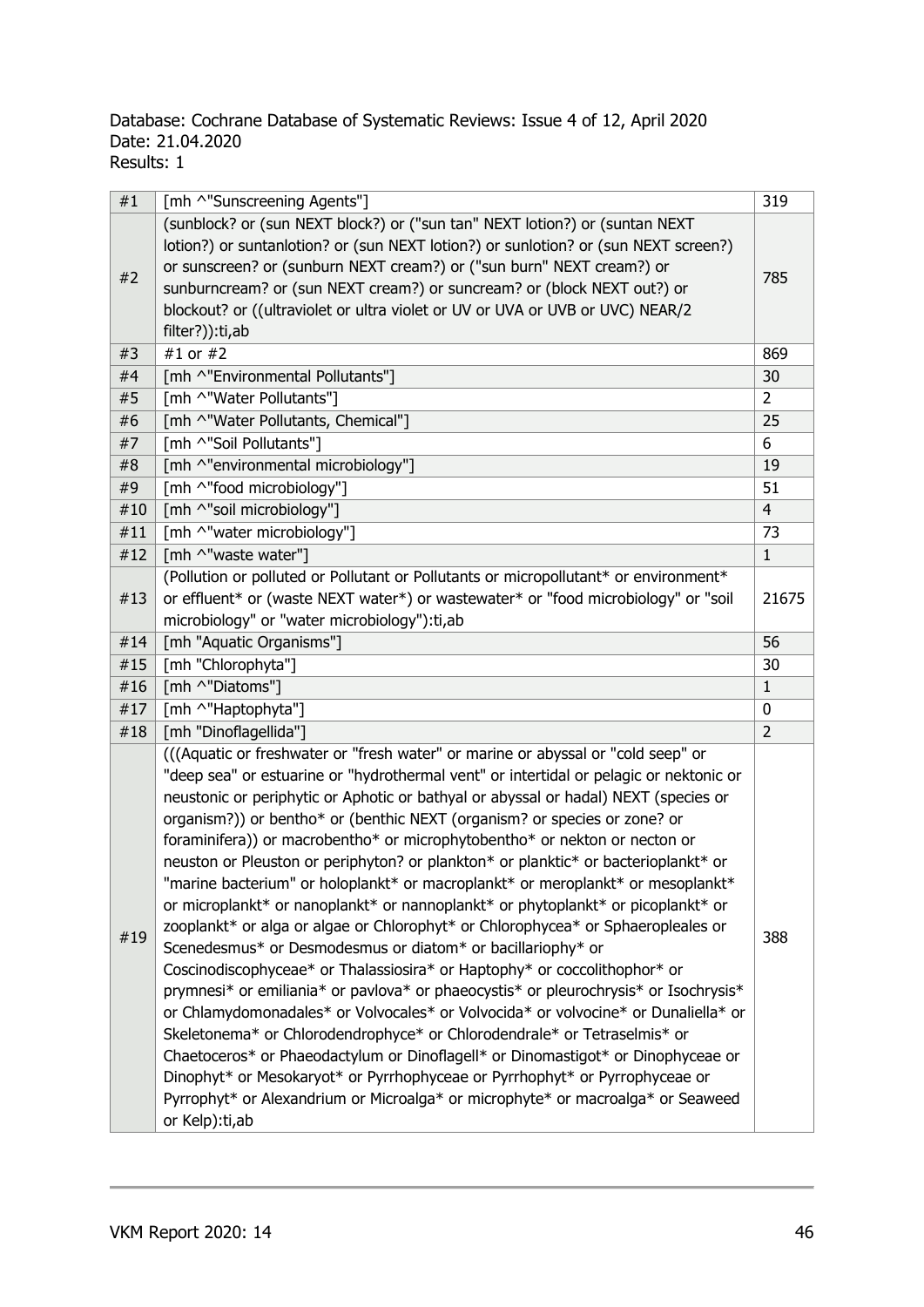### Database: Cochrane Database of Systematic Reviews: Issue 4 of 12, April 2020 Date: 21.04.2020 Results: 1

| 319                                                                                         |
|---------------------------------------------------------------------------------------------|
|                                                                                             |
| lotion?) or suntanlotion? or (sun NEXT lotion?) or sunlotion? or (sun NEXT screen?)         |
| 785                                                                                         |
|                                                                                             |
|                                                                                             |
|                                                                                             |
| 869                                                                                         |
| 30                                                                                          |
| $\overline{2}$                                                                              |
| 25                                                                                          |
| 6                                                                                           |
| 19                                                                                          |
| 51                                                                                          |
| $\overline{4}$                                                                              |
| 73                                                                                          |
| $\mathbf{1}$                                                                                |
| (Pollution or polluted or Pollutant or Pollutants or micropollutant* or environment*        |
| or effluent* or (waste NEXT water*) or wastewater* or "food microbiology" or "soil<br>21675 |
|                                                                                             |
| 56                                                                                          |
| 30                                                                                          |
| $\mathbf{1}$                                                                                |
| $\mathbf 0$                                                                                 |
| $\overline{2}$                                                                              |
|                                                                                             |
| "deep sea" or estuarine or "hydrothermal vent" or intertidal or pelagic or nektonic or      |
| neustonic or periphytic or Aphotic or bathyal or abyssal or hadal) NEXT (species or         |
|                                                                                             |
|                                                                                             |
| neuston or Pleuston or periphyton? or plankton* or planktic* or bacterioplankt* or          |
| "marine bacterium" or holoplankt* or macroplankt* or meroplankt* or mesoplankt*             |
| or microplankt* or nanoplankt* or nannoplankt* or phytoplankt* or picoplankt* or            |
| zooplankt* or alga or algae or Chlorophyt* or Chlorophycea* or Sphaeropleales or            |
| 388                                                                                         |
|                                                                                             |
| prymnesi* or emiliania* or pavlova* or phaeocystis* or pleurochrysis* or Isochrysis*        |
| or Chlamydomonadales* or Volvocales* or Volvocida* or volvocine* or Dunaliella* or          |
|                                                                                             |
|                                                                                             |
|                                                                                             |
| Chaetoceros* or Phaeodactylum or Dinoflagell* or Dinomastigot* or Dinophyceae or            |
| Pyrrophyt* or Alexandrium or Microalga* or microphyte* or macroalga* or Seaweed             |
|                                                                                             |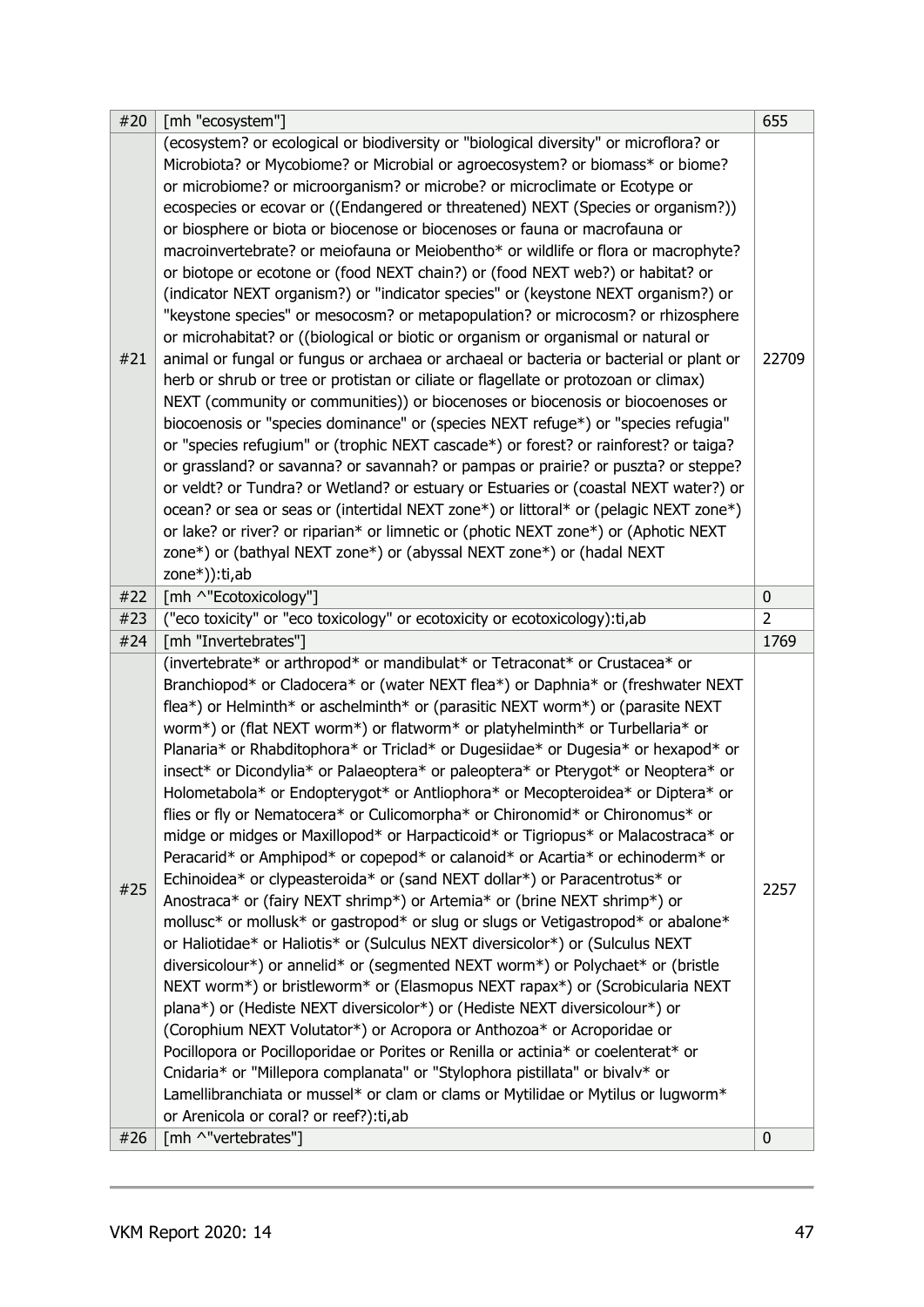| (ecosystem? or ecological or biodiversity or "biological diversity" or microflora? or<br>Microbiota? or Mycobiome? or Microbial or agroecosystem? or biomass* or biome?<br>or microbiome? or microorganism? or microbe? or microclimate or Ecotype or<br>ecospecies or ecovar or ((Endangered or threatened) NEXT (Species or organism?))<br>or biosphere or biota or biocenose or biocenoses or fauna or macrofauna or<br>macroinvertebrate? or meiofauna or Meiobentho* or wildlife or flora or macrophyte?<br>or biotope or ecotone or (food NEXT chain?) or (food NEXT web?) or habitat? or<br>(indicator NEXT organism?) or "indicator species" or (keystone NEXT organism?) or<br>"keystone species" or mesocosm? or metapopulation? or microcosm? or rhizosphere<br>or microhabitat? or ((biological or biotic or organism or organismal or natural or<br>animal or fungal or fungus or archaea or archaeal or bacteria or bacterial or plant or<br>#21<br>22709<br>herb or shrub or tree or protistan or ciliate or flagellate or protozoan or climax)<br>NEXT (community or communities)) or biocenoses or biocenosis or biocoenoses or<br>biocoenosis or "species dominance" or (species NEXT refuge*) or "species refugia"<br>or "species refugium" or (trophic NEXT cascade*) or forest? or rainforest? or taiga?<br>or grassland? or savanna? or savannah? or pampas or prairie? or puszta? or steppe?<br>or veldt? or Tundra? or Wetland? or estuary or Estuaries or (coastal NEXT water?) or<br>ocean? or sea or seas or (intertidal NEXT zone*) or littoral* or (pelagic NEXT zone*)<br>or lake? or river? or riparian* or limnetic or (photic NEXT zone*) or (Aphotic NEXT<br>zone*) or (bathyal NEXT zone*) or (abyssal NEXT zone*) or (hadal NEXT<br>zone*)):ti,ab<br>[mh ^"Ecotoxicology"]<br>#22<br>$\pmb{0}$<br>("eco toxicity" or "eco toxicology" or ecotoxicity or ecotoxicology): ti, ab<br>$\overline{2}$<br>#23<br>[mh "Invertebrates"]<br>#24<br>1769<br>(invertebrate* or arthropod* or mandibulat* or Tetraconat* or Crustacea* or<br>Branchiopod* or Cladocera* or (water NEXT flea*) or Daphnia* or (freshwater NEXT<br>flea*) or Helminth* or aschelminth* or (parasitic NEXT worm*) or (parasite NEXT<br>worm*) or (flat NEXT worm*) or flatworm* or platyhelminth* or Turbellaria* or<br>Planaria* or Rhabditophora* or Triclad* or Dugesiidae* or Dugesia* or hexapod* or<br>insect* or Dicondylia* or Palaeoptera* or paleoptera* or Pterygot* or Neoptera* or<br>Holometabola* or Endopterygot* or Antliophora* or Mecopteroidea* or Diptera* or<br>flies or fly or Nematocera* or Culicomorpha* or Chironomid* or Chironomus* or<br>midge or midges or Maxillopod* or Harpacticoid* or Tigriopus* or Malacostraca* or<br>Peracarid* or Amphipod* or copepod* or calanoid* or Acartia* or echinoderm* or<br>Echinoidea* or clypeasteroida* or (sand NEXT dollar*) or Paracentrotus* or<br>#25<br>2257<br>Anostraca* or (fairy NEXT shrimp*) or Artemia* or (brine NEXT shrimp*) or<br>mollusc* or mollusk* or gastropod* or slug or slugs or Vetigastropod* or abalone*<br>or Haliotidae* or Haliotis* or (Sulculus NEXT diversicolor*) or (Sulculus NEXT<br>diversicolour*) or annelid* or (segmented NEXT worm*) or Polychaet* or (bristle<br>NEXT worm*) or bristleworm* or (Elasmopus NEXT rapax*) or (Scrobicularia NEXT<br>plana*) or (Hediste NEXT diversicolor*) or (Hediste NEXT diversicolour*) or<br>(Corophium NEXT Volutator*) or Acropora or Anthozoa* or Acroporidae or<br>Pocillopora or Pocilloporidae or Porites or Renilla or actinia* or coelenterat* or<br>Cnidaria* or "Millepora complanata" or "Stylophora pistillata" or bivalv* or<br>Lamellibranchiata or mussel* or clam or clams or Mytilidae or Mytilus or lugworm*<br>or Arenicola or coral? or reef?): ti, ab | #20 | [mh "ecosystem"] | 655 |
|--------------------------------------------------------------------------------------------------------------------------------------------------------------------------------------------------------------------------------------------------------------------------------------------------------------------------------------------------------------------------------------------------------------------------------------------------------------------------------------------------------------------------------------------------------------------------------------------------------------------------------------------------------------------------------------------------------------------------------------------------------------------------------------------------------------------------------------------------------------------------------------------------------------------------------------------------------------------------------------------------------------------------------------------------------------------------------------------------------------------------------------------------------------------------------------------------------------------------------------------------------------------------------------------------------------------------------------------------------------------------------------------------------------------------------------------------------------------------------------------------------------------------------------------------------------------------------------------------------------------------------------------------------------------------------------------------------------------------------------------------------------------------------------------------------------------------------------------------------------------------------------------------------------------------------------------------------------------------------------------------------------------------------------------------------------------------------------------------------------------------------------------------------------------------------------------------------------------------------------------------------------------------------------------------------------------------------------------------------------------------------------------------------------------------------------------------------------------------------------------------------------------------------------------------------------------------------------------------------------------------------------------------------------------------------------------------------------------------------------------------------------------------------------------------------------------------------------------------------------------------------------------------------------------------------------------------------------------------------------------------------------------------------------------------------------------------------------------------------------------------------------------------------------------------------------------------------------------------------------------------------------------------------------------------------------------------------------------------------------------------------------------------------------------------------------------------------------------------------------------------------------------------------------------------------------------------------------------------------------------------------------------------------------------------------------------------------------------------------------------------------------------------------------------------------------------------------------|-----|------------------|-----|
|                                                                                                                                                                                                                                                                                                                                                                                                                                                                                                                                                                                                                                                                                                                                                                                                                                                                                                                                                                                                                                                                                                                                                                                                                                                                                                                                                                                                                                                                                                                                                                                                                                                                                                                                                                                                                                                                                                                                                                                                                                                                                                                                                                                                                                                                                                                                                                                                                                                                                                                                                                                                                                                                                                                                                                                                                                                                                                                                                                                                                                                                                                                                                                                                                                                                                                                                                                                                                                                                                                                                                                                                                                                                                                                                                                                                                                      |     |                  |     |
|                                                                                                                                                                                                                                                                                                                                                                                                                                                                                                                                                                                                                                                                                                                                                                                                                                                                                                                                                                                                                                                                                                                                                                                                                                                                                                                                                                                                                                                                                                                                                                                                                                                                                                                                                                                                                                                                                                                                                                                                                                                                                                                                                                                                                                                                                                                                                                                                                                                                                                                                                                                                                                                                                                                                                                                                                                                                                                                                                                                                                                                                                                                                                                                                                                                                                                                                                                                                                                                                                                                                                                                                                                                                                                                                                                                                                                      |     |                  |     |
|                                                                                                                                                                                                                                                                                                                                                                                                                                                                                                                                                                                                                                                                                                                                                                                                                                                                                                                                                                                                                                                                                                                                                                                                                                                                                                                                                                                                                                                                                                                                                                                                                                                                                                                                                                                                                                                                                                                                                                                                                                                                                                                                                                                                                                                                                                                                                                                                                                                                                                                                                                                                                                                                                                                                                                                                                                                                                                                                                                                                                                                                                                                                                                                                                                                                                                                                                                                                                                                                                                                                                                                                                                                                                                                                                                                                                                      |     |                  |     |
|                                                                                                                                                                                                                                                                                                                                                                                                                                                                                                                                                                                                                                                                                                                                                                                                                                                                                                                                                                                                                                                                                                                                                                                                                                                                                                                                                                                                                                                                                                                                                                                                                                                                                                                                                                                                                                                                                                                                                                                                                                                                                                                                                                                                                                                                                                                                                                                                                                                                                                                                                                                                                                                                                                                                                                                                                                                                                                                                                                                                                                                                                                                                                                                                                                                                                                                                                                                                                                                                                                                                                                                                                                                                                                                                                                                                                                      |     |                  |     |
| [mh ^"vertebrates"]<br>#26<br>0                                                                                                                                                                                                                                                                                                                                                                                                                                                                                                                                                                                                                                                                                                                                                                                                                                                                                                                                                                                                                                                                                                                                                                                                                                                                                                                                                                                                                                                                                                                                                                                                                                                                                                                                                                                                                                                                                                                                                                                                                                                                                                                                                                                                                                                                                                                                                                                                                                                                                                                                                                                                                                                                                                                                                                                                                                                                                                                                                                                                                                                                                                                                                                                                                                                                                                                                                                                                                                                                                                                                                                                                                                                                                                                                                                                                      |     |                  |     |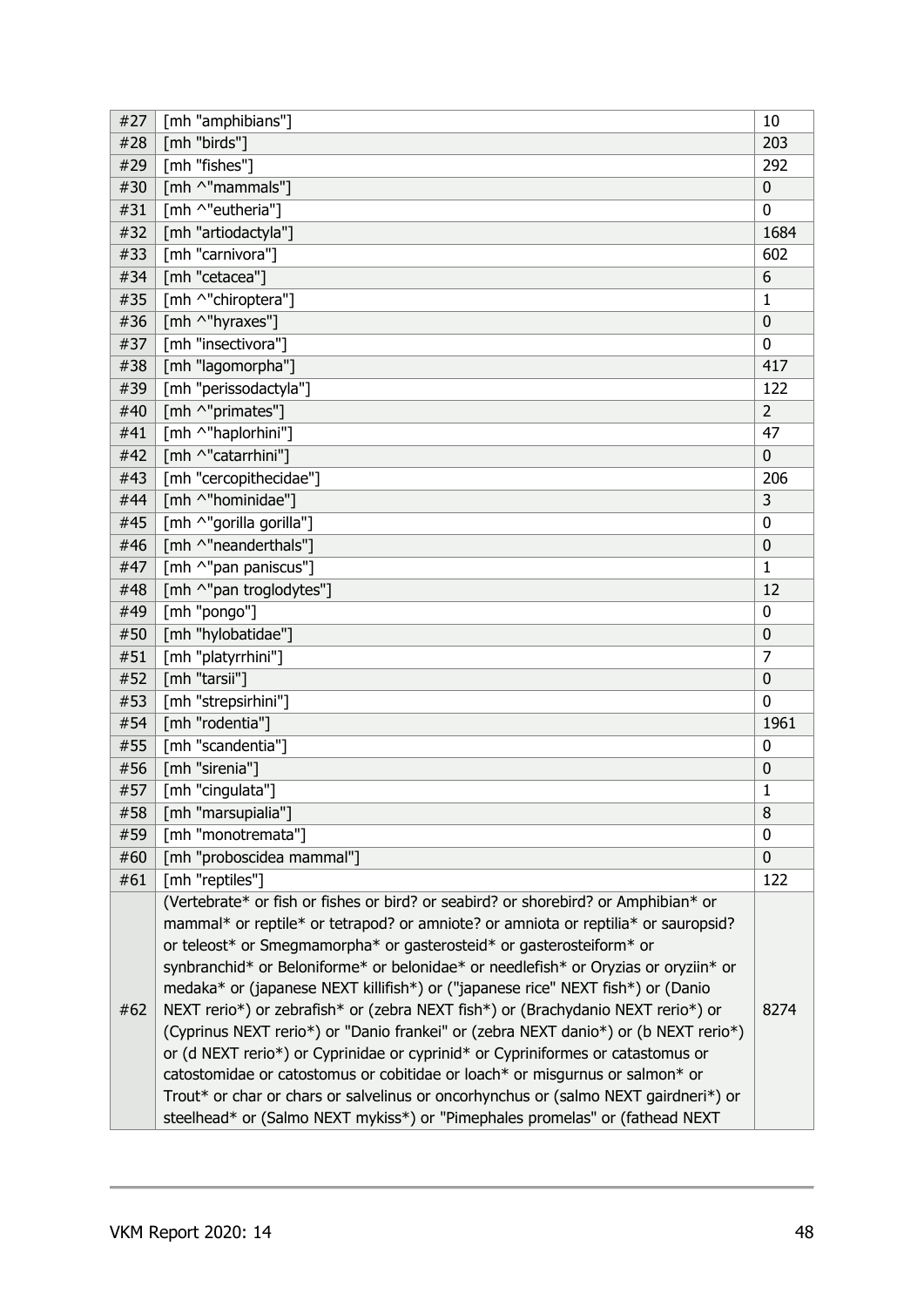| #27 | [mh "amphibians"]                                                                   | 10             |
|-----|-------------------------------------------------------------------------------------|----------------|
| #28 | [mh "birds"]                                                                        | 203            |
| #29 | [mh "fishes"]                                                                       | 292            |
| #30 | [mh ^"mammals"]                                                                     | $\mathbf 0$    |
| #31 | [mh ^"eutheria"]                                                                    | $\mathbf{0}$   |
| #32 | [mh "artiodactyla"]                                                                 | 1684           |
| #33 | [mh "carnivora"]                                                                    | 602            |
| #34 | [mh "cetacea"]                                                                      | 6              |
| #35 | [mh ^"chiroptera"]                                                                  | $\mathbf{1}$   |
| #36 | [mh ^"hyraxes"]                                                                     | $\mathbf 0$    |
| #37 | [mh "insectivora"]                                                                  | $\Omega$       |
| #38 | [mh "lagomorpha"]                                                                   | 417            |
| #39 | [mh "perissodactyla"]                                                               | 122            |
| #40 | [mh ^"primates"]                                                                    | $\overline{2}$ |
| #41 | [mh ^"haplorhini"]                                                                  | 47             |
| #42 | [mh ^"catarrhini"]                                                                  | $\mathbf 0$    |
| #43 | [mh "cercopithecidae"]                                                              | 206            |
| #44 | [mh ^"hominidae"]                                                                   | 3              |
| #45 | [mh ^"gorilla gorilla"]                                                             | 0              |
| #46 | [mh ^"neanderthals"]                                                                | $\mathbf 0$    |
| #47 | [mh ^"pan paniscus"]                                                                | $\mathbf{1}$   |
| #48 | [mh ^"pan troglodytes"]                                                             | 12             |
| #49 | [mh "pongo"]                                                                        | 0              |
| #50 | [mh "hylobatidae"]                                                                  | 0              |
| #51 | [mh "platyrrhini"]                                                                  | $\overline{7}$ |
| #52 | [mh "tarsii"]                                                                       | $\mathbf 0$    |
| #53 | [mh "strepsirhini"]                                                                 | 0              |
| #54 | [mh "rodentia"]                                                                     | 1961           |
| #55 | [mh "scandentia"]                                                                   | 0              |
| #56 | [mh "sirenia"]                                                                      | $\mathbf 0$    |
| #57 | [mh "cingulata"]                                                                    | $\mathbf{1}$   |
| #58 | [mh "marsupialia"]                                                                  | 8              |
| #59 | [mh "monotremata"]                                                                  | 0              |
| #60 | [mh "proboscidea mammal"]                                                           | $\mathbf 0$    |
| #61 | [mh "reptiles"]                                                                     | 122            |
|     | (Vertebrate* or fish or fishes or bird? or seabird? or shorebird? or Amphibian* or  |                |
|     | mammal* or reptile* or tetrapod? or amniote? or amniota or reptilia* or sauropsid?  |                |
|     | or teleost* or Smegmamorpha* or gasterosteid* or gasterosteiform* or                |                |
|     | synbranchid* or Beloniforme* or belonidae* or needlefish* or Oryzias or oryziin* or |                |
|     | medaka* or (japanese NEXT killifish*) or ("japanese rice" NEXT fish*) or (Danio     |                |
| #62 | NEXT rerio*) or zebrafish* or (zebra NEXT fish*) or (Brachydanio NEXT rerio*) or    | 8274           |
|     | (Cyprinus NEXT rerio*) or "Danio frankei" or (zebra NEXT danio*) or (b NEXT rerio*) |                |
|     | or (d NEXT rerio*) or Cyprinidae or cyprinid* or Cypriniformes or catastomus or     |                |
|     | catostomidae or catostomus or cobitidae or loach* or misgurnus or salmon* or        |                |
|     | Trout* or char or chars or salvelinus or oncorhynchus or (salmo NEXT gairdneri*) or |                |
|     |                                                                                     |                |
|     | steelhead* or (Salmo NEXT mykiss*) or "Pimephales promelas" or (fathead NEXT        |                |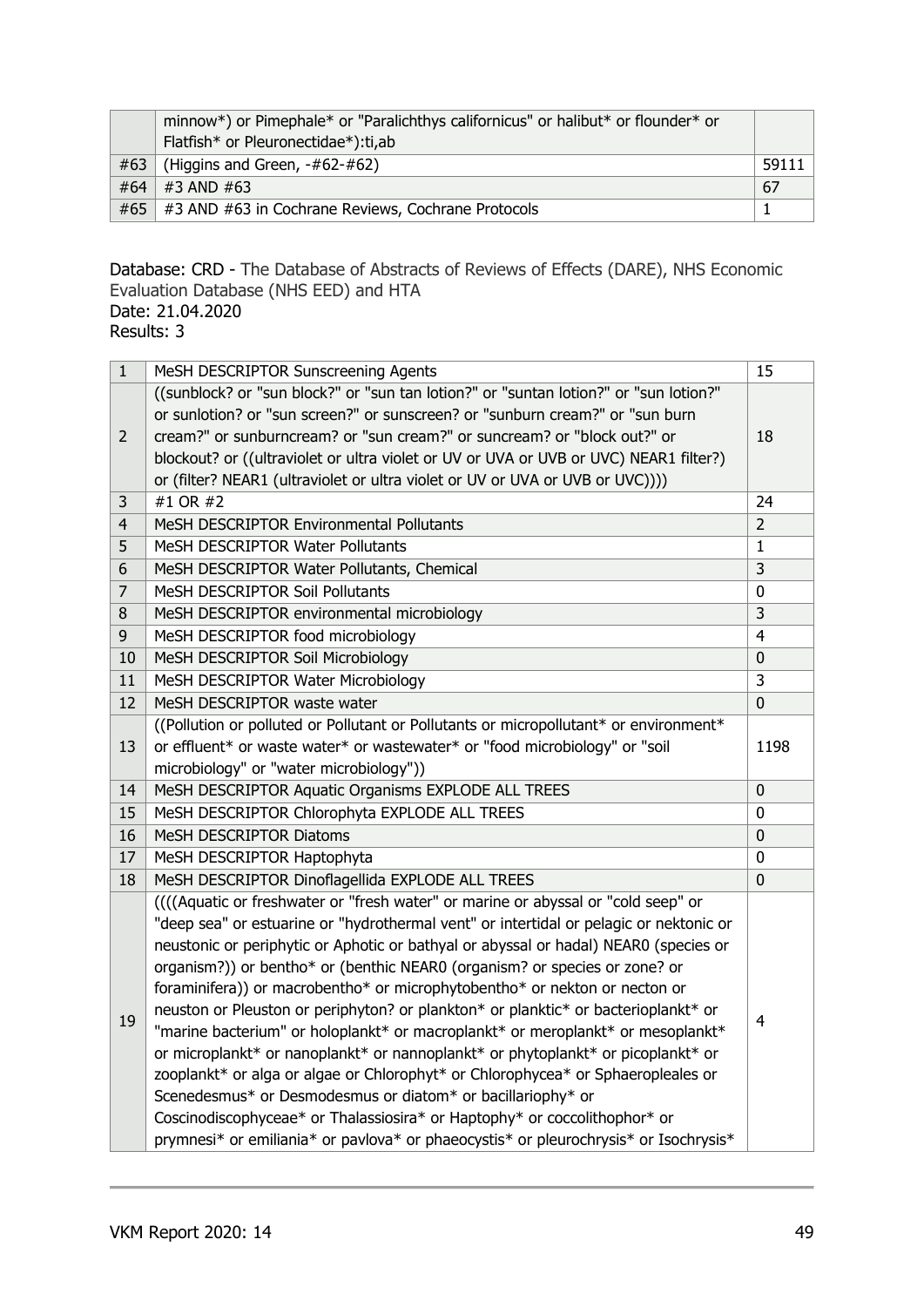|     | minnow*) or Pimephale* or "Paralichthys californicus" or halibut* or flounder* or |       |
|-----|-----------------------------------------------------------------------------------|-------|
|     | Flatfish* or Pleuronectidae*):ti,ab                                               |       |
| #63 | (Higgins and Green, -#62-#62)                                                     | 59111 |
| #64 | #3 AND #63                                                                        | 67    |
| #65 | #3 AND #63 in Cochrane Reviews, Cochrane Protocols                                |       |

### Database: CRD - The Database of Abstracts of Reviews of Effects (DARE), NHS Economic Evaluation Database (NHS EED) and HTA Date: 21.04.2020

Results: 3

| $\mathbf{1}$   | MeSH DESCRIPTOR Sunscreening Agents                                                                                                                               | 15             |
|----------------|-------------------------------------------------------------------------------------------------------------------------------------------------------------------|----------------|
|                | ((sunblock? or "sun block?" or "sun tan lotion?" or "suntan lotion?" or "sun lotion?"                                                                             |                |
|                | or sunlotion? or "sun screen?" or sunscreen? or "sunburn cream?" or "sun burn                                                                                     |                |
| $\overline{2}$ | cream?" or sunburncream? or "sun cream?" or suncream? or "block out?" or                                                                                          | 18             |
|                | blockout? or ((ultraviolet or ultra violet or UV or UVA or UVB or UVC) NEAR1 filter?)                                                                             |                |
|                | or (filter? NEAR1 (ultraviolet or ultra violet or UV or UVA or UVB or UVC))))                                                                                     |                |
| 3              | #1 OR #2                                                                                                                                                          | 24             |
| $\overline{4}$ | MeSH DESCRIPTOR Environmental Pollutants                                                                                                                          | $\overline{2}$ |
| 5              | MeSH DESCRIPTOR Water Pollutants                                                                                                                                  | $\mathbf{1}$   |
| 6              | MeSH DESCRIPTOR Water Pollutants, Chemical                                                                                                                        | $\overline{3}$ |
| 7              | MeSH DESCRIPTOR Soil Pollutants                                                                                                                                   | 0              |
| 8              | MeSH DESCRIPTOR environmental microbiology                                                                                                                        | $\overline{3}$ |
| 9              | MeSH DESCRIPTOR food microbiology                                                                                                                                 | $\overline{4}$ |
| 10             | MeSH DESCRIPTOR Soil Microbiology                                                                                                                                 | $\mathbf 0$    |
| 11             | MeSH DESCRIPTOR Water Microbiology                                                                                                                                | 3              |
| 12             | MeSH DESCRIPTOR waste water                                                                                                                                       | $\mathbf 0$    |
|                | ((Pollution or polluted or Pollutant or Pollutants or micropollutant* or environment*                                                                             |                |
| 13             | or effluent* or waste water* or wastewater* or "food microbiology" or "soil                                                                                       | 1198           |
|                | microbiology" or "water microbiology"))                                                                                                                           |                |
| 14             | MeSH DESCRIPTOR Aquatic Organisms EXPLODE ALL TREES                                                                                                               | $\overline{0}$ |
| 15             | MeSH DESCRIPTOR Chlorophyta EXPLODE ALL TREES                                                                                                                     | 0              |
| 16             | MeSH DESCRIPTOR Diatoms                                                                                                                                           | $\overline{0}$ |
| 17             | MeSH DESCRIPTOR Haptophyta                                                                                                                                        | 0              |
| 18             | MeSH DESCRIPTOR Dinoflagellida EXPLODE ALL TREES                                                                                                                  | $\mathbf 0$    |
|                | (((Aquatic or freshwater or "fresh water" or marine or abyssal or "cold seep" or                                                                                  |                |
|                | "deep sea" or estuarine or "hydrothermal vent" or intertidal or pelagic or nektonic or                                                                            |                |
|                | neustonic or periphytic or Aphotic or bathyal or abyssal or hadal) NEAR0 (species or                                                                              |                |
|                |                                                                                                                                                                   |                |
|                | organism?)) or bentho* or (benthic NEAR0 (organism? or species or zone? or                                                                                        |                |
|                | foraminifera)) or macrobentho* or microphytobentho* or nekton or necton or                                                                                        |                |
|                | neuston or Pleuston or periphyton? or plankton* or planktic* or bacterioplankt* or                                                                                |                |
| 19             | "marine bacterium" or holoplankt* or macroplankt* or meroplankt* or mesoplankt*                                                                                   | $\overline{4}$ |
|                | or microplankt* or nanoplankt* or nannoplankt* or phytoplankt* or picoplankt* or                                                                                  |                |
|                | zooplankt* or alga or algae or Chlorophyt* or Chlorophycea* or Sphaeropleales or                                                                                  |                |
|                | Scenedesmus* or Desmodesmus or diatom* or bacillariophy* or                                                                                                       |                |
|                | Coscinodiscophyceae* or Thalassiosira* or Haptophy* or coccolithophor* or<br>prymnesi* or emiliania* or pavlova* or phaeocystis* or pleurochrysis* or Isochrysis* |                |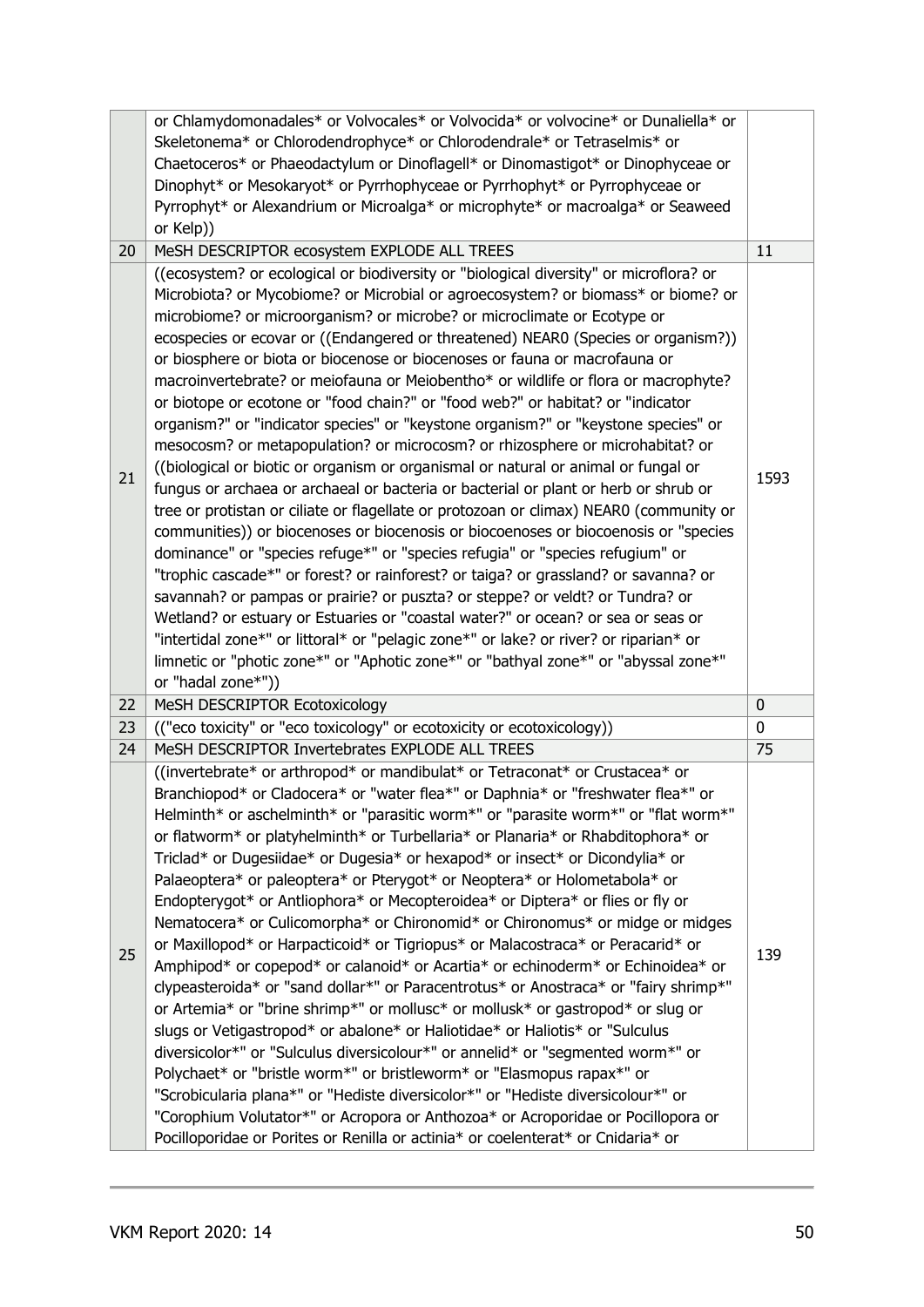|    | or Chlamydomonadales* or Volvocales* or Volvocida* or volvocine* or Dunaliella* or                                                                                                                                                                                                                                                                                                                                                                                                                                                                                                                                                                                                                                                                                                                                                                                                                                                                                                                                                                                                                                                                                                                                                                                                                                                                                                                                                                                                                                                                                                                                                                                                         |      |
|----|--------------------------------------------------------------------------------------------------------------------------------------------------------------------------------------------------------------------------------------------------------------------------------------------------------------------------------------------------------------------------------------------------------------------------------------------------------------------------------------------------------------------------------------------------------------------------------------------------------------------------------------------------------------------------------------------------------------------------------------------------------------------------------------------------------------------------------------------------------------------------------------------------------------------------------------------------------------------------------------------------------------------------------------------------------------------------------------------------------------------------------------------------------------------------------------------------------------------------------------------------------------------------------------------------------------------------------------------------------------------------------------------------------------------------------------------------------------------------------------------------------------------------------------------------------------------------------------------------------------------------------------------------------------------------------------------|------|
|    | Skeletonema* or Chlorodendrophyce* or Chlorodendrale* or Tetraselmis* or                                                                                                                                                                                                                                                                                                                                                                                                                                                                                                                                                                                                                                                                                                                                                                                                                                                                                                                                                                                                                                                                                                                                                                                                                                                                                                                                                                                                                                                                                                                                                                                                                   |      |
|    | Chaetoceros* or Phaeodactylum or Dinoflagell* or Dinomastigot* or Dinophyceae or                                                                                                                                                                                                                                                                                                                                                                                                                                                                                                                                                                                                                                                                                                                                                                                                                                                                                                                                                                                                                                                                                                                                                                                                                                                                                                                                                                                                                                                                                                                                                                                                           |      |
|    | Dinophyt* or Mesokaryot* or Pyrrhophyceae or Pyrrhophyt* or Pyrrophyceae or                                                                                                                                                                                                                                                                                                                                                                                                                                                                                                                                                                                                                                                                                                                                                                                                                                                                                                                                                                                                                                                                                                                                                                                                                                                                                                                                                                                                                                                                                                                                                                                                                |      |
|    | Pyrrophyt* or Alexandrium or Microalga* or microphyte* or macroalga* or Seaweed                                                                                                                                                                                                                                                                                                                                                                                                                                                                                                                                                                                                                                                                                                                                                                                                                                                                                                                                                                                                                                                                                                                                                                                                                                                                                                                                                                                                                                                                                                                                                                                                            |      |
|    | or Kelp))                                                                                                                                                                                                                                                                                                                                                                                                                                                                                                                                                                                                                                                                                                                                                                                                                                                                                                                                                                                                                                                                                                                                                                                                                                                                                                                                                                                                                                                                                                                                                                                                                                                                                  |      |
| 20 | MeSH DESCRIPTOR ecosystem EXPLODE ALL TREES                                                                                                                                                                                                                                                                                                                                                                                                                                                                                                                                                                                                                                                                                                                                                                                                                                                                                                                                                                                                                                                                                                                                                                                                                                                                                                                                                                                                                                                                                                                                                                                                                                                | 11   |
| 21 | ((ecosystem? or ecological or biodiversity or "biological diversity" or microflora? or<br>Microbiota? or Mycobiome? or Microbial or agroecosystem? or biomass* or biome? or<br>microbiome? or microorganism? or microbe? or microclimate or Ecotype or<br>ecospecies or ecovar or ((Endangered or threatened) NEAR0 (Species or organism?))<br>or biosphere or biota or biocenose or biocenoses or fauna or macrofauna or<br>macroinvertebrate? or meiofauna or Meiobentho* or wildlife or flora or macrophyte?<br>or biotope or ecotone or "food chain?" or "food web?" or habitat? or "indicator<br>organism?" or "indicator species" or "keystone organism?" or "keystone species" or<br>mesocosm? or metapopulation? or microcosm? or rhizosphere or microhabitat? or<br>((biological or biotic or organism or organismal or natural or animal or fungal or<br>fungus or archaea or archaeal or bacteria or bacterial or plant or herb or shrub or<br>tree or protistan or ciliate or flagellate or protozoan or climax) NEAR0 (community or<br>communities)) or biocenoses or biocenosis or biocoenoses or biocoenosis or "species<br>dominance" or "species refuge*" or "species refugia" or "species refugium" or<br>"trophic cascade*" or forest? or rainforest? or taiga? or grassland? or savanna? or<br>savannah? or pampas or prairie? or puszta? or steppe? or veldt? or Tundra? or<br>Wetland? or estuary or Estuaries or "coastal water?" or ocean? or sea or seas or<br>"intertidal zone*" or littoral* or "pelagic zone*" or lake? or river? or riparian* or<br>limnetic or "photic zone*" or "Aphotic zone*" or "bathyal zone*" or "abyssal zone*"<br>or "hadal zone*")) | 1593 |
| 22 | MeSH DESCRIPTOR Ecotoxicology                                                                                                                                                                                                                                                                                                                                                                                                                                                                                                                                                                                                                                                                                                                                                                                                                                                                                                                                                                                                                                                                                                                                                                                                                                                                                                                                                                                                                                                                                                                                                                                                                                                              | 0    |
| 23 | (("eco toxicity" or "eco toxicology" or ecotoxicity or ecotoxicology))                                                                                                                                                                                                                                                                                                                                                                                                                                                                                                                                                                                                                                                                                                                                                                                                                                                                                                                                                                                                                                                                                                                                                                                                                                                                                                                                                                                                                                                                                                                                                                                                                     | 0    |
| 24 | MeSH DESCRIPTOR Invertebrates EXPLODE ALL TREES                                                                                                                                                                                                                                                                                                                                                                                                                                                                                                                                                                                                                                                                                                                                                                                                                                                                                                                                                                                                                                                                                                                                                                                                                                                                                                                                                                                                                                                                                                                                                                                                                                            | 75   |
|    | ((invertebrate* or arthropod* or mandibulat* or Tetraconat* or Crustacea* or<br>Branchiopod* or Cladocera* or "water flea*" or Daphnia* or "freshwater flea*" or<br>Helminth* or aschelminth* or "parasitic worm*" or "parasite worm*" or "flat worm*"                                                                                                                                                                                                                                                                                                                                                                                                                                                                                                                                                                                                                                                                                                                                                                                                                                                                                                                                                                                                                                                                                                                                                                                                                                                                                                                                                                                                                                     |      |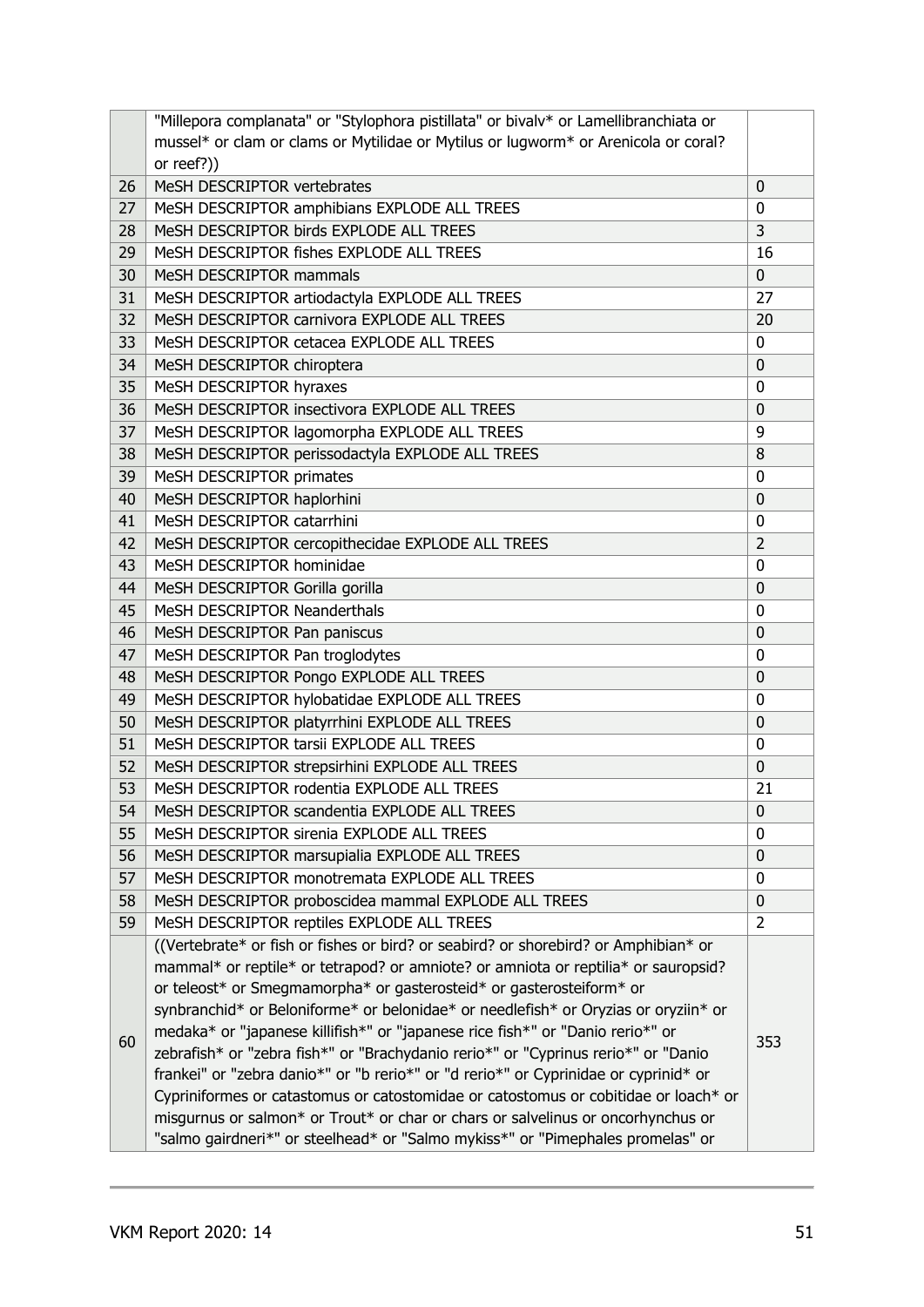|    | "Millepora complanata" or "Stylophora pistillata" or bivalv* or Lamellibranchiata or                                                                                      |                |
|----|---------------------------------------------------------------------------------------------------------------------------------------------------------------------------|----------------|
|    | mussel* or clam or clams or Mytilidae or Mytilus or lugworm* or Arenicola or coral?                                                                                       |                |
|    | or reef?))                                                                                                                                                                |                |
| 26 | MeSH DESCRIPTOR vertebrates                                                                                                                                               | 0              |
| 27 | MeSH DESCRIPTOR amphibians EXPLODE ALL TREES                                                                                                                              | 0              |
| 28 | MeSH DESCRIPTOR birds EXPLODE ALL TREES                                                                                                                                   | 3              |
| 29 | MeSH DESCRIPTOR fishes EXPLODE ALL TREES                                                                                                                                  | 16             |
| 30 | MeSH DESCRIPTOR mammals                                                                                                                                                   | $\mathbf 0$    |
| 31 | MeSH DESCRIPTOR artiodactyla EXPLODE ALL TREES                                                                                                                            | 27             |
| 32 | MeSH DESCRIPTOR carnivora EXPLODE ALL TREES                                                                                                                               | 20             |
| 33 | MeSH DESCRIPTOR cetacea EXPLODE ALL TREES                                                                                                                                 | 0              |
| 34 | MeSH DESCRIPTOR chiroptera                                                                                                                                                | 0              |
| 35 | MeSH DESCRIPTOR hyraxes                                                                                                                                                   | 0              |
| 36 | MeSH DESCRIPTOR insectivora EXPLODE ALL TREES                                                                                                                             | 0              |
| 37 | MeSH DESCRIPTOR lagomorpha EXPLODE ALL TREES                                                                                                                              | 9              |
| 38 | MeSH DESCRIPTOR perissodactyla EXPLODE ALL TREES                                                                                                                          | 8              |
| 39 | MeSH DESCRIPTOR primates                                                                                                                                                  | 0              |
| 40 | MeSH DESCRIPTOR haplorhini                                                                                                                                                | 0              |
| 41 | MeSH DESCRIPTOR catarrhini                                                                                                                                                | 0              |
| 42 | MeSH DESCRIPTOR cercopithecidae EXPLODE ALL TREES                                                                                                                         | $\overline{2}$ |
| 43 | MeSH DESCRIPTOR hominidae                                                                                                                                                 | 0              |
| 44 | MeSH DESCRIPTOR Gorilla gorilla                                                                                                                                           | 0              |
| 45 | MeSH DESCRIPTOR Neanderthals                                                                                                                                              | 0              |
| 46 | MeSH DESCRIPTOR Pan paniscus                                                                                                                                              | 0              |
| 47 | MeSH DESCRIPTOR Pan troglodytes                                                                                                                                           | 0              |
| 48 | MeSH DESCRIPTOR Pongo EXPLODE ALL TREES                                                                                                                                   | 0              |
| 49 | MeSH DESCRIPTOR hylobatidae EXPLODE ALL TREES                                                                                                                             | 0              |
| 50 | MeSH DESCRIPTOR platyrrhini EXPLODE ALL TREES                                                                                                                             | 0              |
| 51 | MeSH DESCRIPTOR tarsii EXPLODE ALL TREES                                                                                                                                  | 0              |
| 52 | MeSH DESCRIPTOR strepsirhini EXPLODE ALL TREES                                                                                                                            | 0              |
| 53 | MeSH DESCRIPTOR rodentia EXPLODE ALL TREES                                                                                                                                | 21             |
| 54 | MeSH DESCRIPTOR scandentia EXPLODE ALL TREES                                                                                                                              | 0              |
| 55 | MeSH DESCRIPTOR sirenia EXPLODE ALL TREES                                                                                                                                 | 0              |
| 56 | MeSH DESCRIPTOR marsupialia EXPLODE ALL TREES                                                                                                                             | 0              |
| 57 | MeSH DESCRIPTOR monotremata EXPLODE ALL TREES                                                                                                                             | 0              |
| 58 | MeSH DESCRIPTOR proboscidea mammal EXPLODE ALL TREES                                                                                                                      | 0              |
| 59 | MeSH DESCRIPTOR reptiles EXPLODE ALL TREES                                                                                                                                | 2              |
|    | ((Vertebrate* or fish or fishes or bird? or seabird? or shorebird? or Amphibian* or<br>mammal* or reptile* or tetrapod? or amniote? or amniota or reptilia* or sauropsid? |                |
|    | or teleost* or Smegmamorpha* or gasterosteid* or gasterosteiform* or                                                                                                      |                |
|    | synbranchid* or Beloniforme* or belonidae* or needlefish* or Oryzias or oryziin* or                                                                                       |                |
|    | medaka* or "japanese killifish*" or "japanese rice fish*" or "Danio rerio*" or                                                                                            |                |
| 60 | zebrafish* or "zebra fish*" or "Brachydanio rerio*" or "Cyprinus rerio*" or "Danio                                                                                        | 353            |
|    | frankei" or "zebra danio*" or "b rerio*" or "d rerio*" or Cyprinidae or cyprinid* or                                                                                      |                |
|    | Cypriniformes or catastomus or catostomidae or catostomus or cobitidae or loach* or                                                                                       |                |
|    | misgurnus or salmon* or Trout* or char or chars or salvelinus or oncorhynchus or                                                                                          |                |
|    | "salmo gairdneri*" or steelhead* or "Salmo mykiss*" or "Pimephales promelas" or                                                                                           |                |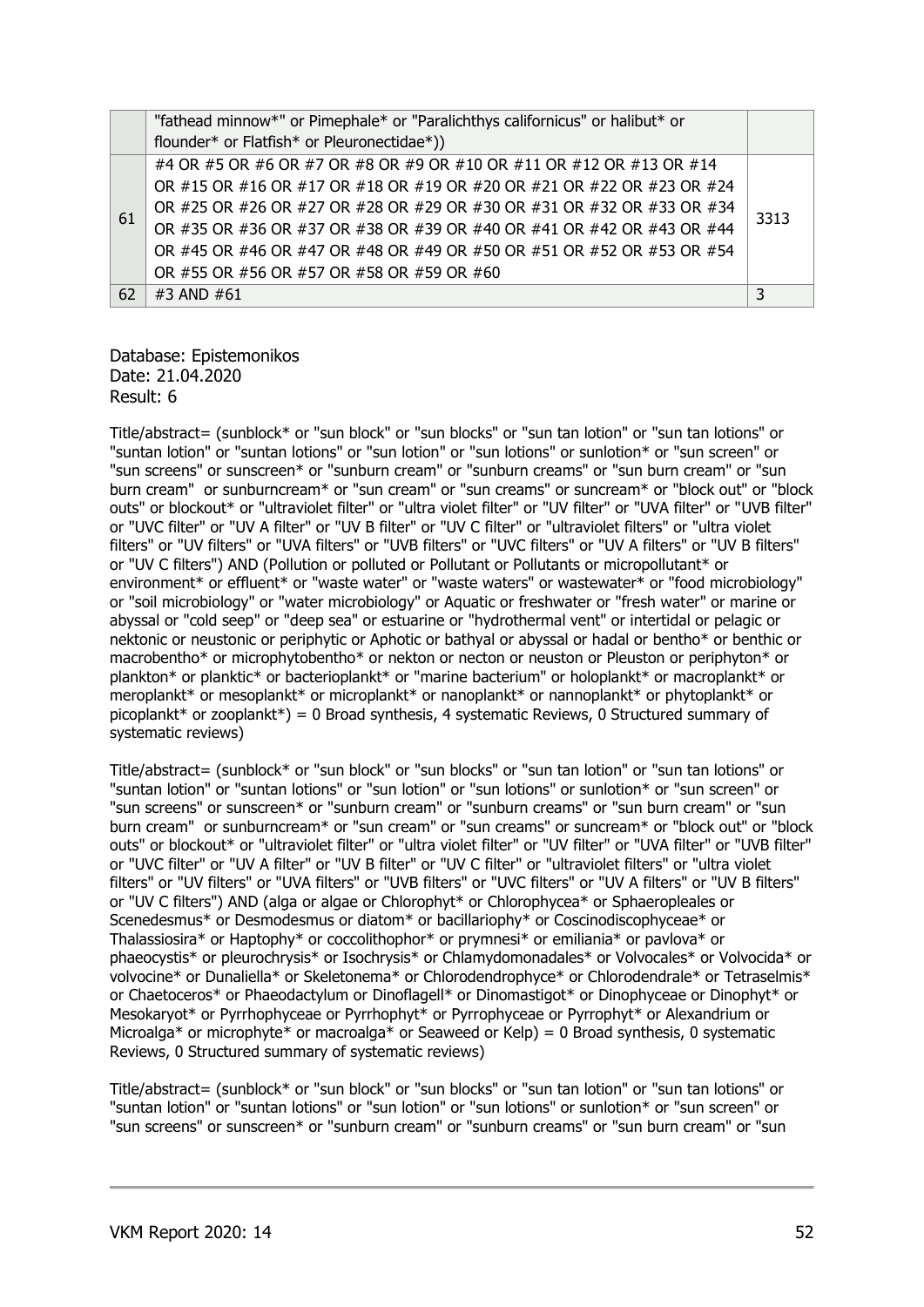|    | "fathead minnow*" or Pimephale* or "Paralichthys californicus" or halibut* or |      |
|----|-------------------------------------------------------------------------------|------|
|    | flounder* or Flatfish* or Pleuronectidae*))                                   |      |
|    | #4 OR #5 OR #6 OR #7 OR #8 OR #9 OR #10 OR #11 OR #12 OR #13 OR #14           |      |
| 61 | OR #15 OR #16 OR #17 OR #18 OR #19 OR #20 OR #21 OR #22 OR #23 OR #24         |      |
|    | OR #25 OR #26 OR #27 OR #28 OR #29 OR #30 OR #31 OR #32 OR #33 OR #34         | 3313 |
|    | OR #35 OR #36 OR #37 OR #38 OR #39 OR #40 OR #41 OR #42 OR #43 OR #44         |      |
|    | OR #45 OR #46 OR #47 OR #48 OR #49 OR #50 OR #51 OR #52 OR #53 OR #54         |      |
|    | OR #55 OR #56 OR #57 OR #58 OR #59 OR #60                                     |      |
| 62 | #3 AND #61                                                                    |      |

#### Database: Epistemonikos Date: 21.04.2020 Result: 6

Title/abstract= (sunblock\* or "sun block" or "sun blocks" or "sun tan lotion" or "sun tan lotions" or "suntan lotion" or "suntan lotions" or "sun lotion" or "sun lotions" or sunlotion\* or "sun screen" or "sun screens" or sunscreen\* or "sunburn cream" or "sunburn creams" or "sun burn cream" or "sun burn cream" or sunburncream\* or "sun cream" or "sun creams" or suncream\* or "block out" or "block outs" or blockout\* or "ultraviolet filter" or "ultra violet filter" or "UV filter" or "UVA filter" or "UVB filter" or "UVC filter" or "UV A filter" or "UV B filter" or "UV C filter" or "ultraviolet filters" or "ultra violet filters" or "UV filters" or "UVA filters" or "UVB filters" or "UVC filters" or "UV A filters" or "UV B filters" or "UV C filters") AND (Pollution or polluted or Pollutant or Pollutants or micropollutant\* or environment\* or effluent\* or "waste water" or "waste waters" or wastewater\* or "food microbiology" or "soil microbiology" or "water microbiology" or Aquatic or freshwater or "fresh water" or marine or abyssal or "cold seep" or "deep sea" or estuarine or "hydrothermal vent" or intertidal or pelagic or nektonic or neustonic or periphytic or Aphotic or bathyal or abyssal or hadal or bentho\* or benthic or macrobentho\* or microphytobentho\* or nekton or necton or neuston or Pleuston or periphyton\* or plankton\* or planktic\* or bacterioplankt\* or "marine bacterium" or holoplankt\* or macroplankt\* or meroplankt\* or mesoplankt\* or microplankt\* or nanoplankt\* or nannoplankt\* or phytoplankt\* or picoplankt\* or zooplankt\*) = 0 Broad synthesis, 4 systematic Reviews, 0 Structured summary of systematic reviews)

Title/abstract= (sunblock\* or "sun block" or "sun blocks" or "sun tan lotion" or "sun tan lotions" or "suntan lotion" or "suntan lotions" or "sun lotion" or "sun lotions" or sunlotion\* or "sun screen" or "sun screens" or sunscreen\* or "sunburn cream" or "sunburn creams" or "sun burn cream" or "sun burn cream" or sunburncream\* or "sun cream" or "sun creams" or suncream\* or "block out" or "block outs" or blockout\* or "ultraviolet filter" or "ultra violet filter" or "UV filter" or "UVA filter" or "UVB filter" or "UVC filter" or "UV A filter" or "UV B filter" or "UV C filter" or "ultraviolet filters" or "ultra violet filters" or "UV filters" or "UVA filters" or "UVB filters" or "UVC filters" or "UV A filters" or "UV B filters" or "UV C filters") AND (alga or algae or Chlorophyt\* or Chlorophycea\* or Sphaeropleales or Scenedesmus\* or Desmodesmus or diatom\* or bacillariophy\* or Coscinodiscophyceae\* or Thalassiosira\* or Haptophy\* or coccolithophor\* or prymnesi\* or emiliania\* or pavlova\* or phaeocystis\* or pleurochrysis\* or Isochrysis\* or Chlamydomonadales\* or Volvocales\* or Volvocida\* or volvocine\* or Dunaliella\* or Skeletonema\* or Chlorodendrophyce\* or Chlorodendrale\* or Tetraselmis\* or Chaetoceros\* or Phaeodactylum or Dinoflagell\* or Dinomastigot\* or Dinophyceae or Dinophyt\* or Mesokaryot\* or Pyrrhophyceae or Pyrrhophyt\* or Pyrrophyceae or Pyrrophyt\* or Alexandrium or Microalga\* or microphyte\* or macroalga\* or Seaweed or Kelp) = 0 Broad synthesis, 0 systematic Reviews, 0 Structured summary of systematic reviews)

Title/abstract= (sunblock\* or "sun block" or "sun blocks" or "sun tan lotion" or "sun tan lotions" or "suntan lotion" or "suntan lotions" or "sun lotion" or "sun lotions" or sunlotion\* or "sun screen" or "sun screens" or sunscreen\* or "sunburn cream" or "sunburn creams" or "sun burn cream" or "sun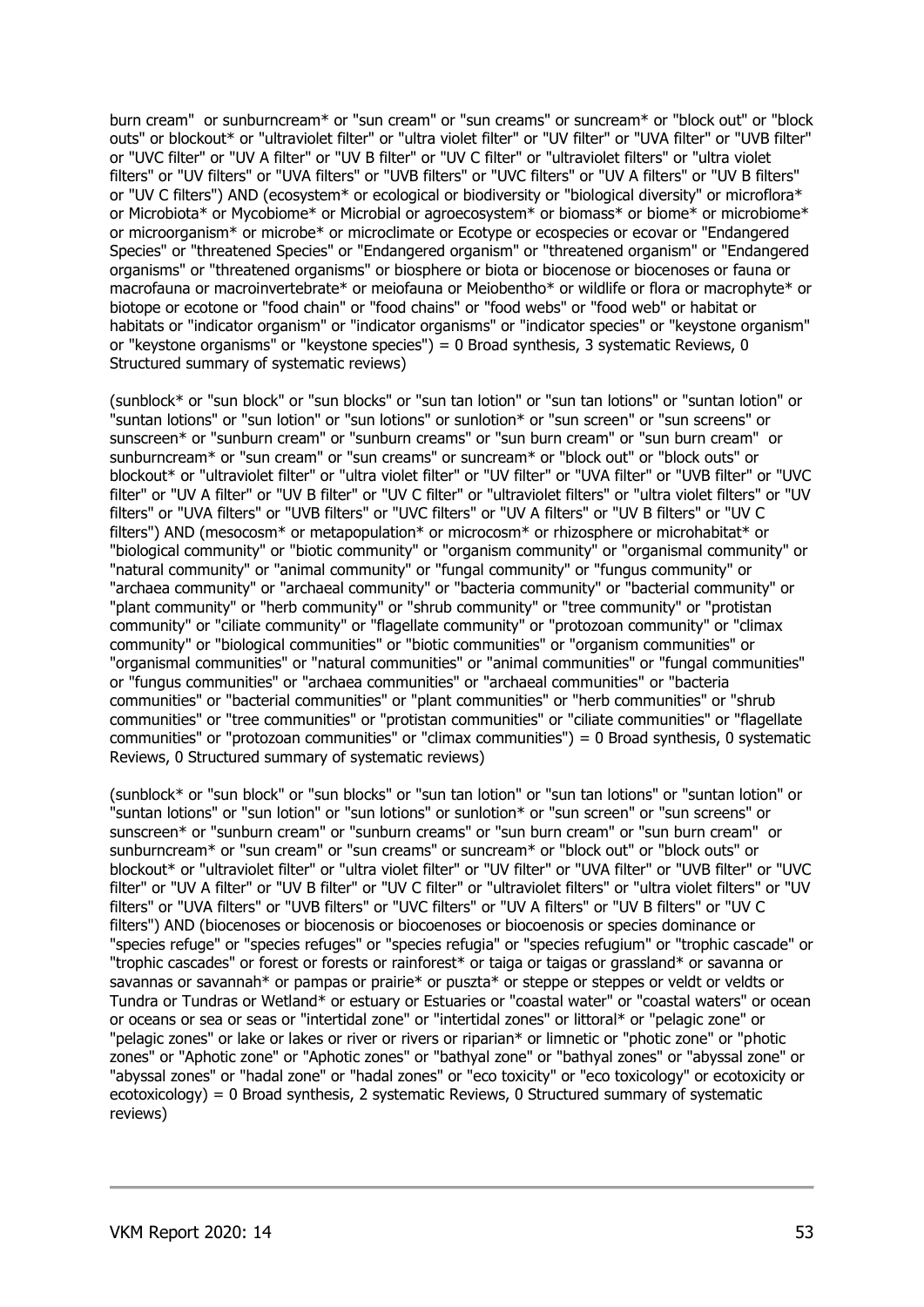burn cream" or sunburncream\* or "sun cream" or "sun creams" or suncream\* or "block out" or "block outs" or blockout\* or "ultraviolet filter" or "ultra violet filter" or "UV filter" or "UVA filter" or "UVB filter" or "UVC filter" or "UV A filter" or "UV B filter" or "UV C filter" or "ultraviolet filters" or "ultra violet filters" or "UV filters" or "UVA filters" or "UVB filters" or "UVC filters" or "UV A filters" or "UV B filters" or "UV C filters") AND (ecosystem\* or ecological or biodiversity or "biological diversity" or microflora\* or Microbiota\* or Mycobiome\* or Microbial or agroecosystem\* or biomass\* or biome\* or microbiome\* or microorganism\* or microbe\* or microclimate or Ecotype or ecospecies or ecovar or "Endangered Species" or "threatened Species" or "Endangered organism" or "threatened organism" or "Endangered organisms" or "threatened organisms" or biosphere or biota or biocenose or biocenoses or fauna or macrofauna or macroinvertebrate\* or meiofauna or Meiobentho\* or wildlife or flora or macrophyte\* or biotope or ecotone or "food chain" or "food chains" or "food webs" or "food web" or habitat or habitats or "indicator organism" or "indicator organisms" or "indicator species" or "keystone organism" or "keystone organisms" or "keystone species") = 0 Broad synthesis, 3 systematic Reviews, 0 Structured summary of systematic reviews)

(sunblock\* or "sun block" or "sun blocks" or "sun tan lotion" or "sun tan lotions" or "suntan lotion" or "suntan lotions" or "sun lotion" or "sun lotions" or sunlotion\* or "sun screen" or "sun screens" or sunscreen\* or "sunburn cream" or "sunburn creams" or "sun burn cream" or "sun burn cream" or sunburncream\* or "sun cream" or "sun creams" or suncream\* or "block out" or "block outs" or blockout\* or "ultraviolet filter" or "ultra violet filter" or "UV filter" or "UVA filter" or "UVB filter" or "UVC filter" or "UV A filter" or "UV B filter" or "UV C filter" or "ultraviolet filters" or "ultra violet filters" or "UV filters" or "UVA filters" or "UVB filters" or "UVC filters" or "UV A filters" or "UV B filters" or "UV C filters") AND (mesocosm\* or metapopulation\* or microcosm\* or rhizosphere or microhabitat\* or "biological community" or "biotic community" or "organism community" or "organismal community" or "natural community" or "animal community" or "fungal community" or "fungus community" or "archaea community" or "archaeal community" or "bacteria community" or "bacterial community" or "plant community" or "herb community" or "shrub community" or "tree community" or "protistan community" or "ciliate community" or "flagellate community" or "protozoan community" or "climax community" or "biological communities" or "biotic communities" or "organism communities" or "organismal communities" or "natural communities" or "animal communities" or "fungal communities" or "fungus communities" or "archaea communities" or "archaeal communities" or "bacteria communities" or "bacterial communities" or "plant communities" or "herb communities" or "shrub communities" or "tree communities" or "protistan communities" or "ciliate communities" or "flagellate communities" or "protozoan communities" or "climax communities") = 0 Broad synthesis, 0 systematic Reviews, 0 Structured summary of systematic reviews)

(sunblock\* or "sun block" or "sun blocks" or "sun tan lotion" or "sun tan lotions" or "suntan lotion" or "suntan lotions" or "sun lotion" or "sun lotions" or sunlotion\* or "sun screen" or "sun screens" or sunscreen\* or "sunburn cream" or "sunburn creams" or "sun burn cream" or "sun burn cream" or sunburncream\* or "sun cream" or "sun creams" or suncream\* or "block out" or "block outs" or blockout\* or "ultraviolet filter" or "ultra violet filter" or "UV filter" or "UVA filter" or "UVB filter" or "UVC filter" or "UV A filter" or "UV B filter" or "UV C filter" or "ultraviolet filters" or "ultra violet filters" or "UV filters" or "UVA filters" or "UVB filters" or "UVC filters" or "UV A filters" or "UV B filters" or "UV C filters") AND (biocenoses or biocenosis or biocoenoses or biocoenosis or species dominance or "species refuge" or "species refuges" or "species refugia" or "species refugium" or "trophic cascade" or "trophic cascades" or forest or forests or rainforest\* or taiga or taigas or grassland\* or savanna or savannas or savannah\* or pampas or prairie\* or puszta\* or steppe or steppes or veldt or veldts or Tundra or Tundras or Wetland\* or estuary or Estuaries or "coastal water" or "coastal waters" or ocean or oceans or sea or seas or "intertidal zone" or "intertidal zones" or littoral\* or "pelagic zone" or "pelagic zones" or lake or lakes or river or rivers or riparian\* or limnetic or "photic zone" or "photic zones" or "Aphotic zone" or "Aphotic zones" or "bathyal zone" or "bathyal zones" or "abyssal zone" or "abyssal zones" or "hadal zone" or "hadal zones" or "eco toxicity" or "eco toxicology" or ecotoxicity or ecotoxicology) = 0 Broad synthesis, 2 systematic Reviews, 0 Structured summary of systematic reviews)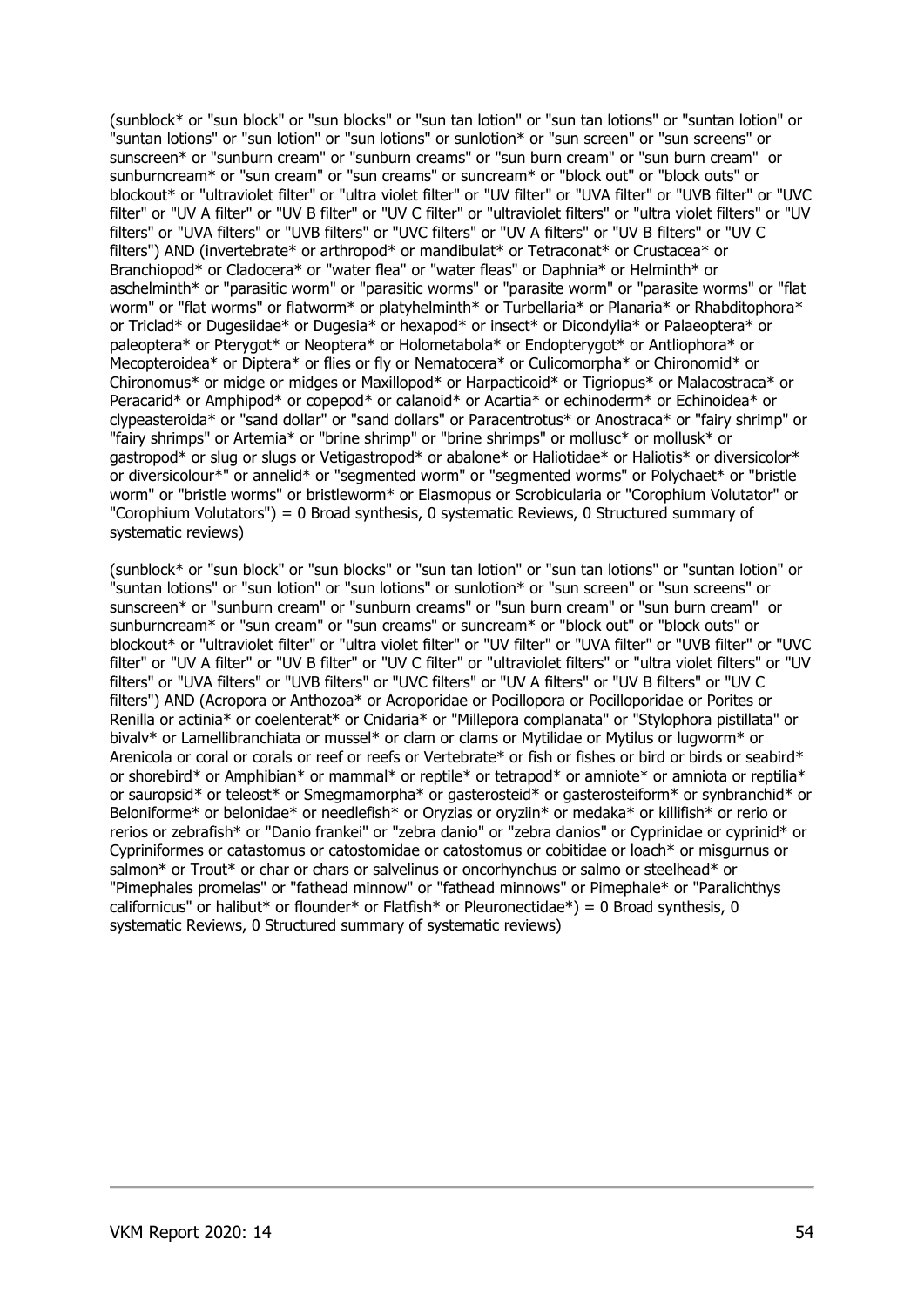(sunblock\* or "sun block" or "sun blocks" or "sun tan lotion" or "sun tan lotions" or "suntan lotion" or "suntan lotions" or "sun lotion" or "sun lotions" or sunlotion\* or "sun screen" or "sun screens" or sunscreen\* or "sunburn cream" or "sunburn creams" or "sun burn cream" or "sun burn cream" or sunburncream\* or "sun cream" or "sun creams" or suncream\* or "block out" or "block outs" or blockout\* or "ultraviolet filter" or "ultra violet filter" or "UV filter" or "UVA filter" or "UVB filter" or "UVC filter" or "UV A filter" or "UV B filter" or "UV C filter" or "ultraviolet filters" or "ultra violet filters" or "UV filters" or "UVA filters" or "UVB filters" or "UVC filters" or "UV A filters" or "UV B filters" or "UV C filters") AND (invertebrate\* or arthropod\* or mandibulat\* or Tetraconat\* or Crustacea\* or Branchiopod\* or Cladocera\* or "water flea" or "water fleas" or Daphnia\* or Helminth\* or aschelminth\* or "parasitic worm" or "parasitic worms" or "parasite worm" or "parasite worms" or "flat worm" or "flat worms" or flatworm\* or platyhelminth\* or Turbellaria\* or Planaria\* or Rhabditophora\* or Triclad\* or Dugesiidae\* or Dugesia\* or hexapod\* or insect\* or Dicondylia\* or Palaeoptera\* or paleoptera\* or Pterygot\* or Neoptera\* or Holometabola\* or Endopterygot\* or Antliophora\* or Mecopteroidea\* or Diptera\* or flies or fly or Nematocera\* or Culicomorpha\* or Chironomid\* or Chironomus\* or midge or midges or Maxillopod\* or Harpacticoid\* or Tigriopus\* or Malacostraca\* or Peracarid\* or Amphipod\* or copepod\* or calanoid\* or Acartia\* or echinoderm\* or Echinoidea\* or clypeasteroida\* or "sand dollar" or "sand dollars" or Paracentrotus\* or Anostraca\* or "fairy shrimp" or "fairy shrimps" or Artemia\* or "brine shrimp" or "brine shrimps" or mollusc\* or mollusk\* or gastropod\* or slug or slugs or Vetigastropod\* or abalone\* or Haliotidae\* or Haliotis\* or diversicolor\* or diversicolour\*" or annelid\* or "segmented worm" or "segmented worms" or Polychaet\* or "bristle worm" or "bristle worms" or bristleworm\* or Elasmopus or Scrobicularia or "Corophium Volutator" or "Corophium Volutators") = 0 Broad synthesis, 0 systematic Reviews, 0 Structured summary of systematic reviews)

(sunblock\* or "sun block" or "sun blocks" or "sun tan lotion" or "sun tan lotions" or "suntan lotion" or "suntan lotions" or "sun lotion" or "sun lotions" or sunlotion\* or "sun screen" or "sun screens" or sunscreen\* or "sunburn cream" or "sunburn creams" or "sun burn cream" or "sun burn cream" or sunburncream\* or "sun cream" or "sun creams" or suncream\* or "block out" or "block outs" or blockout\* or "ultraviolet filter" or "ultra violet filter" or "UV filter" or "UVA filter" or "UVB filter" or "UVC filter" or "UV A filter" or "UV B filter" or "UV C filter" or "ultraviolet filters" or "ultra violet filters" or "UV filters" or "UVA filters" or "UVB filters" or "UVC filters" or "UV A filters" or "UV B filters" or "UV C filters") AND (Acropora or Anthozoa\* or Acroporidae or Pocillopora or Pocilloporidae or Porites or Renilla or actinia\* or coelenterat\* or Cnidaria\* or "Millepora complanata" or "Stylophora pistillata" or bivalv\* or Lamellibranchiata or mussel\* or clam or clams or Mytilidae or Mytilus or lugworm\* or Arenicola or coral or corals or reef or reefs or Vertebrate\* or fish or fishes or bird or birds or seabird\* or shorebird\* or Amphibian\* or mammal\* or reptile\* or tetrapod\* or amniote\* or amniota or reptilia\* or sauropsid\* or teleost\* or Smegmamorpha\* or gasterosteid\* or gasterosteiform\* or synbranchid\* or Beloniforme\* or belonidae\* or needlefish\* or Oryzias or oryziin\* or medaka\* or killifish\* or rerio or rerios or zebrafish\* or "Danio frankei" or "zebra danio" or "zebra danios" or Cyprinidae or cyprinid\* or Cypriniformes or catastomus or catostomidae or catostomus or cobitidae or loach\* or misgurnus or salmon\* or Trout\* or char or chars or salvelinus or oncorhynchus or salmo or steelhead\* or "Pimephales promelas" or "fathead minnow" or "fathead minnows" or Pimephale\* or "Paralichthys californicus" or halibut\* or flounder\* or Flatfish\* or Pleuronectidae\*) = 0 Broad synthesis, 0 systematic Reviews, 0 Structured summary of systematic reviews)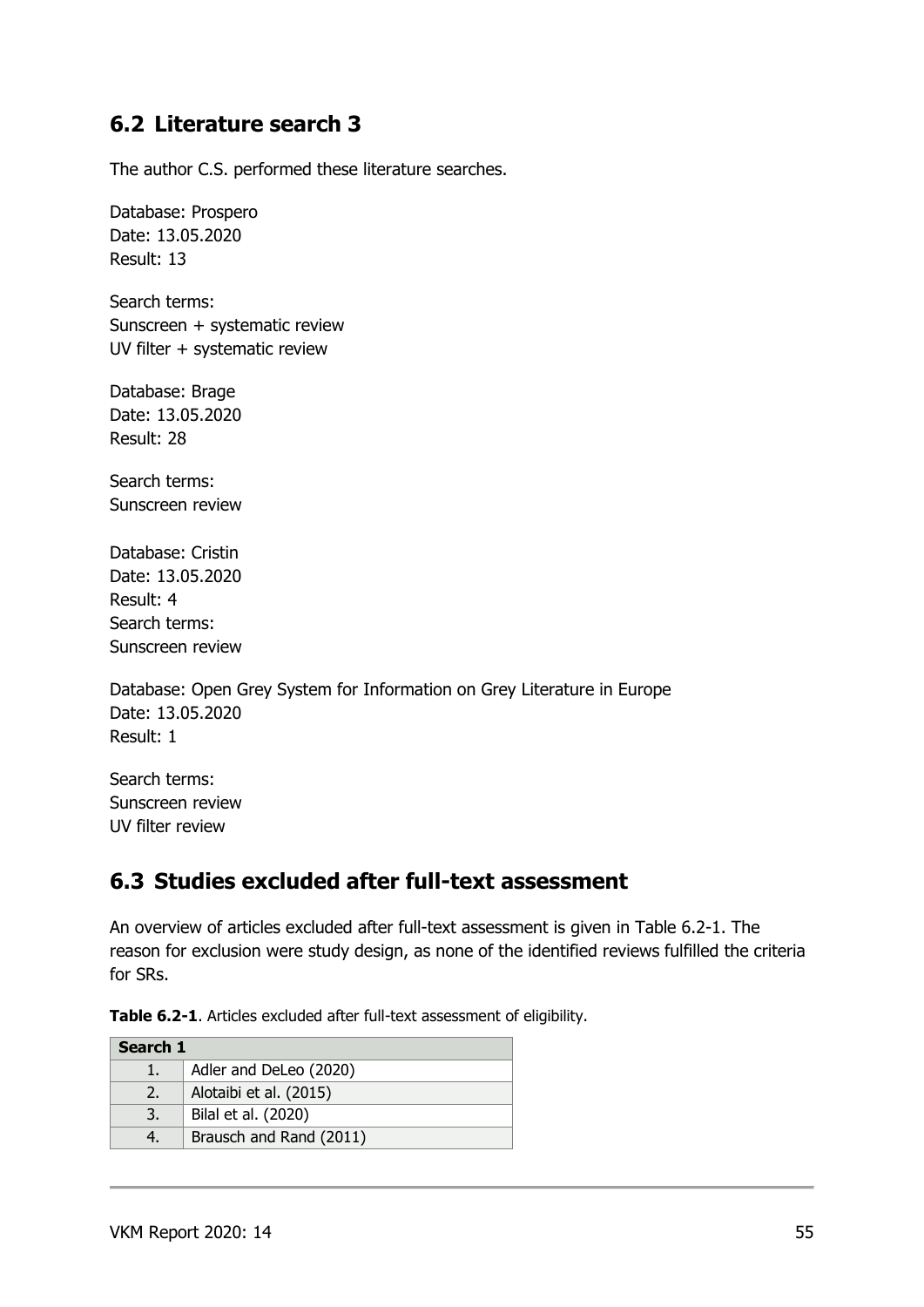### **6.2 Literature search 3**

The author C.S. performed these literature searches.

Database: Prospero Date: 13.05.2020 Result: 13

Search terms: Sunscreen + systematic review UV filter + systematic review

Database: Brage Date: 13.05.2020 Result: 28

Search terms: Sunscreen review

Database: Cristin Date: 13.05.2020 Result: 4 Search terms: Sunscreen review

Database: Open Grey System for Information on Grey Literature in Europe Date: 13.05.2020 Result: 1

Search terms: Sunscreen review UV filter review

## **6.3 Studies excluded after full-text assessment**

An overview of articles excluded after full-text assessment is given in Table 6.2-1. The reason for exclusion were study design, as none of the identified reviews fulfilled the criteria for SRs.

**Table 6.2-1**. Articles excluded after full-text assessment of eligibility.

| Search 1 |                         |  |  |
|----------|-------------------------|--|--|
|          | Adler and DeLeo (2020)  |  |  |
| 2.       | Alotaibi et al. (2015)  |  |  |
| 3.       | Bilal et al. (2020)     |  |  |
|          | Brausch and Rand (2011) |  |  |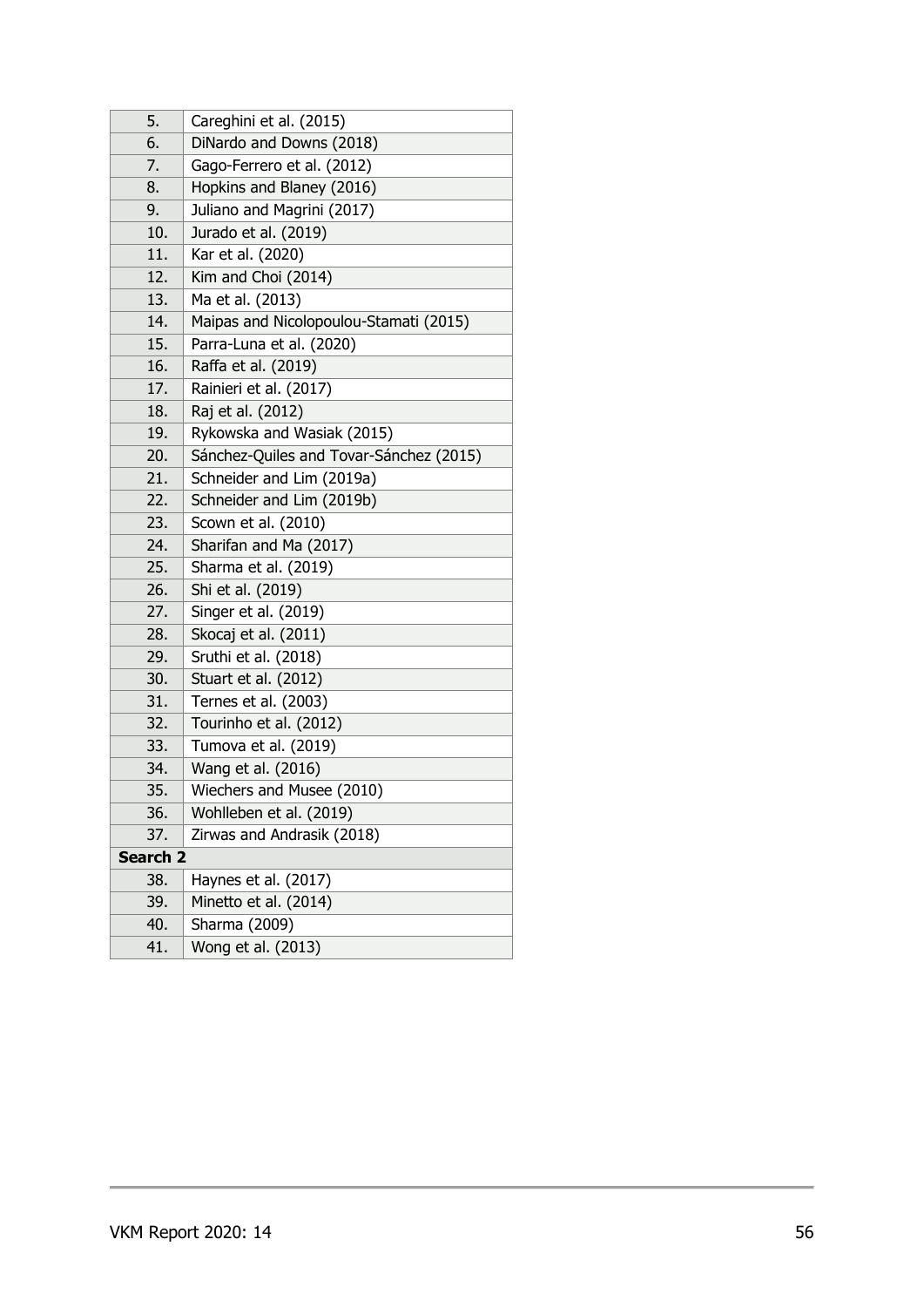| 5.       | Careghini et al. (2015)                 |
|----------|-----------------------------------------|
| 6.       | DiNardo and Downs (2018)                |
| 7.       | Gago-Ferrero et al. (2012)              |
| 8.       | Hopkins and Blaney (2016)               |
| 9.       | Juliano and Magrini (2017)              |
| 10.      | Jurado et al. (2019)                    |
| 11.      | Kar et al. (2020)                       |
| 12.      | Kim and Choi (2014)                     |
| 13.      | Ma et al. (2013)                        |
| 14.      | Maipas and Nicolopoulou-Stamati (2015)  |
| 15.      | Parra-Luna et al. (2020)                |
| 16.      | Raffa et al. (2019)                     |
| 17.      | Rainieri et al. (2017)                  |
| 18.      | Raj et al. (2012)                       |
| 19.      | Rykowska and Wasiak (2015)              |
| 20.      | Sánchez-Quiles and Tovar-Sánchez (2015) |
| 21.      | Schneider and Lim (2019a)               |
| 22.      | Schneider and Lim (2019b)               |
| 23.      | Scown et al. (2010)                     |
| 24.      | Sharifan and Ma (2017)                  |
| 25.      | Sharma et al. (2019)                    |
| 26.      | Shi et al. (2019)                       |
| 27.      | Singer et al. (2019)                    |
| 28.      | Skocaj et al. (2011)                    |
| 29.      | Sruthi et al. (2018)                    |
| 30.      | Stuart et al. (2012)                    |
| 31.      | Ternes et al. (2003)                    |
| 32.      | Tourinho et al. (2012)                  |
| 33.      | Tumova et al. (2019)                    |
| 34.      | Wang et al. (2016)                      |
| 35.      | Wiechers and Musee (2010)               |
| 36.      | Wohlleben et al. (2019)                 |
| 37.      | Zirwas and Andrasik (2018)              |
| Search 2 |                                         |
| 38.      | Haynes et al. (2017)                    |
| 39.      | Minetto et al. (2014)                   |
| 40.      | Sharma (2009)                           |
| 41.      | Wong et al. (2013)                      |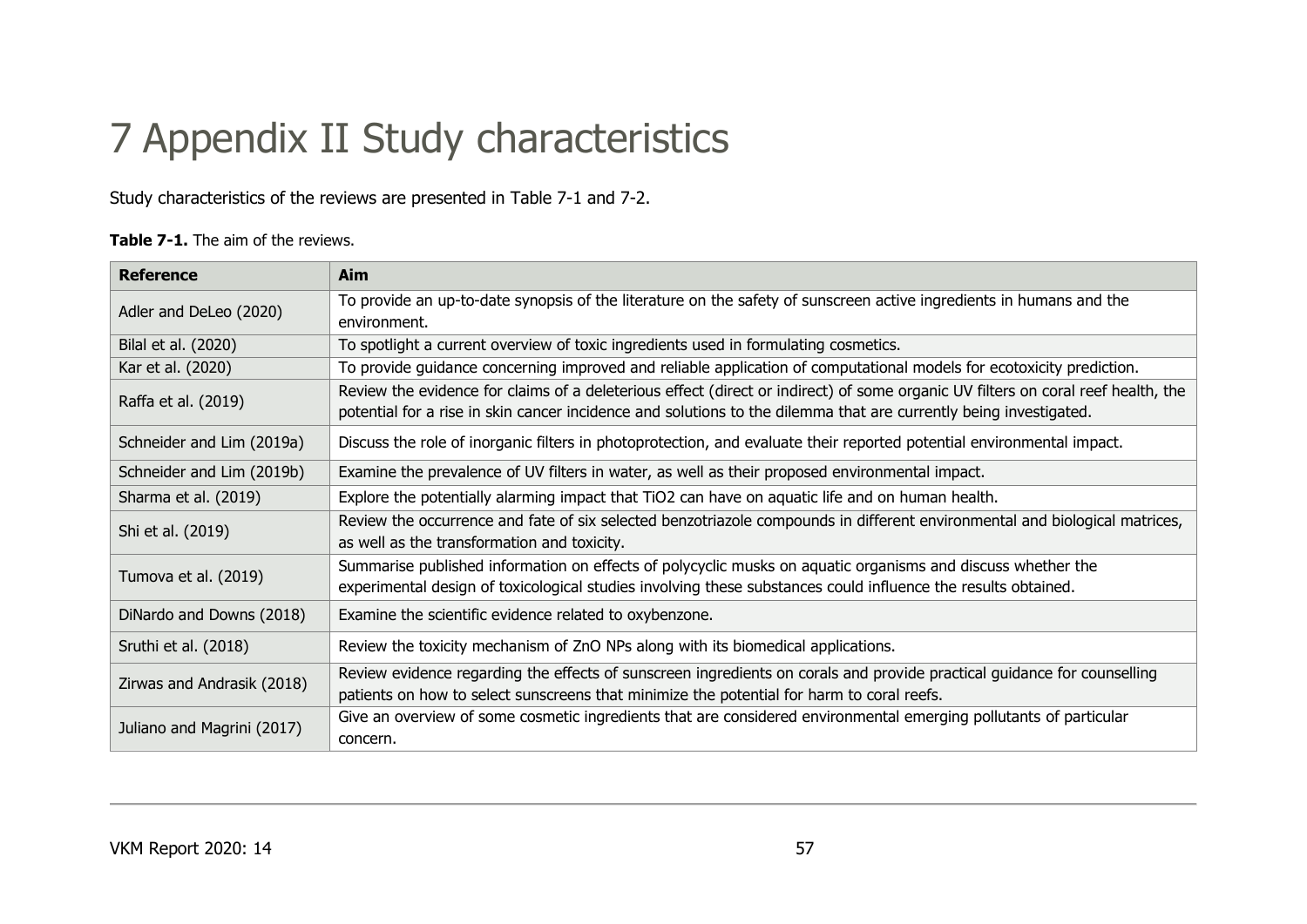# 7 Appendix II Study characteristics

Study characteristics of the reviews are presented in Table 7-1 and 7-2.

### **Table 7-1.** The aim of the reviews.

| <b>Reference</b>           | Aim                                                                                                                                                                                                                                                   |  |  |
|----------------------------|-------------------------------------------------------------------------------------------------------------------------------------------------------------------------------------------------------------------------------------------------------|--|--|
| Adler and DeLeo (2020)     | To provide an up-to-date synopsis of the literature on the safety of sunscreen active ingredients in humans and the                                                                                                                                   |  |  |
|                            | environment.                                                                                                                                                                                                                                          |  |  |
| Bilal et al. (2020)        | To spotlight a current overview of toxic ingredients used in formulating cosmetics.                                                                                                                                                                   |  |  |
| Kar et al. (2020)          | To provide guidance concerning improved and reliable application of computational models for ecotoxicity prediction.                                                                                                                                  |  |  |
| Raffa et al. (2019)        | Review the evidence for claims of a deleterious effect (direct or indirect) of some organic UV filters on coral reef health, the<br>potential for a rise in skin cancer incidence and solutions to the dilemma that are currently being investigated. |  |  |
| Schneider and Lim (2019a)  | Discuss the role of inorganic filters in photoprotection, and evaluate their reported potential environmental impact.                                                                                                                                 |  |  |
| Schneider and Lim (2019b)  | Examine the prevalence of UV filters in water, as well as their proposed environmental impact.                                                                                                                                                        |  |  |
| Sharma et al. (2019)       | Explore the potentially alarming impact that TiO2 can have on aquatic life and on human health.                                                                                                                                                       |  |  |
|                            | Review the occurrence and fate of six selected benzotriazole compounds in different environmental and biological matrices,                                                                                                                            |  |  |
| Shi et al. (2019)          | as well as the transformation and toxicity.                                                                                                                                                                                                           |  |  |
| Tumova et al. (2019)       | Summarise published information on effects of polycyclic musks on aquatic organisms and discuss whether the                                                                                                                                           |  |  |
|                            | experimental design of toxicological studies involving these substances could influence the results obtained.                                                                                                                                         |  |  |
| DiNardo and Downs (2018)   | Examine the scientific evidence related to oxybenzone.                                                                                                                                                                                                |  |  |
| Sruthi et al. (2018)       | Review the toxicity mechanism of ZnO NPs along with its biomedical applications.                                                                                                                                                                      |  |  |
|                            | Review evidence regarding the effects of sunscreen ingredients on corals and provide practical guidance for counselling                                                                                                                               |  |  |
| Zirwas and Andrasik (2018) | patients on how to select sunscreens that minimize the potential for harm to coral reefs.                                                                                                                                                             |  |  |
|                            | Give an overview of some cosmetic ingredients that are considered environmental emerging pollutants of particular                                                                                                                                     |  |  |
| Juliano and Magrini (2017) | concern.                                                                                                                                                                                                                                              |  |  |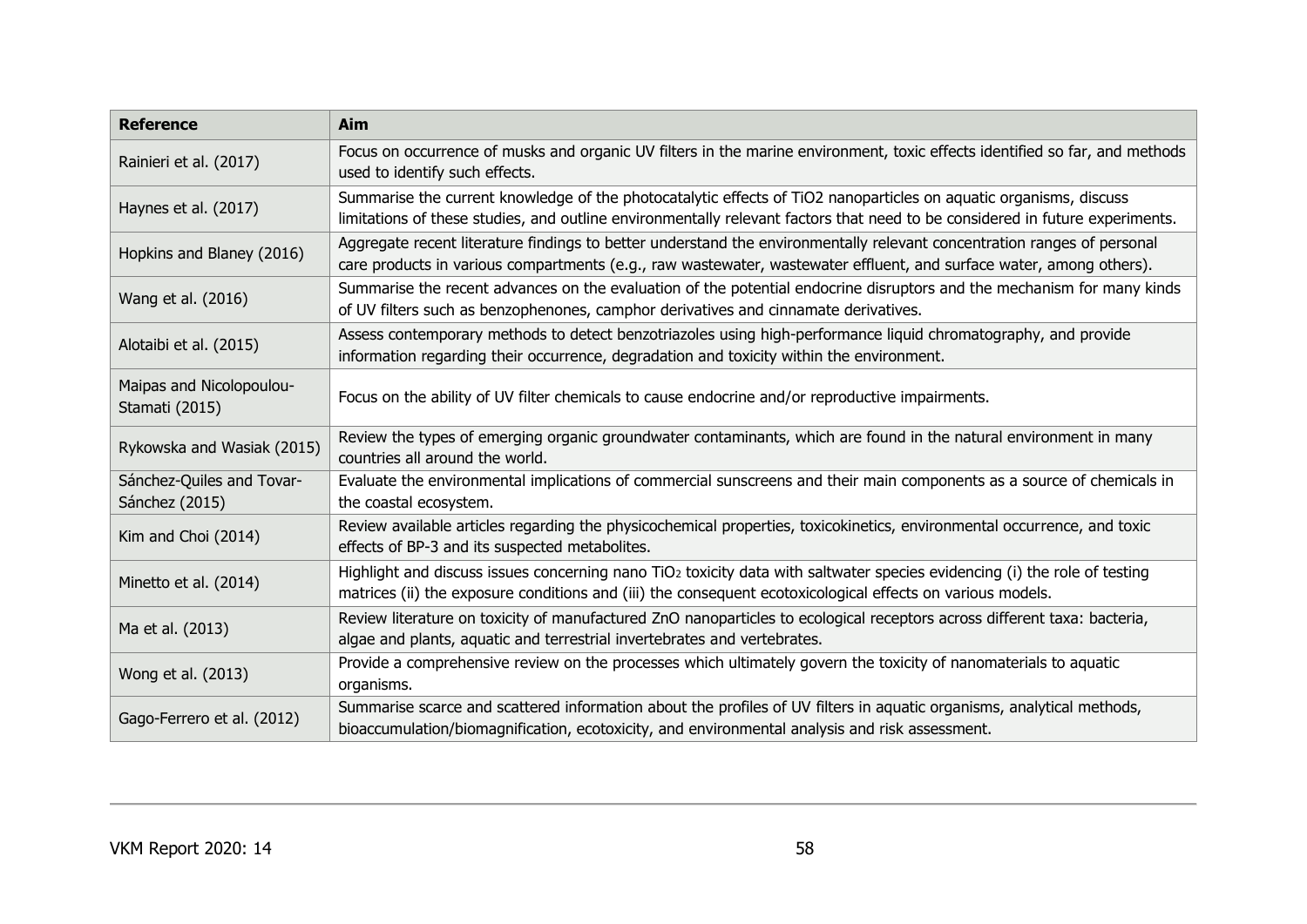| <b>Reference</b>                            | <b>Aim</b>                                                                                                                                                                                                                                          |
|---------------------------------------------|-----------------------------------------------------------------------------------------------------------------------------------------------------------------------------------------------------------------------------------------------------|
| Rainieri et al. (2017)                      | Focus on occurrence of musks and organic UV filters in the marine environment, toxic effects identified so far, and methods<br>used to identify such effects.                                                                                       |
| Haynes et al. (2017)                        | Summarise the current knowledge of the photocatalytic effects of TiO2 nanoparticles on aquatic organisms, discuss<br>limitations of these studies, and outline environmentally relevant factors that need to be considered in future experiments.   |
| Hopkins and Blaney (2016)                   | Aggregate recent literature findings to better understand the environmentally relevant concentration ranges of personal<br>care products in various compartments (e.g., raw wastewater, wastewater effluent, and surface water, among others).      |
| Wang et al. (2016)                          | Summarise the recent advances on the evaluation of the potential endocrine disruptors and the mechanism for many kinds<br>of UV filters such as benzophenones, camphor derivatives and cinnamate derivatives.                                       |
| Alotaibi et al. (2015)                      | Assess contemporary methods to detect benzotriazoles using high-performance liquid chromatography, and provide<br>information regarding their occurrence, degradation and toxicity within the environment.                                          |
| Maipas and Nicolopoulou-<br>Stamati (2015)  | Focus on the ability of UV filter chemicals to cause endocrine and/or reproductive impairments.                                                                                                                                                     |
| Rykowska and Wasiak (2015)                  | Review the types of emerging organic groundwater contaminants, which are found in the natural environment in many<br>countries all around the world.                                                                                                |
| Sánchez-Quiles and Tovar-<br>Sánchez (2015) | Evaluate the environmental implications of commercial sunscreens and their main components as a source of chemicals in<br>the coastal ecosystem.                                                                                                    |
| Kim and Choi (2014)                         | Review available articles regarding the physicochemical properties, toxicokinetics, environmental occurrence, and toxic<br>effects of BP-3 and its suspected metabolites.                                                                           |
| Minetto et al. (2014)                       | Highlight and discuss issues concerning nano TiO <sub>2</sub> toxicity data with saltwater species evidencing (i) the role of testing<br>matrices (ii) the exposure conditions and (iii) the consequent ecotoxicological effects on various models. |
| Ma et al. (2013)                            | Review literature on toxicity of manufactured ZnO nanoparticles to ecological receptors across different taxa: bacteria,<br>algae and plants, aquatic and terrestrial invertebrates and vertebrates.                                                |
| Wong et al. (2013)                          | Provide a comprehensive review on the processes which ultimately govern the toxicity of nanomaterials to aquatic<br>organisms.                                                                                                                      |
| Gago-Ferrero et al. (2012)                  | Summarise scarce and scattered information about the profiles of UV filters in aquatic organisms, analytical methods,<br>bioaccumulation/biomagnification, ecotoxicity, and environmental analysis and risk assessment.                             |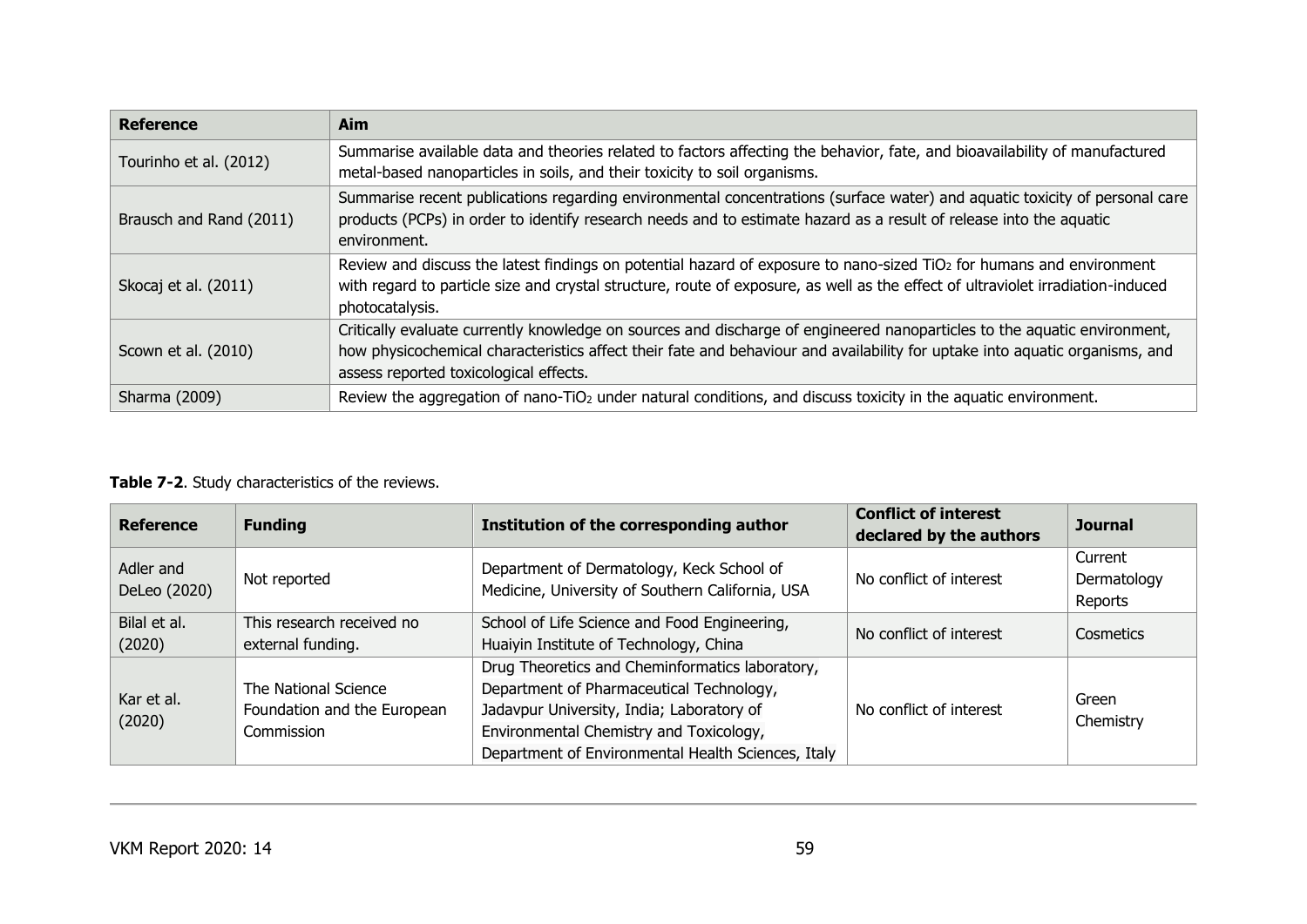| <b>Reference</b>        | Aim                                                                                                                                                                                                                                                                                               |
|-------------------------|---------------------------------------------------------------------------------------------------------------------------------------------------------------------------------------------------------------------------------------------------------------------------------------------------|
| Tourinho et al. (2012)  | Summarise available data and theories related to factors affecting the behavior, fate, and bioavailability of manufactured<br>metal-based nanoparticles in soils, and their toxicity to soil organisms.                                                                                           |
| Brausch and Rand (2011) | Summarise recent publications regarding environmental concentrations (surface water) and aquatic toxicity of personal care<br>products (PCPs) in order to identify research needs and to estimate hazard as a result of release into the aquatic<br>environment.                                  |
| Skocaj et al. (2011)    | Review and discuss the latest findings on potential hazard of exposure to nano-sized TiO <sub>2</sub> for humans and environment<br>with regard to particle size and crystal structure, route of exposure, as well as the effect of ultraviolet irradiation-induced<br>photocatalysis.            |
| Scown et al. (2010)     | Critically evaluate currently knowledge on sources and discharge of engineered nanoparticles to the aquatic environment,<br>how physicochemical characteristics affect their fate and behaviour and availability for uptake into aquatic organisms, and<br>assess reported toxicological effects. |
| Sharma (2009)           | Review the aggregation of nano-TiO <sub>2</sub> under natural conditions, and discuss toxicity in the aquatic environment.                                                                                                                                                                        |

### **Table 7-2**. Study characteristics of the reviews.

| <b>Reference</b>          | <b>Funding</b>                                                    | Institution of the corresponding author                                                                                                                                                                                                   | <b>Conflict of interest</b><br>declared by the authors | <b>Journal</b>                    |
|---------------------------|-------------------------------------------------------------------|-------------------------------------------------------------------------------------------------------------------------------------------------------------------------------------------------------------------------------------------|--------------------------------------------------------|-----------------------------------|
| Adler and<br>DeLeo (2020) | Not reported                                                      | Department of Dermatology, Keck School of<br>Medicine, University of Southern California, USA                                                                                                                                             | No conflict of interest                                | Current<br>Dermatology<br>Reports |
| Bilal et al.<br>(2020)    | This research received no<br>external funding.                    | School of Life Science and Food Engineering,<br>Huaiyin Institute of Technology, China                                                                                                                                                    | No conflict of interest                                | Cosmetics                         |
| Kar et al.<br>(2020)      | The National Science<br>Foundation and the European<br>Commission | Drug Theoretics and Cheminformatics laboratory,<br>Department of Pharmaceutical Technology,<br>Jadavpur University, India; Laboratory of<br>Environmental Chemistry and Toxicology,<br>Department of Environmental Health Sciences, Italy | No conflict of interest                                | Green<br>Chemistry                |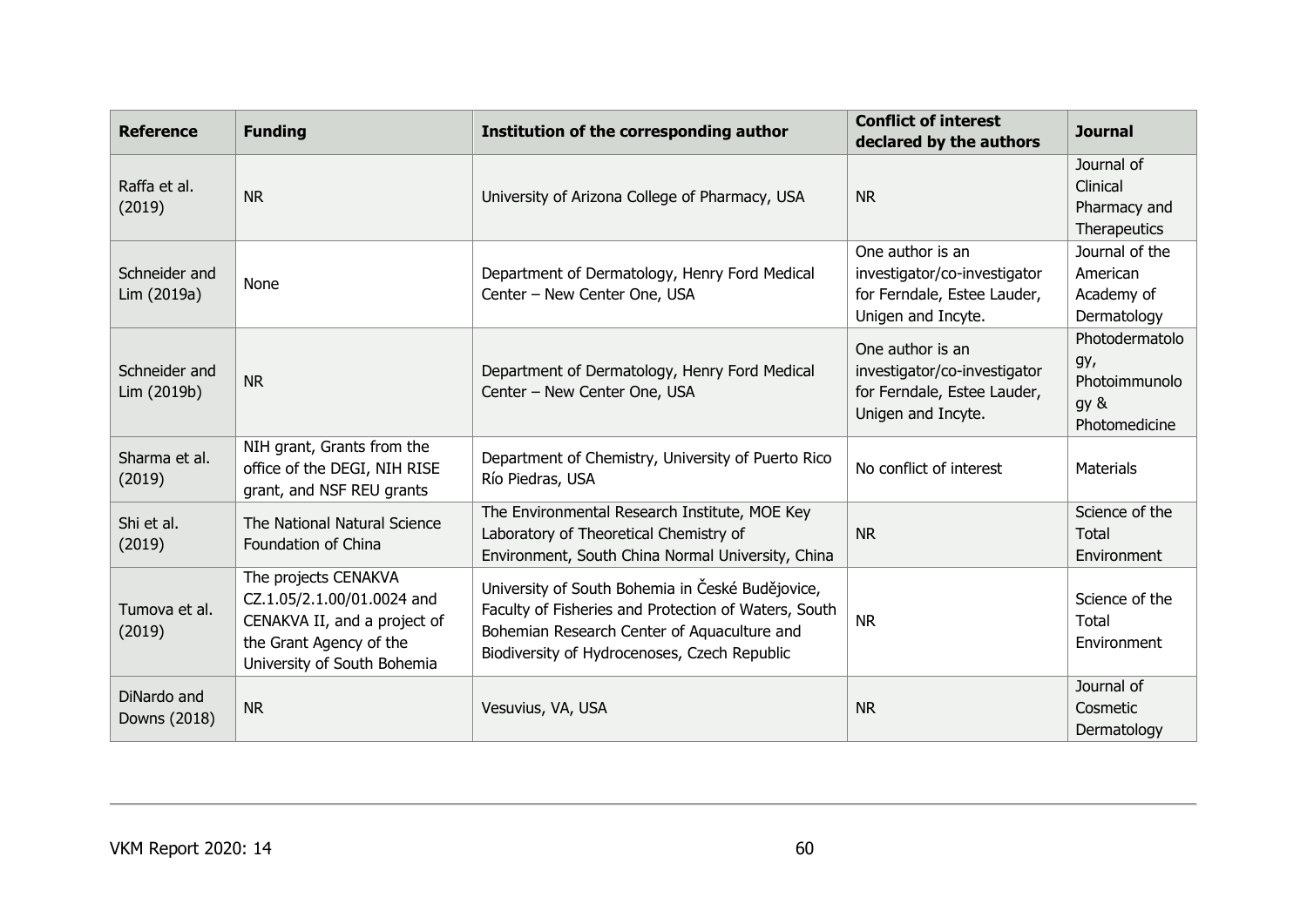| <b>Reference</b>             | <b>Funding</b>                                                                                                                               | Institution of the corresponding author                                                                                                                                                                 | <b>Conflict of interest</b><br>declared by the authors                                                | <b>Journal</b>                                                  |
|------------------------------|----------------------------------------------------------------------------------------------------------------------------------------------|---------------------------------------------------------------------------------------------------------------------------------------------------------------------------------------------------------|-------------------------------------------------------------------------------------------------------|-----------------------------------------------------------------|
| Raffa et al.<br>(2019)       | <b>NR</b>                                                                                                                                    | University of Arizona College of Pharmacy, USA                                                                                                                                                          | <b>NR</b>                                                                                             | Journal of<br>Clinical<br>Pharmacy and<br>Therapeutics          |
| Schneider and<br>Lim (2019a) | None                                                                                                                                         | Department of Dermatology, Henry Ford Medical<br>Center - New Center One, USA                                                                                                                           | One author is an<br>investigator/co-investigator<br>for Ferndale, Estee Lauder,<br>Unigen and Incyte. | Journal of the<br>American<br>Academy of<br>Dermatology         |
| Schneider and<br>Lim (2019b) | <b>NR</b>                                                                                                                                    | Department of Dermatology, Henry Ford Medical<br>Center - New Center One, USA                                                                                                                           | One author is an<br>investigator/co-investigator<br>for Ferndale, Estee Lauder,<br>Unigen and Incyte. | Photodermatolo<br>gy,<br>Photoimmunolo<br>gy &<br>Photomedicine |
| Sharma et al.<br>(2019)      | NIH grant, Grants from the<br>office of the DEGI, NIH RISE<br>grant, and NSF REU grants                                                      | Department of Chemistry, University of Puerto Rico<br>Río Piedras, USA                                                                                                                                  | No conflict of interest                                                                               | <b>Materials</b>                                                |
| Shi et al.<br>(2019)         | The National Natural Science<br>Foundation of China                                                                                          | The Environmental Research Institute, MOE Key<br>Laboratory of Theoretical Chemistry of<br>Environment, South China Normal University, China                                                            | <b>NR</b>                                                                                             | Science of the<br>Total<br>Environment                          |
| Tumova et al.<br>(2019)      | The projects CENAKVA<br>CZ.1.05/2.1.00/01.0024 and<br>CENAKVA II, and a project of<br>the Grant Agency of the<br>University of South Bohemia | University of South Bohemia in České Budějovice,<br>Faculty of Fisheries and Protection of Waters, South<br>Bohemian Research Center of Aquaculture and<br>Biodiversity of Hydrocenoses, Czech Republic | <b>NR</b>                                                                                             | Science of the<br>Total<br>Environment                          |
| DiNardo and<br>Downs (2018)  | <b>NR</b>                                                                                                                                    | Vesuvius, VA, USA                                                                                                                                                                                       | <b>NR</b>                                                                                             | Journal of<br>Cosmetic<br>Dermatology                           |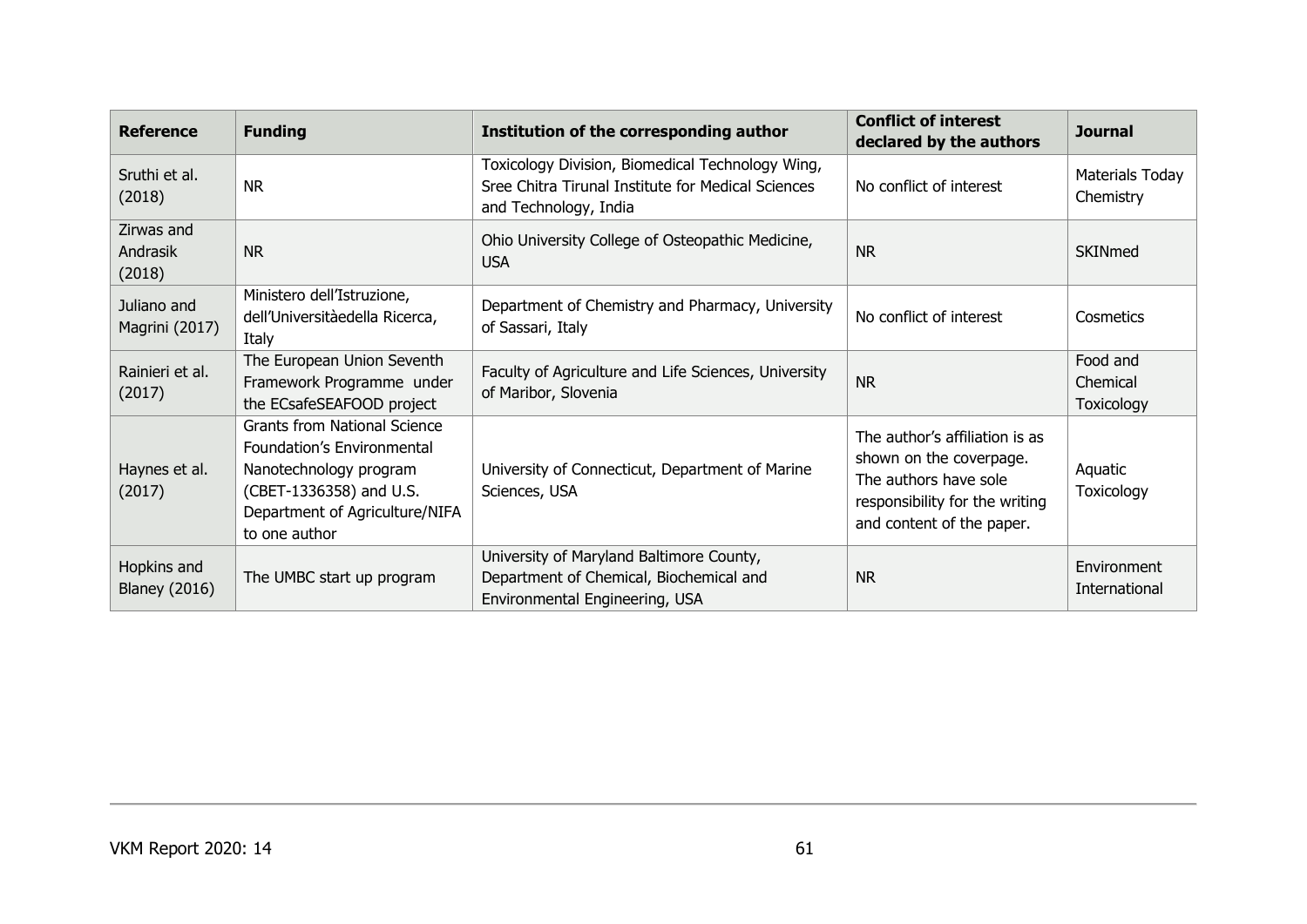| <b>Reference</b>                    | <b>Funding</b>                                                                                                                                                            | Institution of the corresponding author                                                                                         | <b>Conflict of interest</b><br>declared by the authors                                                                                            | <b>Journal</b>                     |
|-------------------------------------|---------------------------------------------------------------------------------------------------------------------------------------------------------------------------|---------------------------------------------------------------------------------------------------------------------------------|---------------------------------------------------------------------------------------------------------------------------------------------------|------------------------------------|
| Sruthi et al.<br>(2018)             | <b>NR</b>                                                                                                                                                                 | Toxicology Division, Biomedical Technology Wing,<br>Sree Chitra Tirunal Institute for Medical Sciences<br>and Technology, India | No conflict of interest                                                                                                                           | Materials Today<br>Chemistry       |
| Zirwas and<br>Andrasik<br>(2018)    | <b>NR</b>                                                                                                                                                                 | Ohio University College of Osteopathic Medicine,<br><b>USA</b>                                                                  | <b>NR</b>                                                                                                                                         | SKINmed                            |
| Juliano and<br>Magrini (2017)       | Ministero dell'Istruzione,<br>dell'Universitàedella Ricerca,<br>Italy                                                                                                     | Department of Chemistry and Pharmacy, University<br>of Sassari, Italy                                                           | No conflict of interest                                                                                                                           | Cosmetics                          |
| Rainieri et al.<br>(2017)           | The European Union Seventh<br>Framework Programme under<br>the ECsafeSEAFOOD project                                                                                      | Faculty of Agriculture and Life Sciences, University<br>of Maribor, Slovenia                                                    | <b>NR</b>                                                                                                                                         | Food and<br>Chemical<br>Toxicology |
| Haynes et al.<br>(2017)             | <b>Grants from National Science</b><br>Foundation's Environmental<br>Nanotechnology program<br>(CBET-1336358) and U.S.<br>Department of Agriculture/NIFA<br>to one author | University of Connecticut, Department of Marine<br>Sciences, USA                                                                | The author's affiliation is as<br>shown on the coverpage.<br>The authors have sole<br>responsibility for the writing<br>and content of the paper. | Aquatic<br>Toxicology              |
| Hopkins and<br><b>Blaney (2016)</b> | The UMBC start up program                                                                                                                                                 | University of Maryland Baltimore County,<br>Department of Chemical, Biochemical and<br>Environmental Engineering, USA           | <b>NR</b>                                                                                                                                         | Environment<br>International       |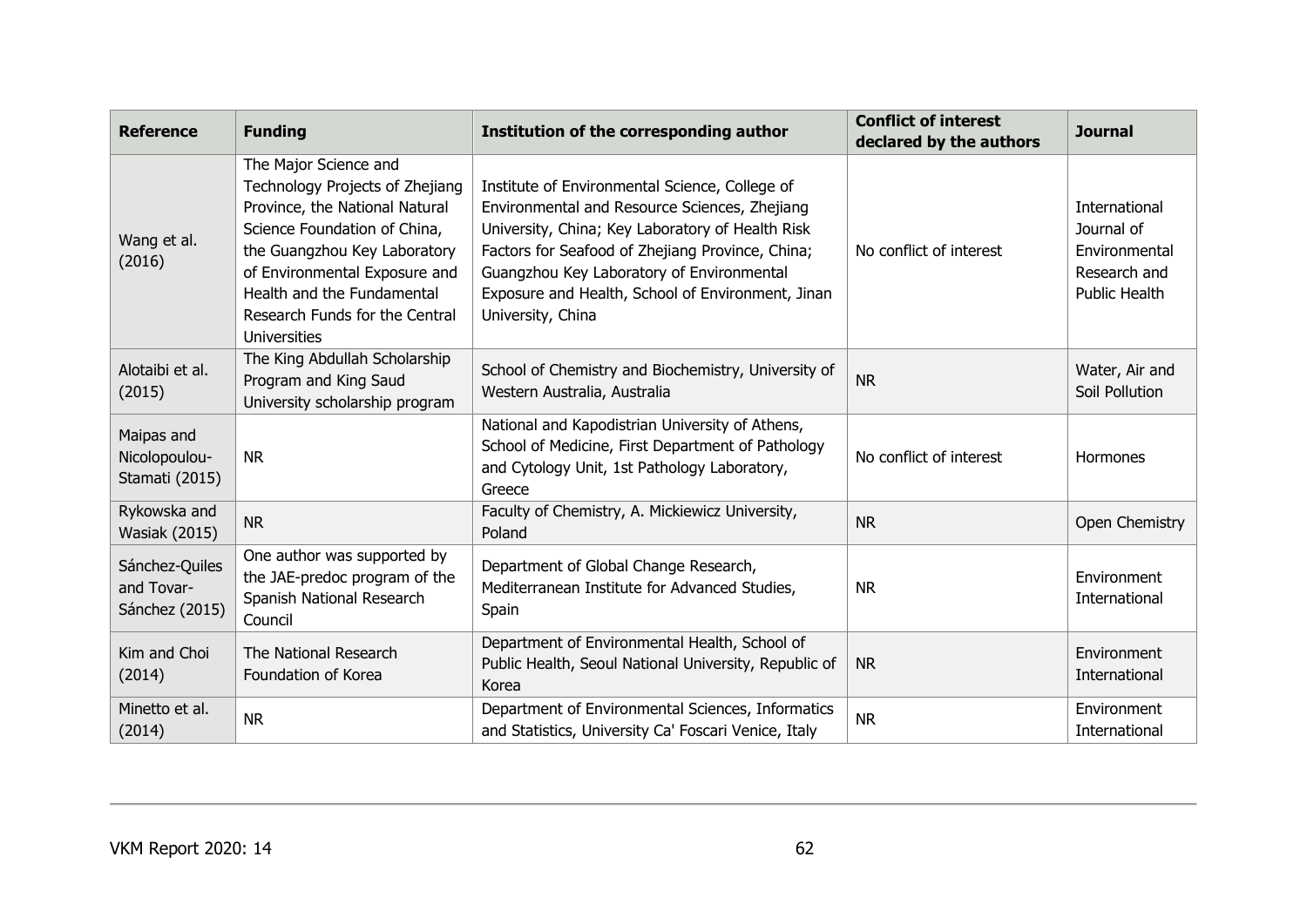| <b>Reference</b>                               | <b>Funding</b>                                                                                                                                                                                                                                                                     | Institution of the corresponding author                                                                                                                                                                                                                                                                                        | <b>Conflict of interest</b><br>declared by the authors | <b>Journal</b>                                                                       |
|------------------------------------------------|------------------------------------------------------------------------------------------------------------------------------------------------------------------------------------------------------------------------------------------------------------------------------------|--------------------------------------------------------------------------------------------------------------------------------------------------------------------------------------------------------------------------------------------------------------------------------------------------------------------------------|--------------------------------------------------------|--------------------------------------------------------------------------------------|
| Wang et al.<br>(2016)                          | The Major Science and<br>Technology Projects of Zhejiang<br>Province, the National Natural<br>Science Foundation of China,<br>the Guangzhou Key Laboratory<br>of Environmental Exposure and<br>Health and the Fundamental<br>Research Funds for the Central<br><b>Universities</b> | Institute of Environmental Science, College of<br>Environmental and Resource Sciences, Zhejiang<br>University, China; Key Laboratory of Health Risk<br>Factors for Seafood of Zhejiang Province, China;<br>Guangzhou Key Laboratory of Environmental<br>Exposure and Health, School of Environment, Jinan<br>University, China | No conflict of interest                                | International<br>Journal of<br>Environmental<br>Research and<br><b>Public Health</b> |
| Alotaibi et al.<br>(2015)                      | The King Abdullah Scholarship<br>Program and King Saud<br>University scholarship program                                                                                                                                                                                           | School of Chemistry and Biochemistry, University of<br>Western Australia, Australia                                                                                                                                                                                                                                            | <b>NR</b>                                              | Water, Air and<br>Soil Pollution                                                     |
| Maipas and<br>Nicolopoulou-<br>Stamati (2015)  | <b>NR</b>                                                                                                                                                                                                                                                                          | National and Kapodistrian University of Athens,<br>School of Medicine, First Department of Pathology<br>and Cytology Unit, 1st Pathology Laboratory,<br>Greece                                                                                                                                                                 | No conflict of interest                                | Hormones                                                                             |
| Rykowska and<br><b>Wasiak (2015)</b>           | <b>NR</b>                                                                                                                                                                                                                                                                          | Faculty of Chemistry, A. Mickiewicz University,<br>Poland                                                                                                                                                                                                                                                                      | <b>NR</b>                                              | Open Chemistry                                                                       |
| Sánchez-Quiles<br>and Tovar-<br>Sánchez (2015) | One author was supported by<br>the JAE-predoc program of the<br>Spanish National Research<br>Council                                                                                                                                                                               | Department of Global Change Research,<br>Mediterranean Institute for Advanced Studies,<br>Spain                                                                                                                                                                                                                                | <b>NR</b>                                              | Environment<br>International                                                         |
| Kim and Choi<br>(2014)                         | The National Research<br>Foundation of Korea                                                                                                                                                                                                                                       | Department of Environmental Health, School of<br>Public Health, Seoul National University, Republic of<br>Korea                                                                                                                                                                                                                | <b>NR</b>                                              | Environment<br><b>International</b>                                                  |
| Minetto et al.<br>(2014)                       | <b>NR</b>                                                                                                                                                                                                                                                                          | Department of Environmental Sciences, Informatics<br>and Statistics, University Ca' Foscari Venice, Italy                                                                                                                                                                                                                      | <b>NR</b>                                              | Environment<br>International                                                         |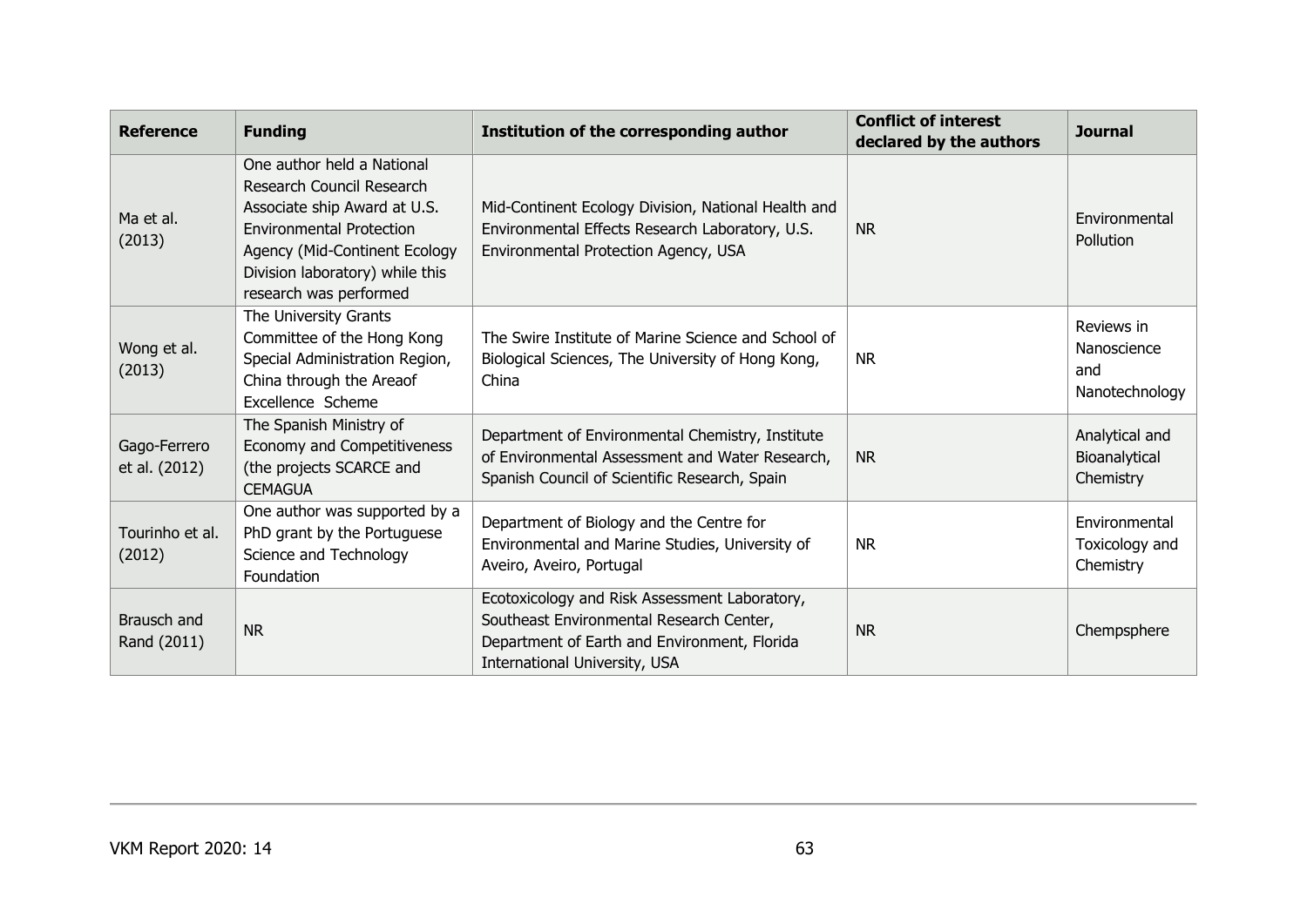| <b>Reference</b>              | <b>Funding</b>                                                                                                                                                                                                           | Institution of the corresponding author                                                                                                                                    | <b>Conflict of interest</b><br>declared by the authors | <b>Journal</b>                                     |
|-------------------------------|--------------------------------------------------------------------------------------------------------------------------------------------------------------------------------------------------------------------------|----------------------------------------------------------------------------------------------------------------------------------------------------------------------------|--------------------------------------------------------|----------------------------------------------------|
| Ma et al.<br>(2013)           | One author held a National<br>Research Council Research<br>Associate ship Award at U.S.<br><b>Environmental Protection</b><br>Agency (Mid-Continent Ecology<br>Division laboratory) while this<br>research was performed | Mid-Continent Ecology Division, National Health and<br>Environmental Effects Research Laboratory, U.S.<br>Environmental Protection Agency, USA                             | <b>NR</b>                                              | Environmental<br>Pollution                         |
| Wong et al.<br>(2013)         | The University Grants<br>Committee of the Hong Kong<br>Special Administration Region,<br>China through the Areaof<br>Excellence Scheme                                                                                   | The Swire Institute of Marine Science and School of<br>Biological Sciences, The University of Hong Kong,<br>China                                                          | <b>NR</b>                                              | Reviews in<br>Nanoscience<br>and<br>Nanotechnology |
| Gago-Ferrero<br>et al. (2012) | The Spanish Ministry of<br>Economy and Competitiveness<br>(the projects SCARCE and<br><b>CEMAGUA</b>                                                                                                                     | Department of Environmental Chemistry, Institute<br>of Environmental Assessment and Water Research,<br>Spanish Council of Scientific Research, Spain                       | <b>NR</b>                                              | Analytical and<br>Bioanalytical<br>Chemistry       |
| Tourinho et al.<br>(2012)     | One author was supported by a<br>PhD grant by the Portuguese<br>Science and Technology<br>Foundation                                                                                                                     | Department of Biology and the Centre for<br>Environmental and Marine Studies, University of<br>Aveiro, Aveiro, Portugal                                                    | <b>NR</b>                                              | Environmental<br>Toxicology and<br>Chemistry       |
| Brausch and<br>Rand (2011)    | <b>NR</b>                                                                                                                                                                                                                | Ecotoxicology and Risk Assessment Laboratory,<br>Southeast Environmental Research Center,<br>Department of Earth and Environment, Florida<br>International University, USA | <b>NR</b>                                              | Chempsphere                                        |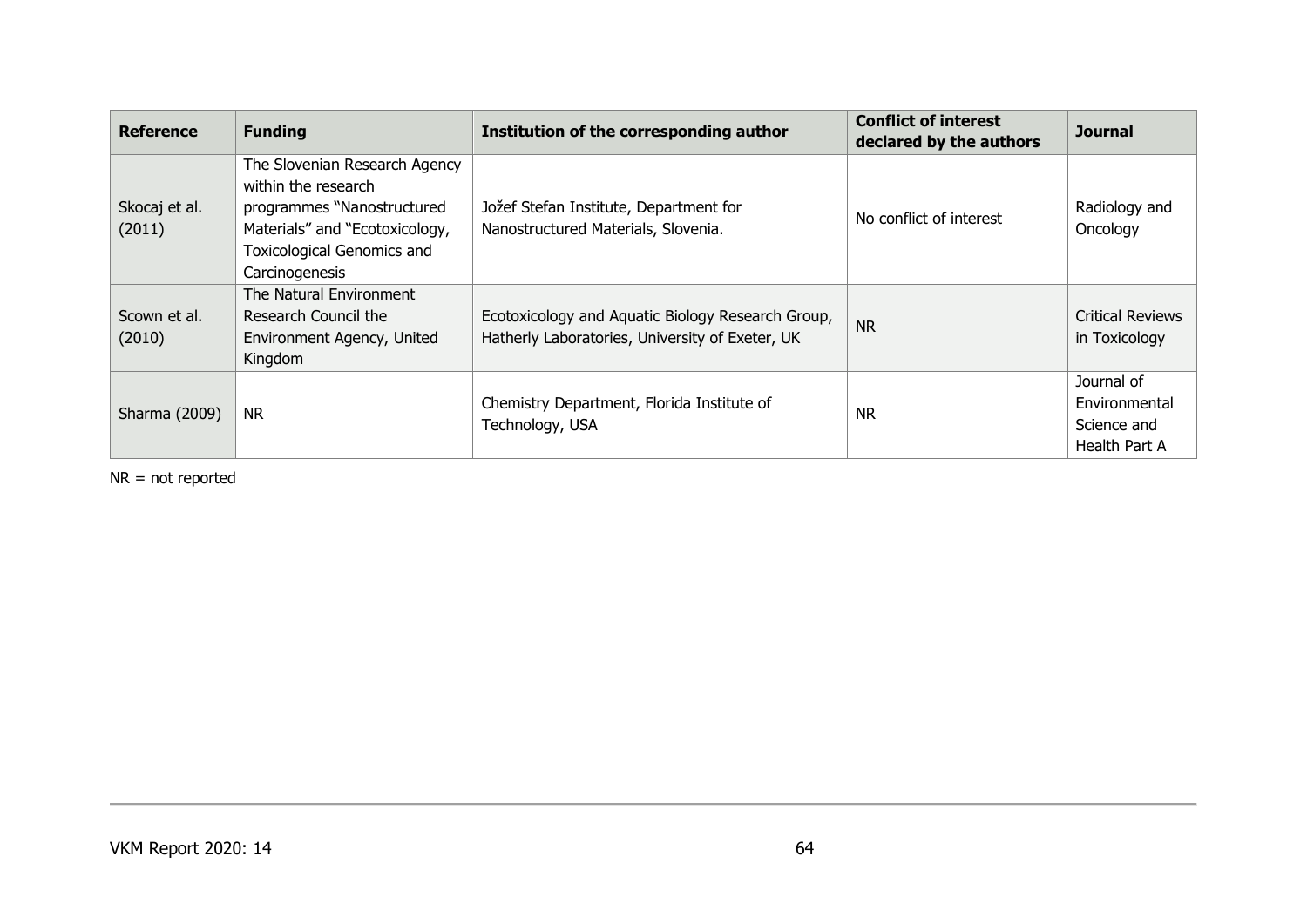| <b>Reference</b>        | <b>Funding</b>                                                                                                                                                              | Institution of the corresponding author                                                              | <b>Conflict of interest</b><br>declared by the authors | <b>Journal</b>                                                     |
|-------------------------|-----------------------------------------------------------------------------------------------------------------------------------------------------------------------------|------------------------------------------------------------------------------------------------------|--------------------------------------------------------|--------------------------------------------------------------------|
| Skocaj et al.<br>(2011) | The Slovenian Research Agency<br>within the research<br>programmes "Nanostructured<br>Materials" and "Ecotoxicology,<br><b>Toxicological Genomics and</b><br>Carcinogenesis | Jožef Stefan Institute, Department for<br>Nanostructured Materials, Slovenia.                        | No conflict of interest                                | Radiology and<br>Oncology                                          |
| Scown et al.<br>(2010)  | The Natural Environment<br>Research Council the<br>Environment Agency, United<br>Kingdom                                                                                    | Ecotoxicology and Aquatic Biology Research Group,<br>Hatherly Laboratories, University of Exeter, UK | <b>NR</b>                                              | <b>Critical Reviews</b><br>in Toxicology                           |
| Sharma (2009)           | <b>NR</b>                                                                                                                                                                   | Chemistry Department, Florida Institute of<br>Technology, USA                                        | <b>NR</b>                                              | Journal of<br>Environmental<br>Science and<br><b>Health Part A</b> |

NR = not reported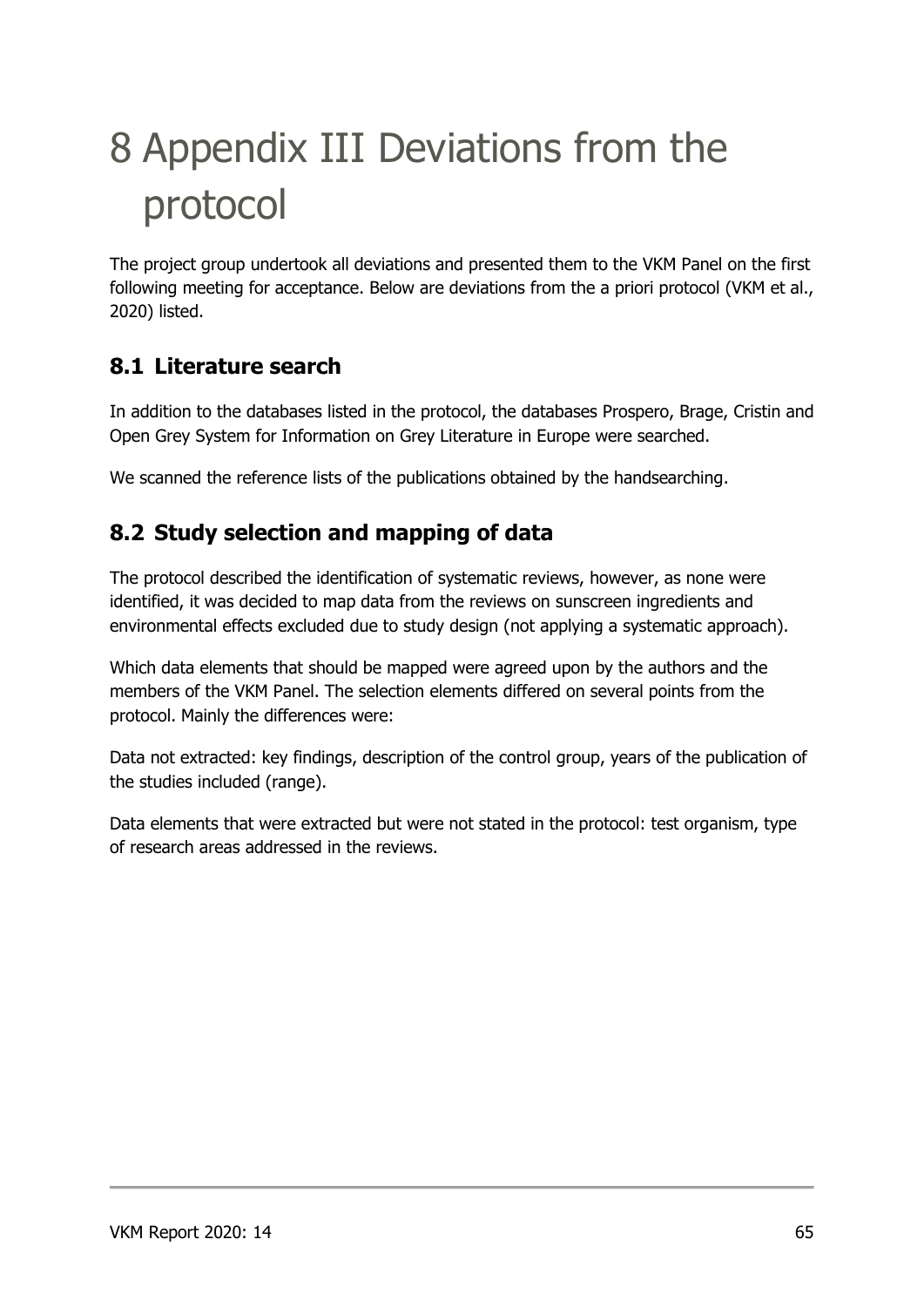# 8 Appendix III Deviations from the protocol

The project group undertook all deviations and presented them to the VKM Panel on the first following meeting for acceptance. Below are deviations from the a priori protocol (VKM et al., 2020) listed.

## **8.1 Literature search**

In addition to the databases listed in the protocol, the databases Prospero, Brage, Cristin and Open Grey System for Information on Grey Literature in Europe were searched.

We scanned the reference lists of the publications obtained by the handsearching.

## **8.2 Study selection and mapping of data**

The protocol described the identification of systematic reviews, however, as none were identified, it was decided to map data from the reviews on sunscreen ingredients and environmental effects excluded due to study design (not applying a systematic approach).

Which data elements that should be mapped were agreed upon by the authors and the members of the VKM Panel. The selection elements differed on several points from the protocol. Mainly the differences were:

Data not extracted: key findings, description of the control group, years of the publication of the studies included (range).

Data elements that were extracted but were not stated in the protocol: test organism, type of research areas addressed in the reviews.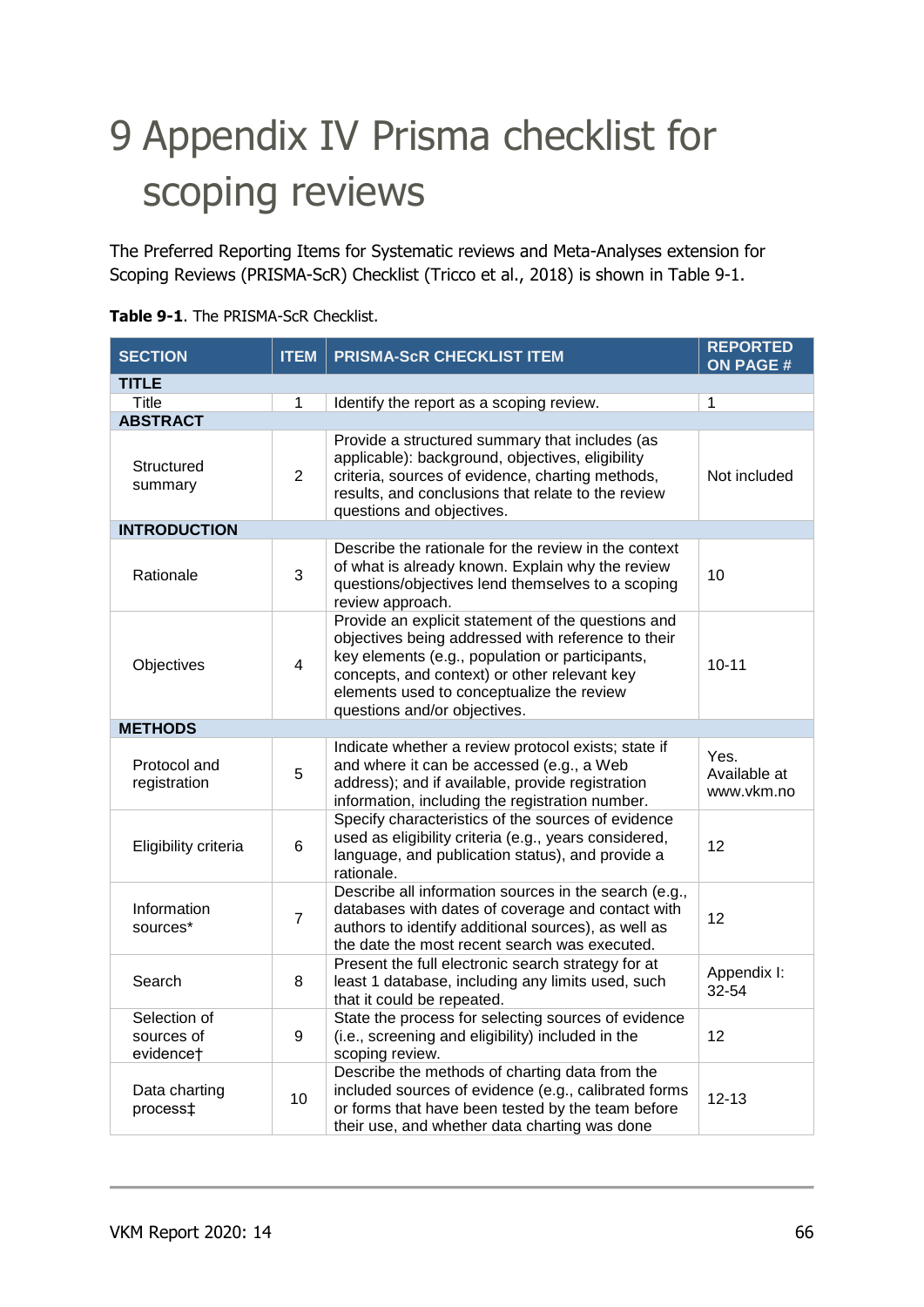# 9 Appendix IV Prisma checklist for scoping reviews

The Preferred Reporting Items for Systematic reviews and Meta-Analyses extension for Scoping Reviews (PRISMA-ScR) Checklist (Tricco et al., 2018) is shown in Table 9-1.

| <b>SECTION</b>                          | <b>ITEM</b>             | PRISMA-ScR CHECKLIST ITEM                                                                                                                                                                                                                                                                | <b>REPORTED</b><br><b>ON PAGE #</b> |  |  |  |  |  |
|-----------------------------------------|-------------------------|------------------------------------------------------------------------------------------------------------------------------------------------------------------------------------------------------------------------------------------------------------------------------------------|-------------------------------------|--|--|--|--|--|
| <b>TITLE</b>                            |                         |                                                                                                                                                                                                                                                                                          |                                     |  |  |  |  |  |
| <b>Title</b>                            | 1                       | Identify the report as a scoping review.                                                                                                                                                                                                                                                 | $\mathbf{1}$                        |  |  |  |  |  |
| <b>ABSTRACT</b>                         |                         |                                                                                                                                                                                                                                                                                          |                                     |  |  |  |  |  |
| Structured<br>summary                   | $\overline{2}$          | Provide a structured summary that includes (as<br>applicable): background, objectives, eligibility<br>criteria, sources of evidence, charting methods,<br>results, and conclusions that relate to the review<br>questions and objectives.                                                | Not included                        |  |  |  |  |  |
| <b>INTRODUCTION</b>                     |                         |                                                                                                                                                                                                                                                                                          |                                     |  |  |  |  |  |
| Rationale                               | 3                       | Describe the rationale for the review in the context<br>of what is already known. Explain why the review<br>questions/objectives lend themselves to a scoping<br>review approach.                                                                                                        | 10                                  |  |  |  |  |  |
| Objectives                              | $\overline{\mathbf{4}}$ | Provide an explicit statement of the questions and<br>objectives being addressed with reference to their<br>key elements (e.g., population or participants,<br>concepts, and context) or other relevant key<br>elements used to conceptualize the review<br>questions and/or objectives. | $10 - 11$                           |  |  |  |  |  |
| <b>METHODS</b>                          |                         |                                                                                                                                                                                                                                                                                          |                                     |  |  |  |  |  |
| Protocol and<br>registration            | 5                       | Indicate whether a review protocol exists; state if<br>and where it can be accessed (e.g., a Web<br>address); and if available, provide registration<br>information, including the registration number.                                                                                  | Yes.<br>Available at<br>www.vkm.no  |  |  |  |  |  |
| Eligibility criteria                    | 6                       | Specify characteristics of the sources of evidence<br>used as eligibility criteria (e.g., years considered,<br>language, and publication status), and provide a<br>rationale.                                                                                                            | 12                                  |  |  |  |  |  |
| Information<br>sources*                 | $\overline{7}$          | Describe all information sources in the search (e.g.,<br>databases with dates of coverage and contact with<br>authors to identify additional sources), as well as<br>the date the most recent search was executed.                                                                       | 12                                  |  |  |  |  |  |
| Search                                  | 8                       | Present the full electronic search strategy for at<br>least 1 database, including any limits used, such<br>that it could be repeated.                                                                                                                                                    | Appendix I:<br>32-54                |  |  |  |  |  |
| Selection of<br>sources of<br>evidencet | 9                       | State the process for selecting sources of evidence<br>(i.e., screening and eligibility) included in the<br>scoping review.                                                                                                                                                              | 12                                  |  |  |  |  |  |
| Data charting<br>process‡               | 10                      | Describe the methods of charting data from the<br>included sources of evidence (e.g., calibrated forms<br>or forms that have been tested by the team before<br>their use, and whether data charting was done                                                                             | $12 - 13$                           |  |  |  |  |  |

|  | <b>Table 9-1.</b> The PRISMA-ScR Checklist. |  |
|--|---------------------------------------------|--|
|  |                                             |  |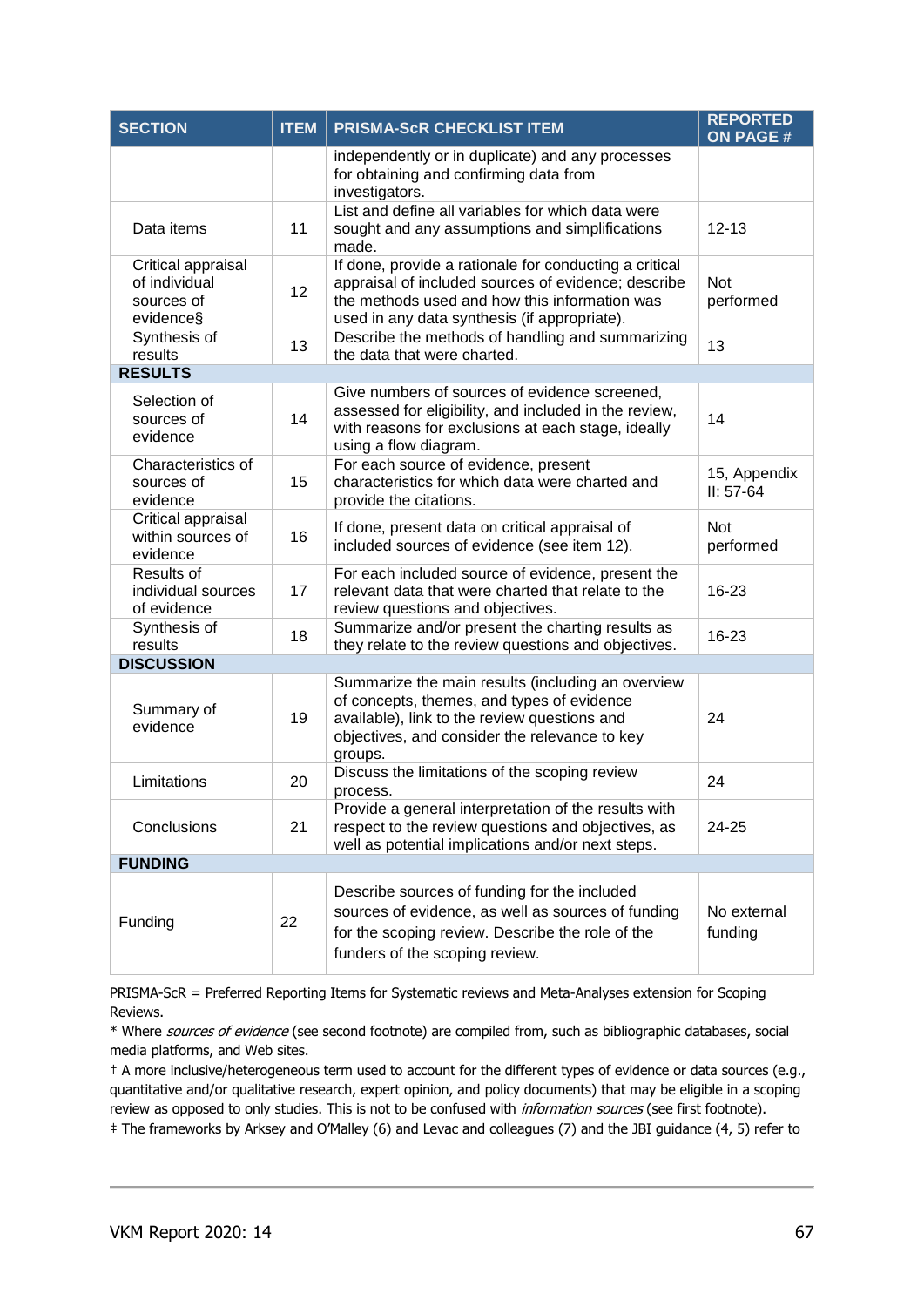| <b>SECTION</b>                                                 | <b>ITEM</b> | <b>PRISMA-ScR CHECKLIST ITEM</b>                                                                                                                                                                               | <b>REPORTED</b><br><b>ON PAGE#</b> |
|----------------------------------------------------------------|-------------|----------------------------------------------------------------------------------------------------------------------------------------------------------------------------------------------------------------|------------------------------------|
|                                                                |             | independently or in duplicate) and any processes<br>for obtaining and confirming data from<br>investigators.                                                                                                   |                                    |
| Data items                                                     | 11          | List and define all variables for which data were<br>sought and any assumptions and simplifications<br>made.                                                                                                   | $12 - 13$                          |
| Critical appraisal<br>of individual<br>sources of<br>evidence§ | 12          | If done, provide a rationale for conducting a critical<br>appraisal of included sources of evidence; describe<br>the methods used and how this information was<br>used in any data synthesis (if appropriate). | <b>Not</b><br>performed            |
| Synthesis of<br>results                                        | 13          | Describe the methods of handling and summarizing<br>the data that were charted.                                                                                                                                | 13                                 |
| <b>RESULTS</b>                                                 |             |                                                                                                                                                                                                                |                                    |
| Selection of<br>sources of<br>evidence                         | 14          | Give numbers of sources of evidence screened,<br>assessed for eligibility, and included in the review,<br>with reasons for exclusions at each stage, ideally<br>using a flow diagram.                          | 14                                 |
| Characteristics of<br>sources of<br>evidence                   | 15          | For each source of evidence, present<br>characteristics for which data were charted and<br>provide the citations.                                                                                              | 15, Appendix<br>$II: 57-64$        |
| Critical appraisal<br>within sources of<br>evidence            | 16          | If done, present data on critical appraisal of<br>included sources of evidence (see item 12).                                                                                                                  | <b>Not</b><br>performed            |
| Results of<br>individual sources<br>of evidence                | 17          | For each included source of evidence, present the<br>relevant data that were charted that relate to the<br>review questions and objectives.                                                                    | $16 - 23$                          |
| Synthesis of<br>results                                        | 18          | Summarize and/or present the charting results as<br>they relate to the review questions and objectives.                                                                                                        | 16-23                              |
| <b>DISCUSSION</b>                                              |             |                                                                                                                                                                                                                |                                    |
| Summary of<br>evidence                                         | 19          | Summarize the main results (including an overview<br>of concepts, themes, and types of evidence<br>available), link to the review questions and<br>objectives, and consider the relevance to key<br>groups.    | 24                                 |
| Limitations                                                    | 20          | Discuss the limitations of the scoping review<br>process.                                                                                                                                                      | 24                                 |
| Conclusions                                                    | 21          | Provide a general interpretation of the results with<br>respect to the review questions and objectives, as<br>well as potential implications and/or next steps.                                                | 24-25                              |
| <b>FUNDING</b>                                                 |             |                                                                                                                                                                                                                |                                    |
| Funding                                                        | 22          | Describe sources of funding for the included<br>sources of evidence, as well as sources of funding<br>for the scoping review. Describe the role of the<br>funders of the scoping review.                       | No external<br>funding             |

PRISMA-ScR = Preferred Reporting Items for Systematic reviews and Meta-Analyses extension for Scoping Reviews.

\* Where sources of evidence (see second footnote) are compiled from, such as bibliographic databases, social media platforms, and Web sites.

† A more inclusive/heterogeneous term used to account for the different types of evidence or data sources (e.g., quantitative and/or qualitative research, expert opinion, and policy documents) that may be eligible in a scoping review as opposed to only studies. This is not to be confused with *information sources* (see first footnote). ‡ The frameworks by Arksey and O'Malley (6) and Levac and colleagues (7) and the JBI guidance (4, 5) refer to